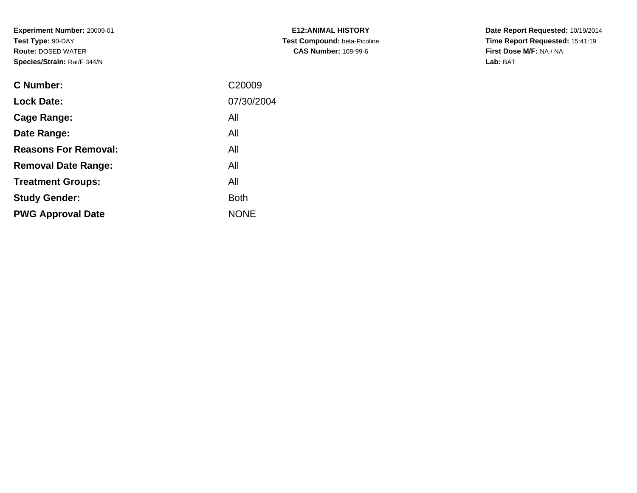**Experiment Number:** 20009-01**Test Type:** 90-DAY **Route:** DOSED WATER**Species/Strain:** Rat/F 344/N

| <b>C Number:</b>            | C20009      |
|-----------------------------|-------------|
| <b>Lock Date:</b>           | 07/30/2004  |
| <b>Cage Range:</b>          | All         |
| Date Range:                 | All         |
| <b>Reasons For Removal:</b> | All         |
| <b>Removal Date Range:</b>  | All         |
| <b>Treatment Groups:</b>    | All         |
| <b>Study Gender:</b>        | <b>Both</b> |
| <b>PWG Approval Date</b>    | <b>NONE</b> |
|                             |             |

**E12:ANIMAL HISTORY Test Compound:** beta-Picoline**CAS Number:** 108-99-6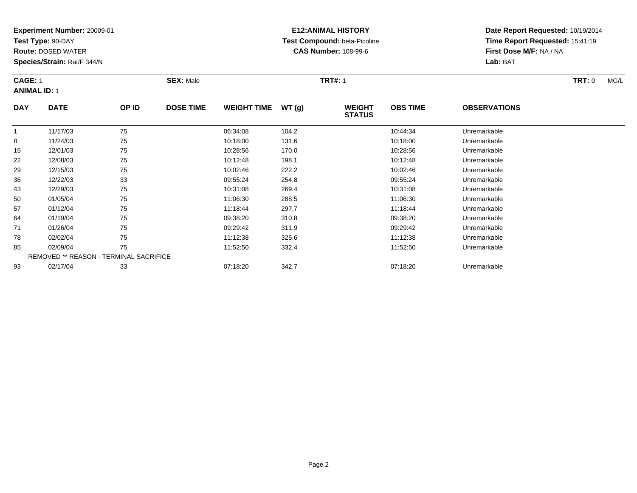**Test Type:** 90-DAY

**Route:** DOSED WATER

**Species/Strain:** Rat/F 344/N

### **E12:ANIMAL HISTORY Test Compound:** beta-Picoline**CAS Number:** 108-99-6

| <b>CAGE: 1</b><br><b>ANIMAL ID: 1</b> |             |       | <b>SEX: Male</b> |                    |       | <b>TRT#: 1</b>                 |                 |                     | <b>TRT: 0</b> | MG/L |
|---------------------------------------|-------------|-------|------------------|--------------------|-------|--------------------------------|-----------------|---------------------|---------------|------|
| <b>DAY</b>                            | <b>DATE</b> | OP ID | <b>DOSE TIME</b> | <b>WEIGHT TIME</b> | WT(g) | <b>WEIGHT</b><br><b>STATUS</b> | <b>OBS TIME</b> | <b>OBSERVATIONS</b> |               |      |
|                                       | 11/17/03    | 75    |                  | 06:34:08           | 104.2 |                                | 10:44:34        | Unremarkable        |               |      |
| 8                                     | 11/24/03    | 75    |                  | 10:18:00           | 131.6 |                                | 10:18:00        | Unremarkable        |               |      |
| 15                                    | 12/01/03    | 75    |                  | 10:28:56           | 170.0 |                                | 10:28:56        | Unremarkable        |               |      |
| 22                                    | 12/08/03    | 75    |                  | 10:12:48           | 198.1 |                                | 10:12:48        | Unremarkable        |               |      |

| 29 | 12/15/03 | 75                                            | 10:02:46 | 222.2 | 10:02:46 | Unremarkable |
|----|----------|-----------------------------------------------|----------|-------|----------|--------------|
| 36 | 12/22/03 | 33                                            | 09:55:24 | 254.8 | 09:55:24 | Unremarkable |
| 43 | 12/29/03 | 75                                            | 10:31:08 | 269.4 | 10:31:08 | Unremarkable |
| 50 | 01/05/04 | 75                                            | 11:06:30 | 288.5 | 11:06:30 | Unremarkable |
| 57 | 01/12/04 | 75                                            | 11:18:44 | 297.7 | 11:18:44 | Unremarkable |
| 64 | 01/19/04 | 75                                            | 09:38:20 | 310.8 | 09:38:20 | Unremarkable |
| 71 | 01/26/04 | 75                                            | 09:29:42 | 311.9 | 09:29:42 | Unremarkable |
| 78 | 02/02/04 | 75                                            | 11:12:38 | 325.6 | 11:12:38 | Unremarkable |
| 85 | 02/09/04 | 75                                            | 11:52:50 | 332.4 | 11:52:50 | Unremarkable |
|    |          | <b>REMOVED ** REASON - TERMINAL SACRIFICE</b> |          |       |          |              |
| 93 | 02/17/04 | 33                                            | 07:18:20 | 342.7 | 07:18:20 | Unremarkable |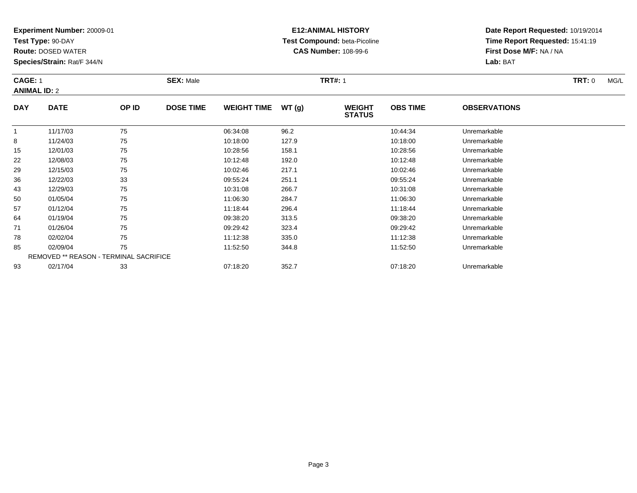**Test Type:** 90-DAY

**Route:** DOSED WATER

**Species/Strain:** Rat/F 344/N

# **E12:ANIMAL HISTORY Test Compound:** beta-Picoline**CAS Number:** 108-99-6

| <b>CAGE: 1</b><br><b>ANIMAL ID: 2</b> |             |       | <b>SEX: Male</b> |                    |        | <b>TRT#: 1</b>                 |                 |                     | <b>TRT: 0</b> | MG/L |
|---------------------------------------|-------------|-------|------------------|--------------------|--------|--------------------------------|-----------------|---------------------|---------------|------|
| <b>DAY</b>                            | <b>DATE</b> | OP ID | <b>DOSE TIME</b> | <b>WEIGHT TIME</b> | WT (g) | <b>WEIGHT</b><br><b>STATUS</b> | <b>OBS TIME</b> | <b>OBSERVATIONS</b> |               |      |
|                                       | 11/17/03    | 75    |                  | 06:34:08           | 96.2   |                                | 10:44:34        | Unremarkable        |               |      |

|    | 11/17/03 | 75                                            | 06:34:08 | 96.2  | 10:44:34 | Unremarkable |  |
|----|----------|-----------------------------------------------|----------|-------|----------|--------------|--|
| 8  | 11/24/03 | 75                                            | 10:18:00 | 127.9 | 10:18:00 | Unremarkable |  |
| 15 | 12/01/03 | 75                                            | 10:28:56 | 158.1 | 10:28:56 | Unremarkable |  |
| 22 | 12/08/03 | 75                                            | 10:12:48 | 192.0 | 10:12:48 | Unremarkable |  |
| 29 | 12/15/03 | 75                                            | 10:02:46 | 217.1 | 10:02:46 | Unremarkable |  |
| 36 | 12/22/03 | 33                                            | 09:55:24 | 251.1 | 09:55:24 | Unremarkable |  |
| 43 | 12/29/03 | 75                                            | 10:31:08 | 266.7 | 10:31:08 | Unremarkable |  |
| 50 | 01/05/04 | 75                                            | 11:06:30 | 284.7 | 11:06:30 | Unremarkable |  |
| 57 | 01/12/04 | 75                                            | 11:18:44 | 296.4 | 11:18:44 | Unremarkable |  |
| 64 | 01/19/04 | 75                                            | 09:38:20 | 313.5 | 09:38:20 | Unremarkable |  |
| 71 | 01/26/04 | 75                                            | 09:29:42 | 323.4 | 09:29:42 | Unremarkable |  |
| 78 | 02/02/04 | 75                                            | 11:12:38 | 335.0 | 11:12:38 | Unremarkable |  |
| 85 | 02/09/04 | 75                                            | 11:52:50 | 344.8 | 11:52:50 | Unremarkable |  |
|    |          | <b>REMOVED ** REASON - TERMINAL SACRIFICE</b> |          |       |          |              |  |
| 93 | 02/17/04 | 33                                            | 07:18:20 | 352.7 | 07:18:20 | Unremarkable |  |
|    |          |                                               |          |       |          |              |  |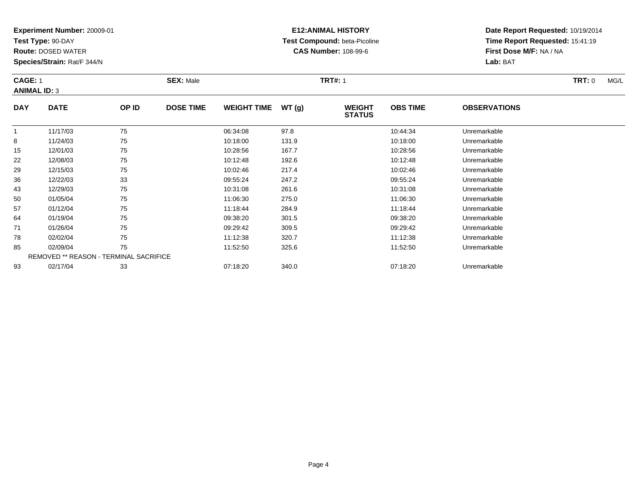**Test Type:** 90-DAY

8

15

22

29

36

43

50

57

64

71

78

85

93

**Route:** DOSED WATER

**Species/Strain:** Rat/F 344/N

REMOVED \*\* REASON - TERMINAL SACRIFICE

### **E12:ANIMAL HISTORY Test Compound:** beta-Picoline**CAS Number:** 108-99-6

**Date Report Requested:** 10/19/2014**Time Report Requested:** 15:41:19**First Dose M/F:** NA / NA**Lab:** BAT

| <b>CAGE: 1</b><br><b>SEX: Male</b><br><b>ANIMAL ID: 3</b> |             |       | <b>TRT#: 1</b>   |                     |      |                                | TRT: 0          | MG/L                |  |  |
|-----------------------------------------------------------|-------------|-------|------------------|---------------------|------|--------------------------------|-----------------|---------------------|--|--|
| <b>DAY</b>                                                | <b>DATE</b> | OP ID | <b>DOSE TIME</b> | WEIGHT TIME $WT(g)$ |      | <b>WEIGHT</b><br><b>STATUS</b> | <b>OBS TIME</b> | <b>OBSERVATIONS</b> |  |  |
|                                                           | 11/17/03    | 75    |                  | 06:34:08            | 97.8 |                                | 10:44:34        | Unremarkable        |  |  |

8 11/24/03 75 75 10:18:00 131.9 10:18:00 131.9 10:18:00 151.9

12/01/03 <sup>75</sup> 10:28:56 167.7 10:28:56 Unremarkable

12/08/03 <sup>75</sup> 10:12:48 192.6 10:12:48 Unremarkable

12/15/03 <sup>75</sup> 10:02:46 217.4 10:02:46 Unremarkable

12/22/03 <sup>33</sup> 09:55:24 247.2 09:55:24 Unremarkable

12/29/03 <sup>75</sup> 10:31:08 261.6 10:31:08 Unremarkable

0 01/05/04 75 75 11:06:30 275.0 11:06:30 11:06:30 11:06:30 Unremarkable

01/12/04 <sup>75</sup> 11:18:44 284.9 11:18:44 Unremarkable

01/19/04 <sup>75</sup> 09:38:20 301.5 09:38:20 Unremarkable

01/26/04 <sup>75</sup> 09:29:42 309.5 09:29:42 Unremarkable

02/02/04 <sup>75</sup> 11:12:38 320.7 11:12:38 Unremarkable

02/09/04 <sup>75</sup> 11:52:50 325.6 11:52:50 Unremarkable

02/17/04 <sup>33</sup> 07:18:20 340.0 07:18:20 Unremarkable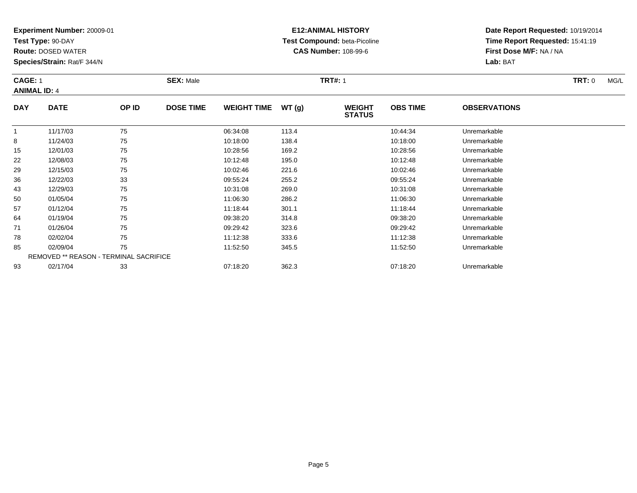**Test Type:** 90-DAY

15

22

29

36

43

50

57

64

71

78

85

93

**Route:** DOSED WATER

**Species/Strain:** Rat/F 344/N

### **E12:ANIMAL HISTORY Test Compound:** beta-Picoline**CAS Number:** 108-99-6

**Date Report Requested:** 10/19/2014**Time Report Requested:** 15:41:19**First Dose M/F:** NA / NA**Lab:** BAT

| <b>CAGE: 1</b><br><b>ANIMAL ID: 4</b> |             |       | <b>SEX: Male</b> |                     |       | <b>TRT#: 1</b>                 |                 |                     | <b>TRT: 0</b> | MG/L |
|---------------------------------------|-------------|-------|------------------|---------------------|-------|--------------------------------|-----------------|---------------------|---------------|------|
| <b>DAY</b>                            | <b>DATE</b> | OP ID | <b>DOSE TIME</b> | WEIGHT TIME $WT(g)$ |       | <b>WEIGHT</b><br><b>STATUS</b> | <b>OBS TIME</b> | <b>OBSERVATIONS</b> |               |      |
|                                       | 11/17/03    | 75    |                  | 06:34:08            | 113.4 |                                | 10:44:34        | Unremarkable        |               |      |
|                                       | 11/24/03    | 75    |                  | 10:18:00            | 138.4 |                                | 10:18:00        | Unremarkable        |               |      |

|   | 01/26/04 | 75                                            | 09:29:42 | 323.6 | 09:29:42 | Unremarkable |
|---|----------|-----------------------------------------------|----------|-------|----------|--------------|
| 8 | 02/02/04 | 75                                            | 11:12:38 | 333.6 | 11:12:38 | Unremarkable |
|   | 02/09/04 | 75                                            | 11:52:50 | 345.5 | 11:52:50 | Unremarkable |
|   |          | <b>REMOVED ** REASON - TERMINAL SACRIFICE</b> |          |       |          |              |
|   | 02/17/04 | 33                                            | 07:18:20 | 362.3 | 07:18:20 | Unremarkable |
|   |          |                                               |          |       |          |              |
|   |          |                                               |          |       |          |              |
|   |          |                                               |          |       |          |              |

8 11/24/03 75 75 10:18:00 138.4 10:18:00 138.4 10:18:00 Dhremarkable

12/01/03 <sup>75</sup> 10:28:56 169.2 10:28:56 Unremarkable

12/08/03 <sup>75</sup> 10:12:48 195.0 10:12:48 Unremarkable

12/15/03 <sup>75</sup> 10:02:46 221.6 10:02:46 Unremarkable

12/22/03 <sup>33</sup> 09:55:24 255.2 09:55:24 Unremarkable

12/29/03 <sup>75</sup> 10:31:08 269.0 10:31:08 Unremarkable

0 01/05/04 75 75 11:06:30 286.2 11:06:30 11:06:30 11:06:30 11:06:30 Unremarkable

7 01/12/04 75 75 11:18:44 301.1 11:18:44 11:18:44 Dhremarkable

01/19/04 <sup>75</sup> 09:38:20 314.8 09:38:20 Unremarkable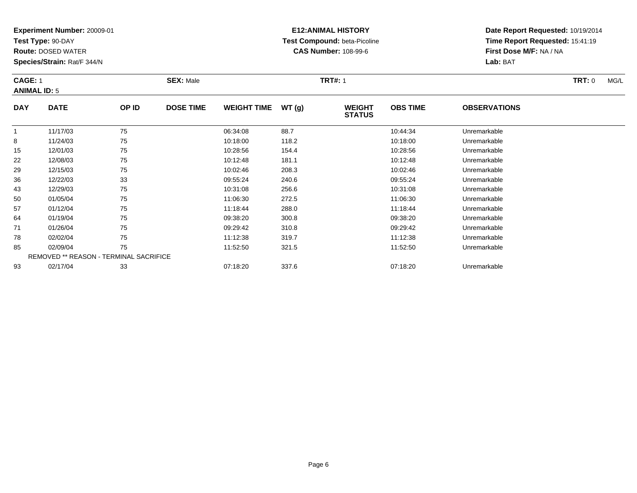**Test Type:** 90-DAY

**Route:** DOSED WATER

**Species/Strain:** Rat/F 344/N

# **E12:ANIMAL HISTORY Test Compound:** beta-Picoline**CAS Number:** 108-99-6

| <b>CAGE: 1</b><br><b>ANIMAL ID: 5</b> |             | <b>SEX: Male</b> |                  |                    | <b>TRT#: 1</b> |                                |                 |                     | MG/L |  |
|---------------------------------------|-------------|------------------|------------------|--------------------|----------------|--------------------------------|-----------------|---------------------|------|--|
| <b>DAY</b>                            | <b>DATE</b> | OP ID            | <b>DOSE TIME</b> | <b>WEIGHT TIME</b> | WT (g)         | <b>WEIGHT</b><br><b>STATUS</b> | <b>OBS TIME</b> | <b>OBSERVATIONS</b> |      |  |
|                                       | 11/17/03    | 75               |                  | 06:34:08           | 88.7           |                                | 10:44:34        | Unremarkable        |      |  |

|    | 11/17/03 | 75                                            | 06:34:08 | 88.7  | 10:44:34 | Unremarkable |  |
|----|----------|-----------------------------------------------|----------|-------|----------|--------------|--|
| 8  | 11/24/03 | 75                                            | 10:18:00 | 118.2 | 10:18:00 | Unremarkable |  |
| 15 | 12/01/03 | 75                                            | 10:28:56 | 154.4 | 10:28:56 | Unremarkable |  |
| 22 | 12/08/03 | 75                                            | 10:12:48 | 181.1 | 10:12:48 | Unremarkable |  |
| 29 | 12/15/03 | 75                                            | 10:02:46 | 208.3 | 10:02:46 | Unremarkable |  |
| 36 | 12/22/03 | 33                                            | 09:55:24 | 240.6 | 09:55:24 | Unremarkable |  |
| 43 | 12/29/03 | 75                                            | 10:31:08 | 256.6 | 10:31:08 | Unremarkable |  |
| 50 | 01/05/04 | 75                                            | 11:06:30 | 272.5 | 11:06:30 | Unremarkable |  |
| 57 | 01/12/04 | 75                                            | 11:18:44 | 288.0 | 11:18:44 | Unremarkable |  |
| 64 | 01/19/04 | 75                                            | 09:38:20 | 300.8 | 09:38:20 | Unremarkable |  |
| 71 | 01/26/04 | 75                                            | 09:29:42 | 310.8 | 09:29:42 | Unremarkable |  |
| 78 | 02/02/04 | 75                                            | 11:12:38 | 319.7 | 11:12:38 | Unremarkable |  |
| 85 | 02/09/04 | 75                                            | 11:52:50 | 321.5 | 11:52:50 | Unremarkable |  |
|    |          | <b>REMOVED ** REASON - TERMINAL SACRIFICE</b> |          |       |          |              |  |
| 93 | 02/17/04 | 33                                            | 07:18:20 | 337.6 | 07:18:20 | Unremarkable |  |
|    |          |                                               |          |       |          |              |  |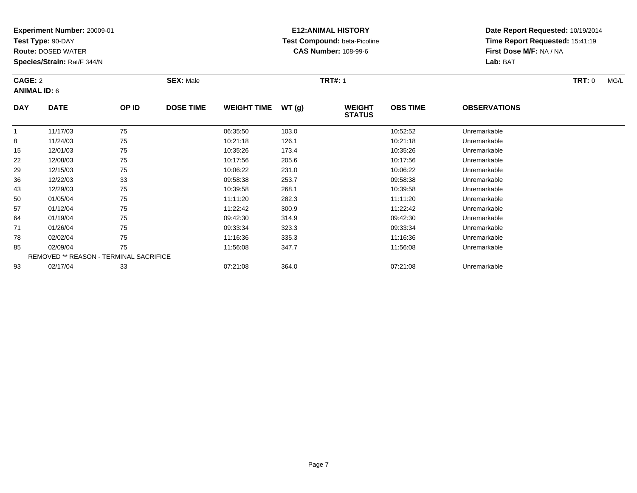**Test Type:** 90-DAY

**Route:** DOSED WATER

**Species/Strain:** Rat/F 344/N

# **E12:ANIMAL HISTORY Test Compound:** beta-Picoline**CAS Number:** 108-99-6

| <b>CAGE: 2</b><br><b>ANIMAL ID: 6</b> |                             |             | <b>TRT#: 1</b><br><b>SEX: Male</b> |                                                                 |                                      |                                | TRT: 0          |                     |  | MG/L |
|---------------------------------------|-----------------------------|-------------|------------------------------------|-----------------------------------------------------------------|--------------------------------------|--------------------------------|-----------------|---------------------|--|------|
| <b>DAY</b>                            | <b>DATE</b>                 | OP ID       | <b>DOSE TIME</b>                   | <b>WEIGHT TIME</b>                                              | WT(g)                                | <b>WEIGHT</b><br><b>STATUS</b> | <b>OBS TIME</b> | <b>OBSERVATIONS</b> |  |      |
| $\sim$                                | 11/17/03<br>$1.121$ $1.122$ | 75<br>$- -$ |                                    | 06:35:50<br>$\mathbf{a}$ $\mathbf{a}$ $\mathbf{a}$ $\mathbf{a}$ | 103.0<br>$\sim$ $\sim$ $\sim$ $\sim$ |                                | 10:52:52<br>.   | Unremarkable        |  |      |

|    | 11/17/03 | 75                                            | 06:35:50 | 103.0 | 10:52:52 | Unremarkable |  |
|----|----------|-----------------------------------------------|----------|-------|----------|--------------|--|
| 8  | 11/24/03 | 75                                            | 10:21:18 | 126.1 | 10:21:18 | Unremarkable |  |
| 15 | 12/01/03 | 75                                            | 10:35:26 | 173.4 | 10:35:26 | Unremarkable |  |
| 22 | 12/08/03 | 75                                            | 10:17:56 | 205.6 | 10:17:56 | Unremarkable |  |
| 29 | 12/15/03 | 75                                            | 10:06:22 | 231.0 | 10:06:22 | Unremarkable |  |
| 36 | 12/22/03 | 33                                            | 09:58:38 | 253.7 | 09:58:38 | Unremarkable |  |
| 43 | 12/29/03 | 75                                            | 10:39:58 | 268.1 | 10:39:58 | Unremarkable |  |
| 50 | 01/05/04 | 75                                            | 11:11:20 | 282.3 | 11:11:20 | Unremarkable |  |
| 57 | 01/12/04 | 75                                            | 11:22:42 | 300.9 | 11:22:42 | Unremarkable |  |
| 64 | 01/19/04 | 75                                            | 09:42:30 | 314.9 | 09:42:30 | Unremarkable |  |
| 71 | 01/26/04 | 75                                            | 09:33:34 | 323.3 | 09:33:34 | Unremarkable |  |
| 78 | 02/02/04 | 75                                            | 11:16:36 | 335.3 | 11:16:36 | Unremarkable |  |
| 85 | 02/09/04 | 75                                            | 11:56:08 | 347.7 | 11:56:08 | Unremarkable |  |
|    |          | <b>REMOVED ** REASON - TERMINAL SACRIFICE</b> |          |       |          |              |  |
| 93 | 02/17/04 | 33                                            | 07:21:08 | 364.0 | 07:21:08 | Unremarkable |  |
|    |          |                                               |          |       |          |              |  |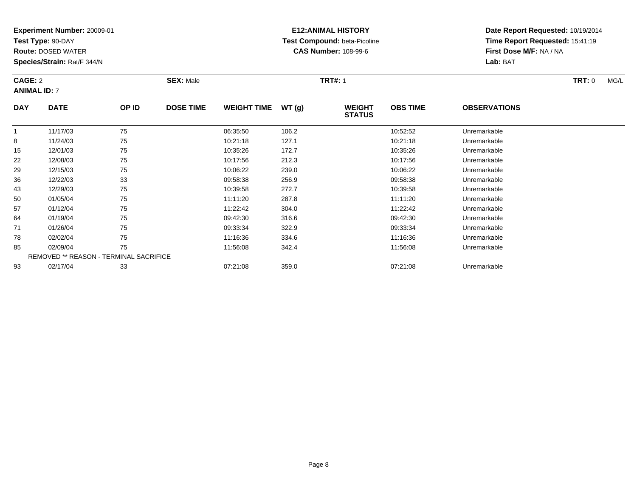**Test Type:** 90-DAY

**Route:** DOSED WATER

**Species/Strain:** Rat/F 344/N

# **E12:ANIMAL HISTORY Test Compound:** beta-Picoline**CAS Number:** 108-99-6

**Date Report Requested:** 10/19/2014**Time Report Requested:** 15:41:19**First Dose M/F:** NA / NA**Lab:** BAT

#### **CAGE:** 2 **SEX:** Male **TRT#:** <sup>1</sup> **TRT:** 0 MG/L **ANIMAL ID:** 7**DAY DATE OP IDDOSE TIME WEIGHT TIME WT** (g) **STATUSOBS TIME OBSERVATIONS**  $\overline{1}$ 1 11/17/03 75 75 06:35:50 106.2 106.2 106.2 105.55 1052:52 Unremarkable 8

|    | 11/17/03 | $\sqrt{5}$                                    | 06.35.50 | 106.2 | 10:52:52 | Unremarkable |  |
|----|----------|-----------------------------------------------|----------|-------|----------|--------------|--|
| 8  | 11/24/03 | 75                                            | 10:21:18 | 127.1 | 10:21:18 | Unremarkable |  |
| 15 | 12/01/03 | 75                                            | 10:35:26 | 172.7 | 10:35:26 | Unremarkable |  |
| 22 | 12/08/03 | 75                                            | 10:17:56 | 212.3 | 10:17:56 | Unremarkable |  |
| 29 | 12/15/03 | 75                                            | 10:06:22 | 239.0 | 10:06:22 | Unremarkable |  |
| 36 | 12/22/03 | 33                                            | 09:58:38 | 256.9 | 09:58:38 | Unremarkable |  |
| 43 | 12/29/03 | 75                                            | 10:39:58 | 272.7 | 10:39:58 | Unremarkable |  |
| 50 | 01/05/04 | 75                                            | 11:11:20 | 287.8 | 11:11:20 | Unremarkable |  |
| 57 | 01/12/04 | 75                                            | 11:22:42 | 304.0 | 11:22:42 | Unremarkable |  |
| 64 | 01/19/04 | 75                                            | 09:42:30 | 316.6 | 09:42:30 | Unremarkable |  |
| 71 | 01/26/04 | 75                                            | 09:33:34 | 322.9 | 09:33:34 | Unremarkable |  |
| 78 | 02/02/04 | 75                                            | 11:16:36 | 334.6 | 11:16:36 | Unremarkable |  |
| 85 | 02/09/04 | 75                                            | 11:56:08 | 342.4 | 11:56:08 | Unremarkable |  |
|    |          | <b>REMOVED ** REASON - TERMINAL SACRIFICE</b> |          |       |          |              |  |
| 93 | 02/17/04 | 33                                            | 07:21:08 | 359.0 | 07:21:08 | Unremarkable |  |
|    |          |                                               |          |       |          |              |  |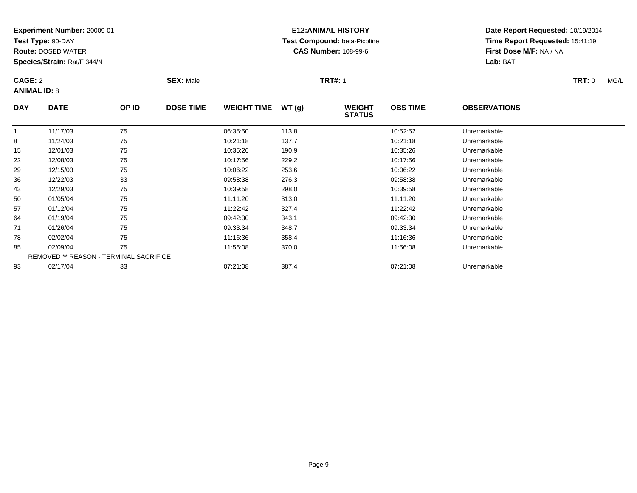**Test Type:** 90-DAY

**Route:** DOSED WATER

**Species/Strain:** Rat/F 344/N

# **E12:ANIMAL HISTORY Test Compound:** beta-Picoline**CAS Number:** 108-99-6

| CAGE: 2<br><b>ANIMAL ID: 8</b> |             |       | <b>SEX: Male</b> |                    |       | <b>TRT#: 1</b>                 |                 |                     |  | MG/L |
|--------------------------------|-------------|-------|------------------|--------------------|-------|--------------------------------|-----------------|---------------------|--|------|
| <b>DAY</b>                     | <b>DATE</b> | OP ID | <b>DOSE TIME</b> | <b>WEIGHT TIME</b> | WT(g) | <b>WEIGHT</b><br><b>STATUS</b> | <b>OBS TIME</b> | <b>OBSERVATIONS</b> |  |      |
|                                | 11/17/03    | 75    |                  | 06:35:50           | 113.8 |                                | 10:52:52        | Unremarkable        |  |      |

|   | 11/17/03       | 75                                            | 06:35:50 | 113.8 | 10:52:52 | Unremarkable |  |
|---|----------------|-----------------------------------------------|----------|-------|----------|--------------|--|
| 8 | 11/24/03       | 75                                            | 10:21:18 | 137.7 | 10:21:18 | Unremarkable |  |
|   | 15<br>12/01/03 | 75                                            | 10:35:26 | 190.9 | 10:35:26 | Unremarkable |  |
|   | 22<br>12/08/03 | 75                                            | 10:17:56 | 229.2 | 10:17:56 | Unremarkable |  |
|   | 29<br>12/15/03 | 75                                            | 10:06:22 | 253.6 | 10:06:22 | Unremarkable |  |
|   | 36<br>12/22/03 | 33                                            | 09:58:38 | 276.3 | 09:58:38 | Unremarkable |  |
|   | 43<br>12/29/03 | 75                                            | 10:39:58 | 298.0 | 10:39:58 | Unremarkable |  |
|   | 50<br>01/05/04 | 75                                            | 11:11:20 | 313.0 | 11:11:20 | Unremarkable |  |
|   | 57<br>01/12/04 | 75                                            | 11:22:42 | 327.4 | 11:22:42 | Unremarkable |  |
|   | 64<br>01/19/04 | 75                                            | 09:42:30 | 343.1 | 09:42:30 | Unremarkable |  |
|   | 71<br>01/26/04 | 75                                            | 09:33:34 | 348.7 | 09:33:34 | Unremarkable |  |
|   | 78<br>02/02/04 | 75                                            | 11:16:36 | 358.4 | 11:16:36 | Unremarkable |  |
|   | 85<br>02/09/04 | 75                                            | 11:56:08 | 370.0 | 11:56:08 | Unremarkable |  |
|   |                | <b>REMOVED ** REASON - TERMINAL SACRIFICE</b> |          |       |          |              |  |
|   | 02/17/04<br>93 | 33                                            | 07:21:08 | 387.4 | 07:21:08 | Unremarkable |  |
|   |                |                                               |          |       |          |              |  |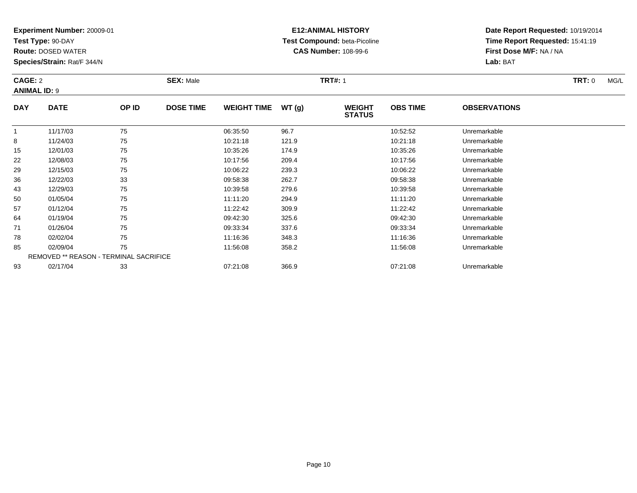**Test Type:** 90-DAY

50

57

64

71

78

85

93

**Route:** DOSED WATER

**Species/Strain:** Rat/F 344/N

REMOVED \*\* REASON - TERMINAL SACRIFICE

### **E12:ANIMAL HISTORY Test Compound:** beta-Picoline**CAS Number:** 108-99-6

**Date Report Requested:** 10/19/2014**Time Report Requested:** 15:41:19**First Dose M/F:** NA / NA**Lab:** BAT

| CAGE: 2<br><b>ANIMAL ID: 9</b> |             |       | <b>SEX: Male</b> |                    |       | <b>TRT#: 1</b>                 |                 | <b>TRT: 0</b><br>MG/L |  |
|--------------------------------|-------------|-------|------------------|--------------------|-------|--------------------------------|-----------------|-----------------------|--|
| <b>DAY</b>                     | <b>DATE</b> | OP ID | <b>DOSE TIME</b> | <b>WEIGHT TIME</b> | WT(g) | <b>WEIGHT</b><br><b>STATUS</b> | <b>OBS TIME</b> | <b>OBSERVATIONS</b>   |  |
|                                | 11/17/03    | 75    |                  | 06:35:50           | 96.7  |                                | 10:52:52        | Unremarkable          |  |
| 8                              | 11/24/03    | 75    |                  | 10:21:18           | 121.9 |                                | 10:21:18        | Unremarkable          |  |
| 15                             | 12/01/03    | 75    |                  | 10:35:26           | 174.9 |                                | 10:35:26        | Unremarkable          |  |
| 22                             | 12/08/03    | 75    |                  | 10:17:56           | 209.4 |                                | 10:17:56        | Unremarkable          |  |
| 29                             | 12/15/03    | 75    |                  | 10:06:22           | 239.3 |                                | 10:06:22        | Unremarkable          |  |
| 36                             | 12/22/03    | 33    |                  | 09:58:38           | 262.7 |                                | 09:58:38        | Unremarkable          |  |
| 43                             | 12/29/03    | 75    |                  | 10:39:58           | 279.6 |                                | 10:39:58        | Unremarkable          |  |

0 01/05/04 75 75 11:11:20 294.9 11:11:20 11:11:20 11:11:20 Unremarkable

01/12/04 <sup>75</sup> 11:22:42 309.9 11:22:42 Unremarkable

01/19/04 <sup>75</sup> 09:42:30 325.6 09:42:30 Unremarkable

01/26/04 <sup>75</sup> 09:33:34 337.6 09:33:34 Unremarkable

02/02/04 <sup>75</sup> 11:16:36 348.3 11:16:36 Unremarkable

02/09/04 <sup>75</sup> 11:56:08 358.2 11:56:08 Unremarkable

02/17/04 <sup>33</sup> 07:21:08 366.9 07:21:08 Unremarkable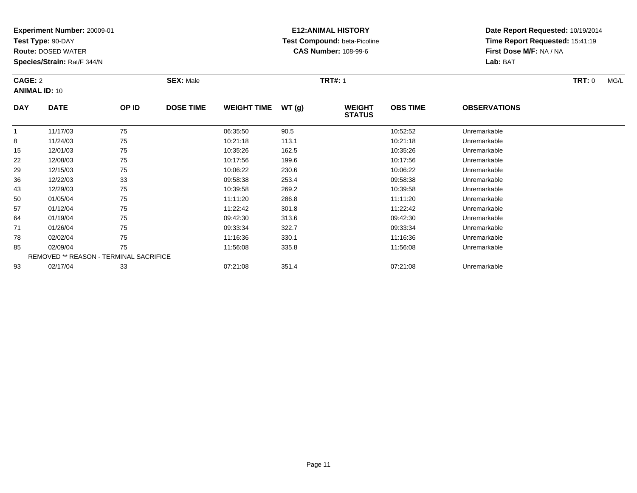**Test Type:** 90-DAY

64

71

78

85

93

**Route:** DOSED WATER

**Species/Strain:** Rat/F 344/N

REMOVED \*\* REASON - TERMINAL SACRIFICE

## **E12:ANIMAL HISTORY Test Compound:** beta-Picoline**CAS Number:** 108-99-6

**Date Report Requested:** 10/19/2014**Time Report Requested:** 15:41:19**First Dose M/F:** NA / NA**Lab:** BAT

|            | <b>CAGE: 2</b><br><b>ANIMAL ID: 10</b> |       | <b>SEX: Male</b> |                    |       | <b>TRT#: 1</b>                 | TRT: 0<br>MG/L  |                     |  |
|------------|----------------------------------------|-------|------------------|--------------------|-------|--------------------------------|-----------------|---------------------|--|
| <b>DAY</b> | <b>DATE</b>                            | OP ID | <b>DOSE TIME</b> | <b>WEIGHT TIME</b> | WT(g) | <b>WEIGHT</b><br><b>STATUS</b> | <b>OBS TIME</b> | <b>OBSERVATIONS</b> |  |
|            | 11/17/03                               | 75    |                  | 06:35:50           | 90.5  |                                | 10:52:52        | Unremarkable        |  |
| 8          | 11/24/03                               | 75    |                  | 10:21:18           | 113.1 |                                | 10:21:18        | Unremarkable        |  |
| 15         | 12/01/03                               | 75    |                  | 10:35:26           | 162.5 |                                | 10:35:26        | Unremarkable        |  |
| 22         | 12/08/03                               | 75    |                  | 10:17:56           | 199.6 |                                | 10:17:56        | Unremarkable        |  |
| 29         | 12/15/03                               | 75    |                  | 10:06:22           | 230.6 |                                | 10:06:22        | Unremarkable        |  |
| 36         | 12/22/03                               | 33    |                  | 09:58:38           | 253.4 |                                | 09:58:38        | Unremarkable        |  |
| 43         | 12/29/03                               | 75    |                  | 10:39:58           | 269.2 |                                | 10:39:58        | Unremarkable        |  |
| 50         | 01/05/04                               | 75    |                  | 11:11:20           | 286.8 |                                | 11:11:20        | Unremarkable        |  |
| 57         | 01/12/04                               | 75    |                  | 11:22:42           | 301.8 |                                | 11:22:42        | Unremarkable        |  |

01/12/04 <sup>75</sup> 11:22:42 301.8 11:22:42 Unremarkable

01/19/04 <sup>75</sup> 09:42:30 313.6 09:42:30 Unremarkable

01/26/04 <sup>75</sup> 09:33:34 322.7 09:33:34 Unremarkable

8 02/02/04 75 75 11:16:36 330.1 120 11:16:36 Dhremarkable

02/09/04 <sup>75</sup> 11:56:08 335.8 11:56:08 Unremarkable

02/17/04 <sup>33</sup> 07:21:08 351.4 07:21:08 Unremarkable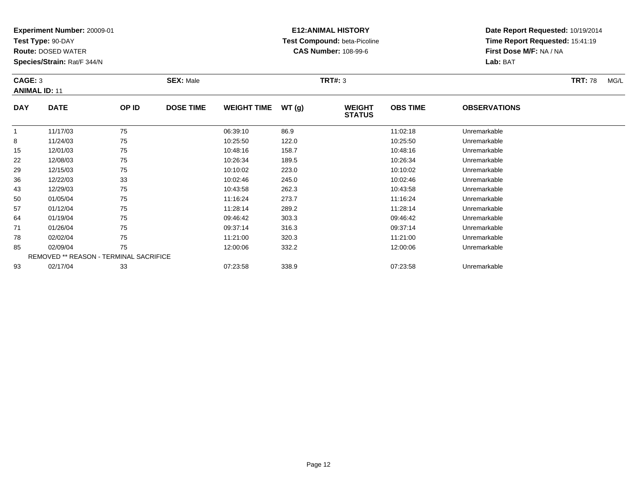**Test Type:** 90-DAY

29

36

43

50

57

64

71

78

85

93

**Route:** DOSED WATER

**Species/Strain:** Rat/F 344/N

## **E12:ANIMAL HISTORY Test Compound:** beta-Picoline**CAS Number:** 108-99-6

**Date Report Requested:** 10/19/2014**Time Report Requested:** 15:41:19**First Dose M/F:** NA / NA**Lab:** BAT

| CAGE: 3<br><b>ANIMAL ID: 11</b> |             |       | <b>SEX: Male</b> |                    |       | <b>TRT#: 3</b>                 | <b>TRT: 78</b><br>MG/L |                     |  |
|---------------------------------|-------------|-------|------------------|--------------------|-------|--------------------------------|------------------------|---------------------|--|
| <b>DAY</b>                      | <b>DATE</b> | OP ID | <b>DOSE TIME</b> | <b>WEIGHT TIME</b> | WT(g) | <b>WEIGHT</b><br><b>STATUS</b> | <b>OBS TIME</b>        | <b>OBSERVATIONS</b> |  |
|                                 | 11/17/03    | 75    |                  | 06:39:10           | 86.9  |                                | 11:02:18               | Unremarkable        |  |
| 8                               | 11/24/03    | 75    |                  | 10:25:50           | 122.0 |                                | 10:25:50               | Unremarkable        |  |
| 15                              | 12/01/03    | 75    |                  | 10:48:16           | 158.7 |                                | 10:48:16               | Unremarkable        |  |
| 22                              | 12/08/03    | 75    |                  | 10:26:34           | 189.5 |                                | 10:26:34               | Unremarkable        |  |

| 01/12/04 | 75                                     | 11:28:14 | 289.2 | 11:28:14 | Unremarkable |
|----------|----------------------------------------|----------|-------|----------|--------------|
| 01/19/04 | 75                                     | 09:46:42 | 303.3 | 09:46:42 | Unremarkable |
| 01/26/04 | 75                                     | 09:37:14 | 316.3 | 09:37:14 | Unremarkable |
| 02/02/04 | 75                                     | 11:21:00 | 320.3 | 11:21:00 | Unremarkable |
| 02/09/04 | 75                                     | 12:00:06 | 332.2 | 12:00:06 | Unremarkable |
|          | REMOVED ** REASON - TERMINAL SACRIFICE |          |       |          |              |

02/17/04 <sup>33</sup> 07:23:58 338.9 07:23:58 Unremarkable

12/15/03 <sup>75</sup> 10:10:02 223.0 10:10:02 Unremarkable

12/22/03 <sup>33</sup> 10:02:46 245.0 10:02:46 Unremarkable

12/29/03 <sup>75</sup> 10:43:58 262.3 10:43:58 Unremarkable

0 01/05/04 75 75 11:16:24 273.7 11:16:24 11:16:24 Dhremarkable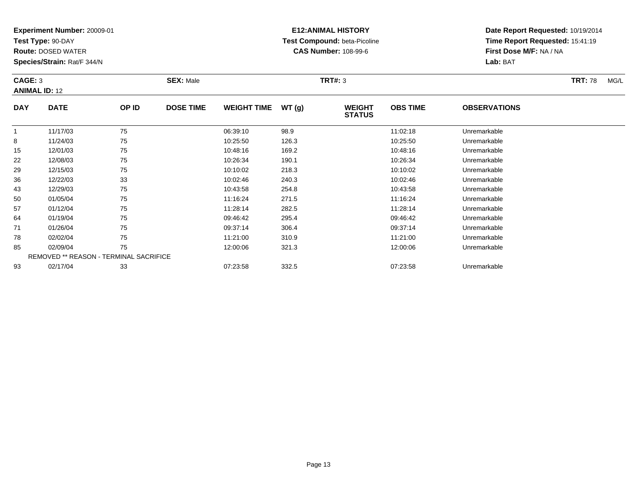**Test Type:** 90-DAY

43

50

57

64

71

78

85

93

**Route:** DOSED WATER

**Species/Strain:** Rat/F 344/N

## **E12:ANIMAL HISTORY Test Compound:** beta-Picoline**CAS Number:** 108-99-6

**Date Report Requested:** 10/19/2014**Time Report Requested:** 15:41:19**First Dose M/F:** NA / NA**Lab:** BAT

| CAGE: 3<br><b>ANIMAL ID: 12</b> |             |       | <b>SEX: Male</b> |                    |       | <b>TRT#: 3</b>                 |                 | <b>TRT: 78</b><br>MG/L |  |
|---------------------------------|-------------|-------|------------------|--------------------|-------|--------------------------------|-----------------|------------------------|--|
| <b>DAY</b>                      | <b>DATE</b> | OP ID | <b>DOSE TIME</b> | <b>WEIGHT TIME</b> | WT(g) | <b>WEIGHT</b><br><b>STATUS</b> | <b>OBS TIME</b> | <b>OBSERVATIONS</b>    |  |
|                                 | 11/17/03    | 75    |                  | 06:39:10           | 98.9  |                                | 11:02:18        | Unremarkable           |  |
| 8                               | 11/24/03    | 75    |                  | 10:25:50           | 126.3 |                                | 10:25:50        | Unremarkable           |  |
| 15                              | 12/01/03    | 75    |                  | 10:48:16           | 169.2 |                                | 10:48:16        | Unremarkable           |  |
| 22                              | 12/08/03    | 75    |                  | 10:26:34           | 190.1 |                                | 10:26:34        | Unremarkable           |  |
| 29                              | 12/15/03    | 75    |                  | 10:10:02           | 218.3 |                                | 10:10:02        | Unremarkable           |  |
| 36                              | 12/22/03    | 33    |                  | 10:02:46           | 240.3 |                                | 10:02:46        | Unremarkable           |  |

| 01/26/04 | 75                                     | 09:37:14 | 306.4 | 09:37:14 | Unremarkable |
|----------|----------------------------------------|----------|-------|----------|--------------|
| 02/02/04 | 75                                     | 11:21:00 | 310.9 | 11:21:00 | Unremarkable |
| 02/09/04 | 75                                     | 12:00:06 | 321.3 | 12:00:06 | Unremarkable |
|          | REMOVED ** REASON - TERMINAL SACRIFICE |          |       |          |              |
| 02/17/04 | 33                                     | 07:23:58 | 332.5 | 07:23:58 | Unremarkable |

12/29/03 <sup>75</sup> 10:43:58 254.8 10:43:58 Unremarkable

0 01/05/04 75 75 11:16:24 271.5 11:16:24 11:16:24 Dhremarkable

01/12/04 <sup>75</sup> 11:28:14 282.5 11:28:14 Unremarkable

01/19/04 <sup>75</sup> 09:46:42 295.4 09:46:42 Unremarkable

Page 13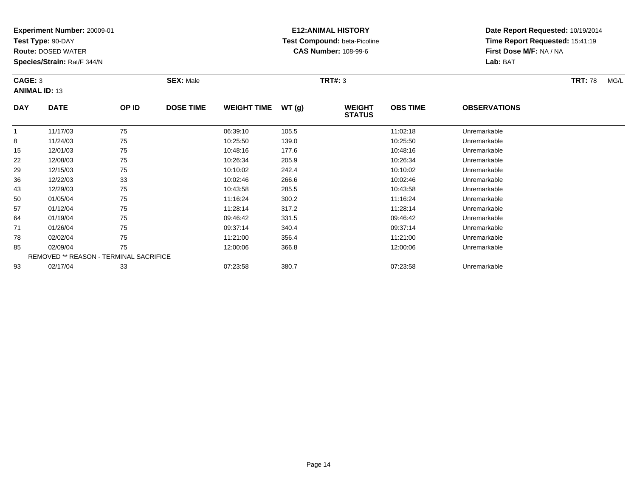**Test Type:** 90-DAY

**Route:** DOSED WATER

**Species/Strain:** Rat/F 344/N

# **E12:ANIMAL HISTORY Test Compound:** beta-Picoline**CAS Number:** 108-99-6

| CAGE: 3<br><b>ANIMAL ID: 13</b> |             |       | <b>SEX: Male</b> |                    |       | <b>TRT#: 3</b>                 | <b>TRT: 78</b>  | MG/L                |  |  |
|---------------------------------|-------------|-------|------------------|--------------------|-------|--------------------------------|-----------------|---------------------|--|--|
| <b>DAY</b>                      | <b>DATE</b> | OP ID | <b>DOSE TIME</b> | <b>WEIGHT TIME</b> | WT(q) | <b>WEIGHT</b><br><b>STATUS</b> | <b>OBS TIME</b> | <b>OBSERVATIONS</b> |  |  |
|                                 | 11/17/03    | 75    |                  | 06:39:10           | 105.5 |                                | 11:02:18        | Unremarkable        |  |  |
| 8                               | 11/24/03    | 75    |                  | 10:25:50           | 139.0 |                                | 10:25:50        | Unremarkable        |  |  |
| 15                              | 12/01/03    | 75    |                  | 10:48:16           | 177.6 |                                | 10:48:16        | Unremarkable        |  |  |
| 22                              | 12/08/03    | 75    |                  | 10:26:34           | 205.9 |                                | 10:26:34        | Unremarkable        |  |  |

| 8  | 11/24/03                                      | 75 | 10:25:50 | 139.0 | 10:25:50 | Unremarkable |
|----|-----------------------------------------------|----|----------|-------|----------|--------------|
| 15 | 12/01/03                                      | 75 | 10:48:16 | 177.6 | 10:48:16 | Unremarkable |
| 22 | 12/08/03                                      | 75 | 10:26:34 | 205.9 | 10:26:34 | Unremarkable |
| 29 | 12/15/03                                      | 75 | 10:10:02 | 242.4 | 10:10:02 | Unremarkable |
| 36 | 12/22/03                                      | 33 | 10:02:46 | 266.6 | 10:02:46 | Unremarkable |
| 43 | 12/29/03                                      | 75 | 10:43:58 | 285.5 | 10:43:58 | Unremarkable |
| 50 | 01/05/04                                      | 75 | 11:16:24 | 300.2 | 11:16:24 | Unremarkable |
| 57 | 01/12/04                                      | 75 | 11:28:14 | 317.2 | 11:28:14 | Unremarkable |
| 64 | 01/19/04                                      | 75 | 09:46:42 | 331.5 | 09:46:42 | Unremarkable |
| 71 | 01/26/04                                      | 75 | 09:37:14 | 340.4 | 09:37:14 | Unremarkable |
| 78 | 02/02/04                                      | 75 | 11:21:00 | 356.4 | 11:21:00 | Unremarkable |
| 85 | 02/09/04                                      | 75 | 12:00:06 | 366.8 | 12:00:06 | Unremarkable |
|    | <b>REMOVED ** REASON - TERMINAL SACRIFICE</b> |    |          |       |          |              |
| 93 | 02/17/04                                      | 33 | 07:23:58 | 380.7 | 07:23:58 | Unremarkable |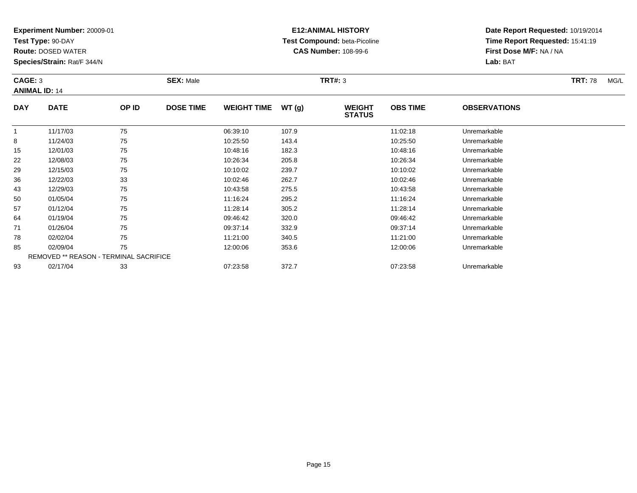**Test Type:** 90-DAY

50

57

64

71

78

85

93

**Route:** DOSED WATER

**Species/Strain:** Rat/F 344/N

REMOVED \*\* REASON - TERMINAL SACRIFICE

## **E12:ANIMAL HISTORY Test Compound:** beta-Picoline**CAS Number:** 108-99-6

**Date Report Requested:** 10/19/2014**Time Report Requested:** 15:41:19**First Dose M/F:** NA / NA**Lab:** BAT

| CAGE: 3<br><b>ANIMAL ID: 14</b> |             | <b>SEX: Male</b> |                  |                    |       | <b>TRT: 78</b><br>MG/L         |                 |                     |  |
|---------------------------------|-------------|------------------|------------------|--------------------|-------|--------------------------------|-----------------|---------------------|--|
| <b>DAY</b>                      | <b>DATE</b> | OP ID            | <b>DOSE TIME</b> | <b>WEIGHT TIME</b> | WT(g) | <b>WEIGHT</b><br><b>STATUS</b> | <b>OBS TIME</b> | <b>OBSERVATIONS</b> |  |
|                                 | 11/17/03    | 75               |                  | 06:39:10           | 107.9 |                                | 11:02:18        | Unremarkable        |  |
| 8                               | 11/24/03    | 75               |                  | 10:25:50           | 143.4 |                                | 10:25:50        | Unremarkable        |  |
| 15                              | 12/01/03    | 75               |                  | 10:48:16           | 182.3 |                                | 10:48:16        | Unremarkable        |  |
| 22                              | 12/08/03    | 75               |                  | 10:26:34           | 205.8 |                                | 10:26:34        | Unremarkable        |  |
| 29                              | 12/15/03    | 75               |                  | 10:10:02           | 239.7 |                                | 10:10:02        | Unremarkable        |  |
| 36                              | 12/22/03    | 33               |                  | 10:02:46           | 262.7 |                                | 10:02:46        | Unremarkable        |  |
| 43                              | 12/29/03    | 75               |                  | 10:43:58           | 275.5 |                                | 10:43:58        | Unremarkable        |  |

12/29/03 <sup>75</sup> 10:43:58 275.5 10:43:58 Unremarkable

0 01/05/04 75 75 11:16:24 295.2 11:16:24 11:16:24 Dhremarkable

01/12/04 <sup>75</sup> 11:28:14 305.2 11:28:14 Unremarkable

01/19/04 <sup>75</sup> 09:46:42 320.0 09:46:42 Unremarkable

01/26/04 <sup>75</sup> 09:37:14 332.9 09:37:14 Unremarkable

02/02/04 <sup>75</sup> 11:21:00 340.5 11:21:00 Unremarkable

02/09/04 <sup>75</sup> 12:00:06 353.6 12:00:06 Unremarkable

02/17/04 <sup>33</sup> 07:23:58 372.7 07:23:58 Unremarkable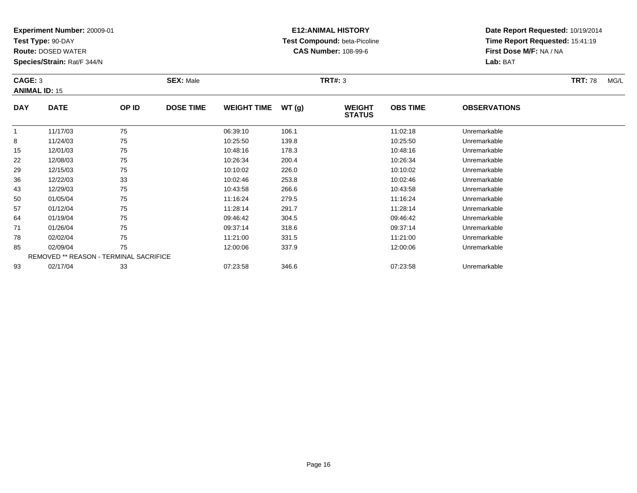**Test Type:** 90-DAY

78

85

93

**Route:** DOSED WATER

**Species/Strain:** Rat/F 344/N

REMOVED \*\* REASON - TERMINAL SACRIFICE

## **E12:ANIMAL HISTORY Test Compound:** beta-Picoline**CAS Number:** 108-99-6

**Date Report Requested:** 10/19/2014**Time Report Requested:** 15:41:19**First Dose M/F:** NA / NA**Lab:** BAT

| CAGE: 3<br><b>ANIMAL ID: 15</b> |             |              | <b>SEX: Male</b> |                    |       | <b>TRT#: 3</b>                 |                 |                     | <b>TRT: 78</b> | MG/L |
|---------------------------------|-------------|--------------|------------------|--------------------|-------|--------------------------------|-----------------|---------------------|----------------|------|
| <b>DAY</b>                      | <b>DATE</b> | <b>OP ID</b> | <b>DOSE TIME</b> | <b>WEIGHT TIME</b> | WT(g) | <b>WEIGHT</b><br><b>STATUS</b> | <b>OBS TIME</b> | <b>OBSERVATIONS</b> |                |      |
|                                 | 11/17/03    | 75           |                  | 06:39:10           | 106.1 |                                | 11:02:18        | Unremarkable        |                |      |
| 8                               | 11/24/03    | 75           |                  | 10:25:50           | 139.8 |                                | 10:25:50        | Unremarkable        |                |      |
| 15                              | 12/01/03    | 75           |                  | 10:48:16           | 178.3 |                                | 10:48:16        | Unremarkable        |                |      |
| 22                              | 12/08/03    | 75           |                  | 10:26:34           | 200.4 |                                | 10:26:34        | Unremarkable        |                |      |
| 29                              | 12/15/03    | 75           |                  | 10:10:02           | 226.0 |                                | 10:10:02        | Unremarkable        |                |      |
| 36                              | 12/22/03    | 33           |                  | 10:02:46           | 253.8 |                                | 10:02:46        | Unremarkable        |                |      |
| 43                              | 12/29/03    | 75           |                  | 10:43:58           | 266.6 |                                | 10:43:58        | Unremarkable        |                |      |
| 50                              | 01/05/04    | 75           |                  | 11:16:24           | 279.5 |                                | 11:16:24        | Unremarkable        |                |      |
| 57                              | 01/12/04    | 75           |                  | 11:28:14           | 291.7 |                                | 11:28:14        | Unremarkable        |                |      |
| 64                              | 01/19/04    | 75           |                  | 09:46:42           | 304.5 |                                | 09:46:42        | Unremarkable        |                |      |
| 71                              | 01/26/04    | 75           |                  | 09:37:14           | 318.6 |                                | 09:37:14        | Unremarkable        |                |      |

8 02/02/04 75 75 11:21:00 331.5 11:21:00 1331.5 11:21:00 Dhremarkable

02/09/04 <sup>75</sup> 12:00:06 337.9 12:00:06 Unremarkable

02/17/04 <sup>33</sup> 07:23:58 346.6 07:23:58 Unremarkable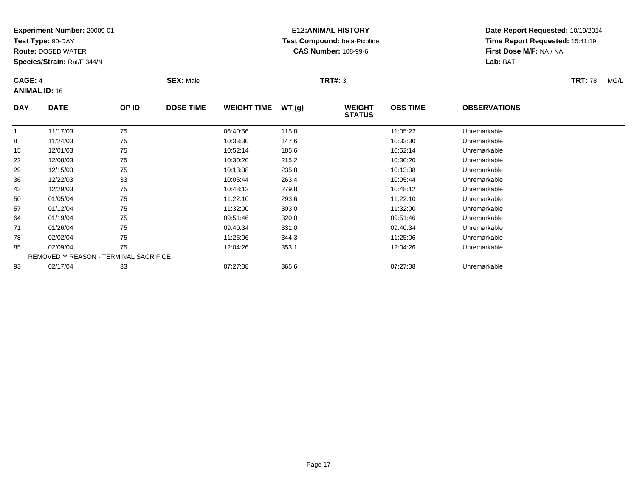**Test Type:** 90-DAY

43

50

57

64

71

78

85

93

**Route:** DOSED WATER

**Species/Strain:** Rat/F 344/N

## **E12:ANIMAL HISTORY Test Compound:** beta-Picoline**CAS Number:** 108-99-6

**Date Report Requested:** 10/19/2014**Time Report Requested:** 15:41:19**First Dose M/F:** NA / NA**Lab:** BAT

| <b>CAGE: 4</b><br><b>ANIMAL ID: 16</b> |             |       | <b>SEX: Male</b> |                    |       | <b>TRT#: 3</b>                 | <b>TRT: 78</b><br>MG/L |                     |  |
|----------------------------------------|-------------|-------|------------------|--------------------|-------|--------------------------------|------------------------|---------------------|--|
| <b>DAY</b>                             | <b>DATE</b> | OP ID | <b>DOSE TIME</b> | <b>WEIGHT TIME</b> | WT(g) | <b>WEIGHT</b><br><b>STATUS</b> | <b>OBS TIME</b>        | <b>OBSERVATIONS</b> |  |
|                                        | 11/17/03    | 75    |                  | 06:40:56           | 115.8 |                                | 11:05:22               | Unremarkable        |  |
| 8                                      | 11/24/03    | 75    |                  | 10:33:30           | 147.6 |                                | 10:33:30               | Unremarkable        |  |
| 15                                     | 12/01/03    | 75    |                  | 10:52:14           | 185.6 |                                | 10:52:14               | Unremarkable        |  |
| 22                                     | 12/08/03    | 75    |                  | 10:30:20           | 215.2 |                                | 10:30:20               | Unremarkable        |  |
| 29                                     | 12/15/03    | 75    |                  | 10:13:38           | 235.8 |                                | 10:13:38               | Unremarkable        |  |
| 36                                     | 12/22/03    | 33    |                  | 10:05:44           | 263.4 |                                | 10:05:44               | Unremarkable        |  |

| 02/02/04 | 75                                     | 11:25:06 | 344.3 | 11:25:06 | Unremarkable |
|----------|----------------------------------------|----------|-------|----------|--------------|
| 02/09/04 |                                        | 12:04:26 | 353.1 | 12:04:26 | Unremarkable |
|          | REMOVED ** REASON - TERMINAL SACRIFICE |          |       |          |              |
| 02/17/04 | つつ<br>აა                               | 07:27:08 | 365.6 | 07:27:08 | Unremarkable |

0 01/05/04 75 75 11:22:10 293.6 11:23.10 11:22:10 Dhremarkable

01/12/04 <sup>75</sup> 11:32:00 303.0 11:32:00 Unremarkable

01/19/04 <sup>75</sup> 09:51:46 320.0 09:51:46 Unremarkable

01/26/04 <sup>75</sup> 09:40:34 331.0 09:40:34 Unremarkable

12/29/03 <sup>75</sup> 10:48:12 279.8 10:48:12 Unremarkable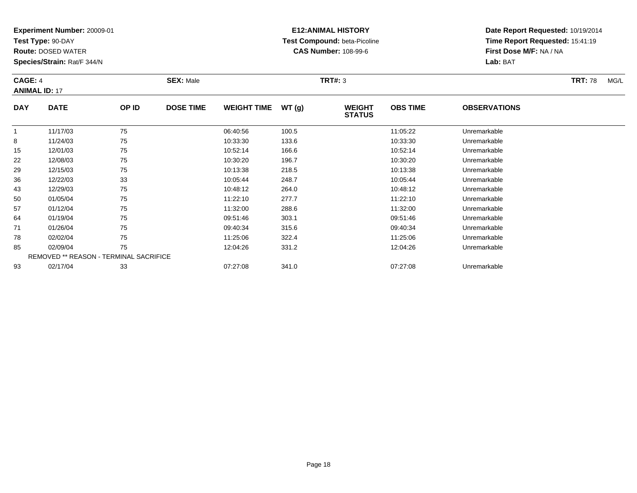**Test Type:** 90-DAY

**Route:** DOSED WATER

**Species/Strain:** Rat/F 344/N

# **E12:ANIMAL HISTORY Test Compound:** beta-Picoline**CAS Number:** 108-99-6

| <b>CAGE: 4</b><br><b>ANIMAL ID: 17</b> |             |       | <b>SEX: Male</b> |                    |       | <b>TRT#: 3</b>                 |                 |                     |  | MG/L |
|----------------------------------------|-------------|-------|------------------|--------------------|-------|--------------------------------|-----------------|---------------------|--|------|
| <b>DAY</b>                             | <b>DATE</b> | OP ID | <b>DOSE TIME</b> | <b>WEIGHT TIME</b> | WT(g) | <b>WEIGHT</b><br><b>STATUS</b> | <b>OBS TIME</b> | <b>OBSERVATIONS</b> |  |      |
|                                        | 11/17/03    | 75    |                  | 06:40:56           | 100.5 |                                | 11:05:22        | Unremarkable        |  |      |

|    | 11/17/03 | 75                                            | 06:40:56 | 100.5 | 11:05:22 | Unremarkable |  |
|----|----------|-----------------------------------------------|----------|-------|----------|--------------|--|
| 8  | 11/24/03 | 75                                            | 10:33:30 | 133.6 | 10:33:30 | Unremarkable |  |
| 15 | 12/01/03 | 75                                            | 10:52:14 | 166.6 | 10:52:14 | Unremarkable |  |
| 22 | 12/08/03 | 75                                            | 10:30:20 | 196.7 | 10:30:20 | Unremarkable |  |
| 29 | 12/15/03 | 75                                            | 10:13:38 | 218.5 | 10:13:38 | Unremarkable |  |
| 36 | 12/22/03 | 33                                            | 10:05:44 | 248.7 | 10:05:44 | Unremarkable |  |
| 43 | 12/29/03 | 75                                            | 10:48:12 | 264.0 | 10:48:12 | Unremarkable |  |
| 50 | 01/05/04 | 75                                            | 11:22:10 | 277.7 | 11:22:10 | Unremarkable |  |
| 57 | 01/12/04 | 75                                            | 11:32:00 | 288.6 | 11:32:00 | Unremarkable |  |
| 64 | 01/19/04 | 75                                            | 09:51:46 | 303.1 | 09:51:46 | Unremarkable |  |
| 71 | 01/26/04 | 75                                            | 09:40:34 | 315.6 | 09:40:34 | Unremarkable |  |
| 78 | 02/02/04 | 75                                            | 11:25:06 | 322.4 | 11:25:06 | Unremarkable |  |
| 85 | 02/09/04 | 75                                            | 12:04:26 | 331.2 | 12:04:26 | Unremarkable |  |
|    |          | <b>REMOVED ** REASON - TERMINAL SACRIFICE</b> |          |       |          |              |  |
| 93 | 02/17/04 | 33                                            | 07:27:08 | 341.0 | 07:27:08 | Unremarkable |  |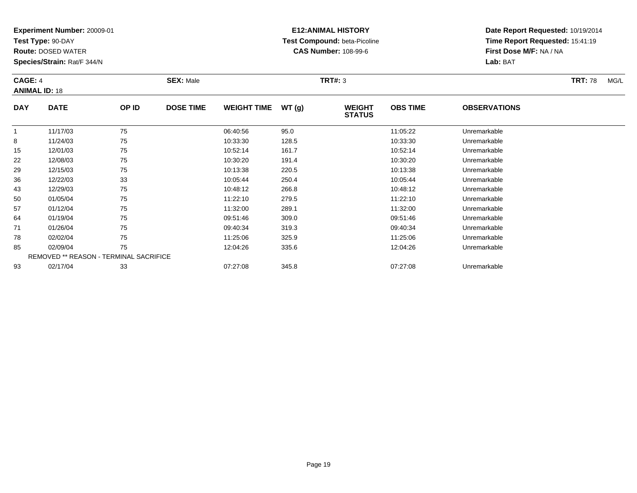**Test Type:** 90-DAY

57

64

71

78

85

93

**Route:** DOSED WATER

**Species/Strain:** Rat/F 344/N

REMOVED \*\* REASON - TERMINAL SACRIFICE

## **E12:ANIMAL HISTORY Test Compound:** beta-Picoline**CAS Number:** 108-99-6

**Date Report Requested:** 10/19/2014**Time Report Requested:** 15:41:19**First Dose M/F:** NA / NA**Lab:** BAT

| <b>CAGE: 4</b><br><b>ANIMAL ID: 18</b> |             |       | <b>SEX: Male</b> |                    |       | TRT#: 3                        | <b>TRT: 78</b>  | MG/L                |  |  |
|----------------------------------------|-------------|-------|------------------|--------------------|-------|--------------------------------|-----------------|---------------------|--|--|
| <b>DAY</b>                             | <b>DATE</b> | OP ID | <b>DOSE TIME</b> | <b>WEIGHT TIME</b> | WT(g) | <b>WEIGHT</b><br><b>STATUS</b> | <b>OBS TIME</b> | <b>OBSERVATIONS</b> |  |  |
|                                        | 11/17/03    | 75    |                  | 06:40:56           | 95.0  |                                | 11:05:22        | Unremarkable        |  |  |
| 8                                      | 11/24/03    | 75    |                  | 10:33:30           | 128.5 |                                | 10:33:30        | Unremarkable        |  |  |
| 15                                     | 12/01/03    | 75    |                  | 10:52:14           | 161.7 |                                | 10:52:14        | Unremarkable        |  |  |
| 22                                     | 12/08/03    | 75    |                  | 10:30:20           | 191.4 |                                | 10:30:20        | Unremarkable        |  |  |
| 29                                     | 12/15/03    | 75    |                  | 10:13:38           | 220.5 |                                | 10:13:38        | Unremarkable        |  |  |
| 36                                     | 12/22/03    | 33    |                  | 10:05:44           | 250.4 |                                | 10:05:44        | Unremarkable        |  |  |
| 43                                     | 12/29/03    | 75    |                  | 10:48:12           | 266.8 |                                | 10:48:12        | Unremarkable        |  |  |
| 50                                     | 01/05/04    | 75    |                  | 11:22:10           | 279.5 |                                | 11:22:10        | Unremarkable        |  |  |

01/12/04 <sup>75</sup> 11:32:00 289.1 11:32:00 Unremarkable

01/19/04 <sup>75</sup> 09:51:46 309.0 09:51:46 Unremarkable

01/26/04 <sup>75</sup> 09:40:34 319.3 09:40:34 Unremarkable

02/02/04 <sup>75</sup> 11:25:06 325.9 11:25:06 Unremarkable

02/09/04 <sup>75</sup> 12:04:26 335.6 12:04:26 Unremarkable

02/17/04 <sup>33</sup> 07:27:08 345.8 07:27:08 Unremarkable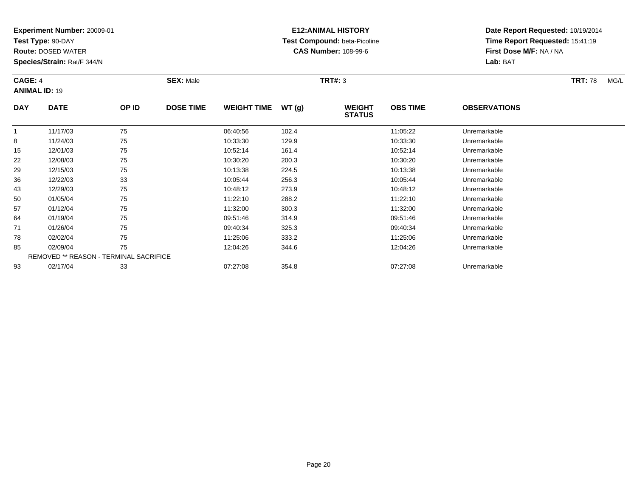**Test Type:** 90-DAY

57

64

71

78

85

93

**Route:** DOSED WATER

**Species/Strain:** Rat/F 344/N

REMOVED \*\* REASON - TERMINAL SACRIFICE

## **E12:ANIMAL HISTORY Test Compound:** beta-Picoline**CAS Number:** 108-99-6

**Date Report Requested:** 10/19/2014**Time Report Requested:** 15:41:19**First Dose M/F:** NA / NA**Lab:** BAT

| <b>CAGE: 4</b><br><b>ANIMAL ID: 19</b> |             |       | <b>SEX: Male</b> |                    |       | <b>TRT#: 3</b>                 | <b>TRT: 78</b>  | MG/L                |  |  |
|----------------------------------------|-------------|-------|------------------|--------------------|-------|--------------------------------|-----------------|---------------------|--|--|
| <b>DAY</b>                             | <b>DATE</b> | OP ID | <b>DOSE TIME</b> | <b>WEIGHT TIME</b> | WT(g) | <b>WEIGHT</b><br><b>STATUS</b> | <b>OBS TIME</b> | <b>OBSERVATIONS</b> |  |  |
|                                        | 11/17/03    | 75    |                  | 06:40:56           | 102.4 |                                | 11:05:22        | Unremarkable        |  |  |
| 8                                      | 11/24/03    | 75    |                  | 10:33:30           | 129.9 |                                | 10:33:30        | Unremarkable        |  |  |
| 15                                     | 12/01/03    | 75    |                  | 10:52:14           | 161.4 |                                | 10:52:14        | Unremarkable        |  |  |
| 22                                     | 12/08/03    | 75    |                  | 10:30:20           | 200.3 |                                | 10:30:20        | Unremarkable        |  |  |
| 29                                     | 12/15/03    | 75    |                  | 10:13:38           | 224.5 |                                | 10:13:38        | Unremarkable        |  |  |
| 36                                     | 12/22/03    | 33    |                  | 10:05:44           | 256.3 |                                | 10:05:44        | Unremarkable        |  |  |
| 43                                     | 12/29/03    | 75    |                  | 10:48:12           | 273.9 |                                | 10:48:12        | Unremarkable        |  |  |
| 50                                     | 01/05/04    | 75    |                  | 11:22:10           | 288.2 |                                | 11:22:10        | Unremarkable        |  |  |

01/12/04 <sup>75</sup> 11:32:00 300.3 11:32:00 Unremarkable

01/19/04 <sup>75</sup> 09:51:46 314.9 09:51:46 Unremarkable

01/26/04 <sup>75</sup> 09:40:34 325.3 09:40:34 Unremarkable

02/02/04 <sup>75</sup> 11:25:06 333.2 11:25:06 Unremarkable

02/09/04 <sup>75</sup> 12:04:26 344.6 12:04:26 Unremarkable

02/17/04 <sup>33</sup> 07:27:08 354.8 07:27:08 Unremarkable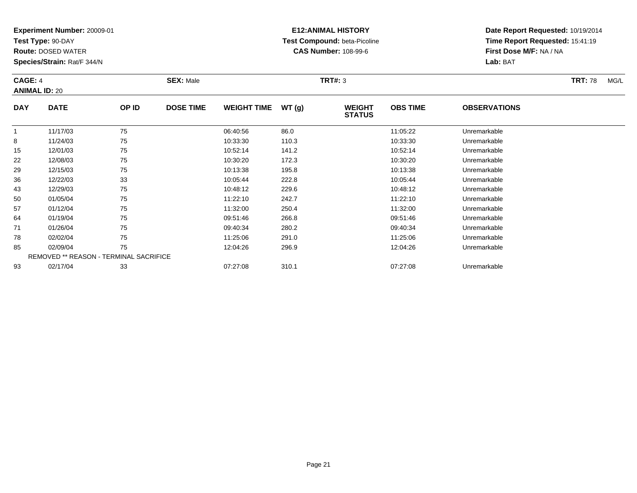**Test Type:** 90-DAY

**Route:** DOSED WATER

**Species/Strain:** Rat/F 344/N

# **E12:ANIMAL HISTORY Test Compound:** beta-Picoline**CAS Number:** 108-99-6

| CAGE: 4<br><b>ANIMAL ID: 20</b> |             |       | <b>SEX: Male</b> |                    |       | <b>TRT#: 3</b>                 | <b>TRT: 78</b>  | MG/L                |  |  |
|---------------------------------|-------------|-------|------------------|--------------------|-------|--------------------------------|-----------------|---------------------|--|--|
| <b>DAY</b>                      | <b>DATE</b> | OP ID | <b>DOSE TIME</b> | <b>WEIGHT TIME</b> | WT(g) | <b>WEIGHT</b><br><b>STATUS</b> | <b>OBS TIME</b> | <b>OBSERVATIONS</b> |  |  |
|                                 | 11/17/03    | 75    |                  | 06:40:56           | 86.0  |                                | 11:05:22        | Unremarkable        |  |  |
| 8                               | 11/24/03    | 75    |                  | 10:33:30           | 110.3 |                                | 10:33:30        | Unremarkable        |  |  |
| 15                              | 12/01/03    | 75    |                  | 10:52:14           | 141.2 |                                | 10:52:14        | Unremarkable        |  |  |
| 22                              | 12/08/03    | 75    |                  | 10:30:20           | 172.3 |                                | 10:30:20        | Unremarkable        |  |  |

| 29 | 12/15/03 | 75                                            | 10:13:38 | 195.8 | 10:13:38 | Unremarkable |
|----|----------|-----------------------------------------------|----------|-------|----------|--------------|
| 36 | 12/22/03 | 33                                            | 10:05:44 | 222.8 | 10:05:44 | Unremarkable |
| 43 | 12/29/03 | 75                                            | 10:48:12 | 229.6 | 10:48:12 | Unremarkable |
| 50 | 01/05/04 | 75                                            | 11:22:10 | 242.7 | 11:22:10 | Unremarkable |
| 57 | 01/12/04 | 75                                            | 11:32:00 | 250.4 | 11:32:00 | Unremarkable |
| 64 | 01/19/04 | 75                                            | 09:51:46 | 266.8 | 09:51:46 | Unremarkable |
| 71 | 01/26/04 | 75                                            | 09:40:34 | 280.2 | 09:40:34 | Unremarkable |
| 78 | 02/02/04 | 75                                            | 11:25:06 | 291.0 | 11:25:06 | Unremarkable |
| 85 | 02/09/04 | 75                                            | 12:04:26 | 296.9 | 12:04:26 | Unremarkable |
|    |          | <b>REMOVED ** REASON - TERMINAL SACRIFICE</b> |          |       |          |              |
| 93 | 02/17/04 | 33                                            | 07:27:08 | 310.1 | 07:27:08 | Unremarkable |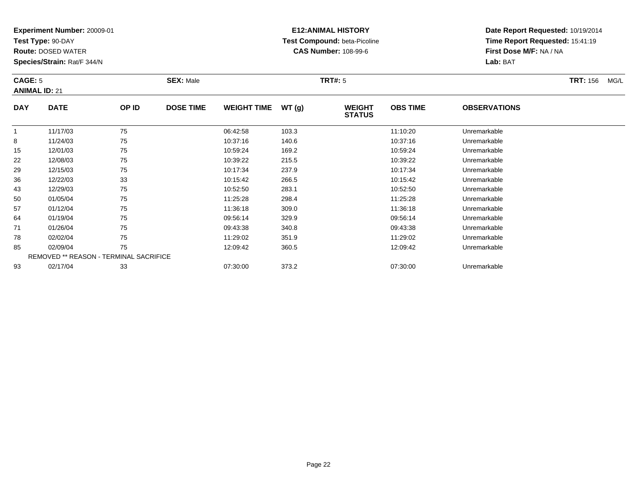**Test Type:** 90-DAY

**Route:** DOSED WATER

**Species/Strain:** Rat/F 344/N

# **E12:ANIMAL HISTORY Test Compound:** beta-Picoline**CAS Number:** 108-99-6

**Date Report Requested:** 10/19/2014**Time Report Requested:** 15:41:19**First Dose M/F:** NA / NA**Lab:** BAT

#### **CAGE:** 5 **SEX:** Male **TRT#:** <sup>5</sup> **TRT:** 156 MG/L **ANIMAL ID:** 21**DAY DATE OP IDDOSE TIME WEIGHT TIME WT** (g) **STATUSOBS TIME OBSERVATIONS** 11 11/17/03 75 75 06:42:58 103.3 103.3 11:10:20 Unremarkable 88 11/24/03 75 75 10:37:16 140.6 10:37:16 15 10:37:16 15 10:37:16 10:37:16 15 12/01/03 <sup>75</sup> 10:59:24 169.2 10:59:24 Unremarkable 2212/08/03 <sup>75</sup> 10:39:22 215.5 10:39:22 Unremarkable

|    | 11/17/03 | 75                                            | 06:42:58 | 103.3 | 11:10:20 | Unremarkable |  |
|----|----------|-----------------------------------------------|----------|-------|----------|--------------|--|
| 8  | 11/24/03 | 75                                            | 10:37:16 | 140.6 | 10:37:16 | Unremarkable |  |
| 15 | 12/01/03 | 75                                            | 10:59:24 | 169.2 | 10:59:24 | Unremarkable |  |
| 22 | 12/08/03 | 75                                            | 10:39:22 | 215.5 | 10:39:22 | Unremarkable |  |
| 29 | 12/15/03 | 75                                            | 10:17:34 | 237.9 | 10:17:34 | Unremarkable |  |
| 36 | 12/22/03 | 33                                            | 10:15:42 | 266.5 | 10:15:42 | Unremarkable |  |
| 43 | 12/29/03 | 75                                            | 10:52:50 | 283.1 | 10:52:50 | Unremarkable |  |
| 50 | 01/05/04 | 75                                            | 11:25:28 | 298.4 | 11:25:28 | Unremarkable |  |
| 57 | 01/12/04 | 75                                            | 11:36:18 | 309.0 | 11:36:18 | Unremarkable |  |
| 64 | 01/19/04 | 75                                            | 09:56:14 | 329.9 | 09:56:14 | Unremarkable |  |
| 71 | 01/26/04 | 75                                            | 09:43:38 | 340.8 | 09:43:38 | Unremarkable |  |
| 78 | 02/02/04 | 75                                            | 11:29:02 | 351.9 | 11:29:02 | Unremarkable |  |
| 85 | 02/09/04 | 75                                            | 12:09:42 | 360.5 | 12:09:42 | Unremarkable |  |
|    |          | <b>REMOVED ** REASON - TERMINAL SACRIFICE</b> |          |       |          |              |  |
| 93 | 02/17/04 | 33                                            | 07:30:00 | 373.2 | 07:30:00 | Unremarkable |  |
|    |          |                                               |          |       |          |              |  |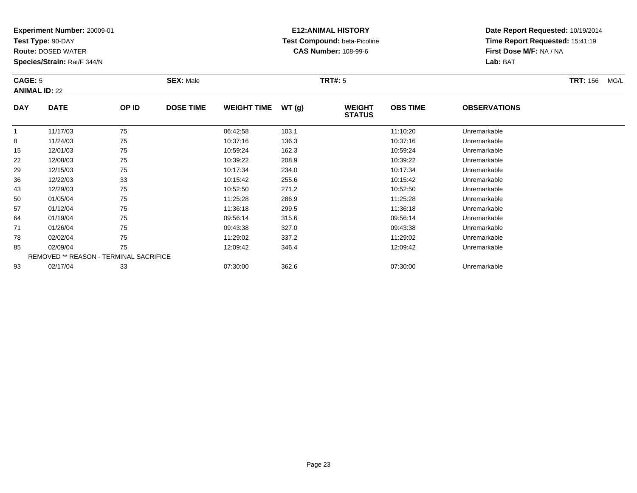**Test Type:** 90-DAY

**Route:** DOSED WATER

**Species/Strain:** Rat/F 344/N

## **E12:ANIMAL HISTORY Test Compound:** beta-Picoline**CAS Number:** 108-99-6

**Date Report Requested:** 10/19/2014**Time Report Requested:** 15:41:19**First Dose M/F:** NA / NA**Lab:** BAT

#### **CAGE:** 5 **SEX:** Male **TRT#:** <sup>5</sup> **TRT:** 156 MG/L **ANIMAL ID:** 22**DAY DATE OP IDDOSE TIME WEIGHT TIME WT** (g) **STATUSOBS TIME OBSERVATIONS**  $\overline{1}$ 1 11/17/03 75 75 06:42:58 103.1 11:10:20 11:10:20 Unremarkable 88 11/24/03 75 75 10:37:16 136.3 10:37:16 136.3 10:37:16 156.0 10:37:16 156.0 10:37:16 15 12/01/03 <sup>75</sup> 10:59:24 162.3 10:59:24 Unremarkable 2212/08/03 <sup>75</sup> 10:39:22 208.9 10:39:22 Unremarkable

| 8  | 11/24/03 | 75                                            | 10:37:16 | 136.3 | 10:37:16 | Unremarkable |
|----|----------|-----------------------------------------------|----------|-------|----------|--------------|
| 15 | 12/01/03 | 75                                            | 10:59:24 | 162.3 | 10:59:24 | Unremarkable |
| 22 | 12/08/03 | 75                                            | 10:39:22 | 208.9 | 10:39:22 | Unremarkable |
| 29 | 12/15/03 | 75                                            | 10:17:34 | 234.0 | 10:17:34 | Unremarkable |
| 36 | 12/22/03 | 33                                            | 10:15:42 | 255.6 | 10:15:42 | Unremarkable |
| 43 | 12/29/03 | 75                                            | 10:52:50 | 271.2 | 10:52:50 | Unremarkable |
| 50 | 01/05/04 | 75                                            | 11:25:28 | 286.9 | 11:25:28 | Unremarkable |
| 57 | 01/12/04 | 75                                            | 11:36:18 | 299.5 | 11:36:18 | Unremarkable |
| 64 | 01/19/04 | 75                                            | 09:56:14 | 315.6 | 09:56:14 | Unremarkable |
| 71 | 01/26/04 | 75                                            | 09:43:38 | 327.0 | 09:43:38 | Unremarkable |
| 78 | 02/02/04 | 75                                            | 11:29:02 | 337.2 | 11:29:02 | Unremarkable |
| 85 | 02/09/04 | 75                                            | 12:09:42 | 346.4 | 12:09:42 | Unremarkable |
|    |          | <b>REMOVED ** REASON - TERMINAL SACRIFICE</b> |          |       |          |              |
| 93 | 02/17/04 | 33                                            | 07:30:00 | 362.6 | 07:30:00 | Unremarkable |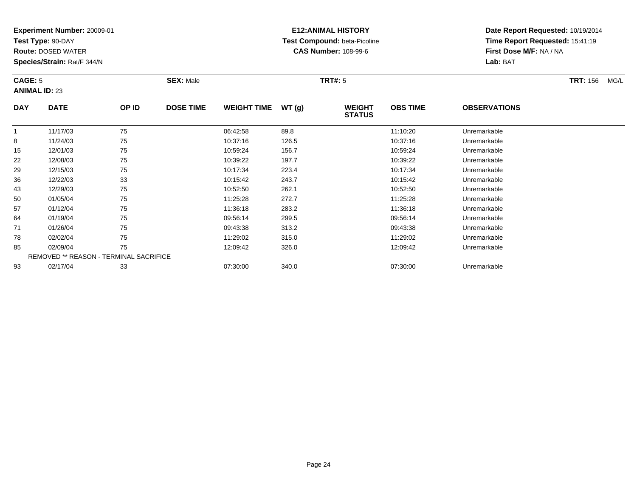**Test Type:** 90-DAY

43

50

57

64

71

78

85

93

**Route:** DOSED WATER

**Species/Strain:** Rat/F 344/N

REMOVED \*\* REASON - TERMINAL SACRIFICE

## **E12:ANIMAL HISTORY Test Compound:** beta-Picoline**CAS Number:** 108-99-6

**Date Report Requested:** 10/19/2014**Time Report Requested:** 15:41:19**First Dose M/F:** NA / NA**Lab:** BAT

| CAGE: 5<br><b>ANIMAL ID: 23</b> |             |       | <b>SEX: Male</b> |                    |       | <b>TRT#: 5</b>                 | <b>TRT: 156</b><br>MG/L |                     |  |
|---------------------------------|-------------|-------|------------------|--------------------|-------|--------------------------------|-------------------------|---------------------|--|
| <b>DAY</b>                      | <b>DATE</b> | OP ID | <b>DOSE TIME</b> | <b>WEIGHT TIME</b> | WT(g) | <b>WEIGHT</b><br><b>STATUS</b> | <b>OBS TIME</b>         | <b>OBSERVATIONS</b> |  |
|                                 | 11/17/03    | 75    |                  | 06:42:58           | 89.8  |                                | 11:10:20                | Unremarkable        |  |
| 8                               | 11/24/03    | 75    |                  | 10:37:16           | 126.5 |                                | 10:37:16                | Unremarkable        |  |
| 15                              | 12/01/03    | 75    |                  | 10:59:24           | 156.7 |                                | 10:59:24                | Unremarkable        |  |
| 22                              | 12/08/03    | 75    |                  | 10:39:22           | 197.7 |                                | 10:39:22                | Unremarkable        |  |
| 29                              | 12/15/03    | 75    |                  | 10:17:34           | 223.4 |                                | 10:17:34                | Unremarkable        |  |
| 36                              | 12/22/03    | 33    |                  | 10:15:42           | 243.7 |                                | 10:15:42                | Unremarkable        |  |

12/29/03 <sup>75</sup> 10:52:50 262.1 10:52:50 Unremarkable

0 01/05/04 75 75 11:25:28 272.7 11:25:28 11:25:28 Dhremarkable

01/12/04 <sup>75</sup> 11:36:18 283.2 11:36:18 Unremarkable

01/19/04 <sup>75</sup> 09:56:14 299.5 09:56:14 Unremarkable

01/26/04 <sup>75</sup> 09:43:38 313.2 09:43:38 Unremarkable

02/02/04 <sup>75</sup> 11:29:02 315.0 11:29:02 Unremarkable

02/09/04 <sup>75</sup> 12:09:42 326.0 12:09:42 Unremarkable

02/17/04 <sup>33</sup> 07:30:00 340.0 07:30:00 Unremarkable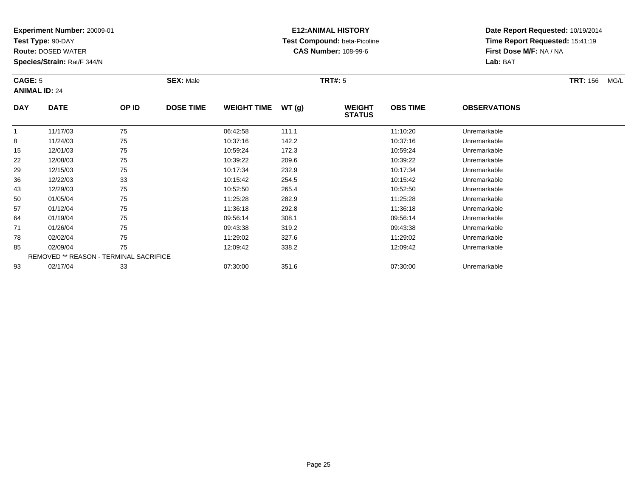**Test Type:** 90-DAY

43

50

57

64

71

78

85

93

**Route:** DOSED WATER

**Species/Strain:** Rat/F 344/N

REMOVED \*\* REASON - TERMINAL SACRIFICE

## **E12:ANIMAL HISTORY Test Compound:** beta-Picoline**CAS Number:** 108-99-6

**Date Report Requested:** 10/19/2014**Time Report Requested:** 15:41:19**First Dose M/F:** NA / NA**Lab:** BAT

| CAGE: 5<br><b>ANIMAL ID: 24</b> |             |       | <b>SEX: Male</b> |                    |       | <b>TRT#: 5</b>                 |                 | <b>TRT: 156</b><br>MG/L |  |
|---------------------------------|-------------|-------|------------------|--------------------|-------|--------------------------------|-----------------|-------------------------|--|
| <b>DAY</b>                      | <b>DATE</b> | OP ID | <b>DOSE TIME</b> | <b>WEIGHT TIME</b> | WT(g) | <b>WEIGHT</b><br><b>STATUS</b> | <b>OBS TIME</b> | <b>OBSERVATIONS</b>     |  |
|                                 | 11/17/03    | 75    |                  | 06:42:58           | 111.1 |                                | 11:10:20        | Unremarkable            |  |
| 8                               | 11/24/03    | 75    |                  | 10:37:16           | 142.2 |                                | 10:37:16        | Unremarkable            |  |
| 15                              | 12/01/03    | 75    |                  | 10:59:24           | 172.3 |                                | 10:59:24        | Unremarkable            |  |
| 22                              | 12/08/03    | 75    |                  | 10:39:22           | 209.6 |                                | 10:39:22        | Unremarkable            |  |
| 29                              | 12/15/03    | 75    |                  | 10:17:34           | 232.9 |                                | 10:17:34        | Unremarkable            |  |
| 36                              | 12/22/03    | 33    |                  | 10:15:42           | 254.5 |                                | 10:15:42        | Unremarkable            |  |

12/29/03 <sup>75</sup> 10:52:50 265.4 10:52:50 Unremarkable

0 01/05/04 75 75 11:25:28 282.9 11:25:29 11:25:28 11:25:28 Unremarkable

01/12/04 <sup>75</sup> 11:36:18 292.8 11:36:18 Unremarkable

01/19/04 <sup>75</sup> 09:56:14 308.1 09:56:14 Unremarkable

01/26/04 <sup>75</sup> 09:43:38 319.2 09:43:38 Unremarkable

02/02/04 <sup>75</sup> 11:29:02 327.6 11:29:02 Unremarkable

02/09/04 <sup>75</sup> 12:09:42 338.2 12:09:42 Unremarkable

|          | REMOVED "" REASON - TERMINAL SACRIFICE |          |       |          |              |
|----------|----------------------------------------|----------|-------|----------|--------------|
| 02/17/04 | $\sim$<br>ັບ                           | 07:30:00 | 351.6 | 07:30:00 | Unremarkable |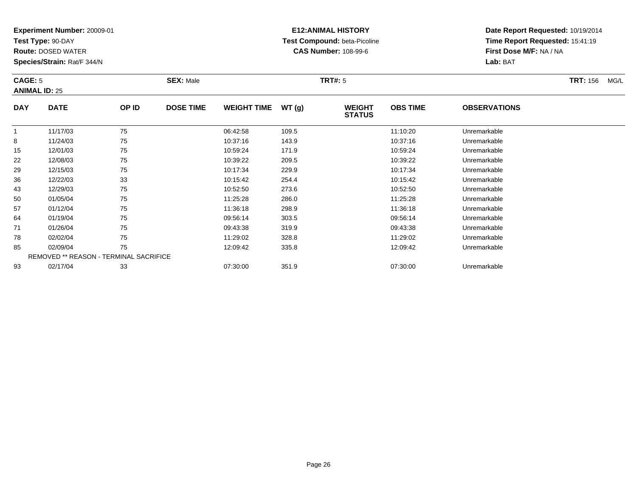**Test Type:** 90-DAY

57

64

71

78

85

93

**Route:** DOSED WATER

**Species/Strain:** Rat/F 344/N

REMOVED \*\* REASON - TERMINAL SACRIFICE

## **E12:ANIMAL HISTORY Test Compound:** beta-Picoline**CAS Number:** 108-99-6

**Date Report Requested:** 10/19/2014**Time Report Requested:** 15:41:19**First Dose M/F:** NA / NA**Lab:** BAT

|            | <b>CAGE: 5</b><br><b>ANIMAL ID: 25</b> |       | <b>SEX: Male</b> |                    |       | <b>TRT#: 5</b>                 | <b>TRT: 156</b><br>MG/L |                     |  |
|------------|----------------------------------------|-------|------------------|--------------------|-------|--------------------------------|-------------------------|---------------------|--|
| <b>DAY</b> | <b>DATE</b>                            | OP ID | <b>DOSE TIME</b> | <b>WEIGHT TIME</b> | WT(g) | <b>WEIGHT</b><br><b>STATUS</b> | <b>OBS TIME</b>         | <b>OBSERVATIONS</b> |  |
|            | 11/17/03                               | 75    |                  | 06:42:58           | 109.5 |                                | 11:10:20                | Unremarkable        |  |
| 8          | 11/24/03                               | 75    |                  | 10:37:16           | 143.9 |                                | 10:37:16                | Unremarkable        |  |
| 15         | 12/01/03                               | 75    |                  | 10:59:24           | 171.9 |                                | 10:59:24                | Unremarkable        |  |
| 22         | 12/08/03                               | 75    |                  | 10:39:22           | 209.5 |                                | 10:39:22                | Unremarkable        |  |
| 29         | 12/15/03                               | 75    |                  | 10:17:34           | 229.9 |                                | 10:17:34                | Unremarkable        |  |
| 36         | 12/22/03                               | 33    |                  | 10:15:42           | 254.4 |                                | 10:15:42                | Unremarkable        |  |
| 43         | 12/29/03                               | 75    |                  | 10:52:50           | 273.6 |                                | 10:52:50                | Unremarkable        |  |
| 50         | 01/05/04                               | 75    |                  | 11:25:28           | 286.0 |                                | 11:25:28                | Unremarkable        |  |

01/12/04 <sup>75</sup> 11:36:18 298.9 11:36:18 Unremarkable

01/19/04 <sup>75</sup> 09:56:14 303.5 09:56:14 Unremarkable

01/26/04 <sup>75</sup> 09:43:38 319.9 09:43:38 Unremarkable

02/02/04 <sup>75</sup> 11:29:02 328.8 11:29:02 Unremarkable

02/09/04 <sup>75</sup> 12:09:42 335.8 12:09:42 Unremarkable

02/17/04 <sup>33</sup> 07:30:00 351.9 07:30:00 Unremarkable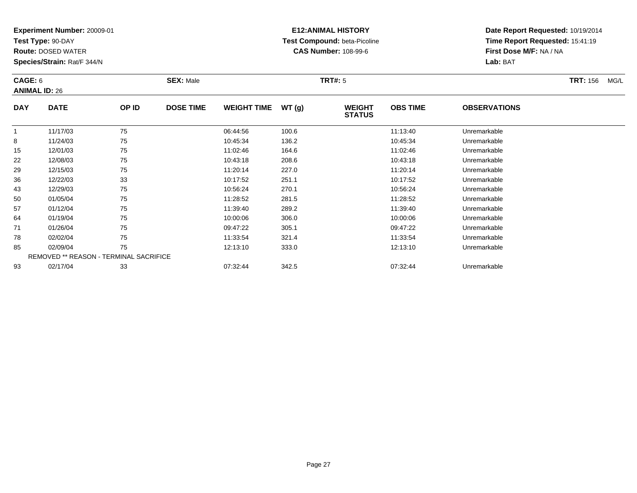**Test Type:** 90-DAY

78

85

93

**Route:** DOSED WATER

**Species/Strain:** Rat/F 344/N

REMOVED \*\* REASON - TERMINAL SACRIFICE

## **E12:ANIMAL HISTORY Test Compound:** beta-Picoline**CAS Number:** 108-99-6

**Date Report Requested:** 10/19/2014**Time Report Requested:** 15:41:19**First Dose M/F:** NA / NA**Lab:** BAT

| CAGE: 6<br><b>ANIMAL ID: 26</b> |             | <b>SEX: Male</b> |                  |                    | <b>TRT#: 5</b> | <b>TRT: 156</b><br>MG/L        |                 |                     |  |
|---------------------------------|-------------|------------------|------------------|--------------------|----------------|--------------------------------|-----------------|---------------------|--|
| <b>DAY</b>                      | <b>DATE</b> | OP ID            | <b>DOSE TIME</b> | <b>WEIGHT TIME</b> | WT(g)          | <b>WEIGHT</b><br><b>STATUS</b> | <b>OBS TIME</b> | <b>OBSERVATIONS</b> |  |
|                                 | 11/17/03    | 75               |                  | 06:44:56           | 100.6          |                                | 11:13:40        | Unremarkable        |  |
| 8                               | 11/24/03    | 75               |                  | 10:45:34           | 136.2          |                                | 10:45:34        | Unremarkable        |  |
| 15                              | 12/01/03    | 75               |                  | 11:02:46           | 164.6          |                                | 11:02:46        | Unremarkable        |  |
| 22                              | 12/08/03    | 75               |                  | 10:43:18           | 208.6          |                                | 10:43:18        | Unremarkable        |  |
| 29                              | 12/15/03    | 75               |                  | 11:20:14           | 227.0          |                                | 11:20:14        | Unremarkable        |  |
| 36                              | 12/22/03    | 33               |                  | 10:17:52           | 251.1          |                                | 10:17:52        | Unremarkable        |  |
| 43                              | 12/29/03    | 75               |                  | 10:56:24           | 270.1          |                                | 10:56:24        | Unremarkable        |  |
| 50                              | 01/05/04    | 75               |                  | 11:28:52           | 281.5          |                                | 11:28:52        | Unremarkable        |  |
| 57                              | 01/12/04    | 75               |                  | 11:39:40           | 289.2          |                                | 11:39:40        | Unremarkable        |  |
| 64                              | 01/19/04    | 75               |                  | 10:00:06           | 306.0          |                                | 10:00:06        | Unremarkable        |  |
| 71                              | 01/26/04    | 75               |                  | 09:47:22           | 305.1          |                                | 09:47:22        | Unremarkable        |  |

8 02/02/04 75 75 11:33:54 321.4 1321 11:33:54 Dhremarkable

02/09/04 <sup>75</sup> 12:13:10 333.0 12:13:10 Unremarkable

02/17/04 <sup>33</sup> 07:32:44 342.5 07:32:44 Unremarkable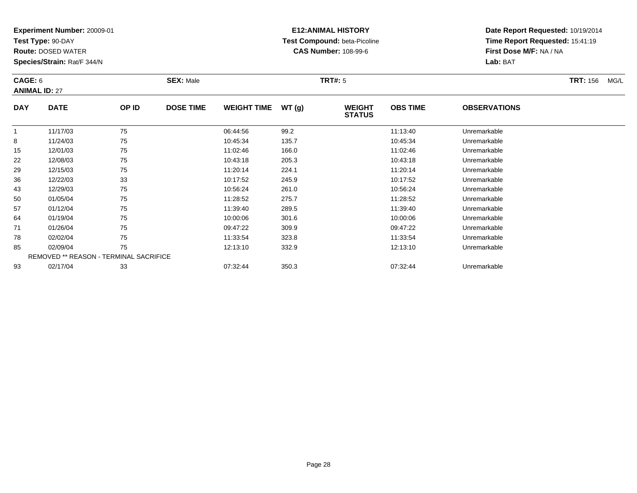**Test Type:** 90-DAY

**Route:** DOSED WATER

**Species/Strain:** Rat/F 344/N

# **E12:ANIMAL HISTORY Test Compound:** beta-Picoline**CAS Number:** 108-99-6

| CAGE: 6    | <b>ANIMAL ID: 27</b> | <b>SEX: Male</b> |                  |                    |       | <b>TRT#:</b> 5                 |                 |                                | <b>TRT: 156</b><br>MG/L |
|------------|----------------------|------------------|------------------|--------------------|-------|--------------------------------|-----------------|--------------------------------|-------------------------|
| <b>DAY</b> | <b>DATE</b>          | OP ID            | <b>DOSE TIME</b> | <b>WEIGHT TIME</b> | WT(q) | <b>WEIGHT</b><br><b>STATUS</b> | <b>OBS TIME</b> | <b>OBSERVATIONS</b>            |                         |
|            | 11/17/03             | 75               |                  | 06:44:56           | 99.2  |                                | 11:13:40        | Unremarkable                   |                         |
| 8          | 11/24/03             | 75               |                  | 10:45:34           | 135.7 |                                | 10:45:34        | Unremarkable                   |                         |
| 15         | 12/01/03             | 75               |                  | 11:02:46           | 166.0 |                                | 11:02:46        | Unremarkable                   |                         |
| 22         | 12/08/03             | 75               |                  | 10:43:18           | 205.3 |                                | 10:43:18        | Unremarkable                   |                         |
| $\sim$     | 4014500              | $\overline{ }$   |                  | AA 00 AA           | 0.011 |                                | AA 00 AA        | The service and service to the |                         |

| 15 | 12/01/03 | 75                                            | 11:02:46 | 166.0 | 11:02:46 | Unremarkable |
|----|----------|-----------------------------------------------|----------|-------|----------|--------------|
| 22 | 12/08/03 | 75                                            | 10:43:18 | 205.3 | 10:43:18 | Unremarkable |
| 29 | 12/15/03 | 75                                            | 11:20:14 | 224.1 | 11:20:14 | Unremarkable |
| 36 | 12/22/03 | 33                                            | 10:17:52 | 245.9 | 10:17:52 | Unremarkable |
| 43 | 12/29/03 | 75                                            | 10:56:24 | 261.0 | 10:56:24 | Unremarkable |
| 50 | 01/05/04 | 75                                            | 11:28:52 | 275.7 | 11:28:52 | Unremarkable |
| 57 | 01/12/04 | 75                                            | 11:39:40 | 289.5 | 11:39:40 | Unremarkable |
| 64 | 01/19/04 | 75                                            | 10:00:06 | 301.6 | 10:00:06 | Unremarkable |
| 71 | 01/26/04 | 75                                            | 09:47:22 | 309.9 | 09:47:22 | Unremarkable |
| 78 | 02/02/04 | 75                                            | 11:33:54 | 323.8 | 11:33:54 | Unremarkable |
| 85 | 02/09/04 | 75                                            | 12:13:10 | 332.9 | 12:13:10 | Unremarkable |
|    |          | <b>REMOVED ** REASON - TERMINAL SACRIFICE</b> |          |       |          |              |
| 93 | 02/17/04 | 33                                            | 07:32:44 | 350.3 | 07:32:44 | Unremarkable |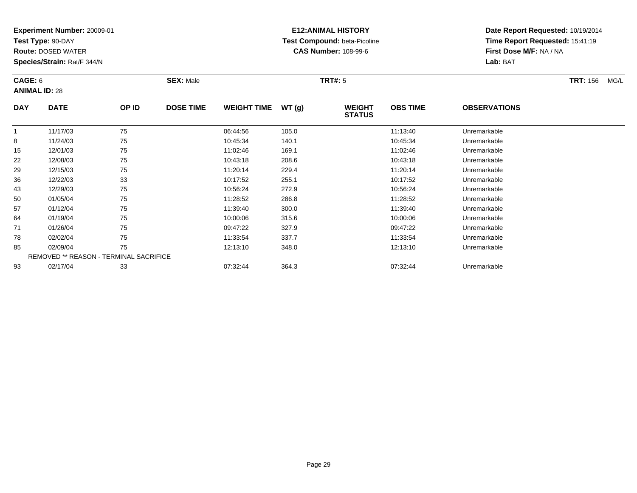**Test Type:** 90-DAY

93

**Route:** DOSED WATER

**Species/Strain:** Rat/F 344/N

REMOVED \*\* REASON - TERMINAL SACRIFICE

## **E12:ANIMAL HISTORY Test Compound:** beta-Picoline**CAS Number:** 108-99-6

**Date Report Requested:** 10/19/2014**Time Report Requested:** 15:41:19**First Dose M/F:** NA / NA**Lab:** BAT

| CAGE: 6<br><b>ANIMAL ID: 28</b> |             | <b>SEX: Male</b> |                  |                    | <b>TRT#: 5</b> | <b>TRT: 156</b><br>MG/L        |                 |                     |  |
|---------------------------------|-------------|------------------|------------------|--------------------|----------------|--------------------------------|-----------------|---------------------|--|
| <b>DAY</b>                      | <b>DATE</b> | OP ID            | <b>DOSE TIME</b> | <b>WEIGHT TIME</b> | WT(g)          | <b>WEIGHT</b><br><b>STATUS</b> | <b>OBS TIME</b> | <b>OBSERVATIONS</b> |  |
|                                 | 11/17/03    | 75               |                  | 06:44:56           | 105.0          |                                | 11:13:40        | Unremarkable        |  |
| 8                               | 11/24/03    | 75               |                  | 10:45:34           | 140.1          |                                | 10:45:34        | Unremarkable        |  |
| 15                              | 12/01/03    | 75               |                  | 11:02:46           | 169.1          |                                | 11:02:46        | Unremarkable        |  |
| 22                              | 12/08/03    | 75               |                  | 10:43:18           | 208.6          |                                | 10:43:18        | Unremarkable        |  |
| 29                              | 12/15/03    | 75               |                  | 11:20:14           | 229.4          |                                | 11:20:14        | Unremarkable        |  |
| 36                              | 12/22/03    | 33               |                  | 10:17:52           | 255.1          |                                | 10:17:52        | Unremarkable        |  |
| 43                              | 12/29/03    | 75               |                  | 10:56:24           | 272.9          |                                | 10:56:24        | Unremarkable        |  |
| 50                              | 01/05/04    | 75               |                  | 11:28:52           | 286.8          |                                | 11:28:52        | Unremarkable        |  |
| 57                              | 01/12/04    | 75               |                  | 11:39:40           | 300.0          |                                | 11:39:40        | Unremarkable        |  |
| 64                              | 01/19/04    | 75               |                  | 10:00:06           | 315.6          |                                | 10:00:06        | Unremarkable        |  |
| 71                              | 01/26/04    | 75               |                  | 09:47:22           | 327.9          |                                | 09:47:22        | Unremarkable        |  |
| 78                              | 02/02/04    | 75               |                  | 11:33:54           | 337.7          |                                | 11:33:54        | Unremarkable        |  |
| 85                              | 02/09/04    | 75               |                  | 12:13:10           | 348.0          |                                | 12:13:10        | Unremarkable        |  |

02/17/04 <sup>33</sup> 07:32:44 364.3 07:32:44 Unremarkable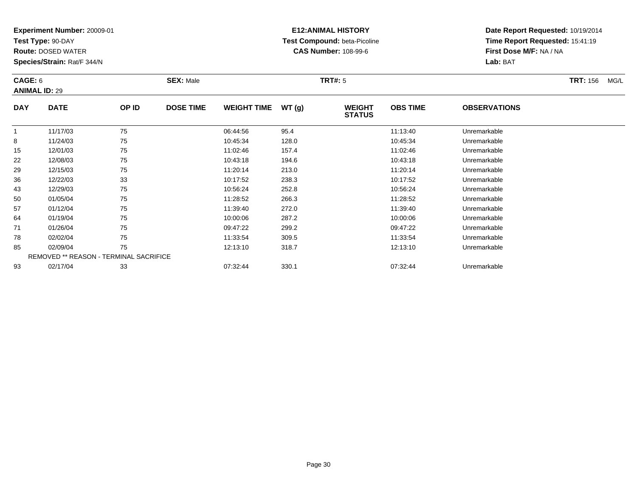**Test Type:** 90-DAY

64

71

78

85

93

**Route:** DOSED WATER

**Species/Strain:** Rat/F 344/N

REMOVED \*\* REASON - TERMINAL SACRIFICE

## **E12:ANIMAL HISTORY Test Compound:** beta-Picoline**CAS Number:** 108-99-6

**Date Report Requested:** 10/19/2014**Time Report Requested:** 15:41:19**First Dose M/F:** NA / NA**Lab:** BAT

| CAGE: 6<br><b>ANIMAL ID: 29</b> |             | <b>SEX: Male</b> |                  |                    | TRT#: 5 | <b>TRT: 156</b><br>MG/L        |                 |                     |  |
|---------------------------------|-------------|------------------|------------------|--------------------|---------|--------------------------------|-----------------|---------------------|--|
| <b>DAY</b>                      | <b>DATE</b> | OP ID            | <b>DOSE TIME</b> | <b>WEIGHT TIME</b> | WT(g)   | <b>WEIGHT</b><br><b>STATUS</b> | <b>OBS TIME</b> | <b>OBSERVATIONS</b> |  |
|                                 | 11/17/03    | 75               |                  | 06:44:56           | 95.4    |                                | 11:13:40        | Unremarkable        |  |
| 8                               | 11/24/03    | 75               |                  | 10:45:34           | 128.0   |                                | 10:45:34        | Unremarkable        |  |
| 15                              | 12/01/03    | 75               |                  | 11:02:46           | 157.4   |                                | 11:02:46        | Unremarkable        |  |
| 22                              | 12/08/03    | 75               |                  | 10:43:18           | 194.6   |                                | 10:43:18        | Unremarkable        |  |
| 29                              | 12/15/03    | 75               |                  | 11:20:14           | 213.0   |                                | 11:20:14        | Unremarkable        |  |
| 36                              | 12/22/03    | 33               |                  | 10:17:52           | 238.3   |                                | 10:17:52        | Unremarkable        |  |
| 43                              | 12/29/03    | 75               |                  | 10:56:24           | 252.8   |                                | 10:56:24        | Unremarkable        |  |
| 50                              | 01/05/04    | 75               |                  | 11:28:52           | 266.3   |                                | 11:28:52        | Unremarkable        |  |
| 57                              | 01/12/04    | 75               |                  | 11:39:40           | 272.0   |                                | 11:39:40        | Unremarkable        |  |

01/19/04 <sup>75</sup> 10:00:06 287.2 10:00:06 Unremarkable

01/26/04 <sup>75</sup> 09:47:22 299.2 09:47:22 Unremarkable

02/02/04 <sup>75</sup> 11:33:54 309.5 11:33:54 Unremarkable

02/09/04 <sup>75</sup> 12:13:10 318.7 12:13:10 Unremarkable

02/17/04 <sup>33</sup> 07:32:44 330.1 07:32:44 Unremarkable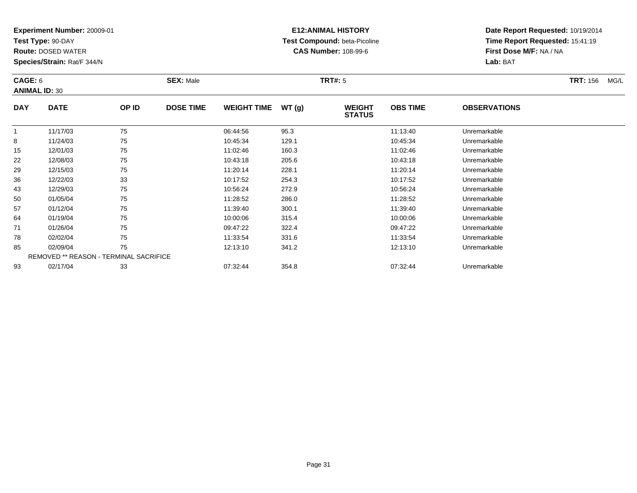**Test Type:** 90-DAY

85

93

**Route:** DOSED WATER

**Species/Strain:** Rat/F 344/N

REMOVED \*\* REASON - TERMINAL SACRIFICE

## **E12:ANIMAL HISTORY Test Compound:** beta-Picoline**CAS Number:** 108-99-6

**Date Report Requested:** 10/19/2014**Time Report Requested:** 15:41:19**First Dose M/F:** NA / NA**Lab:** BAT

|            | CAGE: 6<br><b>ANIMAL ID: 30</b> |       | <b>SEX: Male</b> |                    | <b>TRT#: 5</b> | <b>TRT: 156</b><br>MG/L        |                 |                     |  |
|------------|---------------------------------|-------|------------------|--------------------|----------------|--------------------------------|-----------------|---------------------|--|
| <b>DAY</b> | <b>DATE</b>                     | OP ID | <b>DOSE TIME</b> | <b>WEIGHT TIME</b> | WT(g)          | <b>WEIGHT</b><br><b>STATUS</b> | <b>OBS TIME</b> | <b>OBSERVATIONS</b> |  |
|            | 11/17/03                        | 75    |                  | 06:44:56           | 95.3           |                                | 11:13:40        | Unremarkable        |  |
| 8          | 11/24/03                        | 75    |                  | 10:45:34           | 129.1          |                                | 10:45:34        | Unremarkable        |  |
| 15         | 12/01/03                        | 75    |                  | 11:02:46           | 160.3          |                                | 11:02:46        | Unremarkable        |  |
| 22         | 12/08/03                        | 75    |                  | 10:43:18           | 205.6          |                                | 10:43:18        | Unremarkable        |  |
| 29         | 12/15/03                        | 75    |                  | 11:20:14           | 228.1          |                                | 11:20:14        | Unremarkable        |  |
| 36         | 12/22/03                        | 33    |                  | 10:17:52           | 254.3          |                                | 10:17:52        | Unremarkable        |  |
| 43         | 12/29/03                        | 75    |                  | 10:56:24           | 272.9          |                                | 10:56:24        | Unremarkable        |  |
| 50         | 01/05/04                        | 75    |                  | 11:28:52           | 286.0          |                                | 11:28:52        | Unremarkable        |  |
| 57         | 01/12/04                        | 75    |                  | 11:39:40           | 300.1          |                                | 11:39:40        | Unremarkable        |  |
| 64         | 01/19/04                        | 75    |                  | 10:00:06           | 315.4          |                                | 10:00:06        | Unremarkable        |  |
| 71         | 01/26/04                        | 75    |                  | 09:47:22           | 322.4          |                                | 09:47:22        | Unremarkable        |  |
| 78         | 02/02/04                        | 75    |                  | 11:33:54           | 331.6          |                                | 11:33:54        | Unremarkable        |  |

02/02/04 <sup>75</sup> 11:33:54 331.6 11:33:54 Unremarkable

02/09/04 <sup>75</sup> 12:13:10 341.2 12:13:10 Unremarkable

02/17/04 <sup>33</sup> 07:32:44 354.8 07:32:44 Unremarkable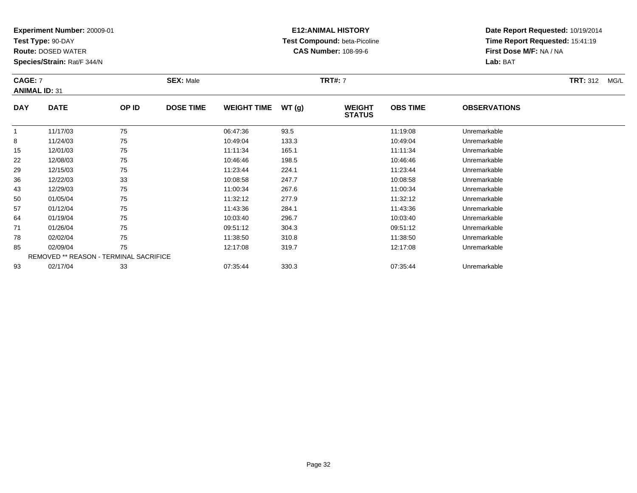**Test Type:** 90-DAY

**Route:** DOSED WATER

**Species/Strain:** Rat/F 344/N

# **E12:ANIMAL HISTORY Test Compound:** beta-Picoline**CAS Number:** 108-99-6

| <b>CAGE: 7</b><br><b>ANIMAL ID: 31</b> |             |       | <b>SEX: Male</b> |                    |       | <b>TRT#: 7</b>                 | <b>TRT: 312</b><br>MG/L |                     |  |
|----------------------------------------|-------------|-------|------------------|--------------------|-------|--------------------------------|-------------------------|---------------------|--|
| <b>DAY</b>                             | <b>DATE</b> | OP ID | <b>DOSE TIME</b> | <b>WEIGHT TIME</b> | WT(g) | <b>WEIGHT</b><br><b>STATUS</b> | <b>OBS TIME</b>         | <b>OBSERVATIONS</b> |  |
|                                        | 11/17/03    | 75    |                  | 06:47:36           | 93.5  |                                | 11:19:08                | Unremarkable        |  |
| 8                                      | 11/24/03    | 75    |                  | 10:49:04           | 133.3 |                                | 10:49:04                | Unremarkable        |  |
| 15                                     | 12/01/03    | 75    |                  | 11:11:34           | 165.1 |                                | 11:11:34                | Unremarkable        |  |

| ັ  | $112 - 1100$ | . .                                           | 10.70.07 | $\sim\!\!\sim\!\!\sim$ | 10.70.07 | <u>UHUHUHWU</u> |  |
|----|--------------|-----------------------------------------------|----------|------------------------|----------|-----------------|--|
| 15 | 12/01/03     | 75                                            | 11:11:34 | 165.1                  | 11:11:34 | Unremarkable    |  |
| 22 | 12/08/03     | 75                                            | 10:46:46 | 198.5                  | 10:46:46 | Unremarkable    |  |
| 29 | 12/15/03     | 75                                            | 11:23:44 | 224.1                  | 11:23:44 | Unremarkable    |  |
| 36 | 12/22/03     | 33                                            | 10:08:58 | 247.7                  | 10:08:58 | Unremarkable    |  |
| 43 | 12/29/03     | 75                                            | 11:00:34 | 267.6                  | 11:00:34 | Unremarkable    |  |
| 50 | 01/05/04     | 75                                            | 11:32:12 | 277.9                  | 11:32:12 | Unremarkable    |  |
| 57 | 01/12/04     | 75                                            | 11:43:36 | 284.1                  | 11:43:36 | Unremarkable    |  |
| 64 | 01/19/04     | 75                                            | 10:03:40 | 296.7                  | 10:03:40 | Unremarkable    |  |
| 71 | 01/26/04     | 75                                            | 09:51:12 | 304.3                  | 09:51:12 | Unremarkable    |  |
| 78 | 02/02/04     | 75                                            | 11:38:50 | 310.8                  | 11:38:50 | Unremarkable    |  |
| 85 | 02/09/04     | 75                                            | 12:17:08 | 319.7                  | 12:17:08 | Unremarkable    |  |
|    |              | <b>REMOVED ** REASON - TERMINAL SACRIFICE</b> |          |                        |          |                 |  |
| 93 | 02/17/04     | 33                                            | 07:35:44 | 330.3                  | 07:35:44 | Unremarkable    |  |
|    |              |                                               |          |                        |          |                 |  |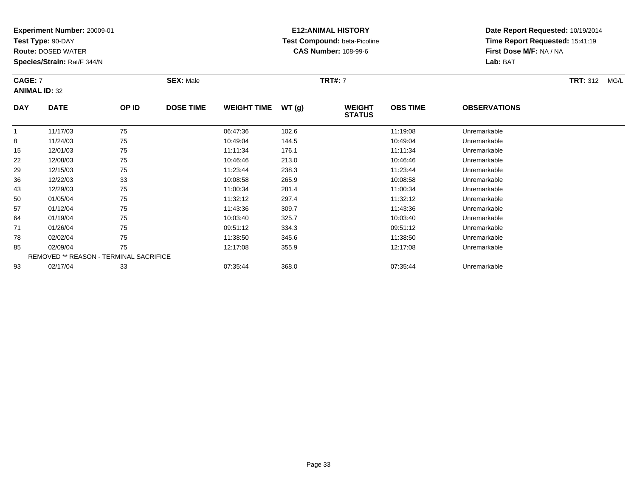**Test Type:** 90-DAY

**Route:** DOSED WATER

**Species/Strain:** Rat/F 344/N

# **E12:ANIMAL HISTORY Test Compound:** beta-Picoline**CAS Number:** 108-99-6

**Date Report Requested:** 10/19/2014**Time Report Requested:** 15:41:19**First Dose M/F:** NA / NA**Lab:** BAT

#### **CAGE:** 7 **SEX:** Male **TRT#:** <sup>7</sup> **TRT:** 312 MG/L **ANIMAL ID:** 32**DAY DATE OP IDDOSE TIME WEIGHT TIME WT** (g) **STATUSOBS TIME OBSERVATIONS** 11 11/17/03 75 75 06:47:36 102.6 102.6 11:19:08 Unremarkable 88 11/24/03 75 75 10:49:04 144.5 10:49:04 10:49:04 15 15 12/01/03 <sup>75</sup> 11:11:34 176.1 11:11:34 Unremarkable 2212/08/03 <sup>75</sup> 10:46:46 213.0 10:46:46 Unremarkable

|    | 11/17/03 | 75                                            | 06:47:36 | 102.6 | 11:19:08 | Unremarkable |  |
|----|----------|-----------------------------------------------|----------|-------|----------|--------------|--|
| 8  | 11/24/03 | 75                                            | 10:49:04 | 144.5 | 10:49:04 | Unremarkable |  |
| 15 | 12/01/03 | 75                                            | 11:11:34 | 176.1 | 11:11:34 | Unremarkable |  |
| 22 | 12/08/03 | 75                                            | 10:46:46 | 213.0 | 10:46:46 | Unremarkable |  |
| 29 | 12/15/03 | 75                                            | 11:23:44 | 238.3 | 11:23:44 | Unremarkable |  |
| 36 | 12/22/03 | 33                                            | 10:08:58 | 265.9 | 10:08:58 | Unremarkable |  |
| 43 | 12/29/03 | 75                                            | 11:00:34 | 281.4 | 11:00:34 | Unremarkable |  |
| 50 | 01/05/04 | 75                                            | 11:32:12 | 297.4 | 11:32:12 | Unremarkable |  |
| 57 | 01/12/04 | 75                                            | 11:43:36 | 309.7 | 11:43:36 | Unremarkable |  |
| 64 | 01/19/04 | 75                                            | 10:03:40 | 325.7 | 10:03:40 | Unremarkable |  |
| 71 | 01/26/04 | 75                                            | 09:51:12 | 334.3 | 09:51:12 | Unremarkable |  |
| 78 | 02/02/04 | 75                                            | 11:38:50 | 345.6 | 11:38:50 | Unremarkable |  |
| 85 | 02/09/04 | 75                                            | 12:17:08 | 355.9 | 12:17:08 | Unremarkable |  |
|    |          | <b>REMOVED ** REASON - TERMINAL SACRIFICE</b> |          |       |          |              |  |
| 93 | 02/17/04 | 33                                            | 07:35:44 | 368.0 | 07:35:44 | Unremarkable |  |
|    |          |                                               |          |       |          |              |  |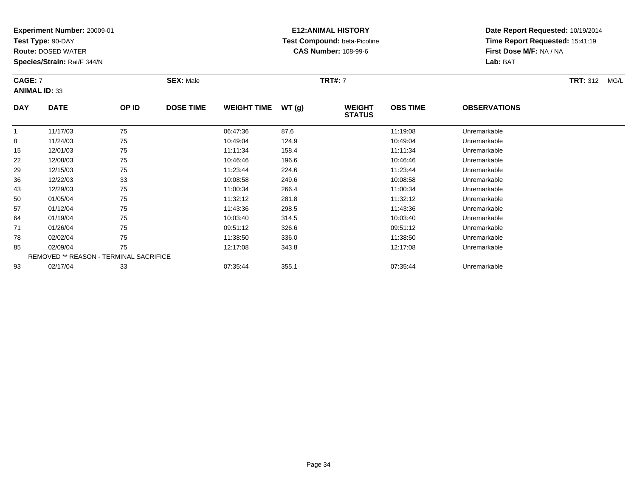**Test Type:** 90-DAY

**Route:** DOSED WATER

**Species/Strain:** Rat/F 344/N

## **E12:ANIMAL HISTORY Test Compound:** beta-Picoline**CAS Number:** 108-99-6

**Date Report Requested:** 10/19/2014 **Time Report Requested:** 15:41:19**First Dose M/F:** NA / NA**Lab:** BAT

#### **CAGE:** 7 **SEX:** Male **TRT#:** <sup>7</sup> **TRT:** 312 MG/L **ANIMAL ID:** 33**DAY DATE OP IDDOSE TIME WEIGHT TIME WT** (g) **STATUSOBS TIME OBSERVATIONS**  $\overline{1}$ 1 11/17/03 75 75 06:47:36 87.6 11:19:08 11:19:08 Unremarkable 88 11/24/03 75 75 10:49:04 124.9 124.9 124.9 10:49:04 124.9 10:49:04 10:49:04 1512/01/03 <sup>75</sup> 11:11:34 158.4 11:11:34 Unremarkable

| 8  | 11/24/03 | 75                                            | 10:49:04 | 124.9 | 10:49:04 | Unremarkable |
|----|----------|-----------------------------------------------|----------|-------|----------|--------------|
| 15 | 12/01/03 | 75                                            | 11:11:34 | 158.4 | 11:11:34 | Unremarkable |
| 22 | 12/08/03 | 75                                            | 10:46:46 | 196.6 | 10:46:46 | Unremarkable |
| 29 | 12/15/03 | 75                                            | 11:23:44 | 224.6 | 11:23:44 | Unremarkable |
| 36 | 12/22/03 | 33                                            | 10:08:58 | 249.6 | 10:08:58 | Unremarkable |
| 43 | 12/29/03 | 75                                            | 11:00:34 | 266.4 | 11:00:34 | Unremarkable |
| 50 | 01/05/04 | 75                                            | 11:32:12 | 281.8 | 11:32:12 | Unremarkable |
| 57 | 01/12/04 | 75                                            | 11:43:36 | 298.5 | 11:43:36 | Unremarkable |
| 64 | 01/19/04 | 75                                            | 10:03:40 | 314.5 | 10:03:40 | Unremarkable |
| 71 | 01/26/04 | 75                                            | 09:51:12 | 326.6 | 09:51:12 | Unremarkable |
| 78 | 02/02/04 | 75                                            | 11:38:50 | 336.0 | 11:38:50 | Unremarkable |
| 85 | 02/09/04 | 75                                            | 12:17:08 | 343.8 | 12:17:08 | Unremarkable |
|    |          | <b>REMOVED ** REASON - TERMINAL SACRIFICE</b> |          |       |          |              |
| 93 | 02/17/04 | 33                                            | 07:35:44 | 355.1 | 07:35:44 | Unremarkable |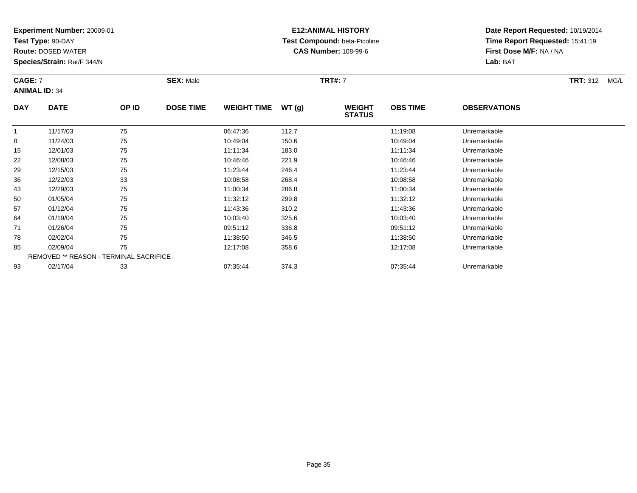**Test Type:** 90-DAY

**Route:** DOSED WATER

**Species/Strain:** Rat/F 344/N

## **E12:ANIMAL HISTORY Test Compound:** beta-Picoline**CAS Number:** 108-99-6

**Date Report Requested:** 10/19/2014**Time Report Requested:** 15:41:19**First Dose M/F:** NA / NA**Lab:** BAT

#### **CAGE:** 7 **SEX:** Male **TRT#:** <sup>7</sup> **TRT:** 312 MG/L **ANIMAL ID:** 34**DAY DATE OP IDDOSE TIME WEIGHT TIME WT** (g) **STATUSOBS TIME OBSERVATIONS** 11 11/17/03 75 75 06:47:36 112.7 11:19:08 Dhremarkable 88 11/24/03 75 75 10:49:04 150.6 10:49:04 150.6 10:49:04 150.6 15 12/01/03 <sup>75</sup> 11:11:34 183.0 11:11:34 Unremarkable 22

| 15 | 12/01/03 | 75                                            | 11:11:34 | 183.0 | 11:11:34 | Unremarkable |
|----|----------|-----------------------------------------------|----------|-------|----------|--------------|
| 22 | 12/08/03 | 75                                            | 10:46:46 | 221.9 | 10:46:46 | Unremarkable |
| 29 | 12/15/03 | 75                                            | 11:23:44 | 246.4 | 11:23:44 | Unremarkable |
| 36 | 12/22/03 | 33                                            | 10:08:58 | 268.4 | 10:08:58 | Unremarkable |
| 43 | 12/29/03 | 75                                            | 11:00:34 | 286.8 | 11:00:34 | Unremarkable |
| 50 | 01/05/04 | 75                                            | 11:32:12 | 299.8 | 11:32:12 | Unremarkable |
| 57 | 01/12/04 | 75                                            | 11:43:36 | 310.2 | 11:43:36 | Unremarkable |
| 64 | 01/19/04 | 75                                            | 10:03:40 | 325.6 | 10:03:40 | Unremarkable |
| 71 | 01/26/04 | 75                                            | 09:51:12 | 336.8 | 09:51:12 | Unremarkable |
| 78 | 02/02/04 | 75                                            | 11:38:50 | 346.5 | 11:38:50 | Unremarkable |
| 85 | 02/09/04 | 75                                            | 12:17:08 | 358.6 | 12:17:08 | Unremarkable |
|    |          | <b>REMOVED ** REASON - TERMINAL SACRIFICE</b> |          |       |          |              |
| 93 | 02/17/04 | 33                                            | 07:35:44 | 374.3 | 07:35:44 | Unremarkable |
|    |          |                                               |          |       |          |              |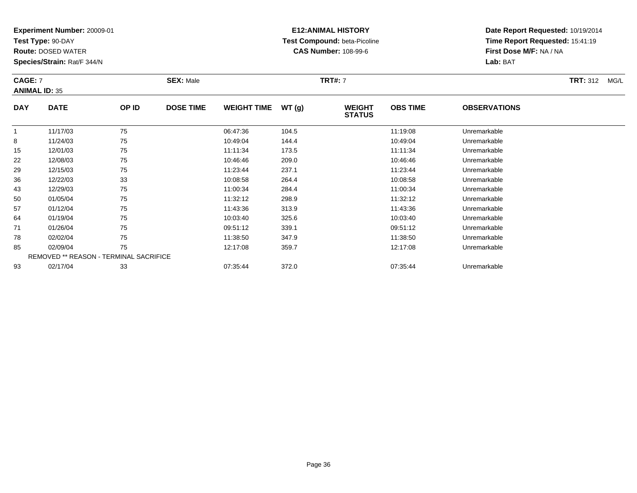**Test Type:** 90-DAY

**Route:** DOSED WATER

**Species/Strain:** Rat/F 344/N

## **E12:ANIMAL HISTORY Test Compound:** beta-Picoline**CAS Number:** 108-99-6

**Date Report Requested:** 10/19/2014**Time Report Requested:** 15:41:19**First Dose M/F:** NA / NA**Lab:** BAT

#### **CAGE:** 7 **SEX:** Male **TRT#:** <sup>7</sup> **TRT:** 312 MG/L **ANIMAL ID:** 35**DAY DATE OP IDDOSE TIME WEIGHT TIME WT** (g) **STATUSOBS TIME OBSERVATIONS** 11 11/17/03 75 75 06:47:36 104.5 11:19:08 Dhremarkable 88 11/24/03 75 75 10:49:04 144.4 10:49:04 10:49:04 10:49:04 10:49:04 10:49:04 15 12/01/03 <sup>75</sup> 11:11:34 173.5 11:11:34 Unremarkable 22 12/08/03 <sup>75</sup> 10:46:46 209.0 10:46:46 Unremarkable 299 12/15/03 75 75 11:23:44 237.1 11:23.44 11:23:44 11:23:44 Unremarkable

| 15                                            | 12/01/03 | 75 | 11:11:34 | 173.5 | 11:11:34 | Unremarkable |
|-----------------------------------------------|----------|----|----------|-------|----------|--------------|
| 22                                            | 12/08/03 | 75 | 10:46:46 | 209.0 | 10:46:46 | Unremarkable |
| 29                                            | 12/15/03 | 75 | 11:23:44 | 237.1 | 11:23:44 | Unremarkable |
| 36                                            | 12/22/03 | 33 | 10:08:58 | 264.4 | 10:08:58 | Unremarkable |
| 43                                            | 12/29/03 | 75 | 11:00:34 | 284.4 | 11:00:34 | Unremarkable |
| 50                                            | 01/05/04 | 75 | 11:32:12 | 298.9 | 11:32:12 | Unremarkable |
| 57                                            | 01/12/04 | 75 | 11:43:36 | 313.9 | 11:43:36 | Unremarkable |
| 64                                            | 01/19/04 | 75 | 10:03:40 | 325.6 | 10:03:40 | Unremarkable |
| 71                                            | 01/26/04 | 75 | 09:51:12 | 339.1 | 09:51:12 | Unremarkable |
| 78                                            | 02/02/04 | 75 | 11:38:50 | 347.9 | 11:38:50 | Unremarkable |
| 85                                            | 02/09/04 | 75 | 12:17:08 | 359.7 | 12:17:08 | Unremarkable |
| <b>REMOVED ** REASON - TERMINAL SACRIFICE</b> |          |    |          |       |          |              |
| 93                                            | 02/17/04 | 33 | 07:35:44 | 372.0 | 07:35:44 | Unremarkable |
|                                               |          |    |          |       |          |              |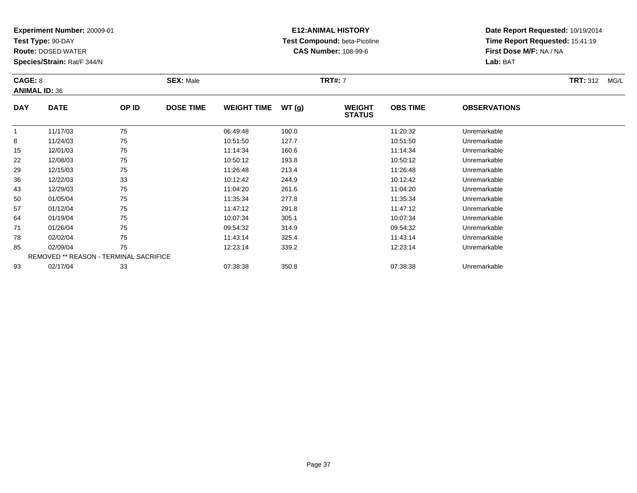**Test Type:** 90-DAY

43

50

57

64

71

78

85

93

**Route:** DOSED WATER

**Species/Strain:** Rat/F 344/N

REMOVED \*\* REASON - TERMINAL SACRIFICE

### **E12:ANIMAL HISTORY Test Compound:** beta-Picoline**CAS Number:** 108-99-6

**Date Report Requested:** 10/19/2014**Time Report Requested:** 15:41:19**First Dose M/F:** NA / NA**Lab:** BAT

| CAGE: 8<br><b>ANIMAL ID: 36</b> |             |       | <b>SEX: Male</b> |                    |       | <b>TRT#: 7</b>                 | <b>TRT: 312</b><br>MG/L |                     |  |
|---------------------------------|-------------|-------|------------------|--------------------|-------|--------------------------------|-------------------------|---------------------|--|
| <b>DAY</b>                      | <b>DATE</b> | OP ID | <b>DOSE TIME</b> | <b>WEIGHT TIME</b> | WT(g) | <b>WEIGHT</b><br><b>STATUS</b> | <b>OBS TIME</b>         | <b>OBSERVATIONS</b> |  |
|                                 | 11/17/03    | 75    |                  | 06:49:48           | 100.0 |                                | 11:20:32                | Unremarkable        |  |
| 8                               | 11/24/03    | 75    |                  | 10:51:50           | 127.7 |                                | 10:51:50                | Unremarkable        |  |
| 15                              | 12/01/03    | 75    |                  | 11:14:34           | 160.6 |                                | 11:14:34                | Unremarkable        |  |
| 22                              | 12/08/03    | 75    |                  | 10:50:12           | 193.8 |                                | 10:50:12                | Unremarkable        |  |
| 29                              | 12/15/03    | 75    |                  | 11:26:48           | 213.4 |                                | 11:26:48                | Unremarkable        |  |
| 36                              | 12/22/03    | 33    |                  | 10:12:42           | 244.9 |                                | 10:12:42                | Unremarkable        |  |

12/29/03 <sup>75</sup> 11:04:20 261.6 11:04:20 Unremarkable

0 01/05/04 75 75 11:35:34 277.8 11:35:34 Dhremarkable

01/12/04 <sup>75</sup> 11:47:12 291.8 11:47:12 Unremarkable

01/19/04 <sup>75</sup> 10:07:34 305.1 10:07:34 Unremarkable

01/26/04 <sup>75</sup> 09:54:32 314.9 09:54:32 Unremarkable

8 02/02/04 75 75 11:43:14 325.4 11:43.14 11:43:14 Dhremarkable

02/09/04 <sup>75</sup> 12:23:14 339.2 12:23:14 Unremarkable

02/17/04 <sup>33</sup> 07:38:38 350.8 07:38:38 Unremarkable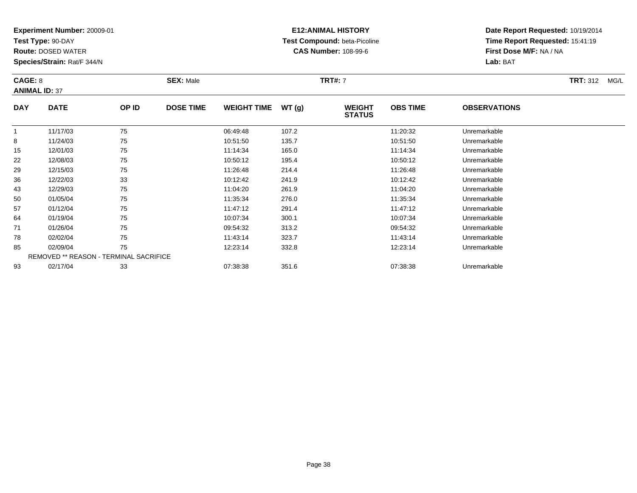**Test Type:** 90-DAY

**Route:** DOSED WATER

**Species/Strain:** Rat/F 344/N

# **E12:ANIMAL HISTORY Test Compound:** beta-Picoline**CAS Number:** 108-99-6

| CAGE: 8<br><b>ANIMAL ID: 37</b> |             |                | <b>SEX: Male</b> |                     |                      | <b>TRT#: 7</b>                 | <b>TRT: 312</b><br>MG/L |                           |  |
|---------------------------------|-------------|----------------|------------------|---------------------|----------------------|--------------------------------|-------------------------|---------------------------|--|
| <b>DAY</b>                      | <b>DATE</b> | OP ID          | <b>DOSE TIME</b> | <b>WEIGHT TIME</b>  | WT (q)               | <b>WEIGHT</b><br><b>STATUS</b> | <b>OBS TIME</b>         | <b>OBSERVATIONS</b>       |  |
|                                 | 11/17/03    | 75             |                  | 06:49:48            | 107.2                |                                | 11:20:32                | Unremarkable              |  |
| 8                               | 11/24/03    | 75             |                  | 10:51:50            | 135.7                |                                | 10:51:50                | Unremarkable              |  |
| 15                              | 12/01/03    | 75             |                  | 11:14:34            | 165.0                |                                | 11:14:34                | Unremarkable              |  |
| 22                              | 12/08/03    | 75             |                  | 10:50:12            | 195.4                |                                | 10:50:12                | Unremarkable              |  |
| $\sim$                          | 4014500     | $\overline{ }$ |                  | $\overline{110010}$ | $\sim$ $\sim$ $\sim$ |                                | $\overline{110010}$     | the company of the batter |  |

| 8  | 11/24/03 | 75                                            | 10:51:50 | 135.7 | 10:51:50 | Unremarkable |
|----|----------|-----------------------------------------------|----------|-------|----------|--------------|
| 15 | 12/01/03 | 75                                            | 11:14:34 | 165.0 | 11:14:34 | Unremarkable |
| 22 | 12/08/03 | 75                                            | 10:50:12 | 195.4 | 10:50:12 | Unremarkable |
| 29 | 12/15/03 | 75                                            | 11:26:48 | 214.4 | 11:26:48 | Unremarkable |
| 36 | 12/22/03 | 33                                            | 10:12:42 | 241.9 | 10:12:42 | Unremarkable |
| 43 | 12/29/03 | 75                                            | 11:04:20 | 261.9 | 11:04:20 | Unremarkable |
| 50 | 01/05/04 | 75                                            | 11:35:34 | 276.0 | 11:35:34 | Unremarkable |
| 57 | 01/12/04 | 75                                            | 11:47:12 | 291.4 | 11:47:12 | Unremarkable |
| 64 | 01/19/04 | 75                                            | 10:07:34 | 300.1 | 10:07:34 | Unremarkable |
| 71 | 01/26/04 | 75                                            | 09:54:32 | 313.2 | 09:54:32 | Unremarkable |
| 78 | 02/02/04 | 75                                            | 11:43:14 | 323.7 | 11:43:14 | Unremarkable |
| 85 | 02/09/04 | 75                                            | 12:23:14 | 332.8 | 12:23:14 | Unremarkable |
|    |          | <b>REMOVED ** REASON - TERMINAL SACRIFICE</b> |          |       |          |              |
| 93 | 02/17/04 | 33                                            | 07:38:38 | 351.6 | 07:38:38 | Unremarkable |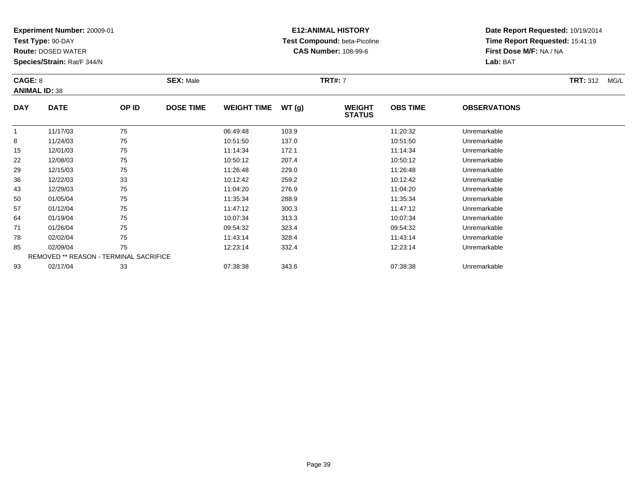**Test Type:** 90-DAY

57

64

71

78

85

93

**Route:** DOSED WATER

**Species/Strain:** Rat/F 344/N

REMOVED \*\* REASON - TERMINAL SACRIFICE

### **E12:ANIMAL HISTORY Test Compound:** beta-Picoline**CAS Number:** 108-99-6

**Date Report Requested:** 10/19/2014**Time Report Requested:** 15:41:19**First Dose M/F:** NA / NA**Lab:** BAT

| <b>CAGE: 8</b><br><b>ANIMAL ID: 38</b> |             |       | <b>SEX: Male</b> |                    |       | <b>TRT#: 7</b>                 | <b>TRT: 312</b><br>MG/L |                     |  |
|----------------------------------------|-------------|-------|------------------|--------------------|-------|--------------------------------|-------------------------|---------------------|--|
| <b>DAY</b>                             | <b>DATE</b> | OP ID | <b>DOSE TIME</b> | <b>WEIGHT TIME</b> | WT(g) | <b>WEIGHT</b><br><b>STATUS</b> | <b>OBS TIME</b>         | <b>OBSERVATIONS</b> |  |
|                                        | 11/17/03    | 75    |                  | 06:49:48           | 103.9 |                                | 11:20:32                | Unremarkable        |  |
| 8                                      | 11/24/03    | 75    |                  | 10:51:50           | 137.0 |                                | 10:51:50                | Unremarkable        |  |
| 15                                     | 12/01/03    | 75    |                  | 11:14:34           | 172.1 |                                | 11:14:34                | Unremarkable        |  |
| 22                                     | 12/08/03    | 75    |                  | 10:50:12           | 207.4 |                                | 10:50:12                | Unremarkable        |  |
| 29                                     | 12/15/03    | 75    |                  | 11:26:48           | 229.0 |                                | 11:26:48                | Unremarkable        |  |
| 36                                     | 12/22/03    | 33    |                  | 10:12:42           | 259.2 |                                | 10:12:42                | Unremarkable        |  |
| 43                                     | 12/29/03    | 75    |                  | 11:04:20           | 276.9 |                                | 11:04:20                | Unremarkable        |  |
| 50                                     | 01/05/04    | 75    |                  | 11:35:34           | 288.9 |                                | 11:35:34                | Unremarkable        |  |

01/12/04 <sup>75</sup> 11:47:12 300.3 11:47:12 Unremarkable

01/19/04 <sup>75</sup> 10:07:34 313.3 10:07:34 Unremarkable

01/26/04 <sup>75</sup> 09:54:32 323.4 09:54:32 Unremarkable

8 02/02/04 75 75 11:43:14 328.4 11:43.14 11:43:14 Dhremarkable

02/09/04 <sup>75</sup> 12:23:14 332.4 12:23:14 Unremarkable

02/17/04 <sup>33</sup> 07:38:38 343.6 07:38:38 Unremarkable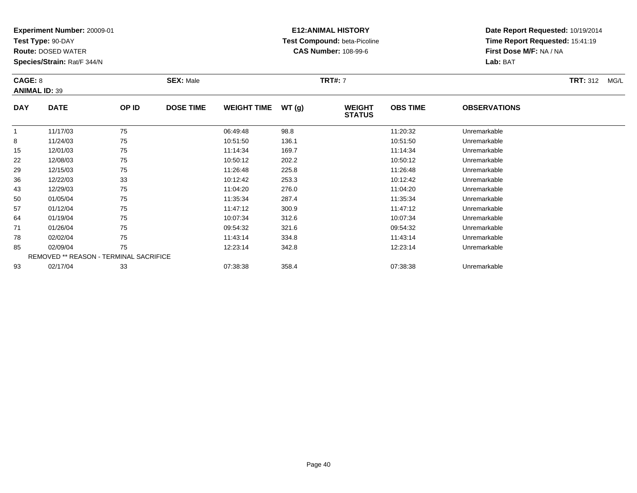**Test Type:** 90-DAY

64

71

78

85

93

**Route:** DOSED WATER

**Species/Strain:** Rat/F 344/N

REMOVED \*\* REASON - TERMINAL SACRIFICE

### **E12:ANIMAL HISTORY Test Compound:** beta-Picoline**CAS Number:** 108-99-6

**Date Report Requested:** 10/19/2014**Time Report Requested:** 15:41:19**First Dose M/F:** NA / NA**Lab:** BAT

| <b>CAGE: 8</b><br><b>ANIMAL ID: 39</b> |             |       | <b>SEX: Male</b> |                    |       | <b>TRT#: 7</b>                 | <b>TRT: 312</b><br>MG/L |                     |  |
|----------------------------------------|-------------|-------|------------------|--------------------|-------|--------------------------------|-------------------------|---------------------|--|
| <b>DAY</b>                             | <b>DATE</b> | OP ID | <b>DOSE TIME</b> | <b>WEIGHT TIME</b> | WT(g) | <b>WEIGHT</b><br><b>STATUS</b> | <b>OBS TIME</b>         | <b>OBSERVATIONS</b> |  |
|                                        | 11/17/03    | 75    |                  | 06:49:48           | 98.8  |                                | 11:20:32                | Unremarkable        |  |
| 8                                      | 11/24/03    | 75    |                  | 10:51:50           | 136.1 |                                | 10:51:50                | Unremarkable        |  |
| 15                                     | 12/01/03    | 75    |                  | 11:14:34           | 169.7 |                                | 11:14:34                | Unremarkable        |  |
| 22                                     | 12/08/03    | 75    |                  | 10:50:12           | 202.2 |                                | 10:50:12                | Unremarkable        |  |
| 29                                     | 12/15/03    | 75    |                  | 11:26:48           | 225.8 |                                | 11:26:48                | Unremarkable        |  |
| 36                                     | 12/22/03    | 33    |                  | 10:12:42           | 253.3 |                                | 10:12:42                | Unremarkable        |  |
| 43                                     | 12/29/03    | 75    |                  | 11:04:20           | 276.0 |                                | 11:04:20                | Unremarkable        |  |
| 50                                     | 01/05/04    | 75    |                  | 11:35:34           | 287.4 |                                | 11:35:34                | Unremarkable        |  |
| 57                                     | 01/12/04    | 75    |                  | 11:47:12           | 300.9 |                                | 11:47:12                | Unremarkable        |  |

01/19/04 <sup>75</sup> 10:07:34 312.6 10:07:34 Unremarkable

01/26/04 <sup>75</sup> 09:54:32 321.6 09:54:32 Unremarkable

8 02/02/04 75 75 11:43:14 334.8 11:43.14 1.43.14 Dhremarkable

02/09/04 <sup>75</sup> 12:23:14 342.8 12:23:14 Unremarkable

02/17/04 <sup>33</sup> 07:38:38 358.4 07:38:38 Unremarkable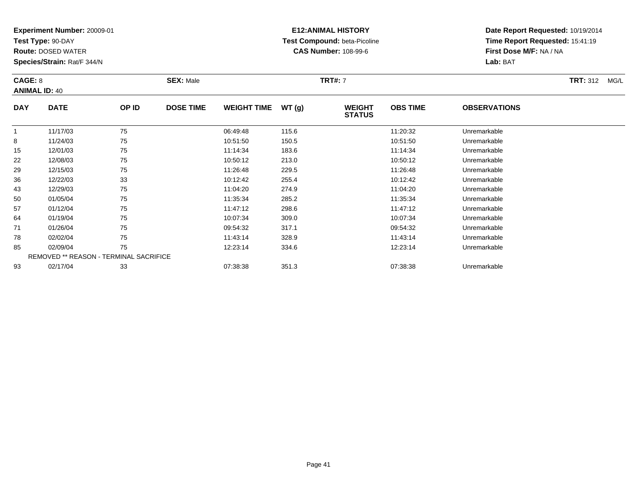**Test Type:** 90-DAY

50

57

64

71

78

85

93

**Route:** DOSED WATER

**Species/Strain:** Rat/F 344/N

REMOVED \*\* REASON - TERMINAL SACRIFICE

### **E12:ANIMAL HISTORY Test Compound:** beta-Picoline**CAS Number:** 108-99-6

**Date Report Requested:** 10/19/2014**Time Report Requested:** 15:41:19**First Dose M/F:** NA / NA**Lab:** BAT

| CAGE: 8<br><b>ANIMAL ID: 40</b> |             |       | <b>SEX: Male</b> |                    |       | <b>TRT#: 7</b>                 | <b>TRT: 312</b><br>MG/L |                     |  |
|---------------------------------|-------------|-------|------------------|--------------------|-------|--------------------------------|-------------------------|---------------------|--|
| <b>DAY</b>                      | <b>DATE</b> | OP ID | <b>DOSE TIME</b> | <b>WEIGHT TIME</b> | WT(g) | <b>WEIGHT</b><br><b>STATUS</b> | <b>OBS TIME</b>         | <b>OBSERVATIONS</b> |  |
|                                 | 11/17/03    | 75    |                  | 06:49:48           | 115.6 |                                | 11:20:32                | Unremarkable        |  |
| 8                               | 11/24/03    | 75    |                  | 10:51:50           | 150.5 |                                | 10:51:50                | Unremarkable        |  |
| 15                              | 12/01/03    | 75    |                  | 11:14:34           | 183.6 |                                | 11:14:34                | Unremarkable        |  |
| 22                              | 12/08/03    | 75    |                  | 10:50:12           | 213.0 |                                | 10:50:12                | Unremarkable        |  |
| 29                              | 12/15/03    | 75    |                  | 11:26:48           | 229.5 |                                | 11:26:48                | Unremarkable        |  |
| 36                              | 12/22/03    | 33    |                  | 10:12:42           | 255.4 |                                | 10:12:42                | Unremarkable        |  |
| 43                              | 12/29/03    | 75    |                  | 11:04:20           | 274.9 |                                | 11:04:20                | Unremarkable        |  |

0 01/05/04 75 75 11:35:34 285.2 11:35:34 11:35:34 Dhremarkable

01/12/04 <sup>75</sup> 11:47:12 298.6 11:47:12 Unremarkable

01/19/04 <sup>75</sup> 10:07:34 309.0 10:07:34 Unremarkable

01/26/04 <sup>75</sup> 09:54:32 317.1 09:54:32 Unremarkable

02/02/04 <sup>75</sup> 11:43:14 328.9 11:43:14 Unremarkable

02/09/04 <sup>75</sup> 12:23:14 334.6 12:23:14 Unremarkable

02/17/04 <sup>33</sup> 07:38:38 351.3 07:38:38 Unremarkable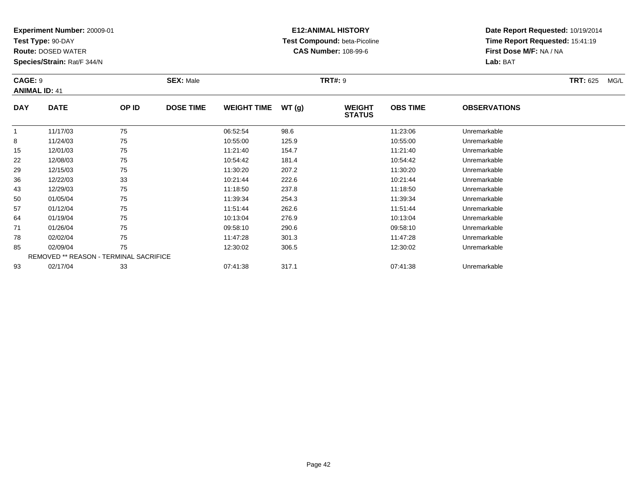**Test Type:** 90-DAY

**Route:** DOSED WATER

**Species/Strain:** Rat/F 344/N

### **E12:ANIMAL HISTORY Test Compound:** beta-Picoline**CAS Number:** 108-99-6

| <b>CAGE: 9</b><br><b>ANIMAL ID: 41</b> |             |       | <b>SEX: Male</b> |                    |       | <b>TRT#: 9</b>                 | <b>TRT: 625</b><br>MG/L |                     |  |
|----------------------------------------|-------------|-------|------------------|--------------------|-------|--------------------------------|-------------------------|---------------------|--|
| <b>DAY</b>                             | <b>DATE</b> | OP ID | <b>DOSE TIME</b> | <b>WEIGHT TIME</b> | WT(g) | <b>WEIGHT</b><br><b>STATUS</b> | <b>OBS TIME</b>         | <b>OBSERVATIONS</b> |  |
|                                        | 11/17/03    | 75    |                  | 06:52:54           | 98.6  |                                | 11:23:06                | Unremarkable        |  |
| 8                                      | 11/24/03    | 75    |                  | 10:55:00           | 125.9 |                                | 10:55:00                | Unremarkable        |  |
| 15                                     | 12/01/03    | 75    |                  | 11:21:40           | 154.7 |                                | 11:21:40                | Unremarkable        |  |
| 22                                     | 12/08/03    | 75    |                  | 10:54:42           | 181.4 |                                | 10:54:42                | Unremarkable        |  |
| 29                                     | 12/15/03    | 75    |                  | 11:30:20           | 207.2 |                                | 11:30:20                | Unremarkable        |  |
| 36                                     | 12/22/03    | 33    |                  | 10:21:44           | 222.6 |                                | 10:21:44                | Unremarkable        |  |

| 43 | 12/29/03 | 75                                            | 11:18:50 | 237.8 | 11:18:50 | Unremarkable |
|----|----------|-----------------------------------------------|----------|-------|----------|--------------|
| 50 | 01/05/04 | 75                                            | 11:39:34 | 254.3 | 11:39:34 | Unremarkable |
| 57 | 01/12/04 | 75                                            | 11:51:44 | 262.6 | 11:51:44 | Unremarkable |
| 64 | 01/19/04 | 75                                            | 10:13:04 | 276.9 | 10:13:04 | Unremarkable |
| 71 | 01/26/04 | 75                                            | 09:58:10 | 290.6 | 09:58:10 | Unremarkable |
| 78 | 02/02/04 | 75                                            | 11:47:28 | 301.3 | 11:47:28 | Unremarkable |
| 85 | 02/09/04 | 75                                            | 12:30:02 | 306.5 | 12:30:02 | Unremarkable |
|    |          | <b>REMOVED ** REASON - TERMINAL SACRIFICE</b> |          |       |          |              |
| 93 | 02/17/04 | 33                                            | 07:41:38 | 317.1 | 07:41:38 | Unremarkable |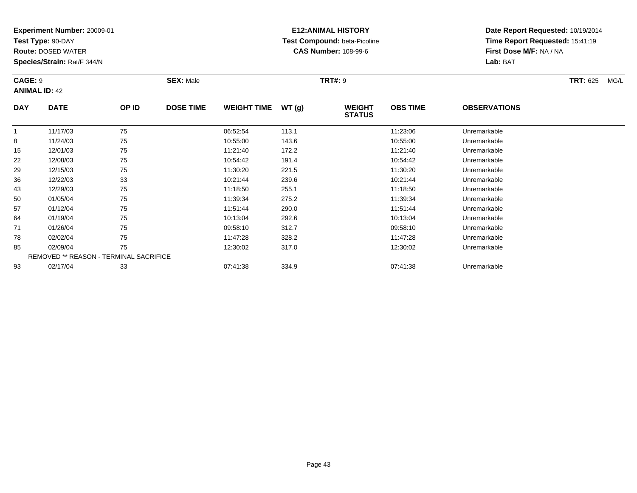**Test Type:** 90-DAY

**Route:** DOSED WATER

**Species/Strain:** Rat/F 344/N

# **E12:ANIMAL HISTORY Test Compound:** beta-Picoline**CAS Number:** 108-99-6

| CAGE: 9<br><b>ANIMAL ID: 42</b> |             |       | <b>SEX: Male</b> |                    |       | <b>TRT#: 9</b>                 | <b>TRT: 625</b><br>MG/L |                     |  |
|---------------------------------|-------------|-------|------------------|--------------------|-------|--------------------------------|-------------------------|---------------------|--|
| <b>DAY</b>                      | <b>DATE</b> | OP ID | <b>DOSE TIME</b> | <b>WEIGHT TIME</b> | WT(g) | <b>WEIGHT</b><br><b>STATUS</b> | <b>OBS TIME</b>         | <b>OBSERVATIONS</b> |  |
|                                 | 11/17/03    | 75    |                  | 06:52:54           | 113.1 |                                | 11:23:06                | Unremarkable        |  |
| 8                               | 11/24/03    | 75    |                  | 10:55:00           | 143.6 |                                | 10:55:00                | Unremarkable        |  |
| 15                              | 12/01/03    | 75    |                  | 11:21:40           | 172.2 |                                | 11:21:40                | Unremarkable        |  |
| 22                              | 12/08/03    | 75    |                  | 10:54:42           | 191.4 |                                | 10:54:42                | Unremarkable        |  |

| 8  | 11/24/03 | 75                                            | 10:55:00 | 143.6 | 10:55:00 | Unremarkable |  |
|----|----------|-----------------------------------------------|----------|-------|----------|--------------|--|
| 15 | 12/01/03 | 75                                            | 11:21:40 | 172.2 | 11:21:40 | Unremarkable |  |
| 22 | 12/08/03 | 75                                            | 10:54:42 | 191.4 | 10:54:42 | Unremarkable |  |
| 29 | 12/15/03 | 75                                            | 11:30:20 | 221.5 | 11:30:20 | Unremarkable |  |
| 36 | 12/22/03 | 33                                            | 10:21:44 | 239.6 | 10:21:44 | Unremarkable |  |
| 43 | 12/29/03 | 75                                            | 11:18:50 | 255.1 | 11:18:50 | Unremarkable |  |
| 50 | 01/05/04 | 75                                            | 11:39:34 | 275.2 | 11:39:34 | Unremarkable |  |
| 57 | 01/12/04 | 75                                            | 11:51:44 | 290.0 | 11:51:44 | Unremarkable |  |
| 64 | 01/19/04 | 75                                            | 10:13:04 | 292.6 | 10:13:04 | Unremarkable |  |
| 71 | 01/26/04 | 75                                            | 09:58:10 | 312.7 | 09:58:10 | Unremarkable |  |
| 78 | 02/02/04 | 75                                            | 11:47:28 | 328.2 | 11:47:28 | Unremarkable |  |
| 85 | 02/09/04 | 75                                            | 12:30:02 | 317.0 | 12:30:02 | Unremarkable |  |
|    |          | <b>REMOVED ** REASON - TERMINAL SACRIFICE</b> |          |       |          |              |  |
| 93 | 02/17/04 | 33                                            | 07:41:38 | 334.9 | 07:41:38 | Unremarkable |  |
|    |          |                                               |          |       |          |              |  |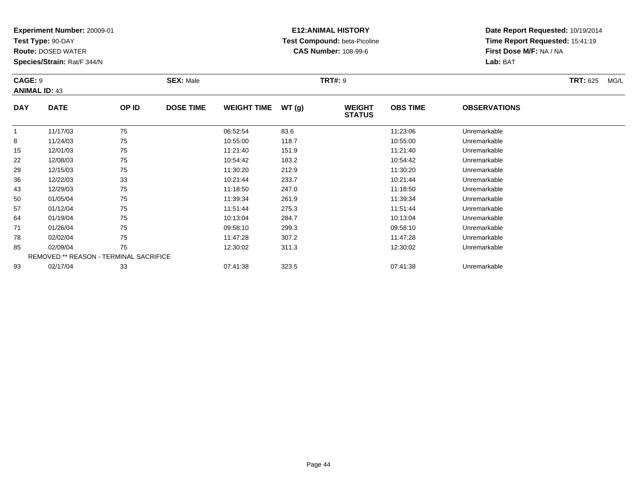**Test Type:** 90-DAY

43

50

57

64

71

78

85

93

**Route:** DOSED WATER

**Species/Strain:** Rat/F 344/N

REMOVED \*\* REASON - TERMINAL SACRIFICE

### **E12:ANIMAL HISTORY Test Compound:** beta-Picoline**CAS Number:** 108-99-6

**Date Report Requested:** 10/19/2014**Time Report Requested:** 15:41:19**First Dose M/F:** NA / NA**Lab:** BAT

| CAGE: 9<br><b>ANIMAL ID: 43</b> |             |       | <b>SEX: Male</b> |                    |       | <b>TRT#: 9</b>                 | <b>TRT: 625</b><br>MG/L |                     |  |
|---------------------------------|-------------|-------|------------------|--------------------|-------|--------------------------------|-------------------------|---------------------|--|
| <b>DAY</b>                      | <b>DATE</b> | OP ID | <b>DOSE TIME</b> | <b>WEIGHT TIME</b> | WT(g) | <b>WEIGHT</b><br><b>STATUS</b> | <b>OBS TIME</b>         | <b>OBSERVATIONS</b> |  |
|                                 | 11/17/03    | 75    |                  | 06:52:54           | 83.6  |                                | 11:23:06                | Unremarkable        |  |
| 8                               | 11/24/03    | 75    |                  | 10:55:00           | 118.7 |                                | 10:55:00                | Unremarkable        |  |
| 15                              | 12/01/03    | 75    |                  | 11:21:40           | 151.9 |                                | 11:21:40                | Unremarkable        |  |
| 22                              | 12/08/03    | 75    |                  | 10:54:42           | 183.2 |                                | 10:54:42                | Unremarkable        |  |
| 29                              | 12/15/03    | 75    |                  | 11:30:20           | 212.9 |                                | 11:30:20                | Unremarkable        |  |
| 36                              | 12/22/03    | 33    |                  | 10:21:44           | 233.7 |                                | 10:21:44                | Unremarkable        |  |

12/29/03 <sup>75</sup> 11:18:50 247.0 11:18:50 Unremarkable

01/05/04 <sup>75</sup> 11:39:34 261.9 11:39:34 Unremarkable

01/12/04 <sup>75</sup> 11:51:44 275.3 11:51:44 Unremarkable

01/19/04 <sup>75</sup> 10:13:04 284.7 10:13:04 Unremarkable

01/26/04 <sup>75</sup> 09:58:10 299.3 09:58:10 Unremarkable

02/02/04 <sup>75</sup> 11:47:28 307.2 11:47:28 Unremarkable

02/09/04 <sup>75</sup> 12:30:02 311.3 12:30:02 Unremarkable

02/17/04 <sup>33</sup> 07:41:38 323.5 07:41:38 Unremarkable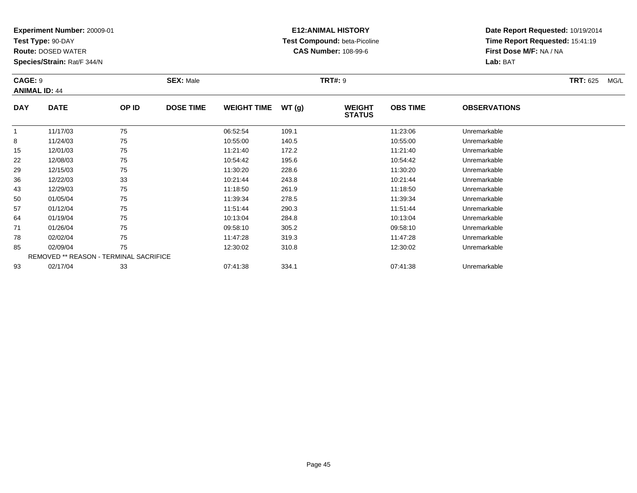**Test Type:** 90-DAY

57

64

71

78

85

93

**Route:** DOSED WATER

**Species/Strain:** Rat/F 344/N

REMOVED \*\* REASON - TERMINAL SACRIFICE

### **E12:ANIMAL HISTORY Test Compound:** beta-Picoline**CAS Number:** 108-99-6

**Date Report Requested:** 10/19/2014**Time Report Requested:** 15:41:19**First Dose M/F:** NA / NA**Lab:** BAT

| <b>CAGE: 9</b><br><b>ANIMAL ID: 44</b> |             |       | <b>SEX: Male</b> |                    |       | <b>TRT#: 9</b>                 | <b>TRT: 625</b><br>MG/L |                     |  |
|----------------------------------------|-------------|-------|------------------|--------------------|-------|--------------------------------|-------------------------|---------------------|--|
| <b>DAY</b>                             | <b>DATE</b> | OP ID | <b>DOSE TIME</b> | <b>WEIGHT TIME</b> | WT(g) | <b>WEIGHT</b><br><b>STATUS</b> | <b>OBS TIME</b>         | <b>OBSERVATIONS</b> |  |
|                                        | 11/17/03    | 75    |                  | 06:52:54           | 109.1 |                                | 11:23:06                | Unremarkable        |  |
| 8                                      | 11/24/03    | 75    |                  | 10:55:00           | 140.5 |                                | 10:55:00                | Unremarkable        |  |
| 15                                     | 12/01/03    | 75    |                  | 11:21:40           | 172.2 |                                | 11:21:40                | Unremarkable        |  |
| 22                                     | 12/08/03    | 75    |                  | 10:54:42           | 195.6 |                                | 10:54:42                | Unremarkable        |  |
| 29                                     | 12/15/03    | 75    |                  | 11:30:20           | 228.6 |                                | 11:30:20                | Unremarkable        |  |
| 36                                     | 12/22/03    | 33    |                  | 10:21:44           | 243.8 |                                | 10:21:44                | Unremarkable        |  |
| 43                                     | 12/29/03    | 75    |                  | 11:18:50           | 261.9 |                                | 11:18:50                | Unremarkable        |  |
| 50                                     | 01/05/04    | 75    |                  | 11:39:34           | 278.5 |                                | 11:39:34                | Unremarkable        |  |

01/12/04 <sup>75</sup> 11:51:44 290.3 11:51:44 Unremarkable

01/19/04 <sup>75</sup> 10:13:04 284.8 10:13:04 Unremarkable

01/26/04 <sup>75</sup> 09:58:10 305.2 09:58:10 Unremarkable

8 02/02/04 75 75 11:47:28 319.3 11:47.28 11:47:28 Dhremarkable

02/09/04 <sup>75</sup> 12:30:02 310.8 12:30:02 Unremarkable

02/17/04 <sup>33</sup> 07:41:38 334.1 07:41:38 Unremarkable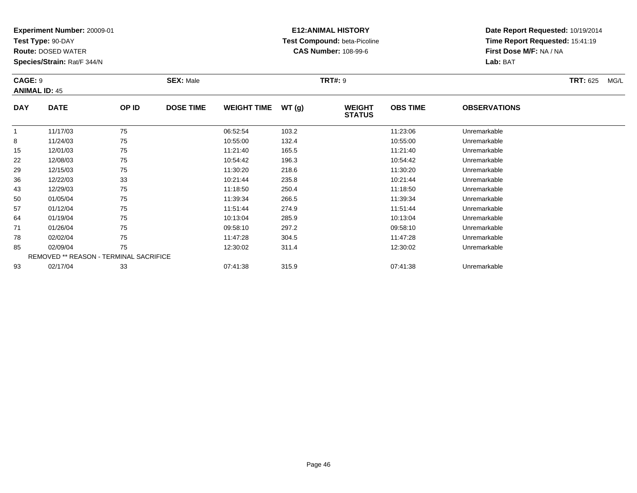**Test Type:** 90-DAY

71

78

85

93

**Route:** DOSED WATER

**Species/Strain:** Rat/F 344/N

REMOVED \*\* REASON - TERMINAL SACRIFICE

### **E12:ANIMAL HISTORY Test Compound:** beta-Picoline**CAS Number:** 108-99-6

**Date Report Requested:** 10/19/2014**Time Report Requested:** 15:41:19**First Dose M/F:** NA / NA**Lab:** BAT

| <b>CAGE: 9</b> | <b>ANIMAL ID: 45</b> |       | <b>SEX: Male</b> |                    |       | <b>TRT#: 9</b>                 | <b>TRT: 625</b><br>MG/L |                     |  |
|----------------|----------------------|-------|------------------|--------------------|-------|--------------------------------|-------------------------|---------------------|--|
| <b>DAY</b>     | <b>DATE</b>          | OP ID | <b>DOSE TIME</b> | <b>WEIGHT TIME</b> | WT(g) | <b>WEIGHT</b><br><b>STATUS</b> | <b>OBS TIME</b>         | <b>OBSERVATIONS</b> |  |
|                | 11/17/03             | 75    |                  | 06:52:54           | 103.2 |                                | 11:23:06                | Unremarkable        |  |
| 8              | 11/24/03             | 75    |                  | 10:55:00           | 132.4 |                                | 10:55:00                | Unremarkable        |  |
| 15             | 12/01/03             | 75    |                  | 11:21:40           | 165.5 |                                | 11:21:40                | Unremarkable        |  |
| 22             | 12/08/03             | 75    |                  | 10:54:42           | 196.3 |                                | 10:54:42                | Unremarkable        |  |
| 29             | 12/15/03             | 75    |                  | 11:30:20           | 218.6 |                                | 11:30:20                | Unremarkable        |  |
| 36             | 12/22/03             | 33    |                  | 10:21:44           | 235.8 |                                | 10:21:44                | Unremarkable        |  |
| 43             | 12/29/03             | 75    |                  | 11:18:50           | 250.4 |                                | 11:18:50                | Unremarkable        |  |
| 50             | 01/05/04             | 75    |                  | 11:39:34           | 266.5 |                                | 11:39:34                | Unremarkable        |  |
| 57             | 01/12/04             | 75    |                  | 11:51:44           | 274.9 |                                | 11:51:44                | Unremarkable        |  |
| 64             | 01/19/04             | 75    |                  | 10:13:04           | 285.9 |                                | 10:13:04                | Unremarkable        |  |

01/26/04 <sup>75</sup> 09:58:10 297.2 09:58:10 Unremarkable

02/02/04 <sup>75</sup> 11:47:28 304.5 11:47:28 Unremarkable

5 02/09/04 75 75 12:30:02 311.4 12:30 11.4 12:30:02 Unremarkable

02/17/04 <sup>33</sup> 07:41:38 315.9 07:41:38 Unremarkable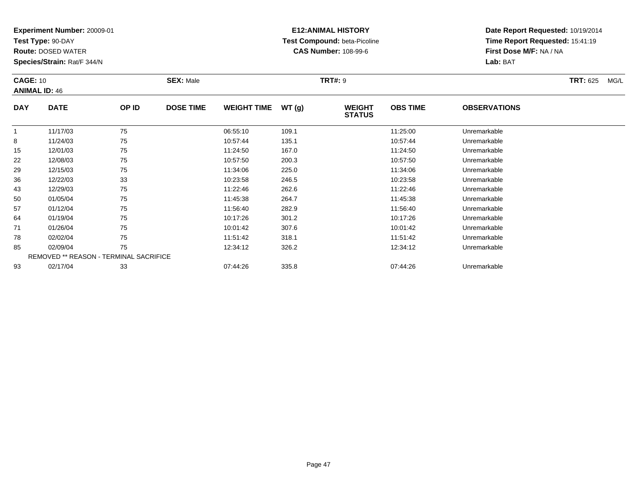**Test Type:** 90-DAY

93

**Route:** DOSED WATER

**Species/Strain:** Rat/F 344/N

REMOVED \*\* REASON - TERMINAL SACRIFICE

### **E12:ANIMAL HISTORY Test Compound:** beta-Picoline**CAS Number:** 108-99-6

**Date Report Requested:** 10/19/2014**Time Report Requested:** 15:41:19**First Dose M/F:** NA / NA**Lab:** BAT

| <b>CAGE: 10</b><br><b>ANIMAL ID: 46</b> |             |       | <b>SEX: Male</b> |                    |       | <b>TRT#: 9</b>                 |                 |                     | <b>TRT: 625</b> | MG/L |
|-----------------------------------------|-------------|-------|------------------|--------------------|-------|--------------------------------|-----------------|---------------------|-----------------|------|
| <b>DAY</b>                              | <b>DATE</b> | OP ID | <b>DOSE TIME</b> | <b>WEIGHT TIME</b> | WT(g) | <b>WEIGHT</b><br><b>STATUS</b> | <b>OBS TIME</b> | <b>OBSERVATIONS</b> |                 |      |
|                                         | 11/17/03    | 75    |                  | 06:55:10           | 109.1 |                                | 11:25:00        | Unremarkable        |                 |      |
| 8                                       | 11/24/03    | 75    |                  | 10:57:44           | 135.1 |                                | 10:57:44        | Unremarkable        |                 |      |
| 15                                      | 12/01/03    | 75    |                  | 11:24:50           | 167.0 |                                | 11:24:50        | Unremarkable        |                 |      |
| 22                                      | 12/08/03    | 75    |                  | 10:57:50           | 200.3 |                                | 10:57:50        | Unremarkable        |                 |      |
| 29                                      | 12/15/03    | 75    |                  | 11:34:06           | 225.0 |                                | 11:34:06        | Unremarkable        |                 |      |
| 36                                      | 12/22/03    | 33    |                  | 10:23:58           | 246.5 |                                | 10:23:58        | Unremarkable        |                 |      |
| 43                                      | 12/29/03    | 75    |                  | 11:22:46           | 262.6 |                                | 11:22:46        | Unremarkable        |                 |      |
| 50                                      | 01/05/04    | 75    |                  | 11:45:38           | 264.7 |                                | 11:45:38        | Unremarkable        |                 |      |
| 57                                      | 01/12/04    | 75    |                  | 11:56:40           | 282.9 |                                | 11:56:40        | Unremarkable        |                 |      |
| 64                                      | 01/19/04    | 75    |                  | 10:17:26           | 301.2 |                                | 10:17:26        | Unremarkable        |                 |      |
| 71                                      | 01/26/04    | 75    |                  | 10:01:42           | 307.6 |                                | 10:01:42        | Unremarkable        |                 |      |
| 78                                      | 02/02/04    | 75    |                  | 11:51:42           | 318.1 |                                | 11:51:42        | Unremarkable        |                 |      |
| 85                                      | 02/09/04    | 75    |                  | 12:34:12           | 326.2 |                                | 12:34:12        | Unremarkable        |                 |      |

02/17/04 <sup>33</sup> 07:44:26 335.8 07:44:26 Unremarkable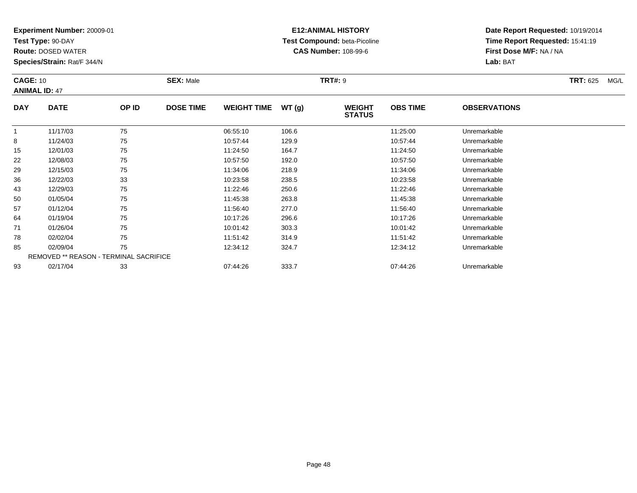**Test Type:** 90-DAY

50

57

64

71

78

85

93

**Route:** DOSED WATER

**Species/Strain:** Rat/F 344/N

REMOVED \*\* REASON - TERMINAL SACRIFICE

### **E12:ANIMAL HISTORY Test Compound:** beta-Picoline**CAS Number:** 108-99-6

**Date Report Requested:** 10/19/2014**Time Report Requested:** 15:41:19**First Dose M/F:** NA / NA**Lab:** BAT

| <b>CAGE: 10</b><br><b>ANIMAL ID: 47</b> |             |       | <b>SEX: Male</b> |                    |       | <b>TRT#: 9</b>                 | <b>TRT: 625</b><br>MG/L |                     |  |
|-----------------------------------------|-------------|-------|------------------|--------------------|-------|--------------------------------|-------------------------|---------------------|--|
| <b>DAY</b>                              | <b>DATE</b> | OP ID | <b>DOSE TIME</b> | <b>WEIGHT TIME</b> | WT(g) | <b>WEIGHT</b><br><b>STATUS</b> | <b>OBS TIME</b>         | <b>OBSERVATIONS</b> |  |
|                                         | 11/17/03    | 75    |                  | 06:55:10           | 106.6 |                                | 11:25:00                | Unremarkable        |  |
| 8                                       | 11/24/03    | 75    |                  | 10:57:44           | 129.9 |                                | 10:57:44                | Unremarkable        |  |
| 15                                      | 12/01/03    | 75    |                  | 11:24:50           | 164.7 |                                | 11:24:50                | Unremarkable        |  |
| 22                                      | 12/08/03    | 75    |                  | 10:57:50           | 192.0 |                                | 10:57:50                | Unremarkable        |  |
| 29                                      | 12/15/03    | 75    |                  | 11:34:06           | 218.9 |                                | 11:34:06                | Unremarkable        |  |
| 36                                      | 12/22/03    | 33    |                  | 10:23:58           | 238.5 |                                | 10:23:58                | Unremarkable        |  |
| 43                                      | 12/29/03    | 75    |                  | 11:22:46           | 250.6 |                                | 11:22:46                | Unremarkable        |  |

0 01/05/04 75 75 11:45:38 263.8 263.8 11:45:38 Dhremarkable

01/12/04 <sup>75</sup> 11:56:40 277.0 11:56:40 Unremarkable

01/19/04 <sup>75</sup> 10:17:26 296.6 10:17:26 Unremarkable

01/26/04 <sup>75</sup> 10:01:42 303.3 10:01:42 Unremarkable

8 02/02/04 75 75 11:51:42 314.9 314.9 11:51:42 Dhremarkable

02/09/04 <sup>75</sup> 12:34:12 324.7 12:34:12 Unremarkable

02/17/04 <sup>33</sup> 07:44:26 333.7 07:44:26 Unremarkable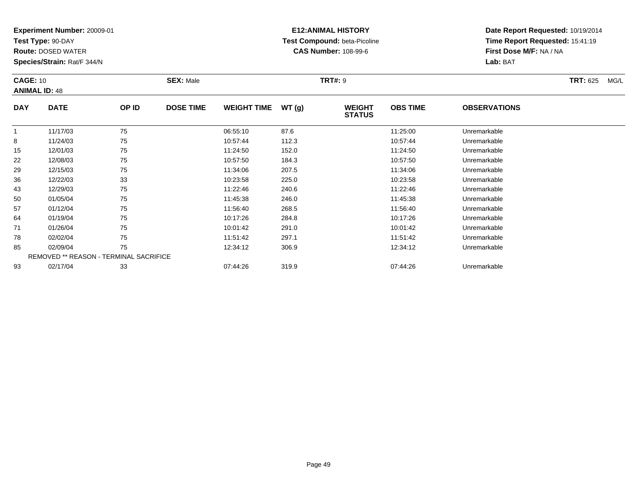**Test Type:** 90-DAY

93

**Route:** DOSED WATER

**Species/Strain:** Rat/F 344/N

REMOVED \*\* REASON - TERMINAL SACRIFICE

### **E12:ANIMAL HISTORY Test Compound:** beta-Picoline**CAS Number:** 108-99-6

**Date Report Requested:** 10/19/2014**Time Report Requested:** 15:41:19**First Dose M/F:** NA / NA**Lab:** BAT

| <b>CAGE: 10</b><br><b>ANIMAL ID: 48</b> |             |       | <b>SEX: Male</b> |                    |       | <b>TRT#: 9</b>                 |                 |                     | <b>TRT: 625</b><br>MG/L |
|-----------------------------------------|-------------|-------|------------------|--------------------|-------|--------------------------------|-----------------|---------------------|-------------------------|
| <b>DAY</b>                              | <b>DATE</b> | OP ID | <b>DOSE TIME</b> | <b>WEIGHT TIME</b> | WT(g) | <b>WEIGHT</b><br><b>STATUS</b> | <b>OBS TIME</b> | <b>OBSERVATIONS</b> |                         |
|                                         | 11/17/03    | 75    |                  | 06:55:10           | 87.6  |                                | 11:25:00        | Unremarkable        |                         |
| 8                                       | 11/24/03    | 75    |                  | 10:57:44           | 112.3 |                                | 10:57:44        | Unremarkable        |                         |
| 15                                      | 12/01/03    | 75    |                  | 11:24:50           | 152.0 |                                | 11:24:50        | Unremarkable        |                         |
| 22                                      | 12/08/03    | 75    |                  | 10:57:50           | 184.3 |                                | 10:57:50        | Unremarkable        |                         |
| 29                                      | 12/15/03    | 75    |                  | 11:34:06           | 207.5 |                                | 11:34:06        | Unremarkable        |                         |
| 36                                      | 12/22/03    | 33    |                  | 10:23:58           | 225.0 |                                | 10:23:58        | Unremarkable        |                         |
| 43                                      | 12/29/03    | 75    |                  | 11:22:46           | 240.6 |                                | 11:22:46        | Unremarkable        |                         |
| 50                                      | 01/05/04    | 75    |                  | 11:45:38           | 246.0 |                                | 11:45:38        | Unremarkable        |                         |
| 57                                      | 01/12/04    | 75    |                  | 11:56:40           | 268.5 |                                | 11:56:40        | Unremarkable        |                         |
| 64                                      | 01/19/04    | 75    |                  | 10:17:26           | 284.8 |                                | 10:17:26        | Unremarkable        |                         |
| 71                                      | 01/26/04    | 75    |                  | 10:01:42           | 291.0 |                                | 10:01:42        | Unremarkable        |                         |
| 78                                      | 02/02/04    | 75    |                  | 11:51:42           | 297.1 |                                | 11:51:42        | Unremarkable        |                         |
| 85                                      | 02/09/04    | 75    |                  | 12:34:12           | 306.9 |                                | 12:34:12        | Unremarkable        |                         |

02/17/04 <sup>33</sup> 07:44:26 319.9 07:44:26 Unremarkable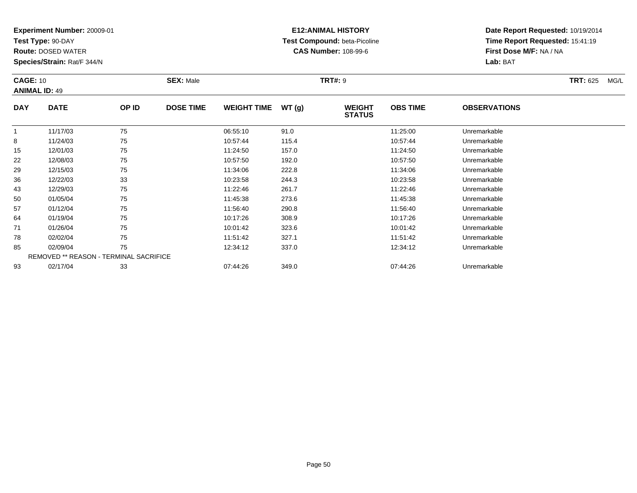**Test Type:** 90-DAY

78

85

93

**Route:** DOSED WATER

**Species/Strain:** Rat/F 344/N

### **E12:ANIMAL HISTORY Test Compound:** beta-Picoline**CAS Number:** 108-99-6

**Date Report Requested:** 10/19/2014**Time Report Requested:** 15:41:19**First Dose M/F:** NA / NA**Lab:** BAT

|            | <b>CAGE: 10</b><br><b>ANIMAL ID: 49</b> |       | <b>SEX: Male</b> |                    |       | <b>TRT#: 9</b>                 |                 | <b>TRT: 625</b><br>MG/L |  |
|------------|-----------------------------------------|-------|------------------|--------------------|-------|--------------------------------|-----------------|-------------------------|--|
| <b>DAY</b> | <b>DATE</b>                             | OP ID | <b>DOSE TIME</b> | <b>WEIGHT TIME</b> | WT(g) | <b>WEIGHT</b><br><b>STATUS</b> | <b>OBS TIME</b> | <b>OBSERVATIONS</b>     |  |
|            | 11/17/03                                | 75    |                  | 06:55:10           | 91.0  |                                | 11:25:00        | Unremarkable            |  |
| 8          | 11/24/03                                | 75    |                  | 10:57:44           | 115.4 |                                | 10:57:44        | Unremarkable            |  |
| 15         | 12/01/03                                | 75    |                  | 11:24:50           | 157.0 |                                | 11:24:50        | Unremarkable            |  |
| 22         | 12/08/03                                | 75    |                  | 10:57:50           | 192.0 |                                | 10:57:50        | Unremarkable            |  |
| 29         | 12/15/03                                | 75    |                  | 11:34:06           | 222.8 |                                | 11:34:06        | Unremarkable            |  |
| 36         | 12/22/03                                | 33    |                  | 10:23:58           | 244.3 |                                | 10:23:58        | Unremarkable            |  |
| 43         | 12/29/03                                | 75    |                  | 11:22:46           | 261.7 |                                | 11:22:46        | Unremarkable            |  |
| 50         | 01/05/04                                | 75    |                  | 11:45:38           | 273.6 |                                | 11:45:38        | Unremarkable            |  |
| 57         | 01/12/04                                | 75    |                  | 11:56:40           | 290.8 |                                | 11:56:40        | Unremarkable            |  |
| 64         | 01/19/04                                | 75    |                  | 10:17:26           | 308.9 |                                | 10:17:26        | Unremarkable            |  |
| 71         | 01/26/04                                | 75    |                  | 10:01:42           | 323.6 |                                | 10:01:42        | Unremarkable            |  |

8 02/02/04 75 75 11:51:42 327.1 11:51:42 11:51:42 Dhremarkable

02/09/04 <sup>75</sup> 12:34:12 337.0 12:34:12 Unremarkable

02/17/04 <sup>33</sup> 07:44:26 349.0 07:44:26 Unremarkable

REMOVED \*\* REASON - TERMINAL SACRIFICE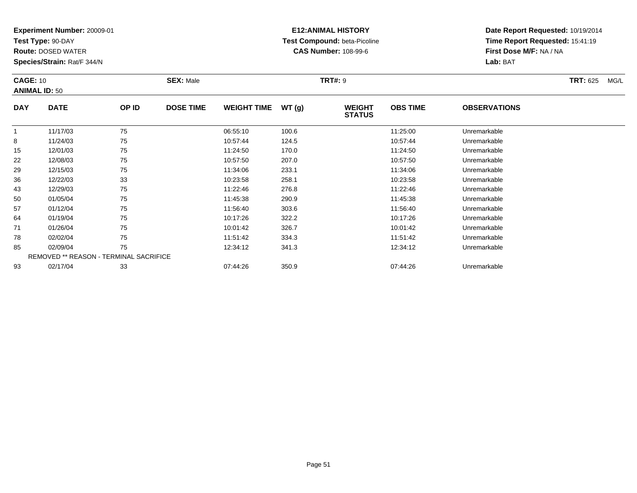**Test Type:** 90-DAY

85

93

**Route:** DOSED WATER

**Species/Strain:** Rat/F 344/N

REMOVED \*\* REASON - TERMINAL SACRIFICE

### **E12:ANIMAL HISTORY Test Compound:** beta-Picoline**CAS Number:** 108-99-6

**Date Report Requested:** 10/19/2014**Time Report Requested:** 15:41:19**First Dose M/F:** NA / NA**Lab:** BAT

| <b>CAGE: 10</b><br><b>ANIMAL ID: 50</b> |             |       | <b>SEX: Male</b> |                    |       | <b>TRT#: 9</b>                 |                 |                     | <b>TRT: 625</b> | MG/L |
|-----------------------------------------|-------------|-------|------------------|--------------------|-------|--------------------------------|-----------------|---------------------|-----------------|------|
| <b>DAY</b>                              | <b>DATE</b> | OP ID | <b>DOSE TIME</b> | <b>WEIGHT TIME</b> | WT(g) | <b>WEIGHT</b><br><b>STATUS</b> | <b>OBS TIME</b> | <b>OBSERVATIONS</b> |                 |      |
|                                         | 11/17/03    | 75    |                  | 06:55:10           | 100.6 |                                | 11:25:00        | Unremarkable        |                 |      |
| 8                                       | 11/24/03    | 75    |                  | 10:57:44           | 124.5 |                                | 10:57:44        | Unremarkable        |                 |      |
| 15                                      | 12/01/03    | 75    |                  | 11:24:50           | 170.0 |                                | 11:24:50        | Unremarkable        |                 |      |
| 22                                      | 12/08/03    | 75    |                  | 10:57:50           | 207.0 |                                | 10:57:50        | Unremarkable        |                 |      |
| 29                                      | 12/15/03    | 75    |                  | 11:34:06           | 233.1 |                                | 11:34:06        | Unremarkable        |                 |      |
| 36                                      | 12/22/03    | 33    |                  | 10:23:58           | 258.1 |                                | 10:23:58        | Unremarkable        |                 |      |
| 43                                      | 12/29/03    | 75    |                  | 11:22:46           | 276.8 |                                | 11:22:46        | Unremarkable        |                 |      |
| 50                                      | 01/05/04    | 75    |                  | 11:45:38           | 290.9 |                                | 11:45:38        | Unremarkable        |                 |      |
| 57                                      | 01/12/04    | 75    |                  | 11:56:40           | 303.6 |                                | 11:56:40        | Unremarkable        |                 |      |
| 64                                      | 01/19/04    | 75    |                  | 10:17:26           | 322.2 |                                | 10:17:26        | Unremarkable        |                 |      |
| 71                                      | 01/26/04    | 75    |                  | 10:01:42           | 326.7 |                                | 10:01:42        | Unremarkable        |                 |      |
| 78                                      | 02/02/04    | 75    |                  | 11:51:42           | 334.3 |                                | 11:51:42        | Unremarkable        |                 |      |

02/09/04 <sup>75</sup> 12:34:12 341.3 12:34:12 Unremarkable

02/17/04 <sup>33</sup> 07:44:26 350.9 07:44:26 Unremarkable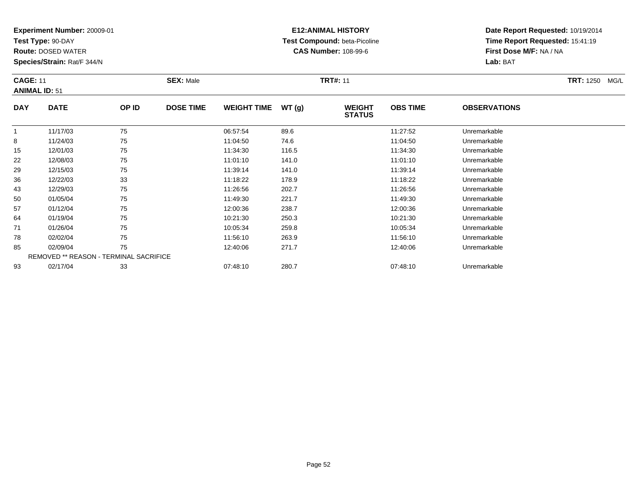**Test Type:** 90-DAY

15

22

29

36

43

50

57

64

71

78

85

93

**Route:** DOSED WATER

**Species/Strain:** Rat/F 344/N

REMOVED \*\* REASON - TERMINAL SACRIFICE

### **E12:ANIMAL HISTORY Test Compound:** beta-Picoline**CAS Number:** 108-99-6

**Date Report Requested:** 10/19/2014**Time Report Requested:** 15:41:19**First Dose M/F:** NA / NA**Lab:** BAT

| <b>CAGE: 11</b> | <b>ANIMAL ID: 51</b> |       | <b>SEX: Male</b> |                    |        | <b>TRT#: 11</b>                | <b>TRT: 1250</b><br>MG/L |                     |  |
|-----------------|----------------------|-------|------------------|--------------------|--------|--------------------------------|--------------------------|---------------------|--|
| <b>DAY</b>      | <b>DATE</b>          | OP ID | <b>DOSE TIME</b> | <b>WEIGHT TIME</b> | WT (g) | <b>WEIGHT</b><br><b>STATUS</b> | <b>OBS TIME</b>          | <b>OBSERVATIONS</b> |  |
|                 | 11/17/03             | 75    |                  | 06:57:54           | 89.6   |                                | 11:27:52                 | Unremarkable        |  |
| 8               | 11/24/03             | 75    |                  | 11:04:50           | 74.6   |                                | 11:04:50                 | Unremarkable        |  |

8 11/24/03 75 75 11:04:50 74.6 74.6 11:04:50 11:04:50 Dhremarkable

12/01/03 <sup>75</sup> 11:34:30 116.5 11:34:30 Unremarkable

12/08/03 <sup>75</sup> 11:01:10 141.0 11:01:10 Unremarkable

12/15/03 <sup>75</sup> 11:39:14 141.0 11:39:14 Unremarkable

12/22/03 <sup>33</sup> 11:18:22 178.9 11:18:22 Unremarkable

12/29/03 <sup>75</sup> 11:26:56 202.7 11:26:56 Unremarkable

0 01/05/04 75 75 11:49:30 221.7 11:49.30 11:49.30 11:49:30 Unremarkable

01/12/04 <sup>75</sup> 12:00:36 238.7 12:00:36 Unremarkable

01/19/04 <sup>75</sup> 10:21:30 250.3 10:21:30 Unremarkable

01/26/04 <sup>75</sup> 10:05:34 259.8 10:05:34 Unremarkable

02/02/04 <sup>75</sup> 11:56:10 263.9 11:56:10 Unremarkable

5 02/09/04 75 75 12:40:06 271.7 12:40.06 12:40:06 12:40:06 Dhremarkable

02/17/04 <sup>33</sup> 07:48:10 280.7 07:48:10 Unremarkable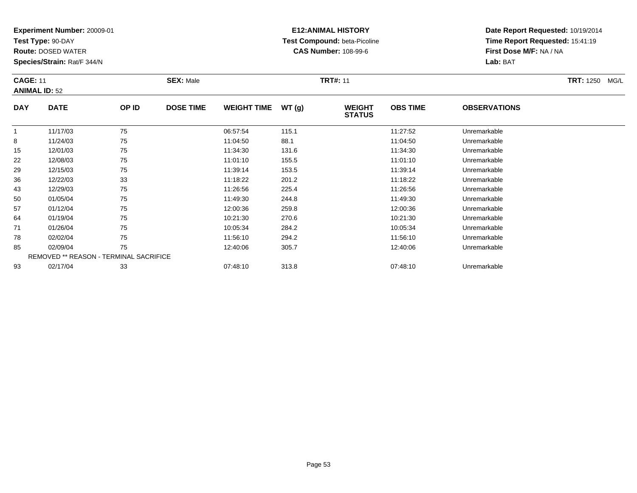**Test Type:** 90-DAY

**Route:** DOSED WATER

**Species/Strain:** Rat/F 344/N

# **E12:ANIMAL HISTORY Test Compound:** beta-Picoline**CAS Number:** 108-99-6

|            | <b>CAGE: 11</b><br><b>ANIMAL ID: 52</b> |       |                  | <b>SEX: Male</b>   |        |                                | <b>TRT#: 11</b> |                     |  |  |
|------------|-----------------------------------------|-------|------------------|--------------------|--------|--------------------------------|-----------------|---------------------|--|--|
| <b>DAY</b> | <b>DATE</b>                             | OP ID | <b>DOSE TIME</b> | <b>WEIGHT TIME</b> | WT (q) | <b>WEIGHT</b><br><b>STATUS</b> | <b>OBS TIME</b> | <b>OBSERVATIONS</b> |  |  |
|            | 11/17/03                                | 75    |                  | 06:57:54           | 115.1  |                                | 11:27:52        | Unremarkable        |  |  |
| 8          | 11/24/03                                | 75    |                  | 11:04:50           | 88.1   |                                | 11:04:50        | Unremarkable        |  |  |
| 15         | 12/01/03                                | 75    |                  | 11:34:30           | 131.6  |                                | 11:34:30        | Unremarkable        |  |  |

| 15 | 12/01/03 | 75                                            | 11:34:30 | 131.6 | 11:34:30 | Unremarkable |  |
|----|----------|-----------------------------------------------|----------|-------|----------|--------------|--|
| 22 | 12/08/03 | 75                                            | 11:01:10 | 155.5 | 11:01:10 | Unremarkable |  |
| 29 | 12/15/03 | 75                                            | 11:39:14 | 153.5 | 11:39:14 | Unremarkable |  |
| 36 | 12/22/03 | 33                                            | 11:18:22 | 201.2 | 11:18:22 | Unremarkable |  |
| 43 | 12/29/03 | 75                                            | 11:26:56 | 225.4 | 11:26:56 | Unremarkable |  |
| 50 | 01/05/04 | 75                                            | 11:49:30 | 244.8 | 11:49:30 | Unremarkable |  |
| 57 | 01/12/04 | 75                                            | 12:00:36 | 259.8 | 12:00:36 | Unremarkable |  |
| 64 | 01/19/04 | 75                                            | 10:21:30 | 270.6 | 10:21:30 | Unremarkable |  |
| 71 | 01/26/04 | 75                                            | 10:05:34 | 284.2 | 10:05:34 | Unremarkable |  |
| 78 | 02/02/04 | 75                                            | 11:56:10 | 294.2 | 11:56:10 | Unremarkable |  |
| 85 | 02/09/04 | 75                                            | 12:40:06 | 305.7 | 12:40:06 | Unremarkable |  |
|    |          | <b>REMOVED ** REASON - TERMINAL SACRIFICE</b> |          |       |          |              |  |
| 93 | 02/17/04 | 33                                            | 07:48:10 | 313.8 | 07:48:10 | Unremarkable |  |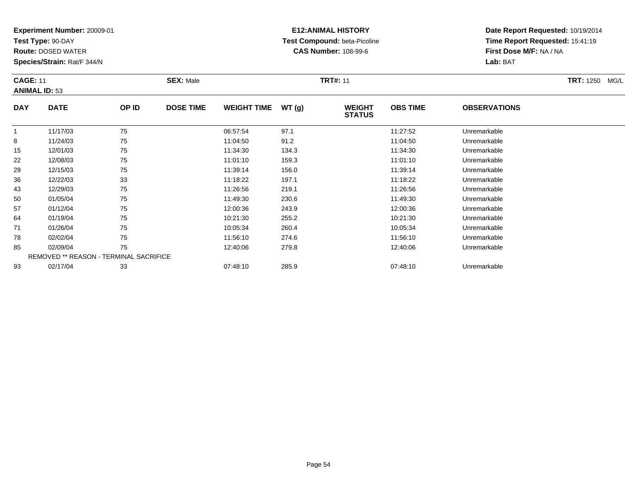**Test Type:** 90-DAY

**Route:** DOSED WATER

**Species/Strain:** Rat/F 344/N

# **E12:ANIMAL HISTORY Test Compound:** beta-Picoline**CAS Number:** 108-99-6

|            | <b>CAGE: 11</b><br><b>SEX: Male</b><br><b>ANIMAL ID: 53</b> |       |                  |                    |       | <b>TRT#: 11</b>                |                 | <b>TRT:</b> 1250 MG/L |  |
|------------|-------------------------------------------------------------|-------|------------------|--------------------|-------|--------------------------------|-----------------|-----------------------|--|
| <b>DAY</b> | <b>DATE</b>                                                 | OP ID | <b>DOSE TIME</b> | <b>WEIGHT TIME</b> | WT(g) | <b>WEIGHT</b><br><b>STATUS</b> | <b>OBS TIME</b> | <b>OBSERVATIONS</b>   |  |
|            | 11/17/03                                                    | 75    |                  | 06:57:54           | 97.1  |                                | 11:27:52        | Unremarkable          |  |
| 8          | 11/24/03                                                    | 75    |                  | 11:04:50           | 91.2  |                                | 11:04:50        | Unremarkable          |  |
| .          | $1 - 1 - 1 - 1 - 1$                                         | $- -$ |                  | .                  | .     |                                | .               |                       |  |

| 8  | 11/24/03 | 75                                            | 11:04:50 | 91.2  | 11:04:50 | Unremarkable |  |
|----|----------|-----------------------------------------------|----------|-------|----------|--------------|--|
| 15 | 12/01/03 | 75                                            | 11:34:30 | 134.3 | 11:34:30 | Unremarkable |  |
| 22 | 12/08/03 | 75                                            | 11:01:10 | 159.3 | 11:01:10 | Unremarkable |  |
| 29 | 12/15/03 | 75                                            | 11:39:14 | 156.0 | 11:39:14 | Unremarkable |  |
| 36 | 12/22/03 | 33                                            | 11:18:22 | 197.1 | 11:18:22 | Unremarkable |  |
| 43 | 12/29/03 | 75                                            | 11:26:56 | 219.1 | 11:26:56 | Unremarkable |  |
| 50 | 01/05/04 | 75                                            | 11:49:30 | 230.6 | 11:49:30 | Unremarkable |  |
| 57 | 01/12/04 | 75                                            | 12:00:36 | 243.9 | 12:00:36 | Unremarkable |  |
| 64 | 01/19/04 | 75                                            | 10:21:30 | 255.2 | 10:21:30 | Unremarkable |  |
| 71 | 01/26/04 | 75                                            | 10:05:34 | 260.4 | 10:05:34 | Unremarkable |  |
| 78 | 02/02/04 | 75                                            | 11:56:10 | 274.6 | 11:56:10 | Unremarkable |  |
| 85 | 02/09/04 | 75                                            | 12:40:06 | 279.8 | 12:40:06 | Unremarkable |  |
|    |          | <b>REMOVED ** REASON - TERMINAL SACRIFICE</b> |          |       |          |              |  |
| 93 | 02/17/04 | 33                                            | 07:48:10 | 285.9 | 07:48:10 | Unremarkable |  |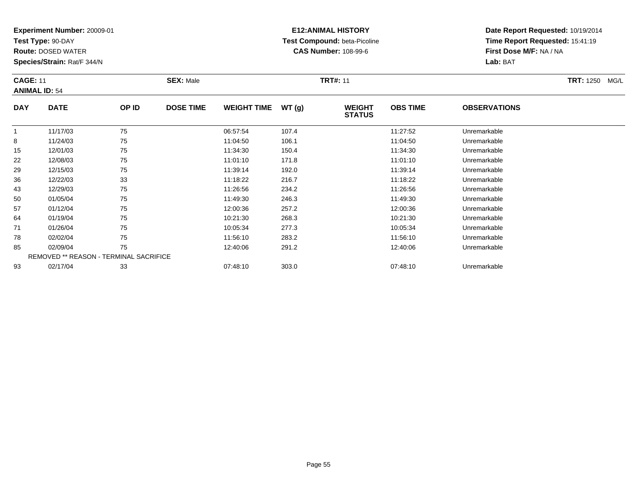**Test Type:** 90-DAY

**Route:** DOSED WATER

**Species/Strain:** Rat/F 344/N

# **E12:ANIMAL HISTORY Test Compound:** beta-Picoline**CAS Number:** 108-99-6

| <b>CAGE: 11</b> | <b>ANIMAL ID: 54</b> |       | <b>SEX: Male</b> |                    |       | <b>TRT#: 11</b>                |                 |                     | <b>TRT:</b> 1250 MG/L |
|-----------------|----------------------|-------|------------------|--------------------|-------|--------------------------------|-----------------|---------------------|-----------------------|
| <b>DAY</b>      | <b>DATE</b>          | OP ID | <b>DOSE TIME</b> | <b>WEIGHT TIME</b> | WT(g) | <b>WEIGHT</b><br><b>STATUS</b> | <b>OBS TIME</b> | <b>OBSERVATIONS</b> |                       |
|                 | 11/17/03             | 75    |                  | 06:57:54           | 107.4 |                                | 11:27:52        | Unremarkable        |                       |
| 8               | 11/24/03             | 75    |                  | 11:04:50           | 106.1 |                                | 11:04:50        | Unremarkable        |                       |
| 15              | 12/01/03             | 75    |                  | 11:34:30           | 150.4 |                                | 11:34:30        | Unremarkable        |                       |
| 22              | 12/08/03             | 75    |                  | 11:01:10           | 171.8 |                                | 11:01:10        | Unremarkable        |                       |
| 20              | 12/15/03             | 75    |                  | 11.30.14           | 102 N |                                | 11.30.14        | l Inromarkahlo      |                       |

|    | 11/17/03 | 75                                            | 06:57:54 | 107.4 | 11:27:52 | Unremarkable |  |
|----|----------|-----------------------------------------------|----------|-------|----------|--------------|--|
| 8  | 11/24/03 | 75                                            | 11:04:50 | 106.1 | 11:04:50 | Unremarkable |  |
| 15 | 12/01/03 | 75                                            | 11:34:30 | 150.4 | 11:34:30 | Unremarkable |  |
| 22 | 12/08/03 | 75                                            | 11:01:10 | 171.8 | 11:01:10 | Unremarkable |  |
| 29 | 12/15/03 | 75                                            | 11:39:14 | 192.0 | 11:39:14 | Unremarkable |  |
| 36 | 12/22/03 | 33                                            | 11:18:22 | 216.7 | 11:18:22 | Unremarkable |  |
| 43 | 12/29/03 | 75                                            | 11:26:56 | 234.2 | 11:26:56 | Unremarkable |  |
| 50 | 01/05/04 | 75                                            | 11:49:30 | 246.3 | 11:49:30 | Unremarkable |  |
| 57 | 01/12/04 | 75                                            | 12:00:36 | 257.2 | 12:00:36 | Unremarkable |  |
| 64 | 01/19/04 | 75                                            | 10:21:30 | 268.3 | 10:21:30 | Unremarkable |  |
| 71 | 01/26/04 | 75                                            | 10:05:34 | 277.3 | 10:05:34 | Unremarkable |  |
| 78 | 02/02/04 | 75                                            | 11:56:10 | 283.2 | 11:56:10 | Unremarkable |  |
| 85 | 02/09/04 | 75                                            | 12:40:06 | 291.2 | 12:40:06 | Unremarkable |  |
|    |          | <b>REMOVED ** REASON - TERMINAL SACRIFICE</b> |          |       |          |              |  |
| 93 | 02/17/04 | 33                                            | 07:48:10 | 303.0 | 07:48:10 | Unremarkable |  |
|    |          |                                               |          |       |          |              |  |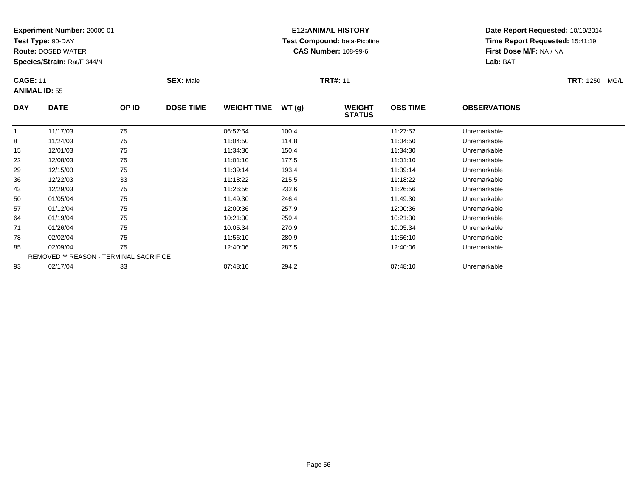**Test Type:** 90-DAY

**Route:** DOSED WATER

**Species/Strain:** Rat/F 344/N

# **E12:ANIMAL HISTORY Test Compound:** beta-Picoline**CAS Number:** 108-99-6

| <b>CAGE: 11</b><br><b>ANIMAL ID: 55</b> |             |       | <b>SEX: Male</b> |                    |       | <b>TRT#: 11</b>                | <b>TRT:</b> 1250 MG/L |                      |  |
|-----------------------------------------|-------------|-------|------------------|--------------------|-------|--------------------------------|-----------------------|----------------------|--|
| <b>DAY</b>                              | <b>DATE</b> | OP ID | <b>DOSE TIME</b> | <b>WEIGHT TIME</b> | WT(q) | <b>WEIGHT</b><br><b>STATUS</b> | <b>OBS TIME</b>       | <b>OBSERVATIONS</b>  |  |
|                                         | 11/17/03    | 75    |                  | 06:57:54           | 100.4 |                                | 11:27:52              | Unremarkable         |  |
| 8                                       | 11/24/03    | 75    |                  | 11:04:50           | 114.8 |                                | 11:04:50              | Unremarkable         |  |
| 15                                      | 12/01/03    | 75    |                  | 11:34:30           | 150.4 |                                | 11:34:30              | Unremarkable         |  |
| ົດດ                                     | 10/00/02    | 75    |                  | 11.01.10           | 477E  |                                | 44.04.40              | <b>Llaramarkahla</b> |  |

| 8  | 11/24/03 | 75                                            | 11:04:50 | 114.8 | 11:04:50 | Unremarkable |
|----|----------|-----------------------------------------------|----------|-------|----------|--------------|
| 15 | 12/01/03 | 75                                            | 11:34:30 | 150.4 | 11:34:30 | Unremarkable |
| 22 | 12/08/03 | 75                                            | 11:01:10 | 177.5 | 11:01:10 | Unremarkable |
| 29 | 12/15/03 | 75                                            | 11:39:14 | 193.4 | 11:39:14 | Unremarkable |
| 36 | 12/22/03 | 33                                            | 11:18:22 | 215.5 | 11:18:22 | Unremarkable |
| 43 | 12/29/03 | 75                                            | 11:26:56 | 232.6 | 11:26:56 | Unremarkable |
| 50 | 01/05/04 | 75                                            | 11:49:30 | 246.4 | 11:49:30 | Unremarkable |
| 57 | 01/12/04 | 75                                            | 12:00:36 | 257.9 | 12:00:36 | Unremarkable |
| 64 | 01/19/04 | 75                                            | 10:21:30 | 259.4 | 10:21:30 | Unremarkable |
| 71 | 01/26/04 | 75                                            | 10:05:34 | 270.9 | 10:05:34 | Unremarkable |
| 78 | 02/02/04 | 75                                            | 11:56:10 | 280.9 | 11:56:10 | Unremarkable |
| 85 | 02/09/04 | 75                                            | 12:40:06 | 287.5 | 12:40:06 | Unremarkable |
|    |          | <b>REMOVED ** REASON - TERMINAL SACRIFICE</b> |          |       |          |              |
| 93 | 02/17/04 | 33                                            | 07:48:10 | 294.2 | 07:48:10 | Unremarkable |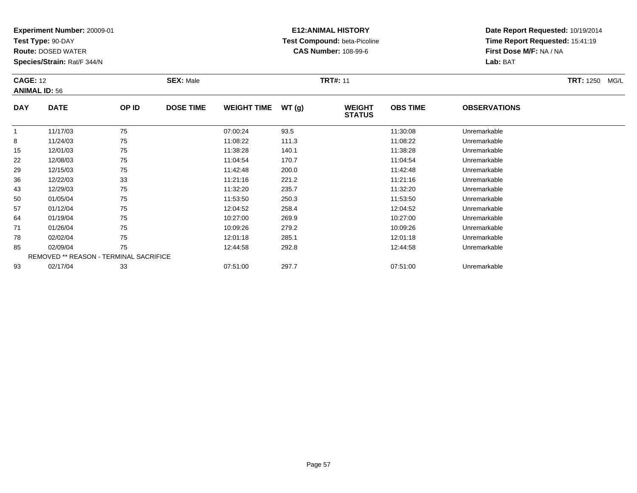**Test Type:** 90-DAY

64

71

78

85

93

**Route:** DOSED WATER

**Species/Strain:** Rat/F 344/N

REMOVED \*\* REASON - TERMINAL SACRIFICE

### **E12:ANIMAL HISTORY Test Compound:** beta-Picoline**CAS Number:** 108-99-6

**Date Report Requested:** 10/19/2014**Time Report Requested:** 15:41:19**First Dose M/F:** NA / NA**Lab:** BAT

| <b>CAGE: 12</b><br><b>ANIMAL ID: 56</b> |             |       | <b>SEX: Male</b> |                    |       | <b>TRT#: 11</b>                | <b>TRT: 1250</b><br>MG/L |                     |  |
|-----------------------------------------|-------------|-------|------------------|--------------------|-------|--------------------------------|--------------------------|---------------------|--|
| <b>DAY</b>                              | <b>DATE</b> | OP ID | <b>DOSE TIME</b> | <b>WEIGHT TIME</b> | WT(g) | <b>WEIGHT</b><br><b>STATUS</b> | <b>OBS TIME</b>          | <b>OBSERVATIONS</b> |  |
|                                         | 11/17/03    | 75    |                  | 07:00:24           | 93.5  |                                | 11:30:08                 | Unremarkable        |  |
| 8                                       | 11/24/03    | 75    |                  | 11:08:22           | 111.3 |                                | 11:08:22                 | Unremarkable        |  |
| 15                                      | 12/01/03    | 75    |                  | 11:38:28           | 140.1 |                                | 11:38:28                 | Unremarkable        |  |
| 22                                      | 12/08/03    | 75    |                  | 11:04:54           | 170.7 |                                | 11:04:54                 | Unremarkable        |  |
| 29                                      | 12/15/03    | 75    |                  | 11:42:48           | 200.0 |                                | 11:42:48                 | Unremarkable        |  |
| 36                                      | 12/22/03    | 33    |                  | 11:21:16           | 221.2 |                                | 11:21:16                 | Unremarkable        |  |
| 43                                      | 12/29/03    | 75    |                  | 11:32:20           | 235.7 |                                | 11:32:20                 | Unremarkable        |  |
| 50                                      | 01/05/04    | 75    |                  | 11:53:50           | 250.3 |                                | 11:53:50                 | Unremarkable        |  |
| 57                                      | 01/12/04    | 75    |                  | 12:04:52           | 258.4 |                                | 12:04:52                 | Unremarkable        |  |

01/19/04 <sup>75</sup> 10:27:00 269.9 10:27:00 Unremarkable

01/26/04 <sup>75</sup> 10:09:26 279.2 10:09:26 Unremarkable

8 02/02/04 75 75 12:01:18 285.1 12:03 13:03 13:01:18 285.1 12:01:18 Dhremarkable

02/09/04 <sup>75</sup> 12:44:58 292.8 12:44:58 Unremarkable

3 02/17/04 33 3 07:51:00 297.7 07:51:00 07:51:00 07:51:00 Dhremarkable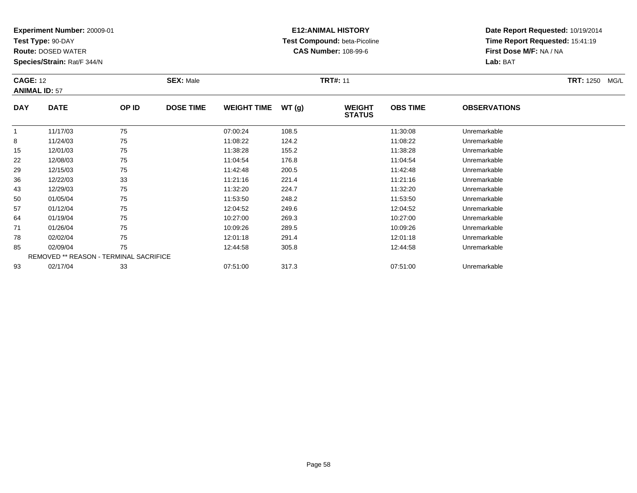**Test Type:** 90-DAY

**Route:** DOSED WATER

**Species/Strain:** Rat/F 344/N

# **E12:ANIMAL HISTORY Test Compound:** beta-Picoline**CAS Number:** 108-99-6

| <b>CAGE: 12</b><br><b>ANIMAL ID: 57</b> |             |       | <b>SEX: Male</b> |                    |       | <b>TRT#: 11</b>                | <b>TRT: 1250</b><br>MG/L |                     |  |
|-----------------------------------------|-------------|-------|------------------|--------------------|-------|--------------------------------|--------------------------|---------------------|--|
| <b>DAY</b>                              | <b>DATE</b> | OP ID | <b>DOSE TIME</b> | <b>WEIGHT TIME</b> | WT(g) | <b>WEIGHT</b><br><b>STATUS</b> | <b>OBS TIME</b>          | <b>OBSERVATIONS</b> |  |
|                                         | 11/17/03    | 75    |                  | 07:00:24           | 108.5 |                                | 11:30:08                 | Unremarkable        |  |
| 8                                       | 11/24/03    | 75    |                  | 11:08:22           | 124.2 |                                | 11:08:22                 | Unremarkable        |  |
| 15                                      | 12/01/03    | 75    |                  | 11:38:28           | 155.2 |                                | 11:38:28                 | Unremarkable        |  |

| 8  | 11/24/03 | 75                                            | 11:08:22 | 124.2 | 11:08:22 | Unremarkable |  |
|----|----------|-----------------------------------------------|----------|-------|----------|--------------|--|
| 15 | 12/01/03 | 75                                            | 11:38:28 | 155.2 | 11:38:28 | Unremarkable |  |
| 22 | 12/08/03 | 75                                            | 11:04:54 | 176.8 | 11:04:54 | Unremarkable |  |
| 29 | 12/15/03 | 75                                            | 11:42:48 | 200.5 | 11:42:48 | Unremarkable |  |
| 36 | 12/22/03 | 33                                            | 11:21:16 | 221.4 | 11:21:16 | Unremarkable |  |
| 43 | 12/29/03 | 75                                            | 11:32:20 | 224.7 | 11:32:20 | Unremarkable |  |
| 50 | 01/05/04 | 75                                            | 11:53:50 | 248.2 | 11:53:50 | Unremarkable |  |
| 57 | 01/12/04 | 75                                            | 12:04:52 | 249.6 | 12:04:52 | Unremarkable |  |
| 64 | 01/19/04 | 75                                            | 10:27:00 | 269.3 | 10:27:00 | Unremarkable |  |
| 71 | 01/26/04 | 75                                            | 10:09:26 | 289.5 | 10:09:26 | Unremarkable |  |
| 78 | 02/02/04 | 75                                            | 12:01:18 | 291.4 | 12:01:18 | Unremarkable |  |
| 85 | 02/09/04 | 75                                            | 12:44:58 | 305.8 | 12:44:58 | Unremarkable |  |
|    |          | <b>REMOVED ** REASON - TERMINAL SACRIFICE</b> |          |       |          |              |  |
| 93 | 02/17/04 | 33                                            | 07:51:00 | 317.3 | 07:51:00 | Unremarkable |  |
|    |          |                                               |          |       |          |              |  |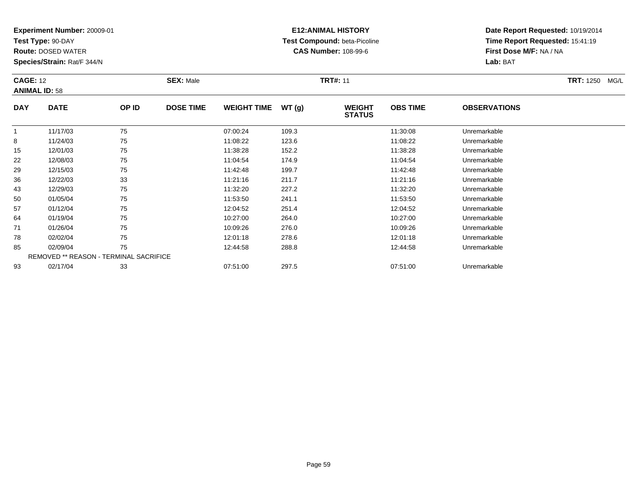**Test Type:** 90-DAY

57

64

71

78

85

93

**Route:** DOSED WATER

**Species/Strain:** Rat/F 344/N

REMOVED \*\* REASON - TERMINAL SACRIFICE

### **E12:ANIMAL HISTORY Test Compound:** beta-Picoline**CAS Number:** 108-99-6

**Date Report Requested:** 10/19/2014**Time Report Requested:** 15:41:19**First Dose M/F:** NA / NA**Lab:** BAT

| <b>CAGE: 12</b><br><b>ANIMAL ID: 58</b> |             |       | <b>SEX: Male</b> |                    |       | <b>TRT#: 11</b>                | <b>TRT: 1250</b><br>MG/L |                     |  |
|-----------------------------------------|-------------|-------|------------------|--------------------|-------|--------------------------------|--------------------------|---------------------|--|
| <b>DAY</b>                              | <b>DATE</b> | OP ID | <b>DOSE TIME</b> | <b>WEIGHT TIME</b> | WT(g) | <b>WEIGHT</b><br><b>STATUS</b> | <b>OBS TIME</b>          | <b>OBSERVATIONS</b> |  |
|                                         | 11/17/03    | 75    |                  | 07:00:24           | 109.3 |                                | 11:30:08                 | Unremarkable        |  |
| 8                                       | 11/24/03    | 75    |                  | 11:08:22           | 123.6 |                                | 11:08:22                 | Unremarkable        |  |
| 15                                      | 12/01/03    | 75    |                  | 11:38:28           | 152.2 |                                | 11:38:28                 | Unremarkable        |  |
| 22                                      | 12/08/03    | 75    |                  | 11:04:54           | 174.9 |                                | 11:04:54                 | Unremarkable        |  |
| 29                                      | 12/15/03    | 75    |                  | 11:42:48           | 199.7 |                                | 11:42:48                 | Unremarkable        |  |
| 36                                      | 12/22/03    | 33    |                  | 11:21:16           | 211.7 |                                | 11:21:16                 | Unremarkable        |  |
| 43                                      | 12/29/03    | 75    |                  | 11:32:20           | 227.2 |                                | 11:32:20                 | Unremarkable        |  |
| 50                                      | 01/05/04    | 75    |                  | 11:53:50           | 241.1 |                                | 11:53:50                 | Unremarkable        |  |

01/12/04 <sup>75</sup> 12:04:52 251.4 12:04:52 Unremarkable

01/19/04 <sup>75</sup> 10:27:00 264.0 10:27:00 Unremarkable

01/26/04 <sup>75</sup> 10:09:26 276.0 10:09:26 Unremarkable

02/02/04 <sup>75</sup> 12:01:18 278.6 12:01:18 Unremarkable

02/09/04 <sup>75</sup> 12:44:58 288.8 12:44:58 Unremarkable

02/17/04 <sup>33</sup> 07:51:00 297.5 07:51:00 Unremarkable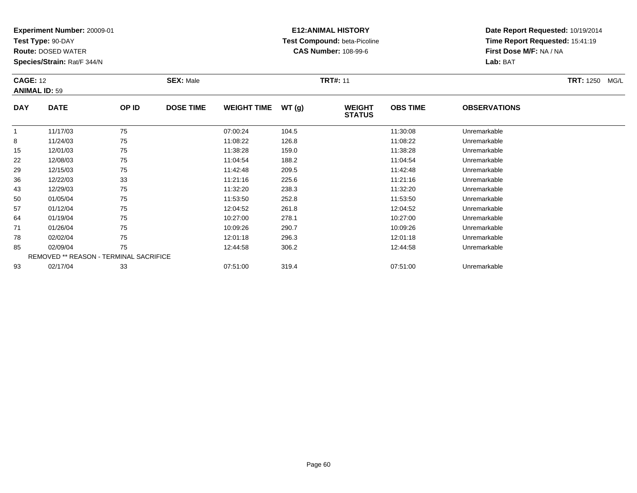**Test Type:** 90-DAY

85

93

**Route:** DOSED WATER

**Species/Strain:** Rat/F 344/N

REMOVED \*\* REASON - TERMINAL SACRIFICE

### **E12:ANIMAL HISTORY Test Compound:** beta-Picoline**CAS Number:** 108-99-6

**Date Report Requested:** 10/19/2014**Time Report Requested:** 15:41:19**First Dose M/F:** NA / NA**Lab:** BAT

| <b>CAGE: 12</b><br><b>ANIMAL ID: 59</b> |             |       | <b>SEX: Male</b> |                    | <b>TRT#: 11</b> |                                |                 |                     | <b>TRT: 1250</b><br>MG/L |
|-----------------------------------------|-------------|-------|------------------|--------------------|-----------------|--------------------------------|-----------------|---------------------|--------------------------|
| <b>DAY</b>                              | <b>DATE</b> | OP ID | <b>DOSE TIME</b> | <b>WEIGHT TIME</b> | WT(g)           | <b>WEIGHT</b><br><b>STATUS</b> | <b>OBS TIME</b> | <b>OBSERVATIONS</b> |                          |
|                                         | 11/17/03    | 75    |                  | 07:00:24           | 104.5           |                                | 11:30:08        | Unremarkable        |                          |
| 8                                       | 11/24/03    | 75    |                  | 11:08:22           | 126.8           |                                | 11:08:22        | Unremarkable        |                          |
| 15                                      | 12/01/03    | 75    |                  | 11:38:28           | 159.0           |                                | 11:38:28        | Unremarkable        |                          |
| 22                                      | 12/08/03    | 75    |                  | 11:04:54           | 188.2           |                                | 11:04:54        | Unremarkable        |                          |
| 29                                      | 12/15/03    | 75    |                  | 11:42:48           | 209.5           |                                | 11:42:48        | Unremarkable        |                          |
| 36                                      | 12/22/03    | 33    |                  | 11:21:16           | 225.6           |                                | 11:21:16        | Unremarkable        |                          |
| 43                                      | 12/29/03    | 75    |                  | 11:32:20           | 238.3           |                                | 11:32:20        | Unremarkable        |                          |
| 50                                      | 01/05/04    | 75    |                  | 11:53:50           | 252.8           |                                | 11:53:50        | Unremarkable        |                          |
| 57                                      | 01/12/04    | 75    |                  | 12:04:52           | 261.8           |                                | 12:04:52        | Unremarkable        |                          |
| 64                                      | 01/19/04    | 75    |                  | 10:27:00           | 278.1           |                                | 10:27:00        | Unremarkable        |                          |
| 71                                      | 01/26/04    | 75    |                  | 10:09:26           | 290.7           |                                | 10:09:26        | Unremarkable        |                          |
| 78                                      | 02/02/04    | 75    |                  | 12:01:18           | 296.3           |                                | 12:01:18        | Unremarkable        |                          |

02/02/04 <sup>75</sup> 12:01:18 296.3 12:01:18 Unremarkable

02/09/04 <sup>75</sup> 12:44:58 306.2 12:44:58 Unremarkable

02/17/04 <sup>33</sup> 07:51:00 319.4 07:51:00 Unremarkable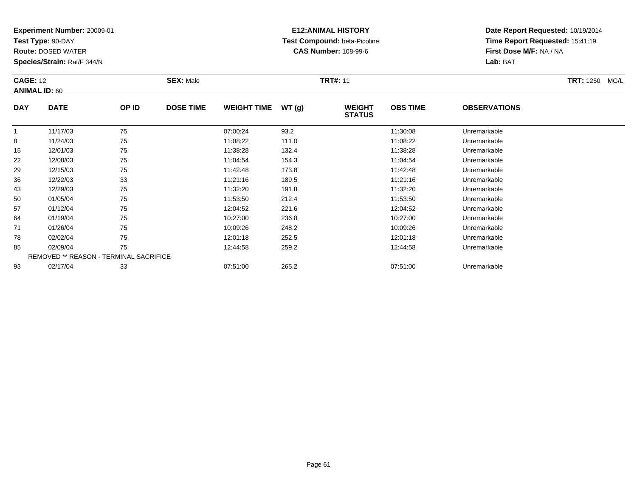**Test Type:** 90-DAY

43

50

57

64

71

78

85

93

**Route:** DOSED WATER

**Species/Strain:** Rat/F 344/N

### **E12:ANIMAL HISTORY Test Compound:** beta-Picoline**CAS Number:** 108-99-6

**Date Report Requested:** 10/19/2014**Time Report Requested:** 15:41:19**First Dose M/F:** NA / NA**Lab:** BAT

| <b>CAGE: 12</b><br><b>ANIMAL ID: 60</b> |             |       | <b>SEX: Male</b> |                    |       | <b>TRT#: 11</b>                |                 |                     | <b>TRT: 1250</b><br>MG/L |
|-----------------------------------------|-------------|-------|------------------|--------------------|-------|--------------------------------|-----------------|---------------------|--------------------------|
| <b>DAY</b>                              | <b>DATE</b> | OP ID | <b>DOSE TIME</b> | <b>WEIGHT TIME</b> | WT(g) | <b>WEIGHT</b><br><b>STATUS</b> | <b>OBS TIME</b> | <b>OBSERVATIONS</b> |                          |
|                                         | 11/17/03    | 75    |                  | 07:00:24           | 93.2  |                                | 11:30:08        | Unremarkable        |                          |
| 8                                       | 11/24/03    | 75    |                  | 11:08:22           | 111.0 |                                | 11:08:22        | Unremarkable        |                          |
| 15                                      | 12/01/03    | 75    |                  | 11:38:28           | 132.4 |                                | 11:38:28        | Unremarkable        |                          |
| 22                                      | 12/08/03    | 75    |                  | 11:04:54           | 154.3 |                                | 11:04:54        | Unremarkable        |                          |
| 29                                      | 12/15/03    | 75    |                  | 11:42:48           | 173.8 |                                | 11:42:48        | Unremarkable        |                          |
| 36                                      | 12/22/03    | 33    |                  | 11:21:16           | 189.5 |                                | 11:21:16        | Unremarkable        |                          |

| 01/26/04 | 75                                     | 10:09:26 | 248.2 | 10:09:26 | Unremarkable |
|----------|----------------------------------------|----------|-------|----------|--------------|
| 02/02/04 | 75                                     | 12:01:18 | 252.5 | 12:01:18 | Unremarkable |
| 02/09/04 | 75                                     | 12:44:58 | 259.2 | 12:44:58 | Unremarkable |
|          | REMOVED ** REASON - TERMINAL SACRIFICE |          |       |          |              |
| 02/17/04 | 33                                     | 07:51:00 | 265.2 | 07:51:00 | Unremarkable |

12/29/03 <sup>75</sup> 11:32:20 191.8 11:32:20 Unremarkable

0 01/05/04 75 75 11:53:50 212.4 121.53.50 11:53:50 Dhremarkable

01/12/04 <sup>75</sup> 12:04:52 221.6 12:04:52 Unremarkable

01/19/04 <sup>75</sup> 10:27:00 236.8 10:27:00 Unremarkable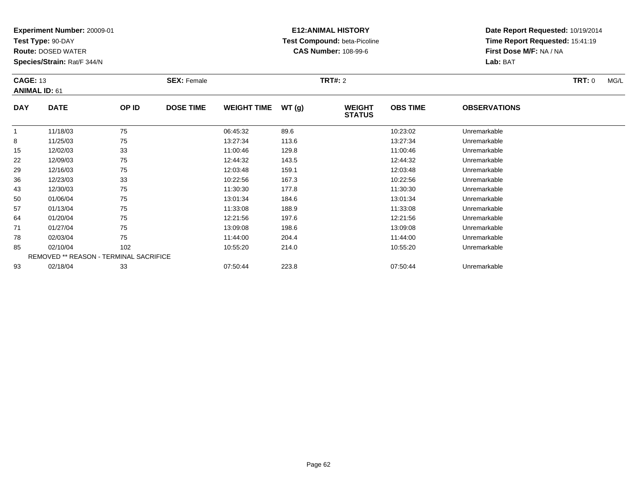**Test Type:** 90-DAY

**Route:** DOSED WATER

**Species/Strain:** Rat/F 344/N

# **E12:ANIMAL HISTORY Test Compound:** beta-Picoline**CAS Number:** 108-99-6

|            | <b>CAGE: 13</b><br><b>ANIMAL ID: 61</b>       |       | <b>SEX: Female</b> |                    |       | <b>TRT#: 2</b>                 | TRT: 0<br>MG/L  |                     |  |
|------------|-----------------------------------------------|-------|--------------------|--------------------|-------|--------------------------------|-----------------|---------------------|--|
| <b>DAY</b> | <b>DATE</b>                                   | OP ID | <b>DOSE TIME</b>   | <b>WEIGHT TIME</b> | WT(g) | <b>WEIGHT</b><br><b>STATUS</b> | <b>OBS TIME</b> | <b>OBSERVATIONS</b> |  |
|            | 11/18/03                                      | 75    |                    | 06:45:32           | 89.6  |                                | 10:23:02        | Unremarkable        |  |
| 8          | 11/25/03                                      | 75    |                    | 13:27:34           | 113.6 |                                | 13:27:34        | Unremarkable        |  |
| 15         | 12/02/03                                      | 33    |                    | 11:00:46           | 129.8 |                                | 11:00:46        | Unremarkable        |  |
| 22         | 12/09/03                                      | 75    |                    | 12:44:32           | 143.5 |                                | 12:44:32        | Unremarkable        |  |
| 29         | 12/16/03                                      | 75    |                    | 12:03:48           | 159.1 |                                | 12:03:48        | Unremarkable        |  |
| 36         | 12/23/03                                      | 33    |                    | 10:22:56           | 167.3 |                                | 10:22:56        | Unremarkable        |  |
| 43         | 12/30/03                                      | 75    |                    | 11:30:30           | 177.8 |                                | 11:30:30        | Unremarkable        |  |
| 50         | 01/06/04                                      | 75    |                    | 13:01:34           | 184.6 |                                | 13:01:34        | Unremarkable        |  |
| 57         | 01/13/04                                      | 75    |                    | 11:33:08           | 188.9 |                                | 11:33:08        | Unremarkable        |  |
| 64         | 01/20/04                                      | 75    |                    | 12:21:56           | 197.6 |                                | 12:21:56        | Unremarkable        |  |
| 71         | 01/27/04                                      | 75    |                    | 13:09:08           | 198.6 |                                | 13:09:08        | Unremarkable        |  |
| 78         | 02/03/04                                      | 75    |                    | 11:44:00           | 204.4 |                                | 11:44:00        | Unremarkable        |  |
| 85         | 02/10/04                                      | 102   |                    | 10:55:20           | 214.0 |                                | 10:55:20        | Unremarkable        |  |
|            | <b>REMOVED ** REASON - TERMINAL SACRIFICE</b> |       |                    |                    |       |                                |                 |                     |  |
| 93         | 02/18/04                                      | 33    |                    | 07:50:44           | 223.8 |                                | 07:50:44        | Unremarkable        |  |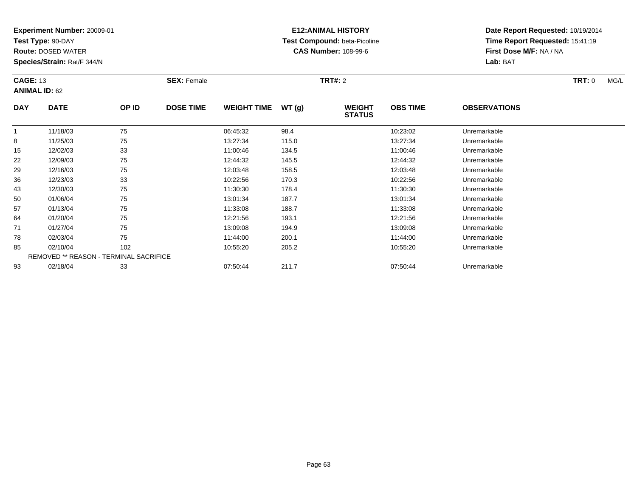**Test Type:** 90-DAY

**Route:** DOSED WATER

**Species/Strain:** Rat/F 344/N

# **E12:ANIMAL HISTORY Test Compound:** beta-Picoline**CAS Number:** 108-99-6

|            | <b>CAGE: 13</b><br><b>ANIMAL ID: 62</b>       |       | <b>SEX: Female</b> |                    |       | <b>TRT#: 2</b>                 | TRT: 0<br>MG/L  |                     |  |
|------------|-----------------------------------------------|-------|--------------------|--------------------|-------|--------------------------------|-----------------|---------------------|--|
| <b>DAY</b> | <b>DATE</b>                                   | OP ID | <b>DOSE TIME</b>   | <b>WEIGHT TIME</b> | WT(g) | <b>WEIGHT</b><br><b>STATUS</b> | <b>OBS TIME</b> | <b>OBSERVATIONS</b> |  |
|            | 11/18/03                                      | 75    |                    | 06:45:32           | 98.4  |                                | 10:23:02        | Unremarkable        |  |
| 8          | 11/25/03                                      | 75    |                    | 13:27:34           | 115.0 |                                | 13:27:34        | Unremarkable        |  |
| 15         | 12/02/03                                      | 33    |                    | 11:00:46           | 134.5 |                                | 11:00:46        | Unremarkable        |  |
| 22         | 12/09/03                                      | 75    |                    | 12:44:32           | 145.5 |                                | 12:44:32        | Unremarkable        |  |
| 29         | 12/16/03                                      | 75    |                    | 12:03:48           | 158.5 |                                | 12:03:48        | Unremarkable        |  |
| 36         | 12/23/03                                      | 33    |                    | 10:22:56           | 170.3 |                                | 10:22:56        | Unremarkable        |  |
| 43         | 12/30/03                                      | 75    |                    | 11:30:30           | 178.4 |                                | 11:30:30        | Unremarkable        |  |
| 50         | 01/06/04                                      | 75    |                    | 13:01:34           | 187.7 |                                | 13:01:34        | Unremarkable        |  |
| 57         | 01/13/04                                      | 75    |                    | 11:33:08           | 188.7 |                                | 11:33:08        | Unremarkable        |  |
| 64         | 01/20/04                                      | 75    |                    | 12:21:56           | 193.1 |                                | 12:21:56        | Unremarkable        |  |
| 71         | 01/27/04                                      | 75    |                    | 13:09:08           | 194.9 |                                | 13:09:08        | Unremarkable        |  |
| 78         | 02/03/04                                      | 75    |                    | 11:44:00           | 200.1 |                                | 11:44:00        | Unremarkable        |  |
| 85         | 02/10/04                                      | 102   |                    | 10:55:20           | 205.2 |                                | 10:55:20        | Unremarkable        |  |
|            | <b>REMOVED ** REASON - TERMINAL SACRIFICE</b> |       |                    |                    |       |                                |                 |                     |  |
| 93         | 02/18/04                                      | 33    |                    | 07:50:44           | 211.7 |                                | 07:50:44        | Unremarkable        |  |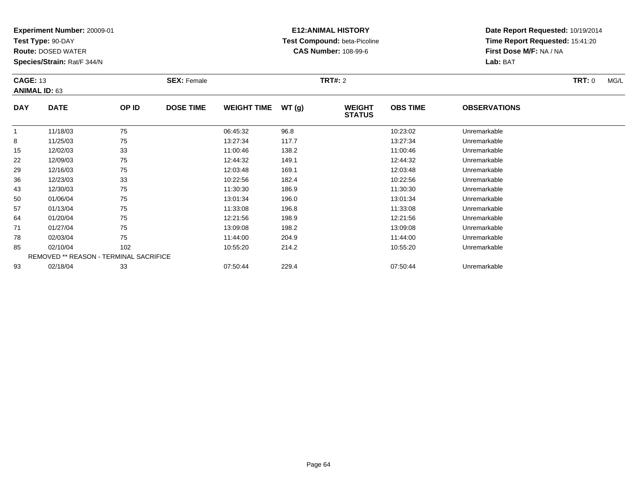**Test Type:** 90-DAY

**Route:** DOSED WATER

**Species/Strain:** Rat/F 344/N

# **E12:ANIMAL HISTORY Test Compound:** beta-Picoline**CAS Number:** 108-99-6

|            | <b>CAGE: 13</b><br><b>ANIMAL ID: 63</b> |       | <b>SEX: Female</b> |                    |       | <b>TRT#: 2</b>                 |                 |                     |  |  |  |
|------------|-----------------------------------------|-------|--------------------|--------------------|-------|--------------------------------|-----------------|---------------------|--|--|--|
| <b>DAY</b> | <b>DATE</b>                             | OP ID | <b>DOSE TIME</b>   | <b>WEIGHT TIME</b> | WT(g) | <b>WEIGHT</b><br><b>STATUS</b> | <b>OBS TIME</b> | <b>OBSERVATIONS</b> |  |  |  |
|            | 11/18/03                                | 75    |                    | 06:45:32           | 96.8  |                                | 10:23:02        | Unremarkable        |  |  |  |
| 8          | 11/25/03                                | 75    |                    | 13:27:34           | 117.7 |                                | 13:27:34        | Unremarkable        |  |  |  |
| 15         | 12/02/03                                | 33    |                    | 11:00:46           | 138.2 |                                | 11:00:46        | Unremarkable        |  |  |  |
| 22         | 12/09/03                                | 75    |                    | 12:44:32           | 149.1 |                                | 12:44:32        | Unremarkable        |  |  |  |
| 29         | 12/16/03                                | 75    |                    | 12:03:48           | 169.1 |                                | 12:03:48        | Unremarkable        |  |  |  |
| 36         | 12/23/03                                | 33    |                    | 10:22:56           | 182.4 |                                | 10:22:56        | Unremarkable        |  |  |  |
| 43         | 12/30/03                                | 75    |                    | 11:30:30           | 186.9 |                                | 11:30:30        | Unremarkable        |  |  |  |
| 50         | 01/06/04                                | 75    |                    | 13:01:34           | 196.0 |                                | 13:01:34        | Unremarkable        |  |  |  |
| 57         | 01/13/04                                | 75    |                    | 11:33:08           | 196.8 |                                | 11:33:08        | Unremarkable        |  |  |  |
| 64         | 01/20/04                                | 75    |                    | 12:21:56           | 198.9 |                                | 12:21:56        | Unremarkable        |  |  |  |
| 71         | 01/27/04                                | 75    |                    | 13:09:08           | 198.2 |                                | 13:09:08        | Unremarkable        |  |  |  |
| 78         | 02/03/04                                | 75    |                    | 11:44:00           | 204.9 |                                | 11:44:00        | Unremarkable        |  |  |  |
| 85         | 02/10/04                                | 102   |                    | 10:55:20           | 214.2 |                                | 10:55:20        | Unremarkable        |  |  |  |
|            | REMOVED ** REASON - TERMINAL SACRIFICE  |       |                    |                    |       |                                |                 |                     |  |  |  |
| 93         | 02/18/04                                | 33    |                    | 07:50:44           | 229.4 |                                | 07:50:44        | Unremarkable        |  |  |  |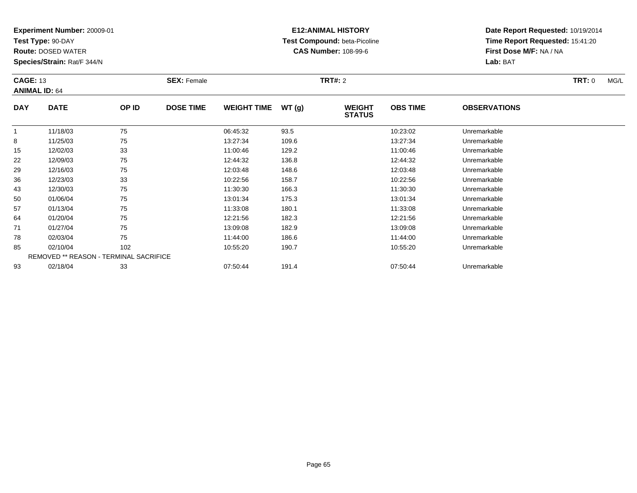**Test Type:** 90-DAY

**Route:** DOSED WATER

**Species/Strain:** Rat/F 344/N

# **E12:ANIMAL HISTORY Test Compound:** beta-Picoline**CAS Number:** 108-99-6

|              | <b>CAGE: 13</b><br><b>ANIMAL ID: 64</b> |       | <b>SEX: Female</b> |                    |       | <b>TRT#: 2</b>                 |                 | <b>TRT: 0</b><br>MG/L |  |
|--------------|-----------------------------------------|-------|--------------------|--------------------|-------|--------------------------------|-----------------|-----------------------|--|
| <b>DAY</b>   | <b>DATE</b>                             | OP ID | <b>DOSE TIME</b>   | <b>WEIGHT TIME</b> | WT(g) | <b>WEIGHT</b><br><b>STATUS</b> | <b>OBS TIME</b> | <b>OBSERVATIONS</b>   |  |
| $\mathbf{1}$ | 11/18/03                                | 75    |                    | 06:45:32           | 93.5  |                                | 10:23:02        | Unremarkable          |  |
| 8            | 11/25/03                                | 75    |                    | 13:27:34           | 109.6 |                                | 13:27:34        | Unremarkable          |  |
| 15           | 12/02/03                                | 33    |                    | 11:00:46           | 129.2 |                                | 11:00:46        | Unremarkable          |  |
| 22           | 12/09/03                                | 75    |                    | 12:44:32           | 136.8 |                                | 12:44:32        | Unremarkable          |  |
| 29           | 12/16/03                                | 75    |                    | 12:03:48           | 148.6 |                                | 12:03:48        | Unremarkable          |  |
| 36           | 12/23/03                                | 33    |                    | 10:22:56           | 158.7 |                                | 10:22:56        | Unremarkable          |  |
| 43           | 12/30/03                                | 75    |                    | 11:30:30           | 166.3 |                                | 11:30:30        | Unremarkable          |  |
| 50           | 01/06/04                                | 75    |                    | 13:01:34           | 175.3 |                                | 13:01:34        | Unremarkable          |  |
| 57           | 01/13/04                                | 75    |                    | 11:33:08           | 180.1 |                                | 11:33:08        | Unremarkable          |  |
| 64           | 01/20/04                                | 75    |                    | 12:21:56           | 182.3 |                                | 12:21:56        | Unremarkable          |  |
| 71           | 01/27/04                                | 75    |                    | 13:09:08           | 182.9 |                                | 13:09:08        | Unremarkable          |  |
| 78           | 02/03/04                                | 75    |                    | 11:44:00           | 186.6 |                                | 11:44:00        | Unremarkable          |  |
| 85           | 02/10/04                                | 102   |                    | 10:55:20           | 190.7 |                                | 10:55:20        | Unremarkable          |  |
|              | REMOVED ** REASON - TERMINAL SACRIFICE  |       |                    |                    |       |                                |                 |                       |  |
| 93           | 02/18/04                                | 33    |                    | 07:50:44           | 191.4 |                                | 07:50:44        | Unremarkable          |  |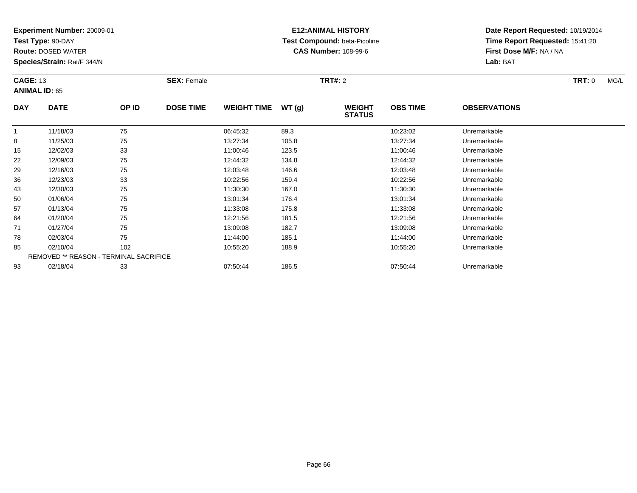**Test Type:** 90-DAY

**Route:** DOSED WATER

**Species/Strain:** Rat/F 344/N

# **E12:ANIMAL HISTORY Test Compound:** beta-Picoline**CAS Number:** 108-99-6

|              | <b>CAGE: 13</b><br><b>ANIMAL ID: 65</b> |       | <b>SEX: Female</b> |                    |       | <b>TRT#: 2</b>                 | <b>TRT: 0</b><br>MG/L |                     |  |
|--------------|-----------------------------------------|-------|--------------------|--------------------|-------|--------------------------------|-----------------------|---------------------|--|
| <b>DAY</b>   | <b>DATE</b>                             | OP ID | <b>DOSE TIME</b>   | <b>WEIGHT TIME</b> | WT(g) | <b>WEIGHT</b><br><b>STATUS</b> | <b>OBS TIME</b>       | <b>OBSERVATIONS</b> |  |
| $\mathbf{1}$ | 11/18/03                                | 75    |                    | 06:45:32           | 89.3  |                                | 10:23:02              | Unremarkable        |  |
| 8            | 11/25/03                                | 75    |                    | 13:27:34           | 105.8 |                                | 13:27:34              | Unremarkable        |  |
| 15           | 12/02/03                                | 33    |                    | 11:00:46           | 123.5 |                                | 11:00:46              | Unremarkable        |  |
| 22           | 12/09/03                                | 75    |                    | 12:44:32           | 134.8 |                                | 12:44:32              | Unremarkable        |  |
| 29           | 12/16/03                                | 75    |                    | 12:03:48           | 146.6 |                                | 12:03:48              | Unremarkable        |  |
| 36           | 12/23/03                                | 33    |                    | 10:22:56           | 159.4 |                                | 10:22:56              | Unremarkable        |  |
| 43           | 12/30/03                                | 75    |                    | 11:30:30           | 167.0 |                                | 11:30:30              | Unremarkable        |  |
| 50           | 01/06/04                                | 75    |                    | 13:01:34           | 176.4 |                                | 13:01:34              | Unremarkable        |  |
| 57           | 01/13/04                                | 75    |                    | 11:33:08           | 175.8 |                                | 11:33:08              | Unremarkable        |  |
| 64           | 01/20/04                                | 75    |                    | 12:21:56           | 181.5 |                                | 12:21:56              | Unremarkable        |  |
| 71           | 01/27/04                                | 75    |                    | 13:09:08           | 182.7 |                                | 13:09:08              | Unremarkable        |  |
| 78           | 02/03/04                                | 75    |                    | 11:44:00           | 185.1 |                                | 11:44:00              | Unremarkable        |  |
| 85           | 02/10/04                                | 102   |                    | 10:55:20           | 188.9 |                                | 10:55:20              | Unremarkable        |  |
|              | REMOVED ** REASON - TERMINAL SACRIFICE  |       |                    |                    |       |                                |                       |                     |  |
| 93           | 02/18/04                                | 33    |                    | 07:50:44           | 186.5 |                                | 07:50:44              | Unremarkable        |  |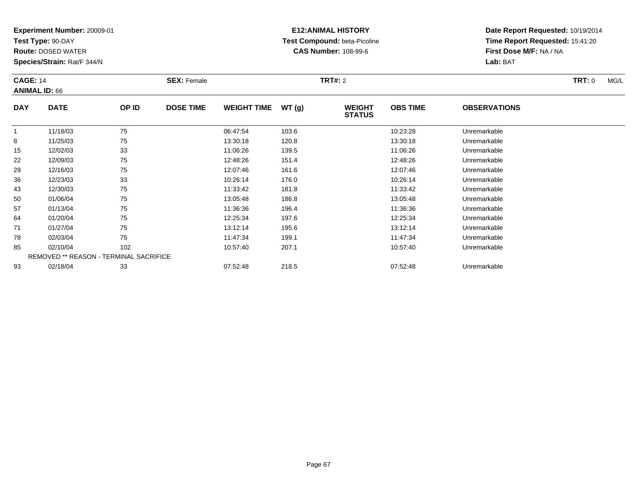**Test Type:** 90-DAY

**Route:** DOSED WATER

**Species/Strain:** Rat/F 344/N

# **E12:ANIMAL HISTORY Test Compound:** beta-Picoline**CAS Number:** 108-99-6

|            | <b>CAGE: 14</b><br><b>ANIMAL ID: 66</b>       |       | <b>SEX: Female</b> |                    |       | <b>TRT#:</b> 2                 |                 | <b>TRT:</b> 0<br>MG/L |  |
|------------|-----------------------------------------------|-------|--------------------|--------------------|-------|--------------------------------|-----------------|-----------------------|--|
| <b>DAY</b> | <b>DATE</b>                                   | OP ID | <b>DOSE TIME</b>   | <b>WEIGHT TIME</b> | WT(g) | <b>WEIGHT</b><br><b>STATUS</b> | <b>OBS TIME</b> | <b>OBSERVATIONS</b>   |  |
|            | 11/18/03                                      | 75    |                    | 06:47:54           | 103.6 |                                | 10:23:28        | Unremarkable          |  |
| 8          | 11/25/03                                      | 75    |                    | 13:30:18           | 120.8 |                                | 13:30:18        | Unremarkable          |  |
| 15         | 12/02/03                                      | 33    |                    | 11:06:26           | 139.5 |                                | 11:06:26        | Unremarkable          |  |
| 22         | 12/09/03                                      | 75    |                    | 12:48:26           | 151.4 |                                | 12:48:26        | Unremarkable          |  |
| 29         | 12/16/03                                      | 75    |                    | 12:07:46           | 161.6 |                                | 12:07:46        | Unremarkable          |  |
| 36         | 12/23/03                                      | 33    |                    | 10:26:14           | 176.0 |                                | 10:26:14        | Unremarkable          |  |
| 43         | 12/30/03                                      | 75    |                    | 11:33:42           | 181.8 |                                | 11:33:42        | Unremarkable          |  |
| 50         | 01/06/04                                      | 75    |                    | 13:05:48           | 186.8 |                                | 13:05:48        | Unremarkable          |  |
| 57         | 01/13/04                                      | 75    |                    | 11:36:36           | 196.4 |                                | 11:36:36        | Unremarkable          |  |
| 64         | 01/20/04                                      | 75    |                    | 12:25:34           | 197.6 |                                | 12:25:34        | Unremarkable          |  |
| 71         | 01/27/04                                      | 75    |                    | 13:12:14           | 195.6 |                                | 13:12:14        | Unremarkable          |  |
| 78         | 02/03/04                                      | 75    |                    | 11:47:34           | 199.1 |                                | 11:47:34        | Unremarkable          |  |
| 85         | 02/10/04                                      | 102   |                    | 10:57:40           | 207.1 |                                | 10:57:40        | Unremarkable          |  |
|            | <b>REMOVED ** REASON - TERMINAL SACRIFICE</b> |       |                    |                    |       |                                |                 |                       |  |
| 93         | 02/18/04                                      | 33    |                    | 07:52:48           | 218.5 |                                | 07:52:48        | Unremarkable          |  |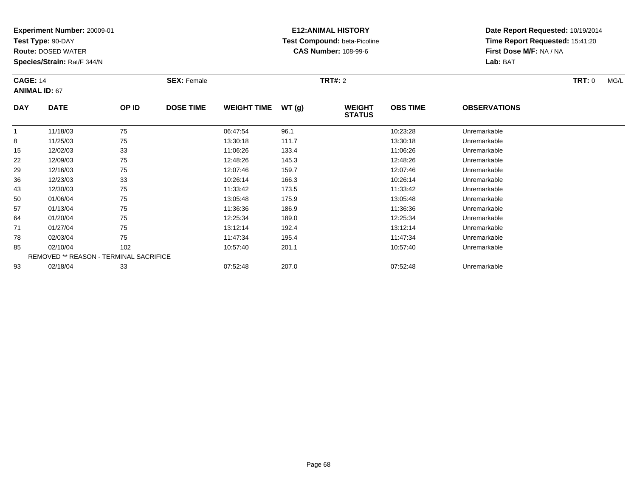**Test Type:** 90-DAY

**Route:** DOSED WATER

**Species/Strain:** Rat/F 344/N

### **E12:ANIMAL HISTORY Test Compound:** beta-Picoline**CAS Number:** 108-99-6

|                | <b>CAGE: 14</b><br><b>ANIMAL ID: 67</b> |       | <b>SEX: Female</b> |                    |       | <b>TRT#: 2</b>                 |                 | <b>TRT: 0</b><br>MG/L |  |
|----------------|-----------------------------------------|-------|--------------------|--------------------|-------|--------------------------------|-----------------|-----------------------|--|
| <b>DAY</b>     | <b>DATE</b>                             | OP ID | <b>DOSE TIME</b>   | <b>WEIGHT TIME</b> | WT(g) | <b>WEIGHT</b><br><b>STATUS</b> | <b>OBS TIME</b> | <b>OBSERVATIONS</b>   |  |
| $\overline{1}$ | 11/18/03                                | 75    |                    | 06:47:54           | 96.1  |                                | 10:23:28        | Unremarkable          |  |
| 8              | 11/25/03                                | 75    |                    | 13:30:18           | 111.7 |                                | 13:30:18        | Unremarkable          |  |
| 15             | 12/02/03                                | 33    |                    | 11:06:26           | 133.4 |                                | 11:06:26        | Unremarkable          |  |
| 22             | 12/09/03                                | 75    |                    | 12:48:26           | 145.3 |                                | 12:48:26        | Unremarkable          |  |
| 29             | 12/16/03                                | 75    |                    | 12:07:46           | 159.7 |                                | 12:07:46        | Unremarkable          |  |
| 36             | 12/23/03                                | 33    |                    | 10:26:14           | 166.3 |                                | 10:26:14        | Unremarkable          |  |
| 43             | 12/30/03                                | 75    |                    | 11:33:42           | 173.5 |                                | 11:33:42        | Unremarkable          |  |
| 50             | 01/06/04                                | 75    |                    | 13:05:48           | 175.9 |                                | 13:05:48        | Unremarkable          |  |
| 57             | 01/13/04                                | 75    |                    | 11:36:36           | 186.9 |                                | 11:36:36        | Unremarkable          |  |
| 64             | 01/20/04                                | 75    |                    | 12:25:34           | 189.0 |                                | 12:25:34        | Unremarkable          |  |
| 71             | 01/27/04                                | 75    |                    | 13:12:14           | 192.4 |                                | 13:12:14        | Unremarkable          |  |
| 78             | 02/03/04                                | 75    |                    | 11:47:34           | 195.4 |                                | 11:47:34        | Unremarkable          |  |
| 85             | 02/10/04                                | 102   |                    | 10:57:40           | 201.1 |                                | 10:57:40        | Unremarkable          |  |
|                | REMOVED ** REASON - TERMINAL SACRIFICE  |       |                    |                    |       |                                |                 |                       |  |
| 93             | 02/18/04                                | 33    |                    | 07:52:48           | 207.0 |                                | 07:52:48        | Unremarkable          |  |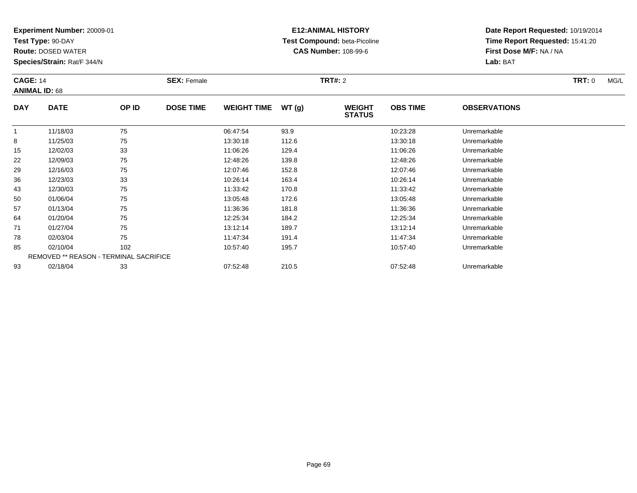**Test Type:** 90-DAY

**Route:** DOSED WATER

**Species/Strain:** Rat/F 344/N

# **E12:ANIMAL HISTORY Test Compound:** beta-Picoline**CAS Number:** 108-99-6

|              | <b>CAGE: 14</b><br><b>ANIMAL ID: 68</b> |       | <b>SEX: Female</b> |                    |       |                                | <b>TRT#:</b> 2  |                     |  |  |  |
|--------------|-----------------------------------------|-------|--------------------|--------------------|-------|--------------------------------|-----------------|---------------------|--|--|--|
| <b>DAY</b>   | <b>DATE</b>                             | OP ID | <b>DOSE TIME</b>   | <b>WEIGHT TIME</b> | WT(g) | <b>WEIGHT</b><br><b>STATUS</b> | <b>OBS TIME</b> | <b>OBSERVATIONS</b> |  |  |  |
| $\mathbf{1}$ | 11/18/03                                | 75    |                    | 06:47:54           | 93.9  |                                | 10:23:28        | Unremarkable        |  |  |  |
| 8            | 11/25/03                                | 75    |                    | 13:30:18           | 112.6 |                                | 13:30:18        | Unremarkable        |  |  |  |
| 15           | 12/02/03                                | 33    |                    | 11:06:26           | 129.4 |                                | 11:06:26        | Unremarkable        |  |  |  |
| 22           | 12/09/03                                | 75    |                    | 12:48:26           | 139.8 |                                | 12:48:26        | Unremarkable        |  |  |  |
| 29           | 12/16/03                                | 75    |                    | 12:07:46           | 152.8 |                                | 12:07:46        | Unremarkable        |  |  |  |
| 36           | 12/23/03                                | 33    |                    | 10:26:14           | 163.4 |                                | 10:26:14        | Unremarkable        |  |  |  |
| 43           | 12/30/03                                | 75    |                    | 11:33:42           | 170.8 |                                | 11:33:42        | Unremarkable        |  |  |  |
| 50           | 01/06/04                                | 75    |                    | 13:05:48           | 172.6 |                                | 13:05:48        | Unremarkable        |  |  |  |
| 57           | 01/13/04                                | 75    |                    | 11:36:36           | 181.8 |                                | 11:36:36        | Unremarkable        |  |  |  |
| 64           | 01/20/04                                | 75    |                    | 12:25:34           | 184.2 |                                | 12:25:34        | Unremarkable        |  |  |  |
| 71           | 01/27/04                                | 75    |                    | 13:12:14           | 189.7 |                                | 13:12:14        | Unremarkable        |  |  |  |
| 78           | 02/03/04                                | 75    |                    | 11:47:34           | 191.4 |                                | 11:47:34        | Unremarkable        |  |  |  |
| 85           | 02/10/04                                | 102   |                    | 10:57:40           | 195.7 |                                | 10:57:40        | Unremarkable        |  |  |  |
|              | REMOVED ** REASON - TERMINAL SACRIFICE  |       |                    |                    |       |                                |                 |                     |  |  |  |
| 93           | 02/18/04                                | 33    |                    | 07:52:48           | 210.5 |                                | 07:52:48        | Unremarkable        |  |  |  |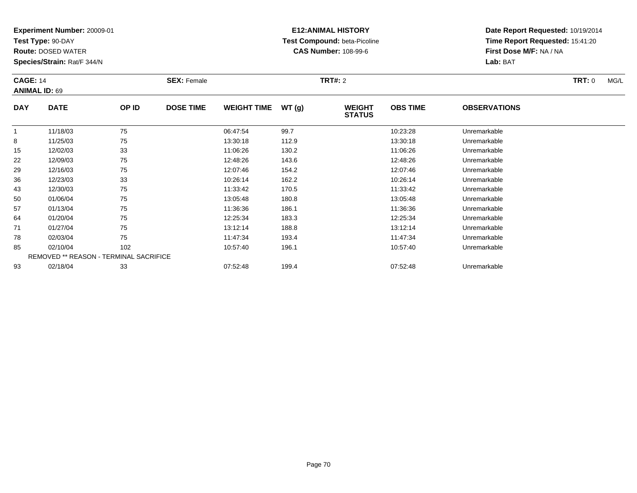**Test Type:** 90-DAY

**Route:** DOSED WATER

**Species/Strain:** Rat/F 344/N

# **E12:ANIMAL HISTORY Test Compound:** beta-Picoline**CAS Number:** 108-99-6

|            | <b>CAGE: 14</b>                        |       | <b>SEX: Female</b> |                    |       |                                |                 |                     | <b>TRT: 0</b><br>MG/L |  |  |
|------------|----------------------------------------|-------|--------------------|--------------------|-------|--------------------------------|-----------------|---------------------|-----------------------|--|--|
|            | <b>ANIMAL ID: 69</b>                   |       |                    |                    |       |                                |                 |                     |                       |  |  |
| <b>DAY</b> | <b>DATE</b>                            | OP ID | <b>DOSE TIME</b>   | <b>WEIGHT TIME</b> | WT(g) | <b>WEIGHT</b><br><b>STATUS</b> | <b>OBS TIME</b> | <b>OBSERVATIONS</b> |                       |  |  |
|            | 11/18/03                               | 75    |                    | 06:47:54           | 99.7  |                                | 10:23:28        | Unremarkable        |                       |  |  |
| 8          | 11/25/03                               | 75    |                    | 13:30:18           | 112.9 |                                | 13:30:18        | Unremarkable        |                       |  |  |
| 15         | 12/02/03                               | 33    |                    | 11:06:26           | 130.2 |                                | 11:06:26        | Unremarkable        |                       |  |  |
| 22         | 12/09/03                               | 75    |                    | 12:48:26           | 143.6 |                                | 12:48:26        | Unremarkable        |                       |  |  |
| 29         | 12/16/03                               | 75    |                    | 12:07:46           | 154.2 |                                | 12:07:46        | Unremarkable        |                       |  |  |
| 36         | 12/23/03                               | 33    |                    | 10:26:14           | 162.2 |                                | 10:26:14        | Unremarkable        |                       |  |  |
| 43         | 12/30/03                               | 75    |                    | 11:33:42           | 170.5 |                                | 11:33:42        | Unremarkable        |                       |  |  |
| 50         | 01/06/04                               | 75    |                    | 13:05:48           | 180.8 |                                | 13:05:48        | Unremarkable        |                       |  |  |
| 57         | 01/13/04                               | 75    |                    | 11:36:36           | 186.1 |                                | 11:36:36        | Unremarkable        |                       |  |  |
| 64         | 01/20/04                               | 75    |                    | 12:25:34           | 183.3 |                                | 12:25:34        | Unremarkable        |                       |  |  |
| 71         | 01/27/04                               | 75    |                    | 13:12:14           | 188.8 |                                | 13:12:14        | Unremarkable        |                       |  |  |
| 78         | 02/03/04                               | 75    |                    | 11:47:34           | 193.4 |                                | 11:47:34        | Unremarkable        |                       |  |  |
| 85         | 02/10/04                               | 102   |                    | 10:57:40           | 196.1 |                                | 10:57:40        | Unremarkable        |                       |  |  |
|            | REMOVED ** REASON - TERMINAL SACRIFICE |       |                    |                    |       |                                |                 |                     |                       |  |  |
| 93         | 02/18/04                               | 33    |                    | 07:52:48           | 199.4 |                                | 07:52:48        | Unremarkable        |                       |  |  |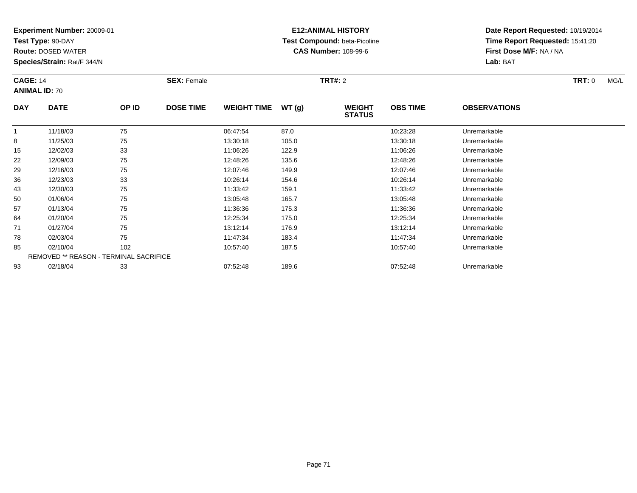**Test Type:** 90-DAY

**Route:** DOSED WATER

**Species/Strain:** Rat/F 344/N

### **E12:ANIMAL HISTORY Test Compound:** beta-Picoline**CAS Number:** 108-99-6

|              | <b>CAGE: 14</b><br><b>ANIMAL ID: 70</b> |       | <b>SEX: Female</b> |                    |       | <b>TRT#:</b> 2                 |                 |                     |  |  |
|--------------|-----------------------------------------|-------|--------------------|--------------------|-------|--------------------------------|-----------------|---------------------|--|--|
| <b>DAY</b>   | <b>DATE</b>                             | OP ID | <b>DOSE TIME</b>   | <b>WEIGHT TIME</b> | WT(g) | <b>WEIGHT</b><br><b>STATUS</b> | <b>OBS TIME</b> | <b>OBSERVATIONS</b> |  |  |
| $\mathbf{1}$ | 11/18/03                                | 75    |                    | 06:47:54           | 87.0  |                                | 10:23:28        | Unremarkable        |  |  |
| 8            | 11/25/03                                | 75    |                    | 13:30:18           | 105.0 |                                | 13:30:18        | Unremarkable        |  |  |
| 15           | 12/02/03                                | 33    |                    | 11:06:26           | 122.9 |                                | 11:06:26        | Unremarkable        |  |  |
| 22           | 12/09/03                                | 75    |                    | 12:48:26           | 135.6 |                                | 12:48:26        | Unremarkable        |  |  |
| 29           | 12/16/03                                | 75    |                    | 12:07:46           | 149.9 |                                | 12:07:46        | Unremarkable        |  |  |
| 36           | 12/23/03                                | 33    |                    | 10:26:14           | 154.6 |                                | 10:26:14        | Unremarkable        |  |  |
| 43           | 12/30/03                                | 75    |                    | 11:33:42           | 159.1 |                                | 11:33:42        | Unremarkable        |  |  |
| 50           | 01/06/04                                | 75    |                    | 13:05:48           | 165.7 |                                | 13:05:48        | Unremarkable        |  |  |
| 57           | 01/13/04                                | 75    |                    | 11:36:36           | 175.3 |                                | 11:36:36        | Unremarkable        |  |  |
| 64           | 01/20/04                                | 75    |                    | 12:25:34           | 175.0 |                                | 12:25:34        | Unremarkable        |  |  |
| 71           | 01/27/04                                | 75    |                    | 13:12:14           | 176.9 |                                | 13:12:14        | Unremarkable        |  |  |
| 78           | 02/03/04                                | 75    |                    | 11:47:34           | 183.4 |                                | 11:47:34        | Unremarkable        |  |  |
| 85           | 02/10/04                                | 102   |                    | 10:57:40           | 187.5 |                                | 10:57:40        | Unremarkable        |  |  |
|              | REMOVED ** REASON - TERMINAL SACRIFICE  |       |                    |                    |       |                                |                 |                     |  |  |
| 93           | 02/18/04                                | 33    |                    | 07:52:48           | 189.6 |                                | 07:52:48        | Unremarkable        |  |  |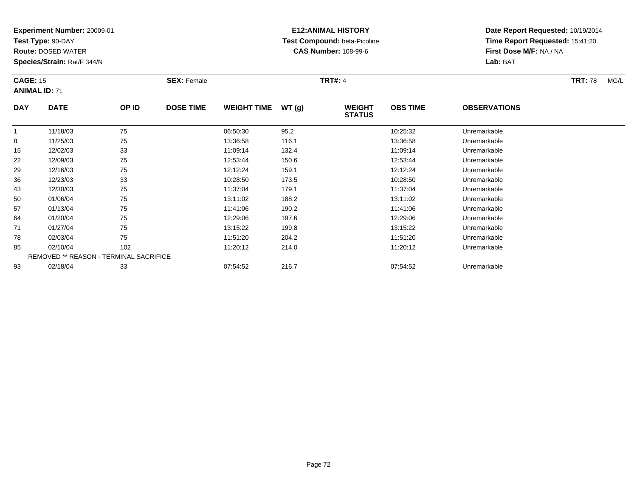**Test Type:** 90-DAY

93

**Route:** DOSED WATER

**Species/Strain:** Rat/F 344/N

# **E12:ANIMAL HISTORY Test Compound:** beta-Picoline**CAS Number:** 108-99-6

**Date Report Requested:** 10/19/2014**Time Report Requested:** 15:41:20**First Dose M/F:** NA / NA**Lab:** BAT

| <b>CAGE: 15</b><br><b>ANIMAL ID: 71</b> |                                               | <b>SEX: Female</b> |                  |                    | <b>TRT#: 4</b> |                                | <b>TRT:</b> 78  | MG/L                |  |  |
|-----------------------------------------|-----------------------------------------------|--------------------|------------------|--------------------|----------------|--------------------------------|-----------------|---------------------|--|--|
| <b>DAY</b>                              | <b>DATE</b>                                   | OP ID              | <b>DOSE TIME</b> | <b>WEIGHT TIME</b> | WT(g)          | <b>WEIGHT</b><br><b>STATUS</b> | <b>OBS TIME</b> | <b>OBSERVATIONS</b> |  |  |
| $\mathbf{1}$                            | 11/18/03                                      | 75                 |                  | 06:50:30           | 95.2           |                                | 10:25:32        | Unremarkable        |  |  |
| 8                                       | 11/25/03                                      | 75                 |                  | 13:36:58           | 116.1          |                                | 13:36:58        | Unremarkable        |  |  |
| 15                                      | 12/02/03                                      | 33                 |                  | 11:09:14           | 132.4          |                                | 11:09:14        | Unremarkable        |  |  |
| 22                                      | 12/09/03                                      | 75                 |                  | 12:53:44           | 150.6          |                                | 12:53:44        | Unremarkable        |  |  |
| 29                                      | 12/16/03                                      | 75                 |                  | 12:12:24           | 159.1          |                                | 12:12:24        | Unremarkable        |  |  |
| 36                                      | 12/23/03                                      | 33                 |                  | 10:28:50           | 173.5          |                                | 10:28:50        | Unremarkable        |  |  |
| 43                                      | 12/30/03                                      | 75                 |                  | 11:37:04           | 179.1          |                                | 11:37:04        | Unremarkable        |  |  |
| 50                                      | 01/06/04                                      | 75                 |                  | 13:11:02           | 188.2          |                                | 13:11:02        | Unremarkable        |  |  |
| 57                                      | 01/13/04                                      | 75                 |                  | 11:41:06           | 190.2          |                                | 11:41:06        | Unremarkable        |  |  |
| 64                                      | 01/20/04                                      | 75                 |                  | 12:29:06           | 197.6          |                                | 12:29:06        | Unremarkable        |  |  |
| 71                                      | 01/27/04                                      | 75                 |                  | 13:15:22           | 199.8          |                                | 13:15:22        | Unremarkable        |  |  |
| 78                                      | 02/03/04                                      | 75                 |                  | 11:51:20           | 204.2          |                                | 11:51:20        | Unremarkable        |  |  |
| 85                                      | 02/10/04                                      | 102                |                  | 11:20:12           | 214.0          |                                | 11:20:12        | Unremarkable        |  |  |
|                                         | <b>REMOVED ** REASON - TERMINAL SACRIFICE</b> |                    |                  |                    |                |                                |                 |                     |  |  |

02/18/04 <sup>33</sup> 07:54:52 216.7 07:54:52 Unremarkable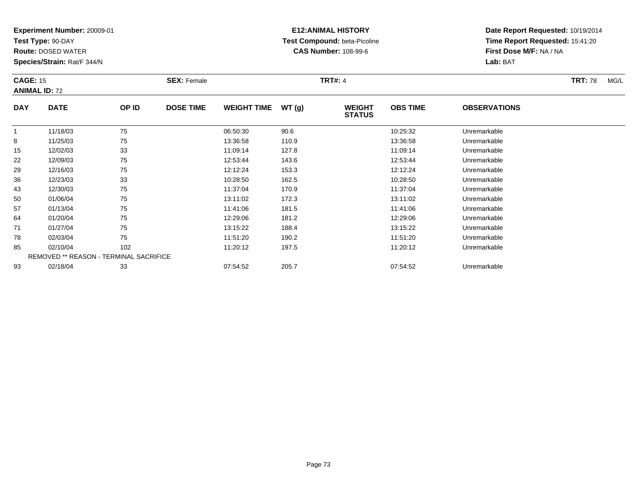**Test Type:** 90-DAY

93

**Route:** DOSED WATER

**Species/Strain:** Rat/F 344/N

# **E12:ANIMAL HISTORY Test Compound:** beta-Picoline**CAS Number:** 108-99-6

**Date Report Requested:** 10/19/2014**Time Report Requested:** 15:41:20**First Dose M/F:** NA / NA**Lab:** BAT

|              | <b>CAGE: 15</b><br><b>ANIMAL ID: 72</b>       |       | <b>SEX: Female</b> |                    |       | <b>TRT#: 4</b>                 |                 | <b>TRT: 78</b>      | MG/L |  |
|--------------|-----------------------------------------------|-------|--------------------|--------------------|-------|--------------------------------|-----------------|---------------------|------|--|
| <b>DAY</b>   | <b>DATE</b>                                   | OP ID | <b>DOSE TIME</b>   | <b>WEIGHT TIME</b> | WT(g) | <b>WEIGHT</b><br><b>STATUS</b> | <b>OBS TIME</b> | <b>OBSERVATIONS</b> |      |  |
| $\mathbf{1}$ | 11/18/03                                      | 75    |                    | 06:50:30           | 90.6  |                                | 10:25:32        | Unremarkable        |      |  |
| 8            | 11/25/03                                      | 75    |                    | 13:36:58           | 110.9 |                                | 13:36:58        | Unremarkable        |      |  |
| 15           | 12/02/03                                      | 33    |                    | 11:09:14           | 127.8 |                                | 11:09:14        | Unremarkable        |      |  |
| 22           | 12/09/03                                      | 75    |                    | 12:53:44           | 143.6 |                                | 12:53:44        | Unremarkable        |      |  |
| 29           | 12/16/03                                      | 75    |                    | 12:12:24           | 153.3 |                                | 12:12:24        | Unremarkable        |      |  |
| 36           | 12/23/03                                      | 33    |                    | 10:28:50           | 162.5 |                                | 10:28:50        | Unremarkable        |      |  |
| 43           | 12/30/03                                      | 75    |                    | 11:37:04           | 170.9 |                                | 11:37:04        | Unremarkable        |      |  |
| 50           | 01/06/04                                      | 75    |                    | 13:11:02           | 172.3 |                                | 13:11:02        | Unremarkable        |      |  |
| 57           | 01/13/04                                      | 75    |                    | 11:41:06           | 181.5 |                                | 11:41:06        | Unremarkable        |      |  |
| 64           | 01/20/04                                      | 75    |                    | 12:29:06           | 181.2 |                                | 12:29:06        | Unremarkable        |      |  |
| 71           | 01/27/04                                      | 75    |                    | 13:15:22           | 188.4 |                                | 13:15:22        | Unremarkable        |      |  |
| 78           | 02/03/04                                      | 75    |                    | 11:51:20           | 190.2 |                                | 11:51:20        | Unremarkable        |      |  |
| 85           | 02/10/04                                      | 102   |                    | 11:20:12           | 197.5 |                                | 11:20:12        | Unremarkable        |      |  |
|              | <b>REMOVED ** REASON - TERMINAL SACRIFICE</b> |       |                    |                    |       |                                |                 |                     |      |  |

02/18/04 <sup>33</sup> 07:54:52 205.7 07:54:52 Unremarkable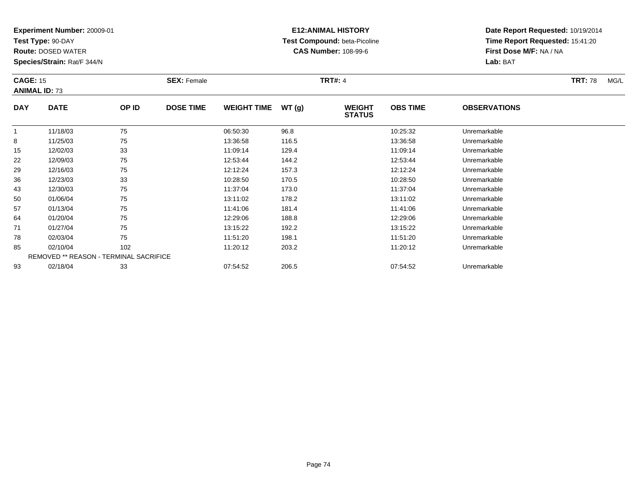**Test Type:** 90-DAY

**Route:** DOSED WATER

**Species/Strain:** Rat/F 344/N

# **E12:ANIMAL HISTORY Test Compound:** beta-Picoline**CAS Number:** 108-99-6

| <b>CAGE: 15</b> | <b>ANIMAL ID: 73</b>                   |       | <b>SEX: Female</b> | <b>TRT#: 4</b>     |       |                                |                 |                     |  |
|-----------------|----------------------------------------|-------|--------------------|--------------------|-------|--------------------------------|-----------------|---------------------|--|
| <b>DAY</b>      | <b>DATE</b>                            | OP ID | <b>DOSE TIME</b>   | <b>WEIGHT TIME</b> | WT(g) | <b>WEIGHT</b><br><b>STATUS</b> | <b>OBS TIME</b> | <b>OBSERVATIONS</b> |  |
|                 | 11/18/03                               | 75    |                    | 06:50:30           | 96.8  |                                | 10:25:32        | Unremarkable        |  |
| 8               | 11/25/03                               | 75    |                    | 13:36:58           | 116.5 |                                | 13:36:58        | Unremarkable        |  |
| 15              | 12/02/03                               | 33    |                    | 11:09:14           | 129.4 |                                | 11:09:14        | Unremarkable        |  |
| 22              | 12/09/03                               | 75    |                    | 12:53:44           | 144.2 |                                | 12:53:44        | Unremarkable        |  |
| 29              | 12/16/03                               | 75    |                    | 12:12:24           | 157.3 |                                | 12:12:24        | Unremarkable        |  |
| 36              | 12/23/03                               | 33    |                    | 10:28:50           | 170.5 |                                | 10:28:50        | Unremarkable        |  |
| 43              | 12/30/03                               | 75    |                    | 11:37:04           | 173.0 |                                | 11:37:04        | Unremarkable        |  |
| 50              | 01/06/04                               | 75    |                    | 13:11:02           | 178.2 |                                | 13:11:02        | Unremarkable        |  |
| 57              | 01/13/04                               | 75    |                    | 11:41:06           | 181.4 |                                | 11:41:06        | Unremarkable        |  |
| 64              | 01/20/04                               | 75    |                    | 12:29:06           | 188.8 |                                | 12:29:06        | Unremarkable        |  |
| 71              | 01/27/04                               | 75    |                    | 13:15:22           | 192.2 |                                | 13:15:22        | Unremarkable        |  |
| 78              | 02/03/04                               | 75    |                    | 11:51:20           | 198.1 |                                | 11:51:20        | Unremarkable        |  |
| 85              | 02/10/04                               | 102   |                    | 11:20:12           | 203.2 |                                | 11:20:12        | Unremarkable        |  |
|                 | REMOVED ** REASON - TERMINAL SACRIFICE |       |                    |                    |       |                                |                 |                     |  |
| 93              | 02/18/04                               | 33    |                    | 07:54:52           | 206.5 |                                | 07:54:52        | Unremarkable        |  |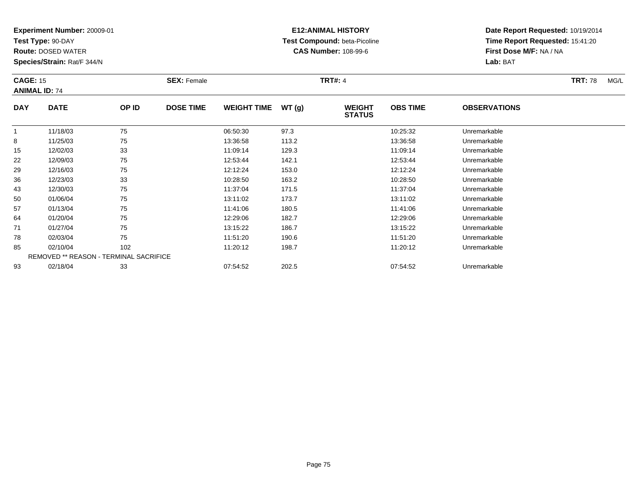**Test Type:** 90-DAY

93

**Route:** DOSED WATER

**Species/Strain:** Rat/F 344/N

# **E12:ANIMAL HISTORY Test Compound:** beta-Picoline**CAS Number:** 108-99-6

**Date Report Requested:** 10/19/2014**Time Report Requested:** 15:41:20**First Dose M/F:** NA / NA**Lab:** BAT

|              | <b>CAGE: 15</b><br><b>ANIMAL ID: 74</b>       |       | <b>SEX: Female</b> |                    |       | <b>TRT#: 4</b>                 |                 | <b>TRT: 78</b>      | MG/L |  |
|--------------|-----------------------------------------------|-------|--------------------|--------------------|-------|--------------------------------|-----------------|---------------------|------|--|
| <b>DAY</b>   | <b>DATE</b>                                   | OP ID | <b>DOSE TIME</b>   | <b>WEIGHT TIME</b> | WT(g) | <b>WEIGHT</b><br><b>STATUS</b> | <b>OBS TIME</b> | <b>OBSERVATIONS</b> |      |  |
| $\mathbf{1}$ | 11/18/03                                      | 75    |                    | 06:50:30           | 97.3  |                                | 10:25:32        | Unremarkable        |      |  |
| 8            | 11/25/03                                      | 75    |                    | 13:36:58           | 113.2 |                                | 13:36:58        | Unremarkable        |      |  |
| 15           | 12/02/03                                      | 33    |                    | 11:09:14           | 129.3 |                                | 11:09:14        | Unremarkable        |      |  |
| 22           | 12/09/03                                      | 75    |                    | 12:53:44           | 142.1 |                                | 12:53:44        | Unremarkable        |      |  |
| 29           | 12/16/03                                      | 75    |                    | 12:12:24           | 153.0 |                                | 12:12:24        | Unremarkable        |      |  |
| 36           | 12/23/03                                      | 33    |                    | 10:28:50           | 163.2 |                                | 10:28:50        | Unremarkable        |      |  |
| 43           | 12/30/03                                      | 75    |                    | 11:37:04           | 171.5 |                                | 11:37:04        | Unremarkable        |      |  |
| 50           | 01/06/04                                      | 75    |                    | 13:11:02           | 173.7 |                                | 13:11:02        | Unremarkable        |      |  |
| 57           | 01/13/04                                      | 75    |                    | 11:41:06           | 180.5 |                                | 11:41:06        | Unremarkable        |      |  |
| 64           | 01/20/04                                      | 75    |                    | 12:29:06           | 182.7 |                                | 12:29:06        | Unremarkable        |      |  |
| 71           | 01/27/04                                      | 75    |                    | 13:15:22           | 186.7 |                                | 13:15:22        | Unremarkable        |      |  |
| 78           | 02/03/04                                      | 75    |                    | 11:51:20           | 190.6 |                                | 11:51:20        | Unremarkable        |      |  |
| 85           | 02/10/04                                      | 102   |                    | 11:20:12           | 198.7 |                                | 11:20:12        | Unremarkable        |      |  |
|              | <b>REMOVED ** REASON - TERMINAL SACRIFICE</b> |       |                    |                    |       |                                |                 |                     |      |  |

02/18/04 <sup>33</sup> 07:54:52 202.5 07:54:52 Unremarkable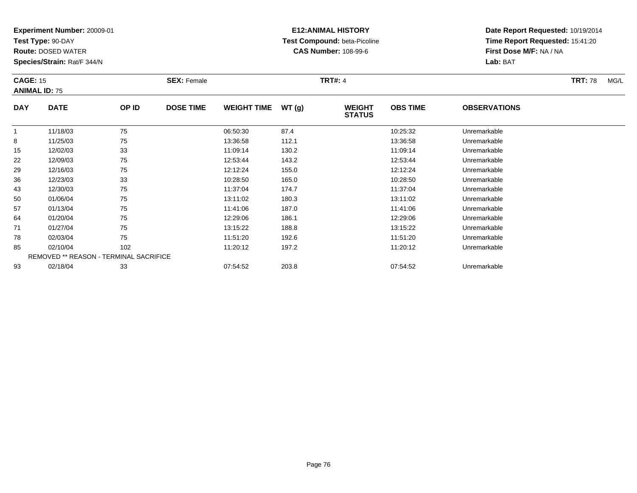**Test Type:** 90-DAY

**Route:** DOSED WATER

**Species/Strain:** Rat/F 344/N

# **E12:ANIMAL HISTORY Test Compound:** beta-Picoline**CAS Number:** 108-99-6

| <b>CAGE: 15</b> | <b>ANIMAL ID: 75</b>                   |       | <b>SEX: Female</b> |                    |       | <b>TRT#: 4</b>                 |                 |                     | <b>TRT: 78</b><br>MG/L |
|-----------------|----------------------------------------|-------|--------------------|--------------------|-------|--------------------------------|-----------------|---------------------|------------------------|
| <b>DAY</b>      | <b>DATE</b>                            | OP ID | <b>DOSE TIME</b>   | <b>WEIGHT TIME</b> | WT(g) | <b>WEIGHT</b><br><b>STATUS</b> | <b>OBS TIME</b> | <b>OBSERVATIONS</b> |                        |
| $\mathbf{1}$    | 11/18/03                               | 75    |                    | 06:50:30           | 87.4  |                                | 10:25:32        | Unremarkable        |                        |
| 8               | 11/25/03                               | 75    |                    | 13:36:58           | 112.1 |                                | 13:36:58        | Unremarkable        |                        |
| 15              | 12/02/03                               | 33    |                    | 11:09:14           | 130.2 |                                | 11:09:14        | Unremarkable        |                        |
| 22              | 12/09/03                               | 75    |                    | 12:53:44           | 143.2 |                                | 12:53:44        | Unremarkable        |                        |
| 29              | 12/16/03                               | 75    |                    | 12:12:24           | 155.0 |                                | 12:12:24        | Unremarkable        |                        |
| 36              | 12/23/03                               | 33    |                    | 10:28:50           | 165.0 |                                | 10:28:50        | Unremarkable        |                        |
| 43              | 12/30/03                               | 75    |                    | 11:37:04           | 174.7 |                                | 11:37:04        | Unremarkable        |                        |
| 50              | 01/06/04                               | 75    |                    | 13:11:02           | 180.3 |                                | 13:11:02        | Unremarkable        |                        |
| 57              | 01/13/04                               | 75    |                    | 11:41:06           | 187.0 |                                | 11:41:06        | Unremarkable        |                        |
| 64              | 01/20/04                               | 75    |                    | 12:29:06           | 186.1 |                                | 12:29:06        | Unremarkable        |                        |
| 71              | 01/27/04                               | 75    |                    | 13:15:22           | 188.8 |                                | 13:15:22        | Unremarkable        |                        |
| 78              | 02/03/04                               | 75    |                    | 11:51:20           | 192.6 |                                | 11:51:20        | Unremarkable        |                        |
| 85              | 02/10/04                               | 102   |                    | 11:20:12           | 197.2 |                                | 11:20:12        | Unremarkable        |                        |
|                 | REMOVED ** REASON - TERMINAL SACRIFICE |       |                    |                    |       |                                |                 |                     |                        |
| 93              | 02/18/04                               | 33    |                    | 07:54:52           | 203.8 |                                | 07:54:52        | Unremarkable        |                        |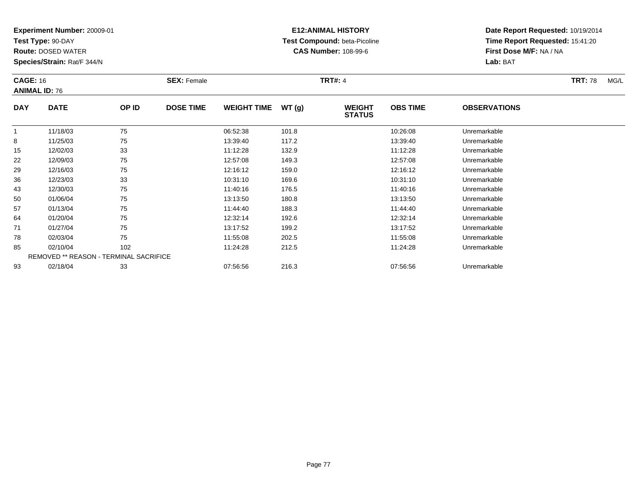**Test Type:** 90-DAY

**Route:** DOSED WATER

**Species/Strain:** Rat/F 344/N

# **E12:ANIMAL HISTORY Test Compound:** beta-Picoline**CAS Number:** 108-99-6

| <b>CAGE: 16</b> | <b>ANIMAL ID: 76</b>                   |       | <b>SEX: Female</b> |                    |       | <b>TRT#: 4</b>                 |                 |                     | <b>TRT: 78</b><br>MG/L |
|-----------------|----------------------------------------|-------|--------------------|--------------------|-------|--------------------------------|-----------------|---------------------|------------------------|
| <b>DAY</b>      | <b>DATE</b>                            | OP ID | <b>DOSE TIME</b>   | <b>WEIGHT TIME</b> | WT(g) | <b>WEIGHT</b><br><b>STATUS</b> | <b>OBS TIME</b> | <b>OBSERVATIONS</b> |                        |
| $\mathbf{1}$    | 11/18/03                               | 75    |                    | 06:52:38           | 101.8 |                                | 10:26:08        | Unremarkable        |                        |
| 8               | 11/25/03                               | 75    |                    | 13:39:40           | 117.2 |                                | 13:39:40        | Unremarkable        |                        |
| 15              | 12/02/03                               | 33    |                    | 11:12:28           | 132.9 |                                | 11:12:28        | Unremarkable        |                        |
| 22              | 12/09/03                               | 75    |                    | 12:57:08           | 149.3 |                                | 12:57:08        | Unremarkable        |                        |
| 29              | 12/16/03                               | 75    |                    | 12:16:12           | 159.0 |                                | 12:16:12        | Unremarkable        |                        |
| 36              | 12/23/03                               | 33    |                    | 10:31:10           | 169.6 |                                | 10:31:10        | Unremarkable        |                        |
| 43              | 12/30/03                               | 75    |                    | 11:40:16           | 176.5 |                                | 11:40:16        | Unremarkable        |                        |
| 50              | 01/06/04                               | 75    |                    | 13:13:50           | 180.8 |                                | 13:13:50        | Unremarkable        |                        |
| 57              | 01/13/04                               | 75    |                    | 11:44:40           | 188.3 |                                | 11:44:40        | Unremarkable        |                        |
| 64              | 01/20/04                               | 75    |                    | 12:32:14           | 192.6 |                                | 12:32:14        | Unremarkable        |                        |
| 71              | 01/27/04                               | 75    |                    | 13:17:52           | 199.2 |                                | 13:17:52        | Unremarkable        |                        |
| 78              | 02/03/04                               | 75    |                    | 11:55:08           | 202.5 |                                | 11:55:08        | Unremarkable        |                        |
| 85              | 02/10/04                               | 102   |                    | 11:24:28           | 212.5 |                                | 11:24:28        | Unremarkable        |                        |
|                 | REMOVED ** REASON - TERMINAL SACRIFICE |       |                    |                    |       |                                |                 |                     |                        |
| 93              | 02/18/04                               | 33    |                    | 07:56:56           | 216.3 |                                | 07:56:56        | Unremarkable        |                        |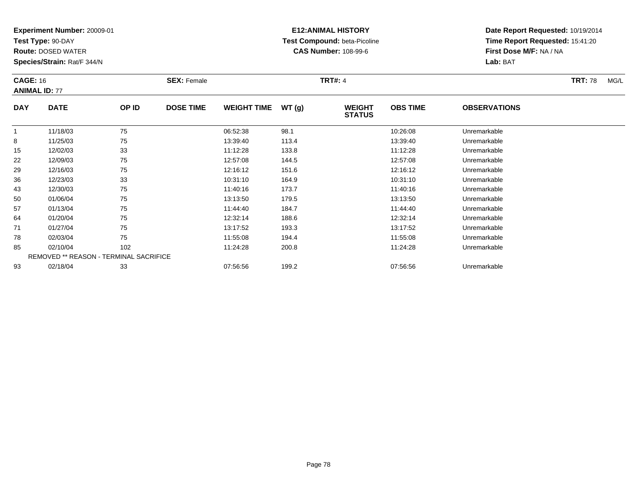**Test Type:** 90-DAY

93

**Route:** DOSED WATER

**Species/Strain:** Rat/F 344/N

# **E12:ANIMAL HISTORY Test Compound:** beta-Picoline**CAS Number:** 108-99-6

**Date Report Requested:** 10/19/2014**Time Report Requested:** 15:41:20**First Dose M/F:** NA / NA**Lab:** BAT

|              | <b>CAGE: 16</b><br><b>ANIMAL ID: 77</b>       |       | <b>SEX: Female</b> |                    |       | <b>TRT#: 4</b>                 |                 | <b>TRT: 78</b>      | MG/L |  |
|--------------|-----------------------------------------------|-------|--------------------|--------------------|-------|--------------------------------|-----------------|---------------------|------|--|
| <b>DAY</b>   | <b>DATE</b>                                   | OP ID | <b>DOSE TIME</b>   | <b>WEIGHT TIME</b> | WT(g) | <b>WEIGHT</b><br><b>STATUS</b> | <b>OBS TIME</b> | <b>OBSERVATIONS</b> |      |  |
| $\mathbf{1}$ | 11/18/03                                      | 75    |                    | 06:52:38           | 98.1  |                                | 10:26:08        | Unremarkable        |      |  |
| 8            | 11/25/03                                      | 75    |                    | 13:39:40           | 113.4 |                                | 13:39:40        | Unremarkable        |      |  |
| 15           | 12/02/03                                      | 33    |                    | 11:12:28           | 133.8 |                                | 11:12:28        | Unremarkable        |      |  |
| 22           | 12/09/03                                      | 75    |                    | 12:57:08           | 144.5 |                                | 12:57:08        | Unremarkable        |      |  |
| 29           | 12/16/03                                      | 75    |                    | 12:16:12           | 151.6 |                                | 12:16:12        | Unremarkable        |      |  |
| 36           | 12/23/03                                      | 33    |                    | 10:31:10           | 164.9 |                                | 10:31:10        | Unremarkable        |      |  |
| 43           | 12/30/03                                      | 75    |                    | 11:40:16           | 173.7 |                                | 11:40:16        | Unremarkable        |      |  |
| 50           | 01/06/04                                      | 75    |                    | 13:13:50           | 179.5 |                                | 13:13:50        | Unremarkable        |      |  |
| 57           | 01/13/04                                      | 75    |                    | 11:44:40           | 184.7 |                                | 11:44:40        | Unremarkable        |      |  |
| 64           | 01/20/04                                      | 75    |                    | 12:32:14           | 188.6 |                                | 12:32:14        | Unremarkable        |      |  |
| 71           | 01/27/04                                      | 75    |                    | 13:17:52           | 193.3 |                                | 13:17:52        | Unremarkable        |      |  |
| 78           | 02/03/04                                      | 75    |                    | 11:55:08           | 194.4 |                                | 11:55:08        | Unremarkable        |      |  |
| 85           | 02/10/04                                      | 102   |                    | 11:24:28           | 200.8 |                                | 11:24:28        | Unremarkable        |      |  |
|              | <b>REMOVED ** REASON - TERMINAL SACRIFICE</b> |       |                    |                    |       |                                |                 |                     |      |  |

02/18/04 <sup>33</sup> 07:56:56 199.2 07:56:56 Unremarkable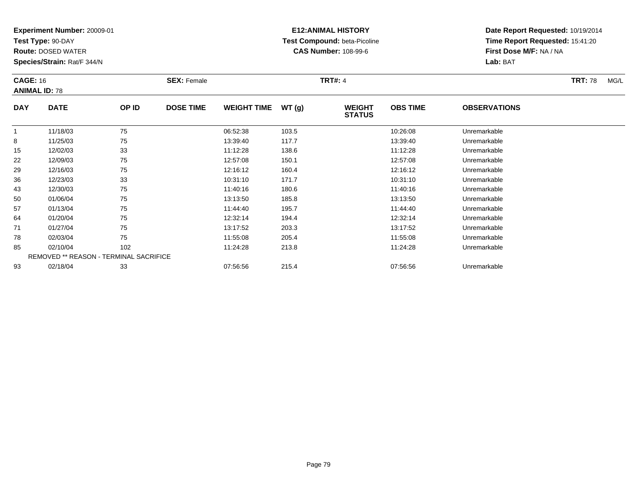**Test Type:** 90-DAY

**Route:** DOSED WATER

**Species/Strain:** Rat/F 344/N

## **E12:ANIMAL HISTORY Test Compound:** beta-Picoline**CAS Number:** 108-99-6

| <b>CAGE: 16</b> | <b>ANIMAL ID: 78</b>                   |       | <b>SEX: Female</b> |                    |       | <b>TRT#: 4</b>                 |                 |                     | <b>TRT: 78</b><br>MG/L |
|-----------------|----------------------------------------|-------|--------------------|--------------------|-------|--------------------------------|-----------------|---------------------|------------------------|
| <b>DAY</b>      | <b>DATE</b>                            | OP ID | <b>DOSE TIME</b>   | <b>WEIGHT TIME</b> | WT(g) | <b>WEIGHT</b><br><b>STATUS</b> | <b>OBS TIME</b> | <b>OBSERVATIONS</b> |                        |
| $\mathbf{1}$    | 11/18/03                               | 75    |                    | 06:52:38           | 103.5 |                                | 10:26:08        | Unremarkable        |                        |
| 8               | 11/25/03                               | 75    |                    | 13:39:40           | 117.7 |                                | 13:39:40        | Unremarkable        |                        |
| 15              | 12/02/03                               | 33    |                    | 11:12:28           | 138.6 |                                | 11:12:28        | Unremarkable        |                        |
| 22              | 12/09/03                               | 75    |                    | 12:57:08           | 150.1 |                                | 12:57:08        | Unremarkable        |                        |
| 29              | 12/16/03                               | 75    |                    | 12:16:12           | 160.4 |                                | 12:16:12        | Unremarkable        |                        |
| 36              | 12/23/03                               | 33    |                    | 10:31:10           | 171.7 |                                | 10:31:10        | Unremarkable        |                        |
| 43              | 12/30/03                               | 75    |                    | 11:40:16           | 180.6 |                                | 11:40:16        | Unremarkable        |                        |
| 50              | 01/06/04                               | 75    |                    | 13:13:50           | 185.8 |                                | 13:13:50        | Unremarkable        |                        |
| 57              | 01/13/04                               | 75    |                    | 11:44:40           | 195.7 |                                | 11:44:40        | Unremarkable        |                        |
| 64              | 01/20/04                               | 75    |                    | 12:32:14           | 194.4 |                                | 12:32:14        | Unremarkable        |                        |
| 71              | 01/27/04                               | 75    |                    | 13:17:52           | 203.3 |                                | 13:17:52        | Unremarkable        |                        |
| 78              | 02/03/04                               | 75    |                    | 11:55:08           | 205.4 |                                | 11:55:08        | Unremarkable        |                        |
| 85              | 02/10/04                               | 102   |                    | 11:24:28           | 213.8 |                                | 11:24:28        | Unremarkable        |                        |
|                 | REMOVED ** REASON - TERMINAL SACRIFICE |       |                    |                    |       |                                |                 |                     |                        |
| 93              | 02/18/04                               | 33    |                    | 07:56:56           | 215.4 |                                | 07:56:56        | Unremarkable        |                        |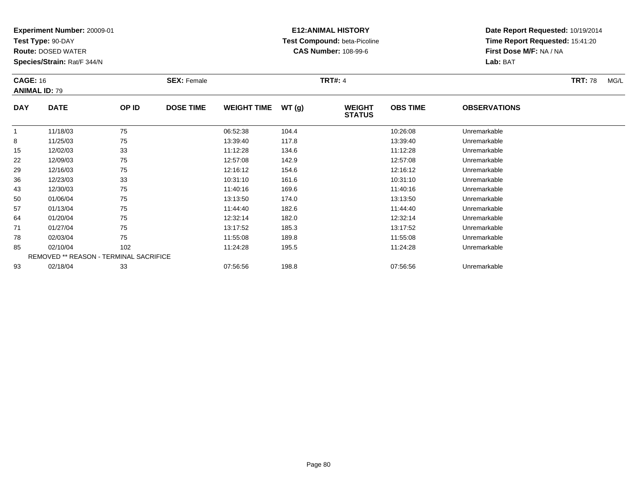**Test Type:** 90-DAY

**Route:** DOSED WATER

**Species/Strain:** Rat/F 344/N

# **E12:ANIMAL HISTORY Test Compound:** beta-Picoline**CAS Number:** 108-99-6

| <b>CAGE: 16</b> |                                               |       | <b>SEX: Female</b> |                    |       | <b>TRT#: 4</b>                 |                 |                     | <b>TRT: 78</b><br>MG/L |
|-----------------|-----------------------------------------------|-------|--------------------|--------------------|-------|--------------------------------|-----------------|---------------------|------------------------|
|                 | <b>ANIMAL ID: 79</b>                          |       |                    |                    |       |                                |                 |                     |                        |
| <b>DAY</b>      | <b>DATE</b>                                   | OP ID | <b>DOSE TIME</b>   | <b>WEIGHT TIME</b> | WT(g) | <b>WEIGHT</b><br><b>STATUS</b> | <b>OBS TIME</b> | <b>OBSERVATIONS</b> |                        |
| $\mathbf{1}$    | 11/18/03                                      | 75    |                    | 06:52:38           | 104.4 |                                | 10:26:08        | Unremarkable        |                        |
| 8               | 11/25/03                                      | 75    |                    | 13:39:40           | 117.8 |                                | 13:39:40        | Unremarkable        |                        |
| 15              | 12/02/03                                      | 33    |                    | 11:12:28           | 134.6 |                                | 11:12:28        | Unremarkable        |                        |
| 22              | 12/09/03                                      | 75    |                    | 12:57:08           | 142.9 |                                | 12:57:08        | Unremarkable        |                        |
| 29              | 12/16/03                                      | 75    |                    | 12:16:12           | 154.6 |                                | 12:16:12        | Unremarkable        |                        |
| 36              | 12/23/03                                      | 33    |                    | 10:31:10           | 161.6 |                                | 10:31:10        | Unremarkable        |                        |
| 43              | 12/30/03                                      | 75    |                    | 11:40:16           | 169.6 |                                | 11:40:16        | Unremarkable        |                        |
| 50              | 01/06/04                                      | 75    |                    | 13:13:50           | 174.0 |                                | 13:13:50        | Unremarkable        |                        |
| 57              | 01/13/04                                      | 75    |                    | 11:44:40           | 182.6 |                                | 11:44:40        | Unremarkable        |                        |
| 64              | 01/20/04                                      | 75    |                    | 12:32:14           | 182.0 |                                | 12:32:14        | Unremarkable        |                        |
| 71              | 01/27/04                                      | 75    |                    | 13:17:52           | 185.3 |                                | 13:17:52        | Unremarkable        |                        |
| 78              | 02/03/04                                      | 75    |                    | 11:55:08           | 189.8 |                                | 11:55:08        | Unremarkable        |                        |
| 85              | 02/10/04                                      | 102   |                    | 11:24:28           | 195.5 |                                | 11:24:28        | Unremarkable        |                        |
|                 | <b>REMOVED ** REASON - TERMINAL SACRIFICE</b> |       |                    |                    |       |                                |                 |                     |                        |
| 93              | 02/18/04                                      | 33    |                    | 07:56:56           | 198.8 |                                | 07:56:56        | Unremarkable        |                        |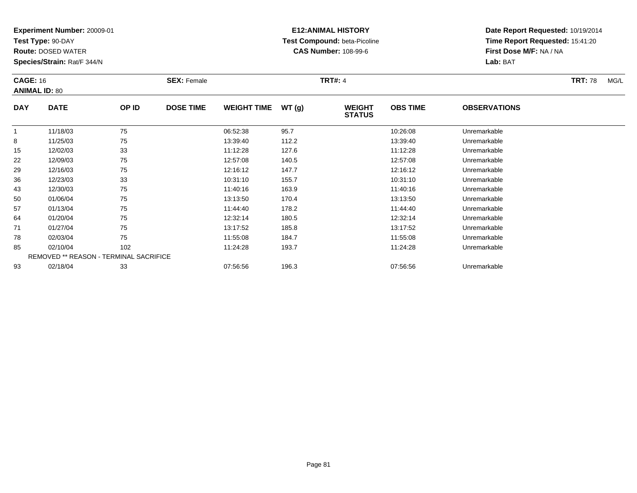**Test Type:** 90-DAY

**Route:** DOSED WATER

**Species/Strain:** Rat/F 344/N

# **E12:ANIMAL HISTORY Test Compound:** beta-Picoline**CAS Number:** 108-99-6

| <b>CAGE: 16</b> | <b>ANIMAL ID: 80</b>                   |       | <b>SEX: Female</b> |                    |       | <b>TRT#: 4</b>                 |                 |                     | <b>TRT: 78</b><br>MG/L |
|-----------------|----------------------------------------|-------|--------------------|--------------------|-------|--------------------------------|-----------------|---------------------|------------------------|
| <b>DAY</b>      | <b>DATE</b>                            | OP ID | <b>DOSE TIME</b>   | <b>WEIGHT TIME</b> | WT(g) | <b>WEIGHT</b><br><b>STATUS</b> | <b>OBS TIME</b> | <b>OBSERVATIONS</b> |                        |
| $\mathbf{1}$    | 11/18/03                               | 75    |                    | 06:52:38           | 95.7  |                                | 10:26:08        | Unremarkable        |                        |
| 8               | 11/25/03                               | 75    |                    | 13:39:40           | 112.2 |                                | 13:39:40        | Unremarkable        |                        |
| 15              | 12/02/03                               | 33    |                    | 11:12:28           | 127.6 |                                | 11:12:28        | Unremarkable        |                        |
| 22              | 12/09/03                               | 75    |                    | 12:57:08           | 140.5 |                                | 12:57:08        | Unremarkable        |                        |
| 29              | 12/16/03                               | 75    |                    | 12:16:12           | 147.7 |                                | 12:16:12        | Unremarkable        |                        |
| 36              | 12/23/03                               | 33    |                    | 10:31:10           | 155.7 |                                | 10:31:10        | Unremarkable        |                        |
| 43              | 12/30/03                               | 75    |                    | 11:40:16           | 163.9 |                                | 11:40:16        | Unremarkable        |                        |
| 50              | 01/06/04                               | 75    |                    | 13:13:50           | 170.4 |                                | 13:13:50        | Unremarkable        |                        |
| 57              | 01/13/04                               | 75    |                    | 11:44:40           | 178.2 |                                | 11:44:40        | Unremarkable        |                        |
| 64              | 01/20/04                               | 75    |                    | 12:32:14           | 180.5 |                                | 12:32:14        | Unremarkable        |                        |
| 71              | 01/27/04                               | 75    |                    | 13:17:52           | 185.8 |                                | 13:17:52        | Unremarkable        |                        |
| 78              | 02/03/04                               | 75    |                    | 11:55:08           | 184.7 |                                | 11:55:08        | Unremarkable        |                        |
| 85              | 02/10/04                               | 102   |                    | 11:24:28           | 193.7 |                                | 11:24:28        | Unremarkable        |                        |
|                 | REMOVED ** REASON - TERMINAL SACRIFICE |       |                    |                    |       |                                |                 |                     |                        |
| 93              | 02/18/04                               | 33    |                    | 07:56:56           | 196.3 |                                | 07:56:56        | Unremarkable        |                        |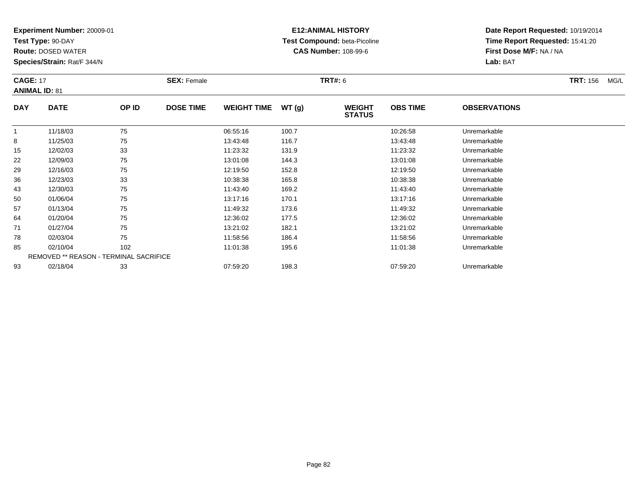**Test Type:** 90-DAY

**Route:** DOSED WATER

**Species/Strain:** Rat/F 344/N

# **E12:ANIMAL HISTORY Test Compound:** beta-Picoline**CAS Number:** 108-99-6

| <b>CAGE: 17</b> | <b>ANIMAL ID: 81</b>                   |       | <b>SEX: Female</b> |                    |       | <b>TRT#: 6</b>                 |                 |                     | <b>TRT: 156</b><br>MG/L |
|-----------------|----------------------------------------|-------|--------------------|--------------------|-------|--------------------------------|-----------------|---------------------|-------------------------|
| <b>DAY</b>      | <b>DATE</b>                            | OP ID | <b>DOSE TIME</b>   | <b>WEIGHT TIME</b> | WT(g) | <b>WEIGHT</b><br><b>STATUS</b> | <b>OBS TIME</b> | <b>OBSERVATIONS</b> |                         |
| $\mathbf{1}$    | 11/18/03                               | 75    |                    | 06:55:16           | 100.7 |                                | 10:26:58        | Unremarkable        |                         |
| 8               | 11/25/03                               | 75    |                    | 13:43:48           | 116.7 |                                | 13:43:48        | Unremarkable        |                         |
| 15              | 12/02/03                               | 33    |                    | 11:23:32           | 131.9 |                                | 11:23:32        | Unremarkable        |                         |
| 22              | 12/09/03                               | 75    |                    | 13:01:08           | 144.3 |                                | 13:01:08        | Unremarkable        |                         |
| 29              | 12/16/03                               | 75    |                    | 12:19:50           | 152.8 |                                | 12:19:50        | Unremarkable        |                         |
| 36              | 12/23/03                               | 33    |                    | 10:38:38           | 165.8 |                                | 10:38:38        | Unremarkable        |                         |
| 43              | 12/30/03                               | 75    |                    | 11:43:40           | 169.2 |                                | 11:43:40        | Unremarkable        |                         |
| 50              | 01/06/04                               | 75    |                    | 13:17:16           | 170.1 |                                | 13:17:16        | Unremarkable        |                         |
| 57              | 01/13/04                               | 75    |                    | 11:49:32           | 173.6 |                                | 11:49:32        | Unremarkable        |                         |
| 64              | 01/20/04                               | 75    |                    | 12:36:02           | 177.5 |                                | 12:36:02        | Unremarkable        |                         |
| 71              | 01/27/04                               | 75    |                    | 13:21:02           | 182.1 |                                | 13:21:02        | Unremarkable        |                         |
| 78              | 02/03/04                               | 75    |                    | 11:58:56           | 186.4 |                                | 11:58:56        | Unremarkable        |                         |
| 85              | 02/10/04                               | 102   |                    | 11:01:38           | 195.6 |                                | 11:01:38        | Unremarkable        |                         |
|                 | REMOVED ** REASON - TERMINAL SACRIFICE |       |                    |                    |       |                                |                 |                     |                         |
| 93              | 02/18/04                               | 33    |                    | 07:59:20           | 198.3 |                                | 07:59:20        | Unremarkable        |                         |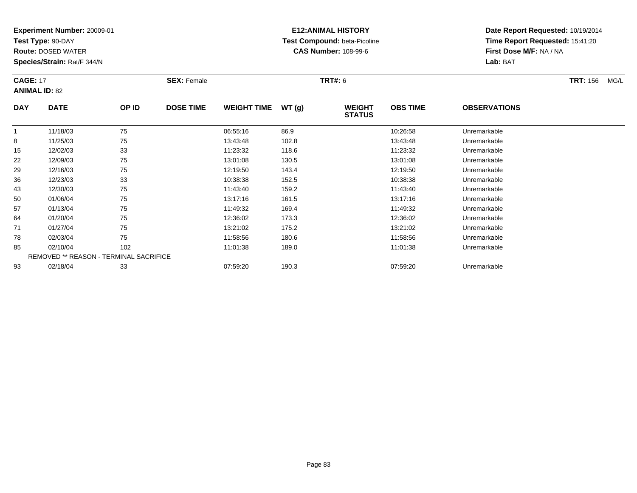**Test Type:** 90-DAY

**Route:** DOSED WATER

**Species/Strain:** Rat/F 344/N

## **E12:ANIMAL HISTORY Test Compound:** beta-Picoline**CAS Number:** 108-99-6

| <b>CAGE: 17</b><br><b>ANIMAL ID: 82</b> |                                        |       | <b>SEX: Female</b> |                    |       | <b>TRT: 156</b><br>MG/L        |                 |                     |  |
|-----------------------------------------|----------------------------------------|-------|--------------------|--------------------|-------|--------------------------------|-----------------|---------------------|--|
| <b>DAY</b>                              | <b>DATE</b>                            | OP ID | <b>DOSE TIME</b>   | <b>WEIGHT TIME</b> | WT(g) | <b>WEIGHT</b><br><b>STATUS</b> | <b>OBS TIME</b> | <b>OBSERVATIONS</b> |  |
|                                         | 11/18/03                               | 75    |                    | 06:55:16           | 86.9  |                                | 10:26:58        | Unremarkable        |  |
| 8                                       | 11/25/03                               | 75    |                    | 13:43:48           | 102.8 |                                | 13:43:48        | Unremarkable        |  |
| 15                                      | 12/02/03                               | 33    |                    | 11:23:32           | 118.6 |                                | 11:23:32        | Unremarkable        |  |
| 22                                      | 12/09/03                               | 75    |                    | 13:01:08           | 130.5 |                                | 13:01:08        | Unremarkable        |  |
| 29                                      | 12/16/03                               | 75    |                    | 12:19:50           | 143.4 |                                | 12:19:50        | Unremarkable        |  |
| 36                                      | 12/23/03                               | 33    |                    | 10:38:38           | 152.5 |                                | 10:38:38        | Unremarkable        |  |
| 43                                      | 12/30/03                               | 75    |                    | 11:43:40           | 159.2 |                                | 11:43:40        | Unremarkable        |  |
| 50                                      | 01/06/04                               | 75    |                    | 13:17:16           | 161.5 |                                | 13:17:16        | Unremarkable        |  |
| 57                                      | 01/13/04                               | 75    |                    | 11:49:32           | 169.4 |                                | 11:49:32        | Unremarkable        |  |
| 64                                      | 01/20/04                               | 75    |                    | 12:36:02           | 173.3 |                                | 12:36:02        | Unremarkable        |  |
| 71                                      | 01/27/04                               | 75    |                    | 13:21:02           | 175.2 |                                | 13:21:02        | Unremarkable        |  |
| 78                                      | 02/03/04                               | 75    |                    | 11:58:56           | 180.6 |                                | 11:58:56        | Unremarkable        |  |
| 85                                      | 02/10/04                               | 102   |                    | 11:01:38           | 189.0 |                                | 11:01:38        | Unremarkable        |  |
|                                         | REMOVED ** REASON - TERMINAL SACRIFICE |       |                    |                    |       |                                |                 |                     |  |
| 93                                      | 02/18/04                               | 33    |                    | 07:59:20           | 190.3 |                                | 07:59:20        | Unremarkable        |  |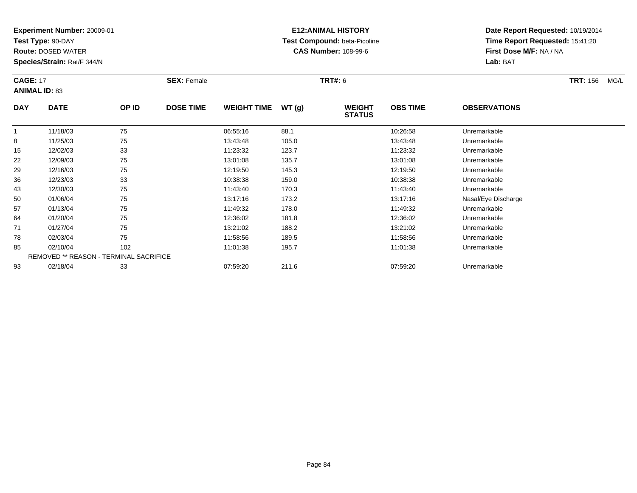**Test Type:** 90-DAY

**Route:** DOSED WATER

**Species/Strain:** Rat/F 344/N

# **E12:ANIMAL HISTORY Test Compound:** beta-Picoline**CAS Number:** 108-99-6

| <b>CAGE: 17</b> | <b>ANIMAL ID: 83</b>                   |       | <b>SEX: Female</b> |                    |       | <b>TRT#:</b> 6                 |                 |                     | <b>TRT: 156</b><br>MG/L |
|-----------------|----------------------------------------|-------|--------------------|--------------------|-------|--------------------------------|-----------------|---------------------|-------------------------|
| <b>DAY</b>      | <b>DATE</b>                            | OP ID | <b>DOSE TIME</b>   | <b>WEIGHT TIME</b> | WT(g) | <b>WEIGHT</b><br><b>STATUS</b> | <b>OBS TIME</b> | <b>OBSERVATIONS</b> |                         |
| $\mathbf{1}$    | 11/18/03                               | 75    |                    | 06:55:16           | 88.1  |                                | 10:26:58        | Unremarkable        |                         |
| 8               | 11/25/03                               | 75    |                    | 13:43:48           | 105.0 |                                | 13:43:48        | Unremarkable        |                         |
| 15              | 12/02/03                               | 33    |                    | 11:23:32           | 123.7 |                                | 11:23:32        | Unremarkable        |                         |
| 22              | 12/09/03                               | 75    |                    | 13:01:08           | 135.7 |                                | 13:01:08        | Unremarkable        |                         |
| 29              | 12/16/03                               | 75    |                    | 12:19:50           | 145.3 |                                | 12:19:50        | Unremarkable        |                         |
| 36              | 12/23/03                               | 33    |                    | 10:38:38           | 159.0 |                                | 10:38:38        | Unremarkable        |                         |
| 43              | 12/30/03                               | 75    |                    | 11:43:40           | 170.3 |                                | 11:43:40        | Unremarkable        |                         |
| 50              | 01/06/04                               | 75    |                    | 13:17:16           | 173.2 |                                | 13:17:16        | Nasal/Eye Discharge |                         |
| 57              | 01/13/04                               | 75    |                    | 11:49:32           | 178.0 |                                | 11:49:32        | Unremarkable        |                         |
| 64              | 01/20/04                               | 75    |                    | 12:36:02           | 181.8 |                                | 12:36:02        | Unremarkable        |                         |
| 71              | 01/27/04                               | 75    |                    | 13:21:02           | 188.2 |                                | 13:21:02        | Unremarkable        |                         |
| 78              | 02/03/04                               | 75    |                    | 11:58:56           | 189.5 |                                | 11:58:56        | Unremarkable        |                         |
| 85              | 02/10/04                               | 102   |                    | 11:01:38           | 195.7 |                                | 11:01:38        | Unremarkable        |                         |
|                 | REMOVED ** REASON - TERMINAL SACRIFICE |       |                    |                    |       |                                |                 |                     |                         |
| 93              | 02/18/04                               | 33    |                    | 07:59:20           | 211.6 |                                | 07:59:20        | Unremarkable        |                         |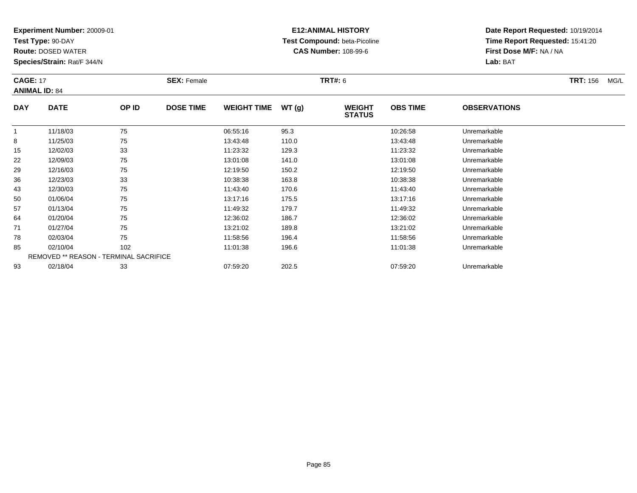**Test Type:** 90-DAY

**Route:** DOSED WATER

**Species/Strain:** Rat/F 344/N

# **E12:ANIMAL HISTORY Test Compound:** beta-Picoline**CAS Number:** 108-99-6

| <b>CAGE: 17</b> | <b>ANIMAL ID: 84</b>                   |       | <b>SEX: Female</b> |                    |       | <b>TRT#: 6</b>                 |                 |                     | <b>TRT: 156</b><br>MG/L |
|-----------------|----------------------------------------|-------|--------------------|--------------------|-------|--------------------------------|-----------------|---------------------|-------------------------|
| <b>DAY</b>      | <b>DATE</b>                            | OP ID | <b>DOSE TIME</b>   | <b>WEIGHT TIME</b> | WT(g) | <b>WEIGHT</b><br><b>STATUS</b> | <b>OBS TIME</b> | <b>OBSERVATIONS</b> |                         |
| $\overline{1}$  | 11/18/03                               | 75    |                    | 06:55:16           | 95.3  |                                | 10:26:58        | Unremarkable        |                         |
| 8               | 11/25/03                               | 75    |                    | 13:43:48           | 110.0 |                                | 13:43:48        | Unremarkable        |                         |
| 15              | 12/02/03                               | 33    |                    | 11:23:32           | 129.3 |                                | 11:23:32        | Unremarkable        |                         |
| 22              | 12/09/03                               | 75    |                    | 13:01:08           | 141.0 |                                | 13:01:08        | Unremarkable        |                         |
| 29              | 12/16/03                               | 75    |                    | 12:19:50           | 150.2 |                                | 12:19:50        | Unremarkable        |                         |
| 36              | 12/23/03                               | 33    |                    | 10:38:38           | 163.8 |                                | 10:38:38        | Unremarkable        |                         |
| 43              | 12/30/03                               | 75    |                    | 11:43:40           | 170.6 |                                | 11:43:40        | Unremarkable        |                         |
| 50              | 01/06/04                               | 75    |                    | 13:17:16           | 175.5 |                                | 13:17:16        | Unremarkable        |                         |
| 57              | 01/13/04                               | 75    |                    | 11:49:32           | 179.7 |                                | 11:49:32        | Unremarkable        |                         |
| 64              | 01/20/04                               | 75    |                    | 12:36:02           | 186.7 |                                | 12:36:02        | Unremarkable        |                         |
| 71              | 01/27/04                               | 75    |                    | 13:21:02           | 189.8 |                                | 13:21:02        | Unremarkable        |                         |
| 78              | 02/03/04                               | 75    |                    | 11:58:56           | 196.4 |                                | 11:58:56        | Unremarkable        |                         |
| 85              | 02/10/04                               | 102   |                    | 11:01:38           | 196.6 |                                | 11:01:38        | Unremarkable        |                         |
|                 | REMOVED ** REASON - TERMINAL SACRIFICE |       |                    |                    |       |                                |                 |                     |                         |
| 93              | 02/18/04                               | 33    |                    | 07:59:20           | 202.5 |                                | 07:59:20        | Unremarkable        |                         |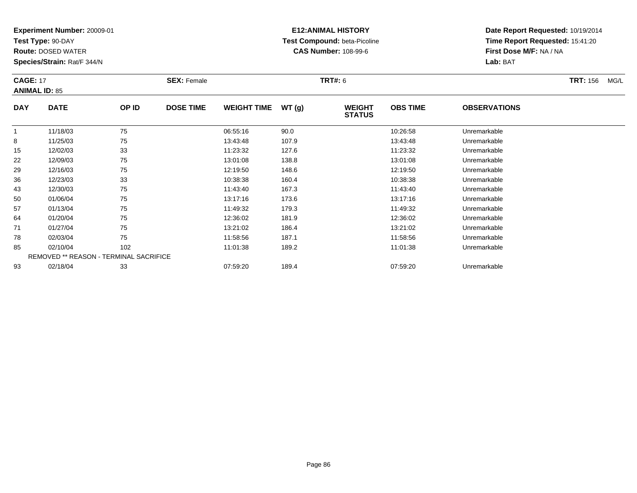**Test Type:** 90-DAY

**Route:** DOSED WATER

**Species/Strain:** Rat/F 344/N

## **E12:ANIMAL HISTORY Test Compound:** beta-Picoline**CAS Number:** 108-99-6

| <b>CAGE: 17</b> | <b>ANIMAL ID: 85</b>                   |       | <b>SEX: Female</b> |                    |       | <b>TRT#: 6</b>                 |                 |                     | <b>TRT: 156</b><br>MG/L |
|-----------------|----------------------------------------|-------|--------------------|--------------------|-------|--------------------------------|-----------------|---------------------|-------------------------|
| <b>DAY</b>      | <b>DATE</b>                            | OP ID | <b>DOSE TIME</b>   | <b>WEIGHT TIME</b> | WT(g) | <b>WEIGHT</b><br><b>STATUS</b> | <b>OBS TIME</b> | <b>OBSERVATIONS</b> |                         |
|                 | 11/18/03                               | 75    |                    | 06:55:16           | 90.0  |                                | 10:26:58        | Unremarkable        |                         |
| 8               | 11/25/03                               | 75    |                    | 13:43:48           | 107.9 |                                | 13:43:48        | Unremarkable        |                         |
| 15              | 12/02/03                               | 33    |                    | 11:23:32           | 127.6 |                                | 11:23:32        | Unremarkable        |                         |
| 22              | 12/09/03                               | 75    |                    | 13:01:08           | 138.8 |                                | 13:01:08        | Unremarkable        |                         |
| 29              | 12/16/03                               | 75    |                    | 12:19:50           | 148.6 |                                | 12:19:50        | Unremarkable        |                         |
| 36              | 12/23/03                               | 33    |                    | 10:38:38           | 160.4 |                                | 10:38:38        | Unremarkable        |                         |
| 43              | 12/30/03                               | 75    |                    | 11:43:40           | 167.3 |                                | 11:43:40        | Unremarkable        |                         |
| 50              | 01/06/04                               | 75    |                    | 13:17:16           | 173.6 |                                | 13:17:16        | Unremarkable        |                         |
| 57              | 01/13/04                               | 75    |                    | 11:49:32           | 179.3 |                                | 11:49:32        | Unremarkable        |                         |
| 64              | 01/20/04                               | 75    |                    | 12:36:02           | 181.9 |                                | 12:36:02        | Unremarkable        |                         |
| 71              | 01/27/04                               | 75    |                    | 13:21:02           | 186.4 |                                | 13:21:02        | Unremarkable        |                         |
| 78              | 02/03/04                               | 75    |                    | 11:58:56           | 187.1 |                                | 11:58:56        | Unremarkable        |                         |
| 85              | 02/10/04                               | 102   |                    | 11:01:38           | 189.2 |                                | 11:01:38        | Unremarkable        |                         |
|                 | REMOVED ** REASON - TERMINAL SACRIFICE |       |                    |                    |       |                                |                 |                     |                         |
| 93              | 02/18/04                               | 33    |                    | 07:59:20           | 189.4 |                                | 07:59:20        | Unremarkable        |                         |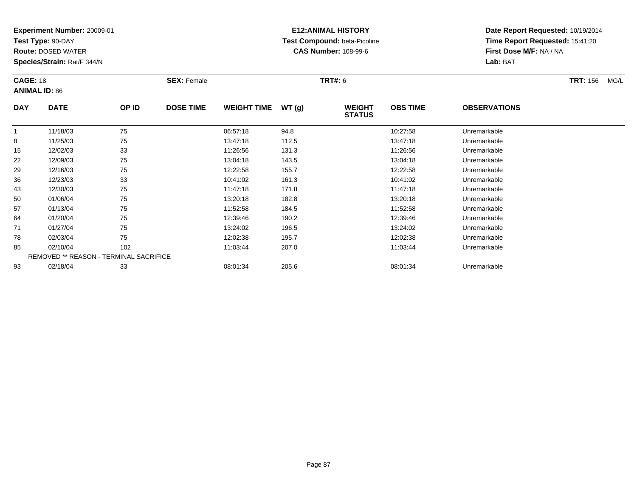**Test Type:** 90-DAY

**Route:** DOSED WATER

**Species/Strain:** Rat/F 344/N

# **E12:ANIMAL HISTORY Test Compound:** beta-Picoline**CAS Number:** 108-99-6

| <b>CAGE: 18</b> | <b>ANIMAL ID: 86</b>                          |       | <b>SEX: Female</b> |                    |       | <b>TRT#: 6</b>                 |                 |                     | <b>TRT: 156</b><br>MG/L |
|-----------------|-----------------------------------------------|-------|--------------------|--------------------|-------|--------------------------------|-----------------|---------------------|-------------------------|
| <b>DAY</b>      | <b>DATE</b>                                   | OP ID | <b>DOSE TIME</b>   | <b>WEIGHT TIME</b> | WT(g) | <b>WEIGHT</b><br><b>STATUS</b> | <b>OBS TIME</b> | <b>OBSERVATIONS</b> |                         |
|                 | 11/18/03                                      | 75    |                    | 06:57:18           | 94.8  |                                | 10:27:58        | Unremarkable        |                         |
| 8               | 11/25/03                                      | 75    |                    | 13:47:18           | 112.5 |                                | 13:47:18        | Unremarkable        |                         |
| 15              | 12/02/03                                      | 33    |                    | 11:26:56           | 131.3 |                                | 11:26:56        | Unremarkable        |                         |
| 22              | 12/09/03                                      | 75    |                    | 13:04:18           | 143.5 |                                | 13:04:18        | Unremarkable        |                         |
| 29              | 12/16/03                                      | 75    |                    | 12:22:58           | 155.7 |                                | 12:22:58        | Unremarkable        |                         |
| 36              | 12/23/03                                      | 33    |                    | 10:41:02           | 161.3 |                                | 10:41:02        | Unremarkable        |                         |
| 43              | 12/30/03                                      | 75    |                    | 11:47:18           | 171.8 |                                | 11:47:18        | Unremarkable        |                         |
| 50              | 01/06/04                                      | 75    |                    | 13:20:18           | 182.8 |                                | 13:20:18        | Unremarkable        |                         |
| 57              | 01/13/04                                      | 75    |                    | 11:52:58           | 184.5 |                                | 11:52:58        | Unremarkable        |                         |
| 64              | 01/20/04                                      | 75    |                    | 12:39:46           | 190.2 |                                | 12:39:46        | Unremarkable        |                         |
| 71              | 01/27/04                                      | 75    |                    | 13:24:02           | 196.5 |                                | 13:24:02        | Unremarkable        |                         |
| 78              | 02/03/04                                      | 75    |                    | 12:02:38           | 195.7 |                                | 12:02:38        | Unremarkable        |                         |
| 85              | 02/10/04                                      | 102   |                    | 11:03:44           | 207.0 |                                | 11:03:44        | Unremarkable        |                         |
|                 | <b>REMOVED ** REASON - TERMINAL SACRIFICE</b> |       |                    |                    |       |                                |                 |                     |                         |
| 93              | 02/18/04                                      | 33    |                    | 08:01:34           | 205.6 |                                | 08:01:34        | Unremarkable        |                         |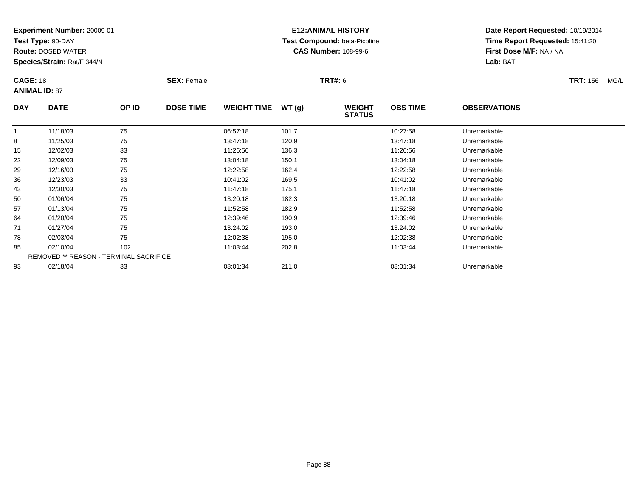**Test Type:** 90-DAY

**Route:** DOSED WATER

**Species/Strain:** Rat/F 344/N

# **E12:ANIMAL HISTORY Test Compound:** beta-Picoline**CAS Number:** 108-99-6

| <b>CAGE: 18</b> | <b>ANIMAL ID: 87</b>                          |       | <b>SEX: Female</b> |                    |       | <b>TRT#:</b> 6                 |                 |                     | <b>TRT:</b> 156<br>MG/L |
|-----------------|-----------------------------------------------|-------|--------------------|--------------------|-------|--------------------------------|-----------------|---------------------|-------------------------|
| <b>DAY</b>      | <b>DATE</b>                                   | OP ID | <b>DOSE TIME</b>   | <b>WEIGHT TIME</b> | WT(g) | <b>WEIGHT</b><br><b>STATUS</b> | <b>OBS TIME</b> | <b>OBSERVATIONS</b> |                         |
|                 | 11/18/03                                      | 75    |                    | 06:57:18           | 101.7 |                                | 10:27:58        | Unremarkable        |                         |
| 8               | 11/25/03                                      | 75    |                    | 13:47:18           | 120.9 |                                | 13:47:18        | Unremarkable        |                         |
| 15              | 12/02/03                                      | 33    |                    | 11:26:56           | 136.3 |                                | 11:26:56        | Unremarkable        |                         |
| 22              | 12/09/03                                      | 75    |                    | 13:04:18           | 150.1 |                                | 13:04:18        | Unremarkable        |                         |
| 29              | 12/16/03                                      | 75    |                    | 12:22:58           | 162.4 |                                | 12:22:58        | Unremarkable        |                         |
| 36              | 12/23/03                                      | 33    |                    | 10:41:02           | 169.5 |                                | 10:41:02        | Unremarkable        |                         |
| 43              | 12/30/03                                      | 75    |                    | 11:47:18           | 175.1 |                                | 11:47:18        | Unremarkable        |                         |
| 50              | 01/06/04                                      | 75    |                    | 13:20:18           | 182.3 |                                | 13:20:18        | Unremarkable        |                         |
| 57              | 01/13/04                                      | 75    |                    | 11:52:58           | 182.9 |                                | 11:52:58        | Unremarkable        |                         |
| 64              | 01/20/04                                      | 75    |                    | 12:39:46           | 190.9 |                                | 12:39:46        | Unremarkable        |                         |
| 71              | 01/27/04                                      | 75    |                    | 13:24:02           | 193.0 |                                | 13:24:02        | Unremarkable        |                         |
| 78              | 02/03/04                                      | 75    |                    | 12:02:38           | 195.0 |                                | 12:02:38        | Unremarkable        |                         |
| 85              | 02/10/04                                      | 102   |                    | 11:03:44           | 202.8 |                                | 11:03:44        | Unremarkable        |                         |
|                 | <b>REMOVED ** REASON - TERMINAL SACRIFICE</b> |       |                    |                    |       |                                |                 |                     |                         |
| 93              | 02/18/04                                      | 33    |                    | 08:01:34           | 211.0 |                                | 08:01:34        | Unremarkable        |                         |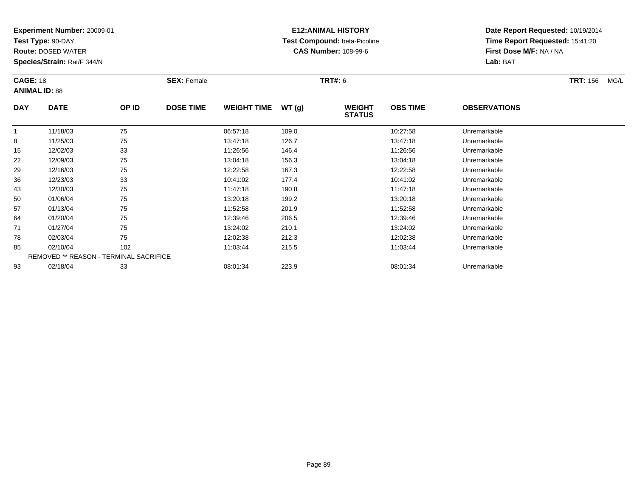**Test Type:** 90-DAY

**Route:** DOSED WATER

**Species/Strain:** Rat/F 344/N

# **E12:ANIMAL HISTORY Test Compound:** beta-Picoline**CAS Number:** 108-99-6

| <b>CAGE: 18</b> | <b>ANIMAL ID: 88</b>                          |       | <b>SEX: Female</b> |                    |       | TRT#: 6                        |                 |                     | <b>TRT:</b> 156<br>MG/L |
|-----------------|-----------------------------------------------|-------|--------------------|--------------------|-------|--------------------------------|-----------------|---------------------|-------------------------|
| <b>DAY</b>      | <b>DATE</b>                                   | OP ID | <b>DOSE TIME</b>   | <b>WEIGHT TIME</b> | WT(g) | <b>WEIGHT</b><br><b>STATUS</b> | <b>OBS TIME</b> | <b>OBSERVATIONS</b> |                         |
| $\mathbf{1}$    | 11/18/03                                      | 75    |                    | 06:57:18           | 109.0 |                                | 10:27:58        | Unremarkable        |                         |
| 8               | 11/25/03                                      | 75    |                    | 13:47:18           | 126.7 |                                | 13:47:18        | Unremarkable        |                         |
| 15              | 12/02/03                                      | 33    |                    | 11:26:56           | 146.4 |                                | 11:26:56        | Unremarkable        |                         |
| 22              | 12/09/03                                      | 75    |                    | 13:04:18           | 156.3 |                                | 13:04:18        | Unremarkable        |                         |
| 29              | 12/16/03                                      | 75    |                    | 12:22:58           | 167.3 |                                | 12:22:58        | Unremarkable        |                         |
| 36              | 12/23/03                                      | 33    |                    | 10:41:02           | 177.4 |                                | 10:41:02        | Unremarkable        |                         |
| 43              | 12/30/03                                      | 75    |                    | 11:47:18           | 190.8 |                                | 11:47:18        | Unremarkable        |                         |
| 50              | 01/06/04                                      | 75    |                    | 13:20:18           | 199.2 |                                | 13:20:18        | Unremarkable        |                         |
| 57              | 01/13/04                                      | 75    |                    | 11:52:58           | 201.9 |                                | 11:52:58        | Unremarkable        |                         |
| 64              | 01/20/04                                      | 75    |                    | 12:39:46           | 206.5 |                                | 12:39:46        | Unremarkable        |                         |
| 71              | 01/27/04                                      | 75    |                    | 13:24:02           | 210.1 |                                | 13:24:02        | Unremarkable        |                         |
| 78              | 02/03/04                                      | 75    |                    | 12:02:38           | 212.3 |                                | 12:02:38        | Unremarkable        |                         |
| 85              | 02/10/04                                      | 102   |                    | 11:03:44           | 215.5 |                                | 11:03:44        | Unremarkable        |                         |
|                 | <b>REMOVED ** REASON - TERMINAL SACRIFICE</b> |       |                    |                    |       |                                |                 |                     |                         |
| 93              | 02/18/04                                      | 33    |                    | 08:01:34           | 223.9 |                                | 08:01:34        | Unremarkable        |                         |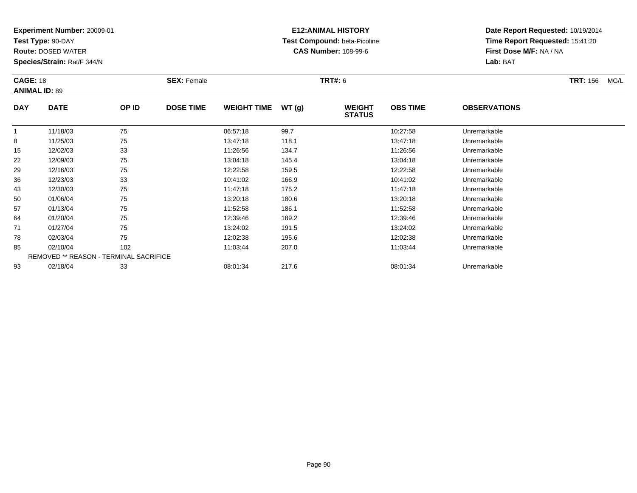**Test Type:** 90-DAY

**Route:** DOSED WATER

**Species/Strain:** Rat/F 344/N

# **E12:ANIMAL HISTORY Test Compound:** beta-Picoline**CAS Number:** 108-99-6

| <b>CAGE: 18</b> | <b>ANIMAL ID: 89</b>                          |       | <b>SEX: Female</b> |                    |       | <b>TRT#: 6</b>                 |                 |                     | <b>TRT: 156</b><br>MG/L |
|-----------------|-----------------------------------------------|-------|--------------------|--------------------|-------|--------------------------------|-----------------|---------------------|-------------------------|
| <b>DAY</b>      | <b>DATE</b>                                   | OP ID | <b>DOSE TIME</b>   | <b>WEIGHT TIME</b> | WT(g) | <b>WEIGHT</b><br><b>STATUS</b> | <b>OBS TIME</b> | <b>OBSERVATIONS</b> |                         |
|                 | 11/18/03                                      | 75    |                    | 06:57:18           | 99.7  |                                | 10:27:58        | Unremarkable        |                         |
| 8               | 11/25/03                                      | 75    |                    | 13:47:18           | 118.1 |                                | 13:47:18        | Unremarkable        |                         |
| 15              | 12/02/03                                      | 33    |                    | 11:26:56           | 134.7 |                                | 11:26:56        | Unremarkable        |                         |
| 22              | 12/09/03                                      | 75    |                    | 13:04:18           | 145.4 |                                | 13:04:18        | Unremarkable        |                         |
| 29              | 12/16/03                                      | 75    |                    | 12:22:58           | 159.5 |                                | 12:22:58        | Unremarkable        |                         |
| 36              | 12/23/03                                      | 33    |                    | 10:41:02           | 166.9 |                                | 10:41:02        | Unremarkable        |                         |
| 43              | 12/30/03                                      | 75    |                    | 11:47:18           | 175.2 |                                | 11:47:18        | Unremarkable        |                         |
| 50              | 01/06/04                                      | 75    |                    | 13:20:18           | 180.6 |                                | 13:20:18        | Unremarkable        |                         |
| 57              | 01/13/04                                      | 75    |                    | 11:52:58           | 186.1 |                                | 11:52:58        | Unremarkable        |                         |
| 64              | 01/20/04                                      | 75    |                    | 12:39:46           | 189.2 |                                | 12:39:46        | Unremarkable        |                         |
| 71              | 01/27/04                                      | 75    |                    | 13:24:02           | 191.5 |                                | 13:24:02        | Unremarkable        |                         |
| 78              | 02/03/04                                      | 75    |                    | 12:02:38           | 195.6 |                                | 12:02:38        | Unremarkable        |                         |
| 85              | 02/10/04                                      | 102   |                    | 11:03:44           | 207.0 |                                | 11:03:44        | Unremarkable        |                         |
|                 | <b>REMOVED ** REASON - TERMINAL SACRIFICE</b> |       |                    |                    |       |                                |                 |                     |                         |
| 93              | 02/18/04                                      | 33    |                    | 08:01:34           | 217.6 |                                | 08:01:34        | Unremarkable        |                         |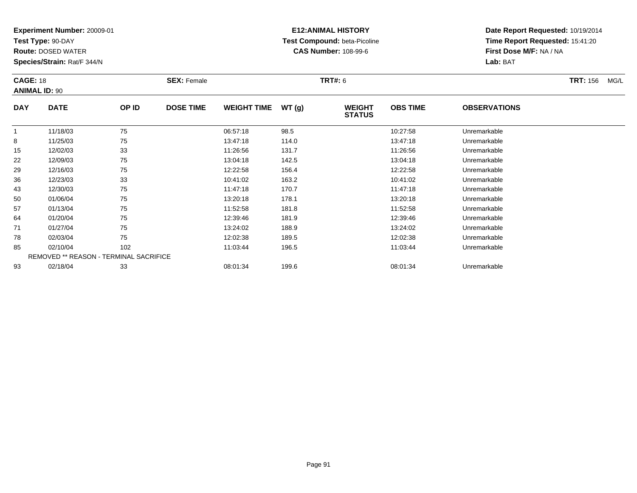**Test Type:** 90-DAY

**Route:** DOSED WATER

**Species/Strain:** Rat/F 344/N

# **E12:ANIMAL HISTORY Test Compound:** beta-Picoline**CAS Number:** 108-99-6

| <b>CAGE: 18</b> | <b>ANIMAL ID: 90</b>                          |       | <b>SEX: Female</b> |                    |       | <b>TRT#: 6</b>                 |                 |                     | <b>TRT: 156</b><br>MG/L |
|-----------------|-----------------------------------------------|-------|--------------------|--------------------|-------|--------------------------------|-----------------|---------------------|-------------------------|
| <b>DAY</b>      | <b>DATE</b>                                   | OP ID | <b>DOSE TIME</b>   | <b>WEIGHT TIME</b> | WT(g) | <b>WEIGHT</b><br><b>STATUS</b> | <b>OBS TIME</b> | <b>OBSERVATIONS</b> |                         |
|                 | 11/18/03                                      | 75    |                    | 06:57:18           | 98.5  |                                | 10:27:58        | Unremarkable        |                         |
| 8               | 11/25/03                                      | 75    |                    | 13:47:18           | 114.0 |                                | 13:47:18        | Unremarkable        |                         |
| 15              | 12/02/03                                      | 33    |                    | 11:26:56           | 131.7 |                                | 11:26:56        | Unremarkable        |                         |
| 22              | 12/09/03                                      | 75    |                    | 13:04:18           | 142.5 |                                | 13:04:18        | Unremarkable        |                         |
| 29              | 12/16/03                                      | 75    |                    | 12:22:58           | 156.4 |                                | 12:22:58        | Unremarkable        |                         |
| 36              | 12/23/03                                      | 33    |                    | 10:41:02           | 163.2 |                                | 10:41:02        | Unremarkable        |                         |
| 43              | 12/30/03                                      | 75    |                    | 11:47:18           | 170.7 |                                | 11:47:18        | Unremarkable        |                         |
| 50              | 01/06/04                                      | 75    |                    | 13:20:18           | 178.1 |                                | 13:20:18        | Unremarkable        |                         |
| 57              | 01/13/04                                      | 75    |                    | 11:52:58           | 181.8 |                                | 11:52:58        | Unremarkable        |                         |
| 64              | 01/20/04                                      | 75    |                    | 12:39:46           | 181.9 |                                | 12:39:46        | Unremarkable        |                         |
| 71              | 01/27/04                                      | 75    |                    | 13:24:02           | 188.9 |                                | 13:24:02        | Unremarkable        |                         |
| 78              | 02/03/04                                      | 75    |                    | 12:02:38           | 189.5 |                                | 12:02:38        | Unremarkable        |                         |
| 85              | 02/10/04                                      | 102   |                    | 11:03:44           | 196.5 |                                | 11:03:44        | Unremarkable        |                         |
|                 | <b>REMOVED ** REASON - TERMINAL SACRIFICE</b> |       |                    |                    |       |                                |                 |                     |                         |
| 93              | 02/18/04                                      | 33    |                    | 08:01:34           | 199.6 |                                | 08:01:34        | Unremarkable        |                         |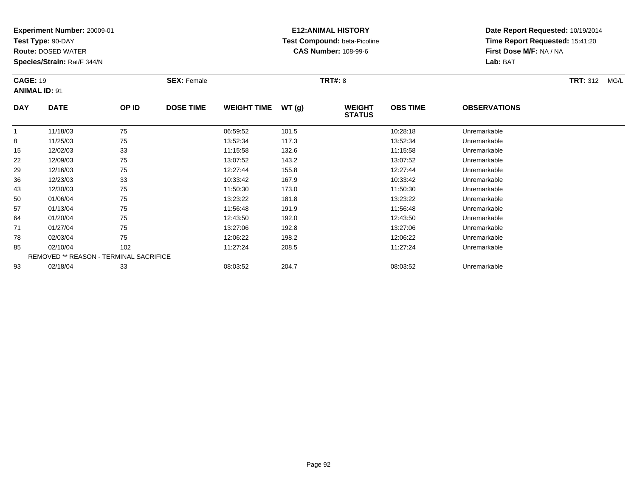**Test Type:** 90-DAY

**Route:** DOSED WATER

**Species/Strain:** Rat/F 344/N

# **E12:ANIMAL HISTORY Test Compound:** beta-Picoline**CAS Number:** 108-99-6

| <b>CAGE: 19</b> | <b>ANIMAL ID: 91</b>                   |       | <b>SEX: Female</b> |                    |       | <b>TRT#: 8</b>                 |                 |                     | <b>TRT: 312</b><br>MG/L |
|-----------------|----------------------------------------|-------|--------------------|--------------------|-------|--------------------------------|-----------------|---------------------|-------------------------|
| <b>DAY</b>      | <b>DATE</b>                            | OP ID | <b>DOSE TIME</b>   | <b>WEIGHT TIME</b> | WT(g) | <b>WEIGHT</b><br><b>STATUS</b> | <b>OBS TIME</b> | <b>OBSERVATIONS</b> |                         |
|                 | 11/18/03                               | 75    |                    | 06:59:52           | 101.5 |                                | 10:28:18        | Unremarkable        |                         |
| 8               | 11/25/03                               | 75    |                    | 13:52:34           | 117.3 |                                | 13:52:34        | Unremarkable        |                         |
| 15              | 12/02/03                               | 33    |                    | 11:15:58           | 132.6 |                                | 11:15:58        | Unremarkable        |                         |
| 22              | 12/09/03                               | 75    |                    | 13:07:52           | 143.2 |                                | 13:07:52        | Unremarkable        |                         |
| 29              | 12/16/03                               | 75    |                    | 12:27:44           | 155.8 |                                | 12:27:44        | Unremarkable        |                         |
| 36              | 12/23/03                               | 33    |                    | 10:33:42           | 167.9 |                                | 10:33:42        | Unremarkable        |                         |
| 43              | 12/30/03                               | 75    |                    | 11:50:30           | 173.0 |                                | 11:50:30        | Unremarkable        |                         |
| 50              | 01/06/04                               | 75    |                    | 13:23:22           | 181.8 |                                | 13:23:22        | Unremarkable        |                         |
| 57              | 01/13/04                               | 75    |                    | 11:56:48           | 191.9 |                                | 11:56:48        | Unremarkable        |                         |
| 64              | 01/20/04                               | 75    |                    | 12:43:50           | 192.0 |                                | 12:43:50        | Unremarkable        |                         |
| 71              | 01/27/04                               | 75    |                    | 13:27:06           | 192.8 |                                | 13:27:06        | Unremarkable        |                         |
| 78              | 02/03/04                               | 75    |                    | 12:06:22           | 198.2 |                                | 12:06:22        | Unremarkable        |                         |
| 85              | 02/10/04                               | 102   |                    | 11:27:24           | 208.5 |                                | 11:27:24        | Unremarkable        |                         |
|                 | REMOVED ** REASON - TERMINAL SACRIFICE |       |                    |                    |       |                                |                 |                     |                         |
| 93              | 02/18/04                               | 33    |                    | 08:03:52           | 204.7 |                                | 08:03:52        | Unremarkable        |                         |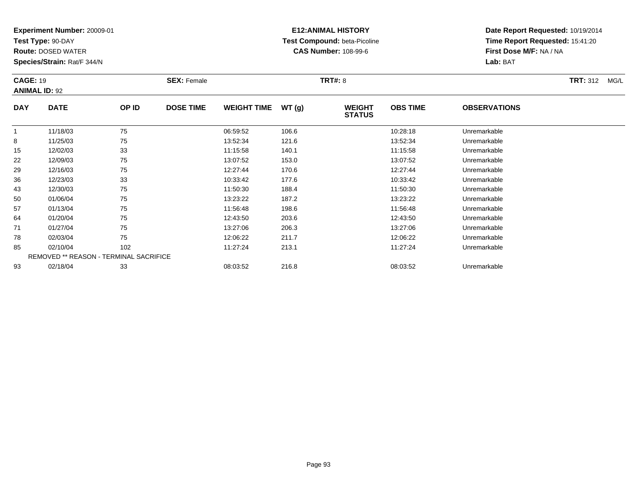**Test Type:** 90-DAY

**Route:** DOSED WATER

**Species/Strain:** Rat/F 344/N

# **E12:ANIMAL HISTORY Test Compound:** beta-Picoline**CAS Number:** 108-99-6

**Date Report Requested:** 10/19/2014**Time Report Requested:** 15:41:20**First Dose M/F:** NA / NA**Lab:** BAT

|              | <b>CAGE: 19</b><br><b>ANIMAL ID: 92</b> |       | <b>SEX: Female</b> |                    |       | <b>TRT#: 8</b>                 | <b>TRT: 312</b><br>MG/L |                     |  |
|--------------|-----------------------------------------|-------|--------------------|--------------------|-------|--------------------------------|-------------------------|---------------------|--|
| <b>DAY</b>   | <b>DATE</b>                             | OP ID | <b>DOSE TIME</b>   | <b>WEIGHT TIME</b> | WT(g) | <b>WEIGHT</b><br><b>STATUS</b> | <b>OBS TIME</b>         | <b>OBSERVATIONS</b> |  |
| $\mathbf{1}$ | 11/18/03                                | 75    |                    | 06:59:52           | 106.6 |                                | 10:28:18                | Unremarkable        |  |
| 8            | 11/25/03                                | 75    |                    | 13:52:34           | 121.6 |                                | 13.52.34                | Unremarkable        |  |
| 15           | 12/02/03                                | 33    |                    | 11:15:58           | 140.1 |                                | 11:15:58                | Unremarkable        |  |
| 22           | 12/09/03                                | 75    |                    | 13:07:52           | 153.0 |                                | 13:07:52                | Unremarkable        |  |
| 29           | 12/16/03                                | 75    |                    | 12:27:44           | 170.6 |                                | 12:27:44                | Unremarkable        |  |
| 36           | 12/23/03                                | 33    |                    | 10:33:42           | 177.6 |                                | 10:33:42                | Unremarkable        |  |
| 43           | 12/30/03                                | 75    |                    | 11:50:30           | 188.4 |                                | 11:50:30                | Unremarkable        |  |
| 50           | 01/06/04                                | 75    |                    | 13:23:22           | 187.2 |                                | 13:23:22                | Unremarkable        |  |
| 57           | 01/13/04                                | 75    |                    | 11:56:48           | 198.6 |                                | 11:56:48                | Unremarkable        |  |
| 64           | 01/20/04                                | 75    |                    | 12:43:50           | 203.6 |                                | 12:43:50                | Unremarkable        |  |
| 71           | 01/27/04                                | 75    |                    | 13:27:06           | 206.3 |                                | 13:27:06                | Unremarkable        |  |
| 78           | 02/03/04                                | 75    |                    | 12:06:22           | 211.7 |                                | 12:06:22                | Unremarkable        |  |
| 85           | 02/10/04                                | 102   |                    | 11:27:24           | 213.1 |                                | 11:27:24                | Unremarkable        |  |
|              | REMOVED ** REASON - TERMINAL SACRIFICE  |       |                    |                    |       |                                |                         |                     |  |
| 93           | 02/18/04                                | 33    |                    | 08:03:52           | 216.8 |                                | 08:03:52                | Unremarkable        |  |

02/18/04 <sup>33</sup> 08:03:52 216.8 08:03:52 Unremarkable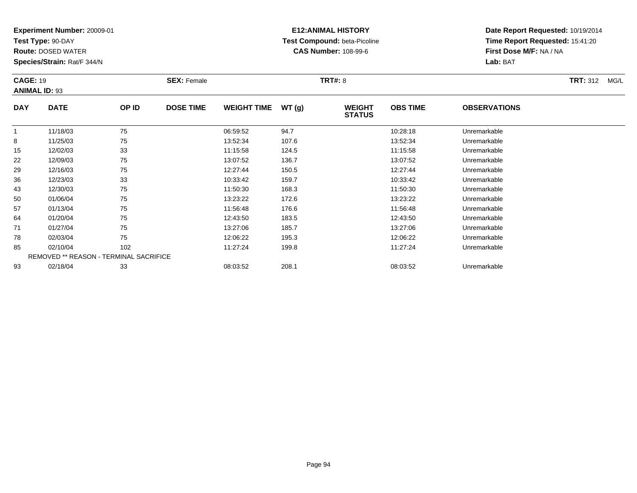**Test Type:** 90-DAY

**Route:** DOSED WATER

**Species/Strain:** Rat/F 344/N

# **E12:ANIMAL HISTORY Test Compound:** beta-Picoline**CAS Number:** 108-99-6

**Date Report Requested:** 10/19/2014**Time Report Requested:** 15:41:20**First Dose M/F:** NA / NA**Lab:** BAT

| <b>CAGE: 19</b> | <b>ANIMAL ID: 93</b>                   |       | <b>SEX: Female</b> |                    |       | <b>TRT#: 8</b>                 |                 |                     | <b>TRT: 312</b><br>MG/L |
|-----------------|----------------------------------------|-------|--------------------|--------------------|-------|--------------------------------|-----------------|---------------------|-------------------------|
| <b>DAY</b>      | <b>DATE</b>                            | OP ID | <b>DOSE TIME</b>   | <b>WEIGHT TIME</b> | WT(g) | <b>WEIGHT</b><br><b>STATUS</b> | <b>OBS TIME</b> | <b>OBSERVATIONS</b> |                         |
| 1               | 11/18/03                               | 75    |                    | 06:59:52           | 94.7  |                                | 10:28:18        | Unremarkable        |                         |
| 8               | 11/25/03                               | 75    |                    | 13:52:34           | 107.6 |                                | 13:52:34        | Unremarkable        |                         |
| 15              | 12/02/03                               | 33    |                    | 11:15:58           | 124.5 |                                | 11:15:58        | Unremarkable        |                         |
| 22              | 12/09/03                               | 75    |                    | 13:07:52           | 136.7 |                                | 13:07:52        | Unremarkable        |                         |
| 29              | 12/16/03                               | 75    |                    | 12:27:44           | 150.5 |                                | 12:27:44        | Unremarkable        |                         |
| 36              | 12/23/03                               | 33    |                    | 10:33:42           | 159.7 |                                | 10:33:42        | Unremarkable        |                         |
| 43              | 12/30/03                               | 75    |                    | 11:50:30           | 168.3 |                                | 11:50:30        | Unremarkable        |                         |
| 50              | 01/06/04                               | 75    |                    | 13:23:22           | 172.6 |                                | 13:23:22        | Unremarkable        |                         |
| 57              | 01/13/04                               | 75    |                    | 11:56:48           | 176.6 |                                | 11:56:48        | Unremarkable        |                         |
| 64              | 01/20/04                               | 75    |                    | 12:43:50           | 183.5 |                                | 12:43:50        | Unremarkable        |                         |
| 71              | 01/27/04                               | 75    |                    | 13:27:06           | 185.7 |                                | 13:27:06        | Unremarkable        |                         |
| 78              | 02/03/04                               | 75    |                    | 12:06:22           | 195.3 |                                | 12:06:22        | Unremarkable        |                         |
| 85              | 02/10/04                               | 102   |                    | 11:27:24           | 199.8 |                                | 11:27:24        | Unremarkable        |                         |
|                 | REMOVED ** REASON - TERMINAL SACRIFICE |       |                    |                    |       |                                |                 |                     |                         |
| 93              | 02/18/04                               | 33    |                    | 08:03:52           | 208.1 |                                | 08:03:52        | Unremarkable        |                         |

02/18/04 <sup>33</sup> 08:03:52 208.1 08:03:52 Unremarkable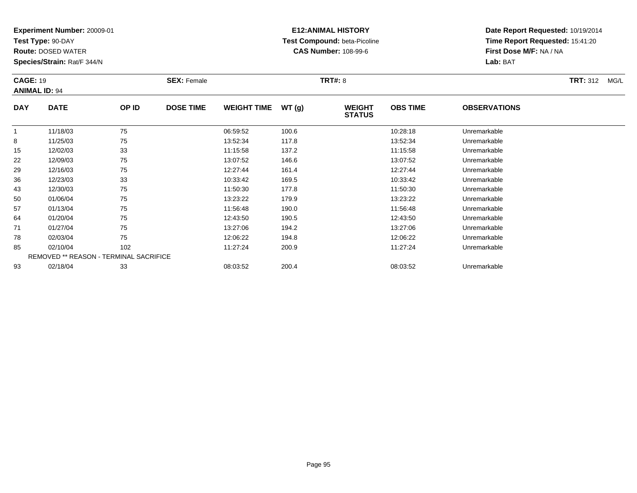**Test Type:** 90-DAY

**Route:** DOSED WATER

**Species/Strain:** Rat/F 344/N

# **E12:ANIMAL HISTORY Test Compound:** beta-Picoline**CAS Number:** 108-99-6

| <b>CAGE: 19</b> | <b>ANIMAL ID: 94</b>                   |       | <b>SEX: Female</b> |                    |        | TRT#: 8                        |                 |                     | <b>TRT:</b> 312<br>MG/L |
|-----------------|----------------------------------------|-------|--------------------|--------------------|--------|--------------------------------|-----------------|---------------------|-------------------------|
| <b>DAY</b>      | <b>DATE</b>                            | OP ID | <b>DOSE TIME</b>   | <b>WEIGHT TIME</b> | WT (g) | <b>WEIGHT</b><br><b>STATUS</b> | <b>OBS TIME</b> | <b>OBSERVATIONS</b> |                         |
| $\mathbf 1$     | 11/18/03                               | 75    |                    | 06:59:52           | 100.6  |                                | 10:28:18        | Unremarkable        |                         |
| 8               | 11/25/03                               | 75    |                    | 13:52:34           | 117.8  |                                | 13:52:34        | Unremarkable        |                         |
| 15              | 12/02/03                               | 33    |                    | 11:15:58           | 137.2  |                                | 11:15:58        | Unremarkable        |                         |
| 22              | 12/09/03                               | 75    |                    | 13:07:52           | 146.6  |                                | 13:07:52        | Unremarkable        |                         |
| 29              | 12/16/03                               | 75    |                    | 12:27:44           | 161.4  |                                | 12:27:44        | Unremarkable        |                         |
| 36              | 12/23/03                               | 33    |                    | 10:33:42           | 169.5  |                                | 10:33:42        | Unremarkable        |                         |
| 43              | 12/30/03                               | 75    |                    | 11:50:30           | 177.8  |                                | 11:50:30        | Unremarkable        |                         |
| 50              | 01/06/04                               | 75    |                    | 13:23:22           | 179.9  |                                | 13:23:22        | Unremarkable        |                         |
| 57              | 01/13/04                               | 75    |                    | 11:56:48           | 190.0  |                                | 11:56:48        | Unremarkable        |                         |
| 64              | 01/20/04                               | 75    |                    | 12:43:50           | 190.5  |                                | 12:43:50        | Unremarkable        |                         |
| 71              | 01/27/04                               | 75    |                    | 13:27:06           | 194.2  |                                | 13:27:06        | Unremarkable        |                         |
| 78              | 02/03/04                               | 75    |                    | 12:06:22           | 194.8  |                                | 12:06:22        | Unremarkable        |                         |
| 85              | 02/10/04                               | 102   |                    | 11:27:24           | 200.9  |                                | 11:27:24        | Unremarkable        |                         |
|                 | REMOVED ** REASON - TERMINAL SACRIFICE |       |                    |                    |        |                                |                 |                     |                         |
| 93              | 02/18/04                               | 33    |                    | 08:03:52           | 200.4  |                                | 08:03:52        | Unremarkable        |                         |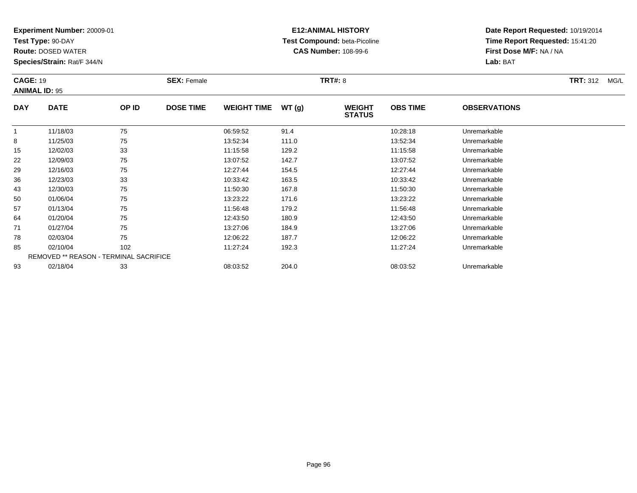**Test Type:** 90-DAY

**Route:** DOSED WATER

**Species/Strain:** Rat/F 344/N

# **E12:ANIMAL HISTORY Test Compound:** beta-Picoline**CAS Number:** 108-99-6

| <b>CAGE: 19</b> | <b>ANIMAL ID: 95</b>                   |       | <b>SEX: Female</b> |                    |       | <b>TRT#: 8</b>                 |                 |                     | <b>TRT: 312</b><br>MG/L |
|-----------------|----------------------------------------|-------|--------------------|--------------------|-------|--------------------------------|-----------------|---------------------|-------------------------|
| <b>DAY</b>      | <b>DATE</b>                            | OP ID | <b>DOSE TIME</b>   | <b>WEIGHT TIME</b> | WT(g) | <b>WEIGHT</b><br><b>STATUS</b> | <b>OBS TIME</b> | <b>OBSERVATIONS</b> |                         |
|                 | 11/18/03                               | 75    |                    | 06:59:52           | 91.4  |                                | 10:28:18        | Unremarkable        |                         |
| 8               | 11/25/03                               | 75    |                    | 13:52:34           | 111.0 |                                | 13:52:34        | Unremarkable        |                         |
| 15              | 12/02/03                               | 33    |                    | 11:15:58           | 129.2 |                                | 11:15:58        | Unremarkable        |                         |
| 22              | 12/09/03                               | 75    |                    | 13:07:52           | 142.7 |                                | 13:07:52        | Unremarkable        |                         |
| 29              | 12/16/03                               | 75    |                    | 12:27:44           | 154.5 |                                | 12:27:44        | Unremarkable        |                         |
| 36              | 12/23/03                               | 33    |                    | 10:33:42           | 163.5 |                                | 10:33:42        | Unremarkable        |                         |
| 43              | 12/30/03                               | 75    |                    | 11:50:30           | 167.8 |                                | 11:50:30        | Unremarkable        |                         |
| 50              | 01/06/04                               | 75    |                    | 13:23:22           | 171.6 |                                | 13:23:22        | Unremarkable        |                         |
| 57              | 01/13/04                               | 75    |                    | 11:56:48           | 179.2 |                                | 11:56:48        | Unremarkable        |                         |
| 64              | 01/20/04                               | 75    |                    | 12:43:50           | 180.9 |                                | 12:43:50        | Unremarkable        |                         |
| 71              | 01/27/04                               | 75    |                    | 13:27:06           | 184.9 |                                | 13:27:06        | Unremarkable        |                         |
| 78              | 02/03/04                               | 75    |                    | 12:06:22           | 187.7 |                                | 12:06:22        | Unremarkable        |                         |
| 85              | 02/10/04                               | 102   |                    | 11:27:24           | 192.3 |                                | 11:27:24        | Unremarkable        |                         |
|                 | REMOVED ** REASON - TERMINAL SACRIFICE |       |                    |                    |       |                                |                 |                     |                         |
| 93              | 02/18/04                               | 33    |                    | 08:03:52           | 204.0 |                                | 08:03:52        | Unremarkable        |                         |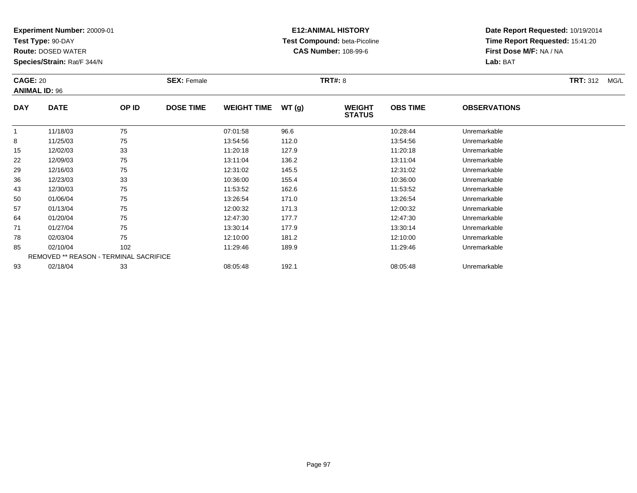**Test Type:** 90-DAY

**Route:** DOSED WATER

**Species/Strain:** Rat/F 344/N

# **E12:ANIMAL HISTORY Test Compound:** beta-Picoline**CAS Number:** 108-99-6

| <b>CAGE: 20</b> | <b>ANIMAL ID: 96</b>                          |       | <b>SEX: Female</b> |                    |       | <b>TRT#: 8</b>                 |                 |                     | <b>TRT:</b> 312<br>MG/L |
|-----------------|-----------------------------------------------|-------|--------------------|--------------------|-------|--------------------------------|-----------------|---------------------|-------------------------|
| <b>DAY</b>      | <b>DATE</b>                                   | OP ID | <b>DOSE TIME</b>   | <b>WEIGHT TIME</b> | WT(g) | <b>WEIGHT</b><br><b>STATUS</b> | <b>OBS TIME</b> | <b>OBSERVATIONS</b> |                         |
|                 | 11/18/03                                      | 75    |                    | 07:01:58           | 96.6  |                                | 10:28:44        | Unremarkable        |                         |
| 8               | 11/25/03                                      | 75    |                    | 13:54:56           | 112.0 |                                | 13:54:56        | Unremarkable        |                         |
| 15              | 12/02/03                                      | 33    |                    | 11:20:18           | 127.9 |                                | 11:20:18        | Unremarkable        |                         |
| 22              | 12/09/03                                      | 75    |                    | 13:11:04           | 136.2 |                                | 13:11:04        | Unremarkable        |                         |
| 29              | 12/16/03                                      | 75    |                    | 12:31:02           | 145.5 |                                | 12:31:02        | Unremarkable        |                         |
| 36              | 12/23/03                                      | 33    |                    | 10:36:00           | 155.4 |                                | 10:36:00        | Unremarkable        |                         |
| 43              | 12/30/03                                      | 75    |                    | 11:53:52           | 162.6 |                                | 11:53:52        | Unremarkable        |                         |
| 50              | 01/06/04                                      | 75    |                    | 13:26:54           | 171.0 |                                | 13:26:54        | Unremarkable        |                         |
| 57              | 01/13/04                                      | 75    |                    | 12:00:32           | 171.3 |                                | 12:00:32        | Unremarkable        |                         |
| 64              | 01/20/04                                      | 75    |                    | 12:47:30           | 177.7 |                                | 12:47:30        | Unremarkable        |                         |
| 71              | 01/27/04                                      | 75    |                    | 13:30:14           | 177.9 |                                | 13:30:14        | Unremarkable        |                         |
| 78              | 02/03/04                                      | 75    |                    | 12:10:00           | 181.2 |                                | 12:10:00        | Unremarkable        |                         |
| 85              | 02/10/04                                      | 102   |                    | 11:29:46           | 189.9 |                                | 11:29:46        | Unremarkable        |                         |
|                 | <b>REMOVED ** REASON - TERMINAL SACRIFICE</b> |       |                    |                    |       |                                |                 |                     |                         |
| 93              | 02/18/04                                      | 33    |                    | 08:05:48           | 192.1 |                                | 08:05:48        | Unremarkable        |                         |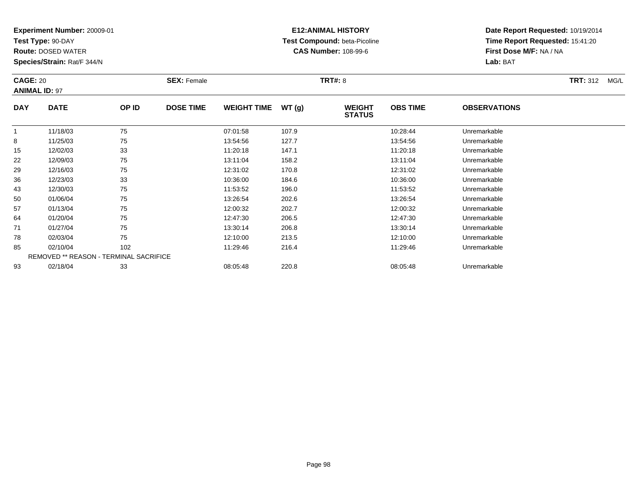**Test Type:** 90-DAY

**Route:** DOSED WATER

**Species/Strain:** Rat/F 344/N

# **E12:ANIMAL HISTORY Test Compound:** beta-Picoline**CAS Number:** 108-99-6

| <b>CAGE: 20</b> |                                        |       | <b>SEX: Female</b> |                    |       | <b>TRT#: 8</b>                 |                 |                     | <b>TRT: 312</b><br>MG/L |
|-----------------|----------------------------------------|-------|--------------------|--------------------|-------|--------------------------------|-----------------|---------------------|-------------------------|
|                 | <b>ANIMAL ID: 97</b>                   |       |                    |                    |       |                                |                 |                     |                         |
| <b>DAY</b>      | <b>DATE</b>                            | OP ID | <b>DOSE TIME</b>   | <b>WEIGHT TIME</b> | WT(g) | <b>WEIGHT</b><br><b>STATUS</b> | <b>OBS TIME</b> | <b>OBSERVATIONS</b> |                         |
| $\mathbf{1}$    | 11/18/03                               | 75    |                    | 07:01:58           | 107.9 |                                | 10:28:44        | Unremarkable        |                         |
| 8               | 11/25/03                               | 75    |                    | 13:54:56           | 127.7 |                                | 13:54:56        | Unremarkable        |                         |
| 15              | 12/02/03                               | 33    |                    | 11:20:18           | 147.1 |                                | 11:20:18        | Unremarkable        |                         |
| 22              | 12/09/03                               | 75    |                    | 13:11:04           | 158.2 |                                | 13:11:04        | Unremarkable        |                         |
| 29              | 12/16/03                               | 75    |                    | 12:31:02           | 170.8 |                                | 12:31:02        | Unremarkable        |                         |
| 36              | 12/23/03                               | 33    |                    | 10:36:00           | 184.6 |                                | 10:36:00        | Unremarkable        |                         |
| 43              | 12/30/03                               | 75    |                    | 11:53:52           | 196.0 |                                | 11:53:52        | Unremarkable        |                         |
| 50              | 01/06/04                               | 75    |                    | 13:26:54           | 202.6 |                                | 13:26:54        | Unremarkable        |                         |
| 57              | 01/13/04                               | 75    |                    | 12:00:32           | 202.7 |                                | 12:00:32        | Unremarkable        |                         |
| 64              | 01/20/04                               | 75    |                    | 12:47:30           | 206.5 |                                | 12:47:30        | Unremarkable        |                         |
| 71              | 01/27/04                               | 75    |                    | 13:30:14           | 206.8 |                                | 13:30:14        | Unremarkable        |                         |
| 78              | 02/03/04                               | 75    |                    | 12:10:00           | 213.5 |                                | 12:10:00        | Unremarkable        |                         |
| 85              | 02/10/04                               | 102   |                    | 11:29:46           | 216.4 |                                | 11:29:46        | Unremarkable        |                         |
|                 | REMOVED ** REASON - TERMINAL SACRIFICE |       |                    |                    |       |                                |                 |                     |                         |
| 93              | 02/18/04                               | 33    |                    | 08:05:48           | 220.8 |                                | 08:05:48        | Unremarkable        |                         |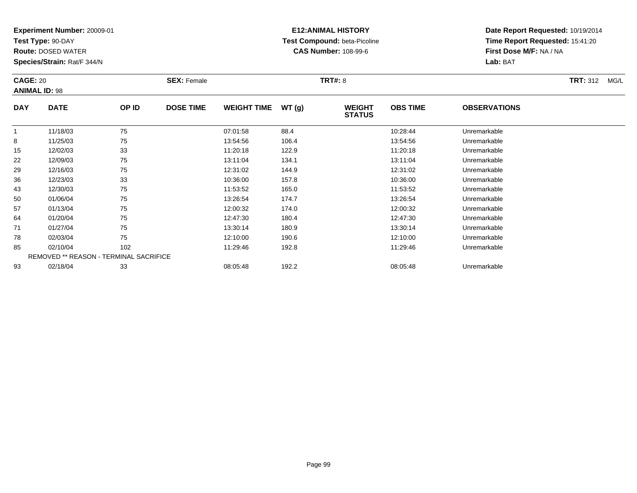**Test Type:** 90-DAY

**Route:** DOSED WATER

**Species/Strain:** Rat/F 344/N

# **E12:ANIMAL HISTORY Test Compound:** beta-Picoline**CAS Number:** 108-99-6

| <b>CAGE: 20</b> | <b>ANIMAL ID: 98</b>                   |       | <b>SEX: Female</b> |                    |       | <b>TRT#: 8</b>                 |                 |                     | <b>TRT:</b> 312<br>MG/L |
|-----------------|----------------------------------------|-------|--------------------|--------------------|-------|--------------------------------|-----------------|---------------------|-------------------------|
| <b>DAY</b>      | <b>DATE</b>                            | OP ID | <b>DOSE TIME</b>   | <b>WEIGHT TIME</b> | WT(g) | <b>WEIGHT</b><br><b>STATUS</b> | <b>OBS TIME</b> | <b>OBSERVATIONS</b> |                         |
| -1              | 11/18/03                               | 75    |                    | 07:01:58           | 88.4  |                                | 10:28:44        | Unremarkable        |                         |
| 8               | 11/25/03                               | 75    |                    | 13:54:56           | 106.4 |                                | 13:54:56        | Unremarkable        |                         |
| 15              | 12/02/03                               | 33    |                    | 11:20:18           | 122.9 |                                | 11:20:18        | Unremarkable        |                         |
| 22              | 12/09/03                               | 75    |                    | 13:11:04           | 134.1 |                                | 13:11:04        | Unremarkable        |                         |
| 29              | 12/16/03                               | 75    |                    | 12:31:02           | 144.9 |                                | 12:31:02        | Unremarkable        |                         |
| 36              | 12/23/03                               | 33    |                    | 10:36:00           | 157.8 |                                | 10:36:00        | Unremarkable        |                         |
| 43              | 12/30/03                               | 75    |                    | 11:53:52           | 165.0 |                                | 11:53:52        | Unremarkable        |                         |
| 50              | 01/06/04                               | 75    |                    | 13:26:54           | 174.7 |                                | 13:26:54        | Unremarkable        |                         |
| 57              | 01/13/04                               | 75    |                    | 12:00:32           | 174.0 |                                | 12:00:32        | Unremarkable        |                         |
| 64              | 01/20/04                               | 75    |                    | 12:47:30           | 180.4 |                                | 12:47:30        | Unremarkable        |                         |
| 71              | 01/27/04                               | 75    |                    | 13:30:14           | 180.9 |                                | 13:30:14        | Unremarkable        |                         |
| 78              | 02/03/04                               | 75    |                    | 12:10:00           | 190.6 |                                | 12:10:00        | Unremarkable        |                         |
| 85              | 02/10/04                               | 102   |                    | 11:29:46           | 192.8 |                                | 11:29:46        | Unremarkable        |                         |
|                 | REMOVED ** REASON - TERMINAL SACRIFICE |       |                    |                    |       |                                |                 |                     |                         |
| 93              | 02/18/04                               | 33    |                    | 08:05:48           | 192.2 |                                | 08:05:48        | Unremarkable        |                         |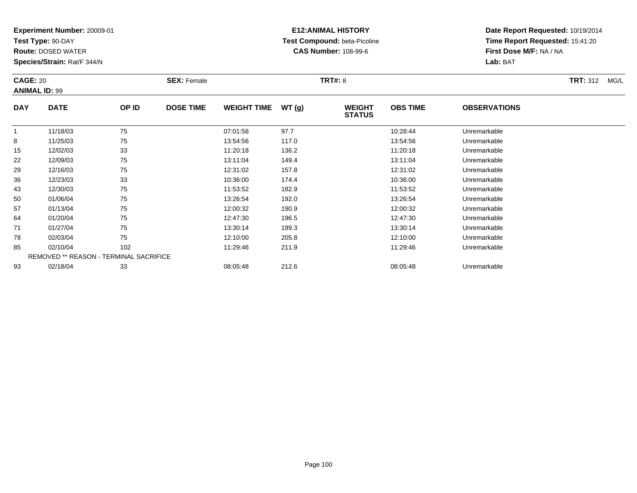**Test Type:** 90-DAY

**Route:** DOSED WATER

**Species/Strain:** Rat/F 344/N

# **E12:ANIMAL HISTORY Test Compound:** beta-Picoline**CAS Number:** 108-99-6

| <b>CAGE: 20</b> | <b>ANIMAL ID: 99</b>                   |                  | <b>SEX: Female</b> |          |                                | <b>TRT#: 8</b>  |                     |              | <b>TRT: 312</b><br>MG/L |
|-----------------|----------------------------------------|------------------|--------------------|----------|--------------------------------|-----------------|---------------------|--------------|-------------------------|
| <b>DAY</b>      | <b>DATE</b><br>OP ID<br>75<br>11/18/03 | <b>DOSE TIME</b> | <b>WEIGHT TIME</b> | WT(g)    | <b>WEIGHT</b><br><b>STATUS</b> | <b>OBS TIME</b> | <b>OBSERVATIONS</b> |              |                         |
| $\mathbf{1}$    |                                        |                  |                    | 07:01:58 | 97.7                           |                 | 10:28:44            | Unremarkable |                         |
| 8               | 11/25/03                               | 75               |                    | 13:54:56 | 117.0                          |                 | 13:54:56            | Unremarkable |                         |
| 15              | 12/02/03                               | 33               |                    | 11:20:18 | 136.2                          |                 | 11:20:18            | Unremarkable |                         |
| 22              | 12/09/03                               | 75               |                    | 13:11:04 | 149.4                          |                 | 13:11:04            | Unremarkable |                         |
| 29              | 12/16/03                               | 75               |                    | 12:31:02 | 157.8                          |                 | 12:31:02            | Unremarkable |                         |
| 36              | 12/23/03                               | 33               |                    | 10:36:00 | 174.4                          |                 | 10:36:00            | Unremarkable |                         |
| 43              | 12/30/03                               | 75               |                    | 11:53:52 | 182.9                          |                 | 11:53:52            | Unremarkable |                         |
| 50              | 01/06/04                               | 75               |                    | 13:26:54 | 192.0                          |                 | 13:26:54            | Unremarkable |                         |
| 57              | 01/13/04                               | 75               |                    | 12:00:32 | 190.9                          |                 | 12:00:32            | Unremarkable |                         |
| 64              | 01/20/04                               | 75               |                    | 12:47:30 | 196.5                          |                 | 12:47:30            | Unremarkable |                         |
| 71              | 01/27/04                               | 75               |                    | 13:30:14 | 199.3                          |                 | 13:30:14            | Unremarkable |                         |
| 78              | 02/03/04                               | 75               |                    | 12:10:00 | 205.8                          |                 | 12:10:00            | Unremarkable |                         |
| 85              | 02/10/04                               | 102              |                    | 11:29:46 | 211.9                          |                 | 11:29:46            | Unremarkable |                         |
|                 | REMOVED ** REASON - TERMINAL SACRIFICE |                  |                    |          |                                |                 |                     |              |                         |
| 93              | 02/18/04                               | 33               |                    | 08:05:48 | 212.6                          |                 | 08:05:48            | Unremarkable |                         |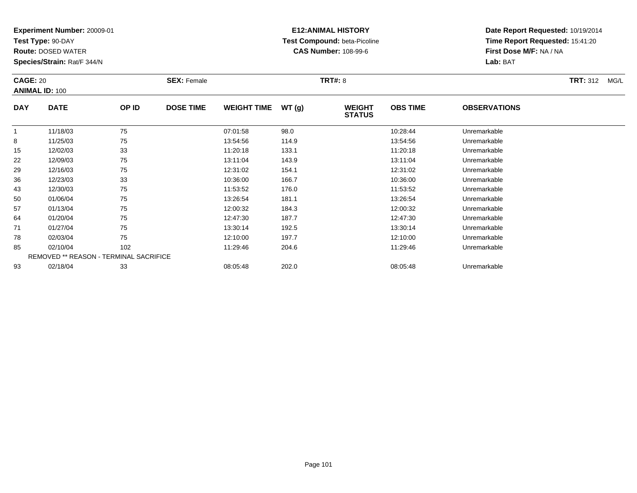**Test Type:** 90-DAY

**Route:** DOSED WATER

**Species/Strain:** Rat/F 344/N

# **E12:ANIMAL HISTORY Test Compound:** beta-Picoline**CAS Number:** 108-99-6

| <b>CAGE: 20</b> | <b>ANIMAL ID: 100</b>                  |       | <b>SEX: Female</b> |                    |       | <b>TRT#:</b> 8                 |                 |                     | <b>TRT:</b> 312<br>MG/L |
|-----------------|----------------------------------------|-------|--------------------|--------------------|-------|--------------------------------|-----------------|---------------------|-------------------------|
| <b>DAY</b>      | <b>DATE</b>                            | OP ID | <b>DOSE TIME</b>   | <b>WEIGHT TIME</b> | WT(g) | <b>WEIGHT</b><br><b>STATUS</b> | <b>OBS TIME</b> | <b>OBSERVATIONS</b> |                         |
| -1              | 11/18/03                               | 75    |                    | 07:01:58           | 98.0  |                                | 10:28:44        | Unremarkable        |                         |
| 8               | 11/25/03                               | 75    |                    | 13:54:56           | 114.9 |                                | 13:54:56        | Unremarkable        |                         |
| 15              | 12/02/03                               | 33    |                    | 11:20:18           | 133.1 |                                | 11:20:18        | Unremarkable        |                         |
| 22              | 12/09/03                               | 75    |                    | 13:11:04           | 143.9 |                                | 13:11:04        | Unremarkable        |                         |
| 29              | 12/16/03                               | 75    |                    | 12:31:02           | 154.1 |                                | 12:31:02        | Unremarkable        |                         |
| 36              | 12/23/03                               | 33    |                    | 10:36:00           | 166.7 |                                | 10:36:00        | Unremarkable        |                         |
| 43              | 12/30/03                               | 75    |                    | 11:53:52           | 176.0 |                                | 11:53:52        | Unremarkable        |                         |
| 50              | 01/06/04                               | 75    |                    | 13:26:54           | 181.1 |                                | 13:26:54        | Unremarkable        |                         |
| 57              | 01/13/04                               | 75    |                    | 12:00:32           | 184.3 |                                | 12:00:32        | Unremarkable        |                         |
| 64              | 01/20/04                               | 75    |                    | 12:47:30           | 187.7 |                                | 12:47:30        | Unremarkable        |                         |
| 71              | 01/27/04                               | 75    |                    | 13:30:14           | 192.5 |                                | 13:30:14        | Unremarkable        |                         |
| 78              | 02/03/04                               | 75    |                    | 12:10:00           | 197.7 |                                | 12:10:00        | Unremarkable        |                         |
| 85              | 02/10/04                               | 102   |                    | 11:29:46           | 204.6 |                                | 11:29:46        | Unremarkable        |                         |
|                 | REMOVED ** REASON - TERMINAL SACRIFICE |       |                    |                    |       |                                |                 |                     |                         |
| 93              | 02/18/04                               | 33    |                    | 08:05:48           | 202.0 |                                | 08:05:48        | Unremarkable        |                         |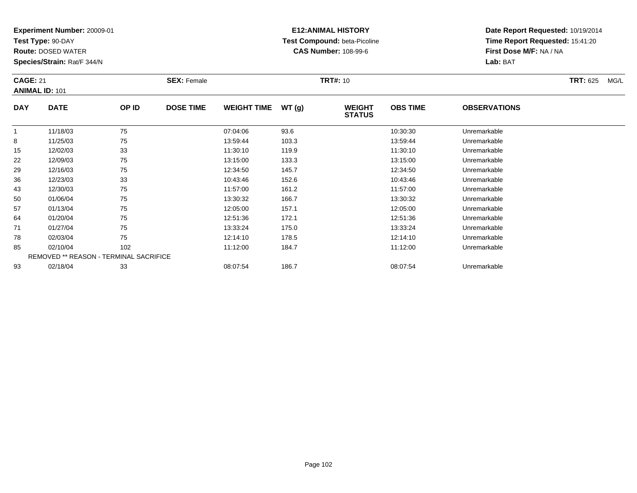**Test Type:** 90-DAY

**Route:** DOSED WATER

**Species/Strain:** Rat/F 344/N

# **E12:ANIMAL HISTORY Test Compound:** beta-Picoline**CAS Number:** 108-99-6

|            | <b>CAGE: 21</b><br><b>ANIMAL ID: 101</b> |                                        | <b>SEX: Female</b> |                    |       | <b>TRT#: 10</b>                | <b>TRT: 625</b><br>MG/L |                     |  |
|------------|------------------------------------------|----------------------------------------|--------------------|--------------------|-------|--------------------------------|-------------------------|---------------------|--|
| <b>DAY</b> | <b>DATE</b>                              | OP ID                                  | <b>DOSE TIME</b>   | <b>WEIGHT TIME</b> | WT(g) | <b>WEIGHT</b><br><b>STATUS</b> | <b>OBS TIME</b>         | <b>OBSERVATIONS</b> |  |
|            | 11/18/03                                 | 75                                     |                    | 07:04:06           | 93.6  |                                | 10:30:30                | Unremarkable        |  |
| 8          | 11/25/03                                 | 75                                     |                    | 13:59:44           | 103.3 |                                | 13:59:44                | Unremarkable        |  |
| 15         | 12/02/03                                 | 33                                     |                    | 11:30:10           | 119.9 |                                | 11:30:10                | Unremarkable        |  |
| 22         | 12/09/03                                 | 75                                     |                    | 13:15:00           | 133.3 |                                | 13:15:00                | Unremarkable        |  |
| 29         | 12/16/03                                 | 75                                     |                    | 12:34:50           | 145.7 |                                | 12:34:50                | Unremarkable        |  |
| 36         | 12/23/03                                 | 33                                     |                    | 10:43:46           | 152.6 |                                | 10:43:46                | Unremarkable        |  |
| 43         | 12/30/03                                 | 75                                     |                    | 11:57:00           | 161.2 |                                | 11:57:00                | Unremarkable        |  |
| 50         | 01/06/04                                 | 75                                     |                    | 13:30:32           | 166.7 |                                | 13:30:32                | Unremarkable        |  |
| 57         | 01/13/04                                 | 75                                     |                    | 12:05:00           | 157.1 |                                | 12:05:00                | Unremarkable        |  |
| 64         | 01/20/04                                 | 75                                     |                    | 12:51:36           | 172.1 |                                | 12:51:36                | Unremarkable        |  |
| 71         | 01/27/04                                 | 75                                     |                    | 13:33:24           | 175.0 |                                | 13:33:24                | Unremarkable        |  |
| 78         | 02/03/04                                 | 75                                     |                    | 12:14:10           | 178.5 |                                | 12:14:10                | Unremarkable        |  |
| 85         | 02/10/04                                 | 102                                    |                    | 11:12:00           | 184.7 |                                | 11:12:00                | Unremarkable        |  |
|            |                                          | REMOVED ** REASON - TERMINAL SACRIFICE |                    |                    |       |                                |                         |                     |  |
| 93         | 02/18/04                                 | 33                                     |                    | 08:07:54           | 186.7 |                                | 08:07:54                | Unremarkable        |  |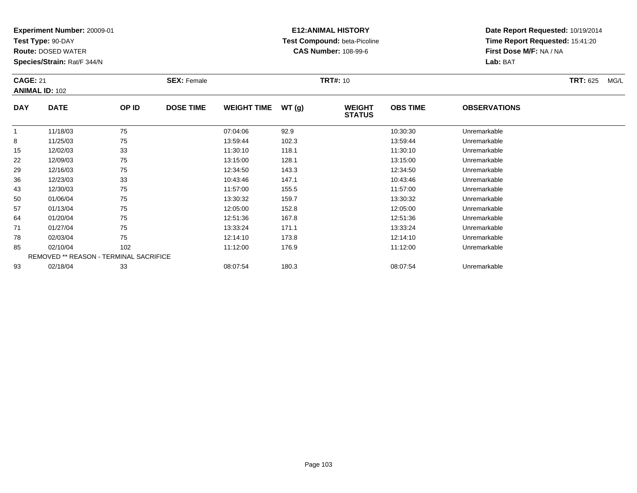**Test Type:** 90-DAY

**Route:** DOSED WATER

**Species/Strain:** Rat/F 344/N

# **E12:ANIMAL HISTORY Test Compound:** beta-Picoline**CAS Number:** 108-99-6

| <b>CAGE: 21</b> | <b>ANIMAL ID: 102</b>                  |       | <b>SEX: Female</b> |                    |       | <b>TRT#: 10</b>                |                 |                     | <b>TRT: 625</b><br>MG/L |
|-----------------|----------------------------------------|-------|--------------------|--------------------|-------|--------------------------------|-----------------|---------------------|-------------------------|
| <b>DAY</b>      | <b>DATE</b>                            | OP ID | <b>DOSE TIME</b>   | <b>WEIGHT TIME</b> | WT(g) | <b>WEIGHT</b><br><b>STATUS</b> | <b>OBS TIME</b> | <b>OBSERVATIONS</b> |                         |
|                 | 11/18/03                               | 75    |                    | 07:04:06           | 92.9  |                                | 10:30:30        | Unremarkable        |                         |
| 8               | 11/25/03                               | 75    |                    | 13:59:44           | 102.3 |                                | 13:59:44        | Unremarkable        |                         |
| 15              | 12/02/03                               | 33    |                    | 11:30:10           | 118.1 |                                | 11:30:10        | Unremarkable        |                         |
| 22              | 12/09/03                               | 75    |                    | 13:15:00           | 128.1 |                                | 13:15:00        | Unremarkable        |                         |
| 29              | 12/16/03                               | 75    |                    | 12:34:50           | 143.3 |                                | 12:34:50        | Unremarkable        |                         |
| 36              | 12/23/03                               | 33    |                    | 10:43:46           | 147.1 |                                | 10:43:46        | Unremarkable        |                         |
| 43              | 12/30/03                               | 75    |                    | 11:57:00           | 155.5 |                                | 11:57:00        | Unremarkable        |                         |
| 50              | 01/06/04                               | 75    |                    | 13:30:32           | 159.7 |                                | 13:30:32        | Unremarkable        |                         |
| 57              | 01/13/04                               | 75    |                    | 12:05:00           | 152.8 |                                | 12:05:00        | Unremarkable        |                         |
| 64              | 01/20/04                               | 75    |                    | 12:51:36           | 167.8 |                                | 12:51:36        | Unremarkable        |                         |
| 71              | 01/27/04                               | 75    |                    | 13:33:24           | 171.1 |                                | 13:33:24        | Unremarkable        |                         |
| 78              | 02/03/04                               | 75    |                    | 12:14:10           | 173.8 |                                | 12:14:10        | Unremarkable        |                         |
| 85              | 02/10/04                               | 102   |                    | 11:12:00           | 176.9 |                                | 11:12:00        | Unremarkable        |                         |
|                 | REMOVED ** REASON - TERMINAL SACRIFICE |       |                    |                    |       |                                |                 |                     |                         |
| 93              | 02/18/04                               | 33    |                    | 08:07:54           | 180.3 |                                | 08:07:54        | Unremarkable        |                         |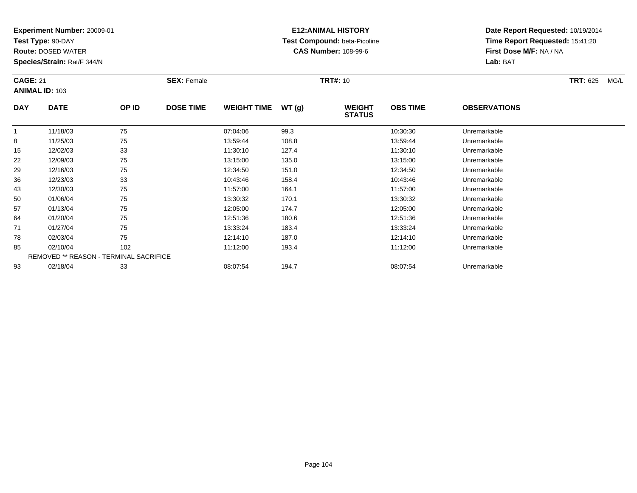**Test Type:** 90-DAY

**Route:** DOSED WATER

**Species/Strain:** Rat/F 344/N

# **E12:ANIMAL HISTORY Test Compound:** beta-Picoline**CAS Number:** 108-99-6

| <b>CAGE: 21</b> | <b>ANIMAL ID: 103</b>                  |       | <b>SEX: Female</b> |                    |       | <b>TRT#: 10</b>                |                 |                     | <b>TRT: 625</b><br>MG/L |
|-----------------|----------------------------------------|-------|--------------------|--------------------|-------|--------------------------------|-----------------|---------------------|-------------------------|
| <b>DAY</b>      | <b>DATE</b>                            | OP ID | <b>DOSE TIME</b>   | <b>WEIGHT TIME</b> | WT(g) | <b>WEIGHT</b><br><b>STATUS</b> | <b>OBS TIME</b> | <b>OBSERVATIONS</b> |                         |
| $\mathbf{1}$    | 11/18/03                               | 75    |                    | 07:04:06           | 99.3  |                                | 10:30:30        | Unremarkable        |                         |
| 8               | 11/25/03                               | 75    |                    | 13:59:44           | 108.8 |                                | 13:59:44        | Unremarkable        |                         |
| 15              | 12/02/03                               | 33    |                    | 11:30:10           | 127.4 |                                | 11:30:10        | Unremarkable        |                         |
| 22              | 12/09/03                               | 75    |                    | 13:15:00           | 135.0 |                                | 13:15:00        | Unremarkable        |                         |
| 29              | 12/16/03                               | 75    |                    | 12:34:50           | 151.0 |                                | 12:34:50        | Unremarkable        |                         |
| 36              | 12/23/03                               | 33    |                    | 10:43:46           | 158.4 |                                | 10:43:46        | Unremarkable        |                         |
| 43              | 12/30/03                               | 75    |                    | 11:57:00           | 164.1 |                                | 11:57:00        | Unremarkable        |                         |
| 50              | 01/06/04                               | 75    |                    | 13:30:32           | 170.1 |                                | 13:30:32        | Unremarkable        |                         |
| 57              | 01/13/04                               | 75    |                    | 12:05:00           | 174.7 |                                | 12:05:00        | Unremarkable        |                         |
| 64              | 01/20/04                               | 75    |                    | 12:51:36           | 180.6 |                                | 12:51:36        | Unremarkable        |                         |
| 71              | 01/27/04                               | 75    |                    | 13:33:24           | 183.4 |                                | 13:33:24        | Unremarkable        |                         |
| 78              | 02/03/04                               | 75    |                    | 12:14:10           | 187.0 |                                | 12:14:10        | Unremarkable        |                         |
| 85              | 02/10/04                               | 102   |                    | 11:12:00           | 193.4 |                                | 11:12:00        | Unremarkable        |                         |
|                 | REMOVED ** REASON - TERMINAL SACRIFICE |       |                    |                    |       |                                |                 |                     |                         |
| 93              | 02/18/04                               | 33    |                    | 08:07:54           | 194.7 |                                | 08:07:54        | Unremarkable        |                         |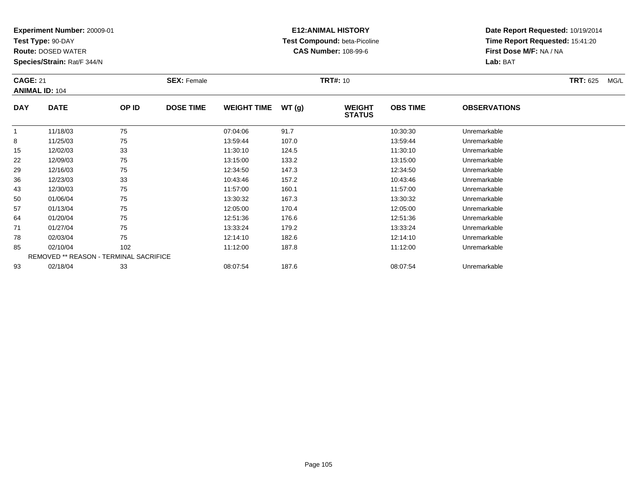**Test Type:** 90-DAY

**Route:** DOSED WATER

**Species/Strain:** Rat/F 344/N

# **E12:ANIMAL HISTORY Test Compound:** beta-Picoline**CAS Number:** 108-99-6

| <b>CAGE: 21</b> | <b>ANIMAL ID: 104</b>                  |       | <b>SEX: Female</b> |                    |       | <b>TRT#: 10</b>                |                 |                     | <b>TRT: 625</b><br>MG/L |
|-----------------|----------------------------------------|-------|--------------------|--------------------|-------|--------------------------------|-----------------|---------------------|-------------------------|
| <b>DAY</b>      | <b>DATE</b>                            | OP ID | <b>DOSE TIME</b>   | <b>WEIGHT TIME</b> | WT(g) | <b>WEIGHT</b><br><b>STATUS</b> | <b>OBS TIME</b> | <b>OBSERVATIONS</b> |                         |
| $\mathbf{1}$    | 11/18/03                               | 75    |                    | 07:04:06           | 91.7  |                                | 10:30:30        | Unremarkable        |                         |
| 8               | 11/25/03                               | 75    |                    | 13:59:44           | 107.0 |                                | 13:59:44        | Unremarkable        |                         |
| 15              | 12/02/03                               | 33    |                    | 11:30:10           | 124.5 |                                | 11:30:10        | Unremarkable        |                         |
| 22              | 12/09/03                               | 75    |                    | 13:15:00           | 133.2 |                                | 13:15:00        | Unremarkable        |                         |
| 29              | 12/16/03                               | 75    |                    | 12:34:50           | 147.3 |                                | 12:34:50        | Unremarkable        |                         |
| 36              | 12/23/03                               | 33    |                    | 10:43:46           | 157.2 |                                | 10:43:46        | Unremarkable        |                         |
| 43              | 12/30/03                               | 75    |                    | 11:57:00           | 160.1 |                                | 11:57:00        | Unremarkable        |                         |
| 50              | 01/06/04                               | 75    |                    | 13:30:32           | 167.3 |                                | 13:30:32        | Unremarkable        |                         |
| 57              | 01/13/04                               | 75    |                    | 12:05:00           | 170.4 |                                | 12:05:00        | Unremarkable        |                         |
| 64              | 01/20/04                               | 75    |                    | 12:51:36           | 176.6 |                                | 12:51:36        | Unremarkable        |                         |
| 71              | 01/27/04                               | 75    |                    | 13:33:24           | 179.2 |                                | 13:33:24        | Unremarkable        |                         |
| 78              | 02/03/04                               | 75    |                    | 12:14:10           | 182.6 |                                | 12:14:10        | Unremarkable        |                         |
| 85              | 02/10/04                               | 102   |                    | 11:12:00           | 187.8 |                                | 11:12:00        | Unremarkable        |                         |
|                 | REMOVED ** REASON - TERMINAL SACRIFICE |       |                    |                    |       |                                |                 |                     |                         |
| 93              | 02/18/04                               | 33    |                    | 08:07:54           | 187.6 |                                | 08:07:54        | Unremarkable        |                         |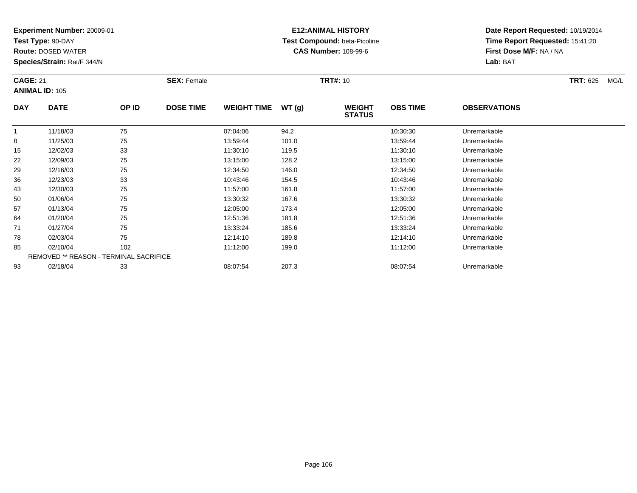**Test Type:** 90-DAY

**Route:** DOSED WATER

**Species/Strain:** Rat/F 344/N

# **E12:ANIMAL HISTORY Test Compound:** beta-Picoline**CAS Number:** 108-99-6

| <b>CAGE: 21</b> | <b>ANIMAL ID: 105</b>                  |       | <b>SEX: Female</b> |                    |       | <b>TRT#: 10</b>                |                 |                     | <b>TRT: 625</b><br>MG/L |
|-----------------|----------------------------------------|-------|--------------------|--------------------|-------|--------------------------------|-----------------|---------------------|-------------------------|
| <b>DAY</b>      | <b>DATE</b>                            | OP ID | <b>DOSE TIME</b>   | <b>WEIGHT TIME</b> | WT(g) | <b>WEIGHT</b><br><b>STATUS</b> | <b>OBS TIME</b> | <b>OBSERVATIONS</b> |                         |
| $\mathbf{1}$    | 11/18/03                               | 75    |                    | 07:04:06           | 94.2  |                                | 10:30:30        | Unremarkable        |                         |
| 8               | 11/25/03                               | 75    |                    | 13:59:44           | 101.0 |                                | 13:59:44        | Unremarkable        |                         |
| 15              | 12/02/03                               | 33    |                    | 11:30:10           | 119.5 |                                | 11:30:10        | Unremarkable        |                         |
| 22              | 12/09/03                               | 75    |                    | 13:15:00           | 128.2 |                                | 13:15:00        | Unremarkable        |                         |
| 29              | 12/16/03                               | 75    |                    | 12:34:50           | 146.0 |                                | 12:34:50        | Unremarkable        |                         |
| 36              | 12/23/03                               | 33    |                    | 10:43:46           | 154.5 |                                | 10:43:46        | Unremarkable        |                         |
| 43              | 12/30/03                               | 75    |                    | 11:57:00           | 161.8 |                                | 11:57:00        | Unremarkable        |                         |
| 50              | 01/06/04                               | 75    |                    | 13:30:32           | 167.6 |                                | 13:30:32        | Unremarkable        |                         |
| 57              | 01/13/04                               | 75    |                    | 12:05:00           | 173.4 |                                | 12:05:00        | Unremarkable        |                         |
| 64              | 01/20/04                               | 75    |                    | 12:51:36           | 181.8 |                                | 12:51:36        | Unremarkable        |                         |
| 71              | 01/27/04                               | 75    |                    | 13:33:24           | 185.6 |                                | 13:33:24        | Unremarkable        |                         |
| 78              | 02/03/04                               | 75    |                    | 12:14:10           | 189.8 |                                | 12:14:10        | Unremarkable        |                         |
| 85              | 02/10/04                               | 102   |                    | 11:12:00           | 199.0 |                                | 11:12:00        | Unremarkable        |                         |
|                 | REMOVED ** REASON - TERMINAL SACRIFICE |       |                    |                    |       |                                |                 |                     |                         |
| 93              | 02/18/04                               | 33    |                    | 08:07:54           | 207.3 |                                | 08:07:54        | Unremarkable        |                         |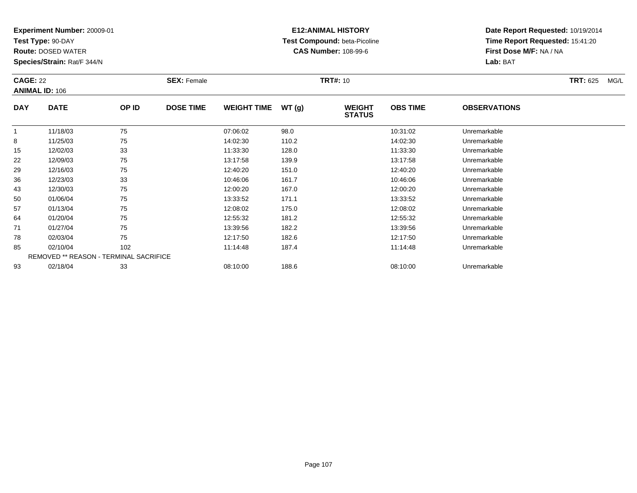**Test Type:** 90-DAY

**Route:** DOSED WATER

**Species/Strain:** Rat/F 344/N

# **E12:ANIMAL HISTORY Test Compound:** beta-Picoline**CAS Number:** 108-99-6

| <b>CAGE: 22</b> | <b>ANIMAL ID: 106</b>                  |       | <b>SEX: Female</b> |                    |       | <b>TRT#: 10</b>                |                 |                     | <b>TRT: 625</b><br>MG/L |
|-----------------|----------------------------------------|-------|--------------------|--------------------|-------|--------------------------------|-----------------|---------------------|-------------------------|
| <b>DAY</b>      | <b>DATE</b>                            | OP ID | <b>DOSE TIME</b>   | <b>WEIGHT TIME</b> | WT(g) | <b>WEIGHT</b><br><b>STATUS</b> | <b>OBS TIME</b> | <b>OBSERVATIONS</b> |                         |
| 1               | 11/18/03                               | 75    |                    | 07:06:02           | 98.0  |                                | 10:31:02        | Unremarkable        |                         |
| 8               | 11/25/03                               | 75    |                    | 14:02:30           | 110.2 |                                | 14:02:30        | Unremarkable        |                         |
| 15              | 12/02/03                               | 33    |                    | 11:33:30           | 128.0 |                                | 11:33:30        | Unremarkable        |                         |
| 22              | 12/09/03                               | 75    |                    | 13:17:58           | 139.9 |                                | 13:17:58        | Unremarkable        |                         |
| 29              | 12/16/03                               | 75    |                    | 12:40:20           | 151.0 |                                | 12:40:20        | Unremarkable        |                         |
| 36              | 12/23/03                               | 33    |                    | 10:46:06           | 161.7 |                                | 10:46:06        | Unremarkable        |                         |
| 43              | 12/30/03                               | 75    |                    | 12:00:20           | 167.0 |                                | 12:00:20        | Unremarkable        |                         |
| 50              | 01/06/04                               | 75    |                    | 13:33:52           | 171.1 |                                | 13:33:52        | Unremarkable        |                         |
| 57              | 01/13/04                               | 75    |                    | 12:08:02           | 175.0 |                                | 12:08:02        | Unremarkable        |                         |
| 64              | 01/20/04                               | 75    |                    | 12:55:32           | 181.2 |                                | 12:55:32        | Unremarkable        |                         |
| 71              | 01/27/04                               | 75    |                    | 13:39:56           | 182.2 |                                | 13:39:56        | Unremarkable        |                         |
| 78              | 02/03/04                               | 75    |                    | 12:17:50           | 182.6 |                                | 12:17:50        | Unremarkable        |                         |
| 85              | 02/10/04                               | 102   |                    | 11:14:48           | 187.4 |                                | 11:14:48        | Unremarkable        |                         |
|                 | REMOVED ** REASON - TERMINAL SACRIFICE |       |                    |                    |       |                                |                 |                     |                         |
| 93              | 02/18/04                               | 33    |                    | 08:10:00           | 188.6 |                                | 08:10:00        | Unremarkable        |                         |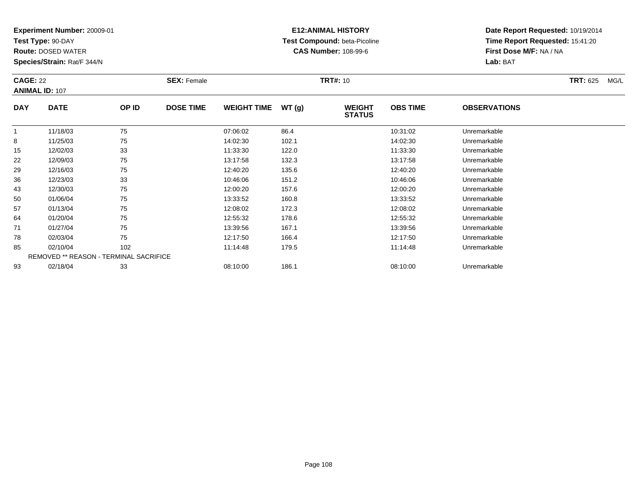**Test Type:** 90-DAY

**Route:** DOSED WATER

**Species/Strain:** Rat/F 344/N

# **E12:ANIMAL HISTORY Test Compound:** beta-Picoline**CAS Number:** 108-99-6

|              | <b>CAGE: 22</b><br><b>ANIMAL ID: 107</b> |       | <b>SEX: Female</b> |                    |       |                                | <b>TRT#: 10</b> |                     |  |  |
|--------------|------------------------------------------|-------|--------------------|--------------------|-------|--------------------------------|-----------------|---------------------|--|--|
| <b>DAY</b>   | <b>DATE</b>                              | OP ID | <b>DOSE TIME</b>   | <b>WEIGHT TIME</b> | WT(g) | <b>WEIGHT</b><br><b>STATUS</b> | <b>OBS TIME</b> | <b>OBSERVATIONS</b> |  |  |
| $\mathbf{1}$ | 11/18/03                                 | 75    |                    | 07:06:02           | 86.4  |                                | 10:31:02        | Unremarkable        |  |  |
| 8            | 11/25/03                                 | 75    |                    | 14:02:30           | 102.1 |                                | 14:02:30        | Unremarkable        |  |  |
| 15           | 12/02/03                                 | 33    |                    | 11:33:30           | 122.0 |                                | 11:33:30        | Unremarkable        |  |  |
| 22           | 12/09/03                                 | 75    |                    | 13:17:58           | 132.3 |                                | 13:17:58        | Unremarkable        |  |  |
| 29           | 12/16/03                                 | 75    |                    | 12:40:20           | 135.6 |                                | 12:40:20        | Unremarkable        |  |  |
| 36           | 12/23/03                                 | 33    |                    | 10:46:06           | 151.2 |                                | 10:46:06        | Unremarkable        |  |  |
| 43           | 12/30/03                                 | 75    |                    | 12:00:20           | 157.6 |                                | 12:00:20        | Unremarkable        |  |  |
| 50           | 01/06/04                                 | 75    |                    | 13:33:52           | 160.8 |                                | 13:33:52        | Unremarkable        |  |  |
| 57           | 01/13/04                                 | 75    |                    | 12:08:02           | 172.3 |                                | 12:08:02        | Unremarkable        |  |  |
| 64           | 01/20/04                                 | 75    |                    | 12:55:32           | 178.6 |                                | 12:55:32        | Unremarkable        |  |  |
| 71           | 01/27/04                                 | 75    |                    | 13:39:56           | 167.1 |                                | 13:39:56        | Unremarkable        |  |  |
| 78           | 02/03/04                                 | 75    |                    | 12:17:50           | 166.4 |                                | 12:17:50        | Unremarkable        |  |  |
| 85           | 02/10/04                                 | 102   |                    | 11:14:48           | 179.5 |                                | 11:14:48        | Unremarkable        |  |  |
|              | REMOVED ** REASON - TERMINAL SACRIFICE   |       |                    |                    |       |                                |                 |                     |  |  |
| 93           | 02/18/04                                 | 33    |                    | 08:10:00           | 186.1 |                                | 08:10:00        | Unremarkable        |  |  |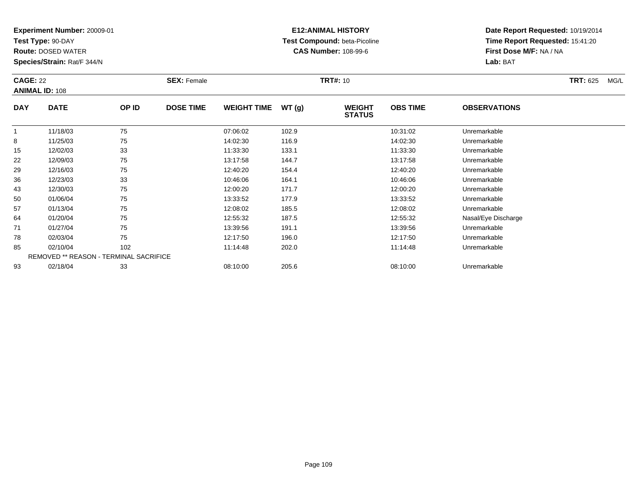**Test Type:** 90-DAY

**Route:** DOSED WATER

**Species/Strain:** Rat/F 344/N

# **E12:ANIMAL HISTORY Test Compound:** beta-Picoline**CAS Number:** 108-99-6

| <b>CAGE: 22</b> | <b>ANIMAL ID: 108</b>                  |       | <b>SEX: Female</b> |                    |       | <b>TRT#:</b> 10                |                 |                     | <b>TRT:</b> 625<br>MG/L |
|-----------------|----------------------------------------|-------|--------------------|--------------------|-------|--------------------------------|-----------------|---------------------|-------------------------|
| <b>DAY</b>      | <b>DATE</b>                            | OP ID | <b>DOSE TIME</b>   | <b>WEIGHT TIME</b> | WT(g) | <b>WEIGHT</b><br><b>STATUS</b> | <b>OBS TIME</b> | <b>OBSERVATIONS</b> |                         |
| 1               | 11/18/03                               | 75    |                    | 07:06:02           | 102.9 |                                | 10:31:02        | Unremarkable        |                         |
| 8               | 11/25/03                               | 75    |                    | 14:02:30           | 116.9 |                                | 14:02:30        | Unremarkable        |                         |
| 15              | 12/02/03                               | 33    |                    | 11:33:30           | 133.1 |                                | 11:33:30        | Unremarkable        |                         |
| 22              | 12/09/03                               | 75    |                    | 13:17:58           | 144.7 |                                | 13:17:58        | Unremarkable        |                         |
| 29              | 12/16/03                               | 75    |                    | 12:40:20           | 154.4 |                                | 12:40:20        | Unremarkable        |                         |
| 36              | 12/23/03                               | 33    |                    | 10:46:06           | 164.1 |                                | 10:46:06        | Unremarkable        |                         |
| 43              | 12/30/03                               | 75    |                    | 12:00:20           | 171.7 |                                | 12:00:20        | Unremarkable        |                         |
| 50              | 01/06/04                               | 75    |                    | 13:33:52           | 177.9 |                                | 13:33:52        | Unremarkable        |                         |
| 57              | 01/13/04                               | 75    |                    | 12:08:02           | 185.5 |                                | 12:08:02        | Unremarkable        |                         |
| 64              | 01/20/04                               | 75    |                    | 12:55:32           | 187.5 |                                | 12:55:32        | Nasal/Eye Discharge |                         |
| 71              | 01/27/04                               | 75    |                    | 13:39:56           | 191.1 |                                | 13:39:56        | Unremarkable        |                         |
| 78              | 02/03/04                               | 75    |                    | 12:17:50           | 196.0 |                                | 12:17:50        | Unremarkable        |                         |
| 85              | 02/10/04                               | 102   |                    | 11:14:48           | 202.0 |                                | 11:14:48        | Unremarkable        |                         |
|                 | REMOVED ** REASON - TERMINAL SACRIFICE |       |                    |                    |       |                                |                 |                     |                         |
| 93              | 02/18/04                               | 33    |                    | 08:10:00           | 205.6 |                                | 08:10:00        | Unremarkable        |                         |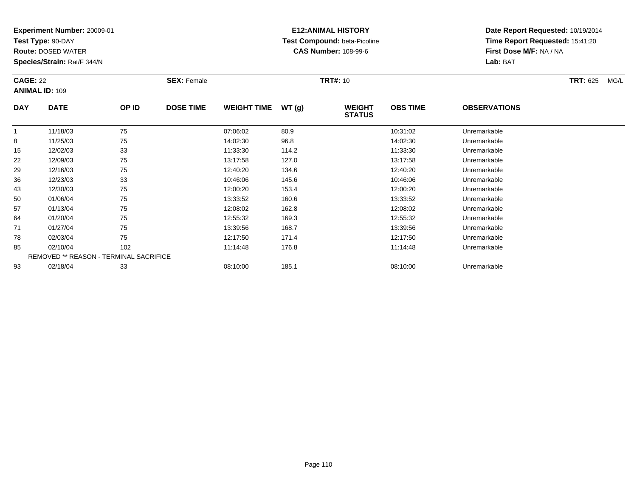**Test Type:** 90-DAY

**Route:** DOSED WATER

**Species/Strain:** Rat/F 344/N

# **E12:ANIMAL HISTORY Test Compound:** beta-Picoline**CAS Number:** 108-99-6

| <b>CAGE: 22</b> | <b>ANIMAL ID: 109</b>                  |       | <b>SEX: Female</b> |                    |       | <b>TRT#: 10</b>                |                 |                     | <b>TRT: 625</b><br>MG/L |
|-----------------|----------------------------------------|-------|--------------------|--------------------|-------|--------------------------------|-----------------|---------------------|-------------------------|
| <b>DAY</b>      | <b>DATE</b>                            | OP ID | <b>DOSE TIME</b>   | <b>WEIGHT TIME</b> | WT(g) | <b>WEIGHT</b><br><b>STATUS</b> | <b>OBS TIME</b> | <b>OBSERVATIONS</b> |                         |
| $\mathbf{1}$    | 11/18/03                               | 75    |                    | 07:06:02           | 80.9  |                                | 10:31:02        | Unremarkable        |                         |
| 8               | 11/25/03                               | 75    |                    | 14:02:30           | 96.8  |                                | 14:02:30        | Unremarkable        |                         |
| 15              | 12/02/03                               | 33    |                    | 11:33:30           | 114.2 |                                | 11:33:30        | Unremarkable        |                         |
| 22              | 12/09/03                               | 75    |                    | 13:17:58           | 127.0 |                                | 13:17:58        | Unremarkable        |                         |
| 29              | 12/16/03                               | 75    |                    | 12:40:20           | 134.6 |                                | 12:40:20        | Unremarkable        |                         |
| 36              | 12/23/03                               | 33    |                    | 10:46:06           | 145.6 |                                | 10:46:06        | Unremarkable        |                         |
| 43              | 12/30/03                               | 75    |                    | 12:00:20           | 153.4 |                                | 12:00:20        | Unremarkable        |                         |
| 50              | 01/06/04                               | 75    |                    | 13:33:52           | 160.6 |                                | 13:33:52        | Unremarkable        |                         |
| 57              | 01/13/04                               | 75    |                    | 12:08:02           | 162.8 |                                | 12:08:02        | Unremarkable        |                         |
| 64              | 01/20/04                               | 75    |                    | 12:55:32           | 169.3 |                                | 12:55:32        | Unremarkable        |                         |
| 71              | 01/27/04                               | 75    |                    | 13:39:56           | 168.7 |                                | 13:39:56        | Unremarkable        |                         |
| 78              | 02/03/04                               | 75    |                    | 12:17:50           | 171.4 |                                | 12:17:50        | Unremarkable        |                         |
| 85              | 02/10/04                               | 102   |                    | 11:14:48           | 176.8 |                                | 11:14:48        | Unremarkable        |                         |
|                 | REMOVED ** REASON - TERMINAL SACRIFICE |       |                    |                    |       |                                |                 |                     |                         |
| 93              | 02/18/04                               | 33    |                    | 08:10:00           | 185.1 |                                | 08:10:00        | Unremarkable        |                         |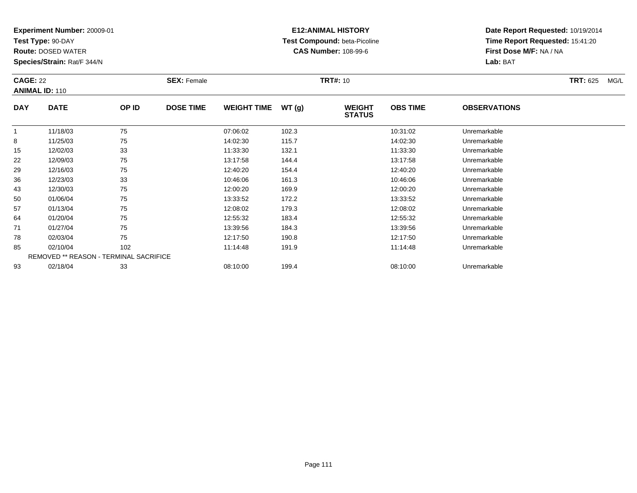**Test Type:** 90-DAY

**Route:** DOSED WATER

**Species/Strain:** Rat/F 344/N

# **E12:ANIMAL HISTORY Test Compound:** beta-Picoline**CAS Number:** 108-99-6

| <b>CAGE: 22</b> | <b>ANIMAL ID: 110</b>                  |       | <b>SEX: Female</b> |                    |       | <b>TRT#:</b> 10                |                 |                     | <b>TRT: 625</b><br>MG/L |
|-----------------|----------------------------------------|-------|--------------------|--------------------|-------|--------------------------------|-----------------|---------------------|-------------------------|
| <b>DAY</b>      | <b>DATE</b>                            | OP ID | <b>DOSE TIME</b>   | <b>WEIGHT TIME</b> | WT(g) | <b>WEIGHT</b><br><b>STATUS</b> | <b>OBS TIME</b> | <b>OBSERVATIONS</b> |                         |
|                 | 11/18/03                               | 75    |                    | 07:06:02           | 102.3 |                                | 10:31:02        | Unremarkable        |                         |
| 8               | 11/25/03                               | 75    |                    | 14:02:30           | 115.7 |                                | 14:02:30        | Unremarkable        |                         |
| 15              | 12/02/03                               | 33    |                    | 11:33:30           | 132.1 |                                | 11:33:30        | Unremarkable        |                         |
| 22              | 12/09/03                               | 75    |                    | 13:17:58           | 144.4 |                                | 13:17:58        | Unremarkable        |                         |
| 29              | 12/16/03                               | 75    |                    | 12:40:20           | 154.4 |                                | 12:40:20        | Unremarkable        |                         |
| 36              | 12/23/03                               | 33    |                    | 10:46:06           | 161.3 |                                | 10:46:06        | Unremarkable        |                         |
| 43              | 12/30/03                               | 75    |                    | 12:00:20           | 169.9 |                                | 12:00:20        | Unremarkable        |                         |
| 50              | 01/06/04                               | 75    |                    | 13:33:52           | 172.2 |                                | 13:33:52        | Unremarkable        |                         |
| 57              | 01/13/04                               | 75    |                    | 12:08:02           | 179.3 |                                | 12:08:02        | Unremarkable        |                         |
| 64              | 01/20/04                               | 75    |                    | 12:55:32           | 183.4 |                                | 12:55:32        | Unremarkable        |                         |
| 71              | 01/27/04                               | 75    |                    | 13:39:56           | 184.3 |                                | 13:39:56        | Unremarkable        |                         |
| 78              | 02/03/04                               | 75    |                    | 12:17:50           | 190.8 |                                | 12:17:50        | Unremarkable        |                         |
| 85              | 02/10/04                               | 102   |                    | 11:14:48           | 191.9 |                                | 11:14:48        | Unremarkable        |                         |
|                 | REMOVED ** REASON - TERMINAL SACRIFICE |       |                    |                    |       |                                |                 |                     |                         |
| 93              | 02/18/04                               | 33    |                    | 08:10:00           | 199.4 |                                | 08:10:00        | Unremarkable        |                         |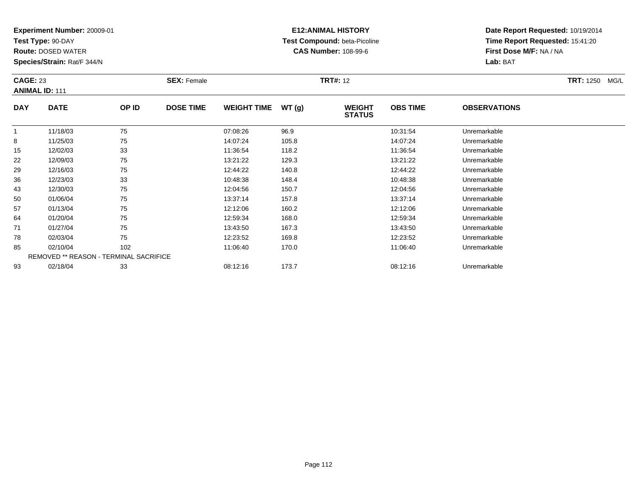**Test Type:** 90-DAY

78

85

93

**Route:** DOSED WATER

**Species/Strain:** Rat/F 344/N

REMOVED \*\* REASON - TERMINAL SACRIFICE

### **E12:ANIMAL HISTORY Test Compound:** beta-Picoline**CAS Number:** 108-99-6

**Date Report Requested:** 10/19/2014**Time Report Requested:** 15:41:20**First Dose M/F:** NA / NA**Lab:** BAT

| <b>CAGE: 23</b> | <b>ANIMAL ID: 111</b> |       | <b>SEX: Female</b> |                    |       | <b>TRT#: 12</b>                |                 |                     | <b>TRT:</b> 1250<br>MG/L |
|-----------------|-----------------------|-------|--------------------|--------------------|-------|--------------------------------|-----------------|---------------------|--------------------------|
| <b>DAY</b>      | <b>DATE</b>           | OP ID | <b>DOSE TIME</b>   | <b>WEIGHT TIME</b> | WT(g) | <b>WEIGHT</b><br><b>STATUS</b> | <b>OBS TIME</b> | <b>OBSERVATIONS</b> |                          |
|                 | 11/18/03              | 75    |                    | 07:08:26           | 96.9  |                                | 10:31:54        | Unremarkable        |                          |
| 8               | 11/25/03              | 75    |                    | 14:07:24           | 105.8 |                                | 14:07:24        | Unremarkable        |                          |
| 15              | 12/02/03              | 33    |                    | 11:36:54           | 118.2 |                                | 11:36:54        | Unremarkable        |                          |
| 22              | 12/09/03              | 75    |                    | 13:21:22           | 129.3 |                                | 13:21:22        | Unremarkable        |                          |
| 29              | 12/16/03              | 75    |                    | 12:44:22           | 140.8 |                                | 12:44:22        | Unremarkable        |                          |
| 36              | 12/23/03              | 33    |                    | 10:48:38           | 148.4 |                                | 10:48:38        | Unremarkable        |                          |
| 43              | 12/30/03              | 75    |                    | 12:04:56           | 150.7 |                                | 12:04:56        | Unremarkable        |                          |
| 50              | 01/06/04              | 75    |                    | 13:37:14           | 157.8 |                                | 13:37:14        | Unremarkable        |                          |
| 57              | 01/13/04              | 75    |                    | 12:12:06           | 160.2 |                                | 12:12:06        | Unremarkable        |                          |
| 64              | 01/20/04              | 75    |                    | 12:59:34           | 168.0 |                                | 12:59:34        | Unremarkable        |                          |
| 71              | 01/27/04              | 75    |                    | 13:43:50           | 167.3 |                                | 13:43:50        | Unremarkable        |                          |

1 01/27/04 75 75 13:43:50 167.3 167.3 15143:50 167.3

02/03/04 <sup>75</sup> 12:23:52 169.8 12:23:52 Unremarkable

02/10/04 <sup>102</sup> 11:06:40 170.0 11:06:40 Unremarkable

02/18/04 <sup>33</sup> 08:12:16 173.7 08:12:16 Unremarkable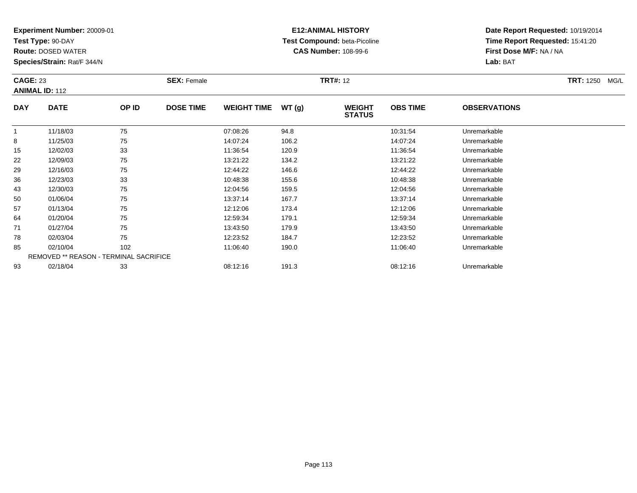**Test Type:** 90-DAY

93

**Route:** DOSED WATER

**Species/Strain:** Rat/F 344/N

# **E12:ANIMAL HISTORY Test Compound:** beta-Picoline**CAS Number:** 108-99-6

**Date Report Requested:** 10/19/2014**Time Report Requested:** 15:41:20**First Dose M/F:** NA / NA**Lab:** BAT

| <b>CAGE: 23</b> | <b>ANIMAL ID: 112</b> |                                               | <b>SEX: Female</b> |                    |       | <b>TRT#: 12</b>                |                 |                     | <b>TRT:</b> 1250<br>MG/L |
|-----------------|-----------------------|-----------------------------------------------|--------------------|--------------------|-------|--------------------------------|-----------------|---------------------|--------------------------|
| <b>DAY</b>      | <b>DATE</b>           | OP ID                                         | <b>DOSE TIME</b>   | <b>WEIGHT TIME</b> | WT(g) | <b>WEIGHT</b><br><b>STATUS</b> | <b>OBS TIME</b> | <b>OBSERVATIONS</b> |                          |
| $\mathbf 1$     | 11/18/03              | 75                                            |                    | 07:08:26           | 94.8  |                                | 10:31:54        | Unremarkable        |                          |
| 8               | 11/25/03              | 75                                            |                    | 14:07:24           | 106.2 |                                | 14:07:24        | Unremarkable        |                          |
| 15              | 12/02/03              | 33                                            |                    | 11:36:54           | 120.9 |                                | 11:36:54        | Unremarkable        |                          |
| 22              | 12/09/03              | 75                                            |                    | 13:21:22           | 134.2 |                                | 13:21:22        | Unremarkable        |                          |
| 29              | 12/16/03              | 75                                            |                    | 12:44:22           | 146.6 |                                | 12:44:22        | Unremarkable        |                          |
| 36              | 12/23/03              | 33                                            |                    | 10:48:38           | 155.6 |                                | 10:48:38        | Unremarkable        |                          |
| 43              | 12/30/03              | 75                                            |                    | 12:04:56           | 159.5 |                                | 12:04:56        | Unremarkable        |                          |
| 50              | 01/06/04              | 75                                            |                    | 13:37:14           | 167.7 |                                | 13:37:14        | Unremarkable        |                          |
| 57              | 01/13/04              | 75                                            |                    | 12:12:06           | 173.4 |                                | 12:12:06        | Unremarkable        |                          |
| 64              | 01/20/04              | 75                                            |                    | 12:59:34           | 179.1 |                                | 12:59:34        | Unremarkable        |                          |
| 71              | 01/27/04              | 75                                            |                    | 13:43:50           | 179.9 |                                | 13:43:50        | Unremarkable        |                          |
| 78              | 02/03/04              | 75                                            |                    | 12:23:52           | 184.7 |                                | 12:23:52        | Unremarkable        |                          |
| 85              | 02/10/04              | 102                                           |                    | 11:06:40           | 190.0 |                                | 11:06:40        | Unremarkable        |                          |
|                 |                       | <b>REMOVED ** REASON - TERMINAL SACRIFICE</b> |                    |                    |       |                                |                 |                     |                          |

02/18/04 <sup>33</sup> 08:12:16 191.3 08:12:16 Unremarkable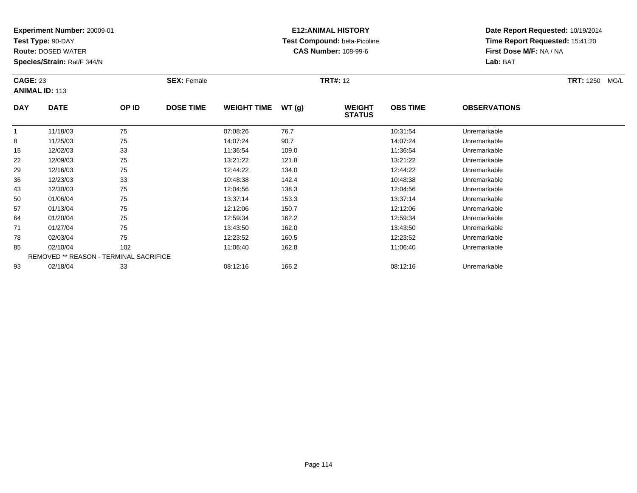**Test Type:** 90-DAY

93

**Route:** DOSED WATER

**Species/Strain:** Rat/F 344/N

### **E12:ANIMAL HISTORY Test Compound:** beta-Picoline**CAS Number:** 108-99-6

**Date Report Requested:** 10/19/2014**Time Report Requested:** 15:41:20**First Dose M/F:** NA / NA**Lab:** BAT

| <b>CAGE: 23</b> | <b>ANIMAL ID: 113</b>                         |       | <b>SEX: Female</b> |                    |       | <b>TRT#: 12</b>                |                 |                     | TRT: 1250 MG/L |
|-----------------|-----------------------------------------------|-------|--------------------|--------------------|-------|--------------------------------|-----------------|---------------------|----------------|
| <b>DAY</b>      | <b>DATE</b>                                   | OP ID | <b>DOSE TIME</b>   | <b>WEIGHT TIME</b> | WT(g) | <b>WEIGHT</b><br><b>STATUS</b> | <b>OBS TIME</b> | <b>OBSERVATIONS</b> |                |
| 1               | 11/18/03                                      | 75    |                    | 07:08:26           | 76.7  |                                | 10:31:54        | Unremarkable        |                |
| 8               | 11/25/03                                      | 75    |                    | 14:07:24           | 90.7  |                                | 14:07:24        | Unremarkable        |                |
| 15              | 12/02/03                                      | 33    |                    | 11:36:54           | 109.0 |                                | 11:36:54        | Unremarkable        |                |
| 22              | 12/09/03                                      | 75    |                    | 13:21:22           | 121.8 |                                | 13:21:22        | Unremarkable        |                |
| 29              | 12/16/03                                      | 75    |                    | 12:44:22           | 134.0 |                                | 12:44:22        | Unremarkable        |                |
| 36              | 12/23/03                                      | 33    |                    | 10:48:38           | 142.4 |                                | 10:48:38        | Unremarkable        |                |
| 43              | 12/30/03                                      | 75    |                    | 12:04:56           | 138.3 |                                | 12:04:56        | Unremarkable        |                |
| 50              | 01/06/04                                      | 75    |                    | 13:37:14           | 153.3 |                                | 13:37:14        | Unremarkable        |                |
| 57              | 01/13/04                                      | 75    |                    | 12:12:06           | 150.7 |                                | 12:12:06        | Unremarkable        |                |
| 64              | 01/20/04                                      | 75    |                    | 12:59:34           | 162.2 |                                | 12:59:34        | Unremarkable        |                |
| 71              | 01/27/04                                      | 75    |                    | 13:43:50           | 162.0 |                                | 13:43:50        | Unremarkable        |                |
| 78              | 02/03/04                                      | 75    |                    | 12:23:52           | 160.5 |                                | 12:23:52        | Unremarkable        |                |
| 85              | 02/10/04                                      | 102   |                    | 11:06:40           | 162.8 |                                | 11:06:40        | Unremarkable        |                |
|                 | <b>REMOVED ** REASON - TERMINAL SACRIFICE</b> |       |                    |                    |       |                                |                 |                     |                |

02/18/04 <sup>33</sup> 08:12:16 166.2 08:12:16 Unremarkable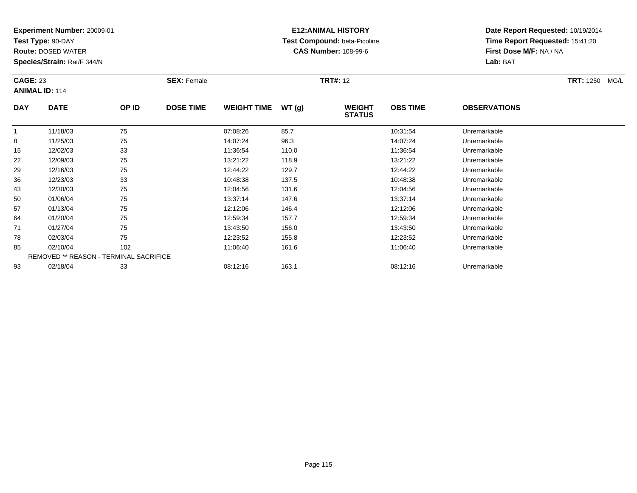**Test Type:** 90-DAY

**Route:** DOSED WATER

**Species/Strain:** Rat/F 344/N

# **E12:ANIMAL HISTORY Test Compound:** beta-Picoline**CAS Number:** 108-99-6

**Date Report Requested:** 10/19/2014**Time Report Requested:** 15:41:20**First Dose M/F:** NA / NA**Lab:** BAT

|            | <b>CAGE: 23</b><br><b>ANIMAL ID: 114</b>      |       | <b>SEX: Female</b> |                    |       | <b>TRT#: 12</b>                | <b>TRT: 1250</b><br>MG/L |                     |  |
|------------|-----------------------------------------------|-------|--------------------|--------------------|-------|--------------------------------|--------------------------|---------------------|--|
| <b>DAY</b> | <b>DATE</b>                                   | OP ID | <b>DOSE TIME</b>   | <b>WEIGHT TIME</b> | WT(g) | <b>WEIGHT</b><br><b>STATUS</b> | <b>OBS TIME</b>          | <b>OBSERVATIONS</b> |  |
|            | 11/18/03                                      | 75    |                    | 07:08:26           | 85.7  |                                | 10:31:54                 | Unremarkable        |  |
| 8          | 11/25/03                                      | 75    |                    | 14:07:24           | 96.3  |                                | 14:07:24                 | Unremarkable        |  |
| 15         | 12/02/03                                      | 33    |                    | 11:36:54           | 110.0 |                                | 11:36:54                 | Unremarkable        |  |
| 22         | 12/09/03                                      | 75    |                    | 13:21:22           | 118.9 |                                | 13:21:22                 | Unremarkable        |  |
| 29         | 12/16/03                                      | 75    |                    | 12:44:22           | 129.7 |                                | 12:44:22                 | Unremarkable        |  |
| 36         | 12/23/03                                      | 33    |                    | 10:48:38           | 137.5 |                                | 10:48:38                 | Unremarkable        |  |
| 43         | 12/30/03                                      | 75    |                    | 12:04:56           | 131.6 |                                | 12:04:56                 | Unremarkable        |  |
| 50         | 01/06/04                                      | 75    |                    | 13:37:14           | 147.6 |                                | 13:37:14                 | Unremarkable        |  |
| 57         | 01/13/04                                      | 75    |                    | 12:12:06           | 146.4 |                                | 12:12:06                 | Unremarkable        |  |
| 64         | 01/20/04                                      | 75    |                    | 12:59:34           | 157.7 |                                | 12:59:34                 | Unremarkable        |  |
| 71         | 01/27/04                                      | 75    |                    | 13:43:50           | 156.0 |                                | 13:43:50                 | Unremarkable        |  |
| 78         | 02/03/04                                      | 75    |                    | 12:23:52           | 155.8 |                                | 12:23:52                 | Unremarkable        |  |
| 85         | 02/10/04                                      | 102   |                    | 11:06:40           | 161.6 |                                | 11:06:40                 | Unremarkable        |  |
|            | <b>REMOVED ** REASON - TERMINAL SACRIFICE</b> |       |                    |                    |       |                                |                          |                     |  |
| 93         | 02/18/04                                      | 33    |                    | 08:12:16           | 163.1 |                                | 08:12:16                 | Unremarkable        |  |

02/18/04 <sup>33</sup> 08:12:16 163.1 08:12:16 Unremarkable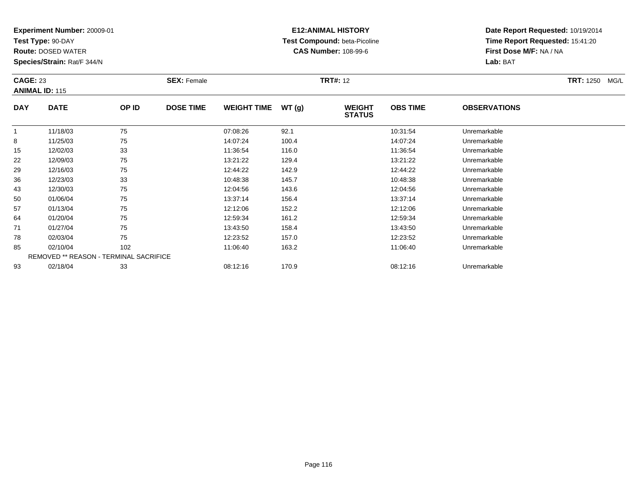**Test Type:** 90-DAY

**Route:** DOSED WATER

**Species/Strain:** Rat/F 344/N

# **E12:ANIMAL HISTORY Test Compound:** beta-Picoline**CAS Number:** 108-99-6

| <b>CAGE: 23</b> | <b>ANIMAL ID: 115</b>                  |       | <b>SEX: Female</b> |                    |       | <b>TRT#: 12</b>                |                 |                     | <b>TRT: 1250 MG/L</b> |
|-----------------|----------------------------------------|-------|--------------------|--------------------|-------|--------------------------------|-----------------|---------------------|-----------------------|
| <b>DAY</b>      | <b>DATE</b>                            | OP ID | <b>DOSE TIME</b>   | <b>WEIGHT TIME</b> | WT(g) | <b>WEIGHT</b><br><b>STATUS</b> | <b>OBS TIME</b> | <b>OBSERVATIONS</b> |                       |
|                 | 11/18/03                               | 75    |                    | 07:08:26           | 92.1  |                                | 10:31:54        | Unremarkable        |                       |
| 8               | 11/25/03                               | 75    |                    | 14:07:24           | 100.4 |                                | 14:07:24        | Unremarkable        |                       |
| 15              | 12/02/03                               | 33    |                    | 11:36:54           | 116.0 |                                | 11:36:54        | Unremarkable        |                       |
| 22              | 12/09/03                               | 75    |                    | 13:21:22           | 129.4 |                                | 13:21:22        | Unremarkable        |                       |
| 29              | 12/16/03                               | 75    |                    | 12:44:22           | 142.9 |                                | 12:44:22        | Unremarkable        |                       |
| 36              | 12/23/03                               | 33    |                    | 10:48:38           | 145.7 |                                | 10:48:38        | Unremarkable        |                       |
| 43              | 12/30/03                               | 75    |                    | 12:04:56           | 143.6 |                                | 12:04:56        | Unremarkable        |                       |
| 50              | 01/06/04                               | 75    |                    | 13:37:14           | 156.4 |                                | 13:37:14        | Unremarkable        |                       |
| 57              | 01/13/04                               | 75    |                    | 12:12:06           | 152.2 |                                | 12:12:06        | Unremarkable        |                       |
| 64              | 01/20/04                               | 75    |                    | 12:59:34           | 161.2 |                                | 12:59:34        | Unremarkable        |                       |
| 71              | 01/27/04                               | 75    |                    | 13:43:50           | 158.4 |                                | 13:43:50        | Unremarkable        |                       |
| 78              | 02/03/04                               | 75    |                    | 12:23:52           | 157.0 |                                | 12:23:52        | Unremarkable        |                       |
| 85              | 02/10/04                               | 102   |                    | 11:06:40           | 163.2 |                                | 11:06:40        | Unremarkable        |                       |
|                 | REMOVED ** REASON - TERMINAL SACRIFICE |       |                    |                    |       |                                |                 |                     |                       |
| 93              | 02/18/04                               | 33    |                    | 08:12:16           | 170.9 |                                | 08:12:16        | Unremarkable        |                       |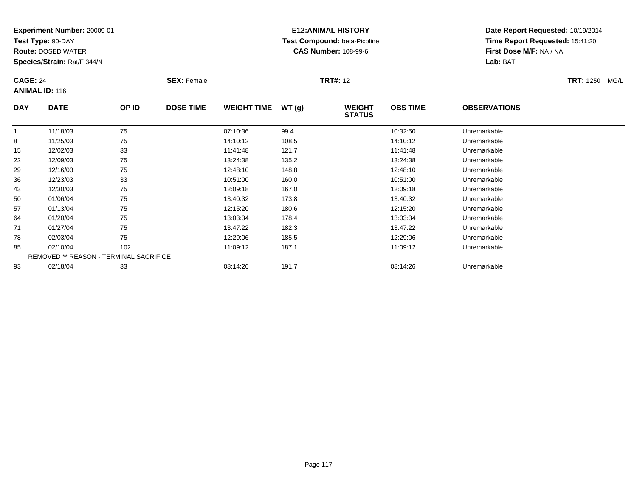**Test Type:** 90-DAY

**Route:** DOSED WATER

**Species/Strain:** Rat/F 344/N

# **E12:ANIMAL HISTORY Test Compound:** beta-Picoline**CAS Number:** 108-99-6

| <b>CAGE: 24</b> | <b>ANIMAL ID: 116</b>                         |       | <b>SEX: Female</b> |                    |       | <b>TRT#: 12</b>                |                 |                     | TRT: 1250 MG/L |
|-----------------|-----------------------------------------------|-------|--------------------|--------------------|-------|--------------------------------|-----------------|---------------------|----------------|
| <b>DAY</b>      | <b>DATE</b>                                   | OP ID | <b>DOSE TIME</b>   | <b>WEIGHT TIME</b> | WT(g) | <b>WEIGHT</b><br><b>STATUS</b> | <b>OBS TIME</b> | <b>OBSERVATIONS</b> |                |
|                 | 11/18/03                                      | 75    |                    | 07:10:36           | 99.4  |                                | 10:32:50        | Unremarkable        |                |
| 8               | 11/25/03                                      | 75    |                    | 14:10:12           | 108.5 |                                | 14:10:12        | Unremarkable        |                |
| 15              | 12/02/03                                      | 33    |                    | 11:41:48           | 121.7 |                                | 11:41:48        | Unremarkable        |                |
| 22              | 12/09/03                                      | 75    |                    | 13:24:38           | 135.2 |                                | 13:24:38        | Unremarkable        |                |
| 29              | 12/16/03                                      | 75    |                    | 12:48:10           | 148.8 |                                | 12:48:10        | Unremarkable        |                |
| 36              | 12/23/03                                      | 33    |                    | 10:51:00           | 160.0 |                                | 10:51:00        | Unremarkable        |                |
| 43              | 12/30/03                                      | 75    |                    | 12:09:18           | 167.0 |                                | 12:09:18        | Unremarkable        |                |
| 50              | 01/06/04                                      | 75    |                    | 13:40:32           | 173.8 |                                | 13:40:32        | Unremarkable        |                |
| 57              | 01/13/04                                      | 75    |                    | 12:15:20           | 180.6 |                                | 12:15:20        | Unremarkable        |                |
| 64              | 01/20/04                                      | 75    |                    | 13:03:34           | 178.4 |                                | 13:03:34        | Unremarkable        |                |
| 71              | 01/27/04                                      | 75    |                    | 13:47:22           | 182.3 |                                | 13:47:22        | Unremarkable        |                |
| 78              | 02/03/04                                      | 75    |                    | 12:29:06           | 185.5 |                                | 12:29:06        | Unremarkable        |                |
| 85              | 02/10/04                                      | 102   |                    | 11:09:12           | 187.1 |                                | 11:09:12        | Unremarkable        |                |
|                 | <b>REMOVED ** REASON - TERMINAL SACRIFICE</b> |       |                    |                    |       |                                |                 |                     |                |
| 93              | 02/18/04                                      | 33    |                    | 08:14:26           | 191.7 |                                | 08:14:26        | Unremarkable        |                |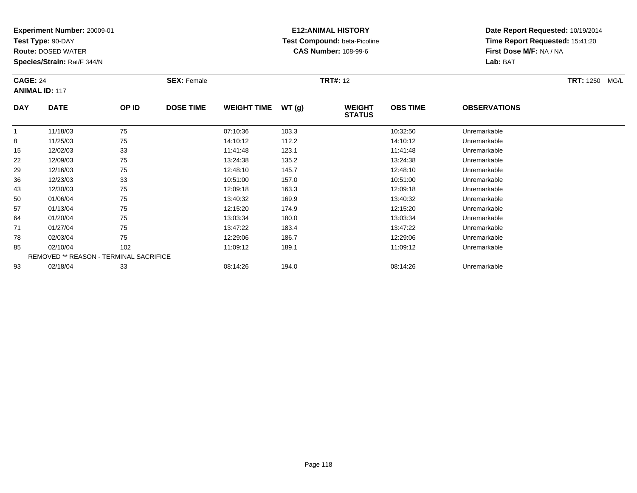**Test Type:** 90-DAY

**Route:** DOSED WATER

**Species/Strain:** Rat/F 344/N

# **E12:ANIMAL HISTORY Test Compound:** beta-Picoline**CAS Number:** 108-99-6

| <b>CAGE: 24</b> | <b>ANIMAL ID: 117</b>                  |       | <b>SEX: Female</b> |                    |       | <b>TRT#: 12</b>                |                 |                     | <b>TRT: 1250</b><br>MG/L |
|-----------------|----------------------------------------|-------|--------------------|--------------------|-------|--------------------------------|-----------------|---------------------|--------------------------|
| <b>DAY</b>      | <b>DATE</b>                            | OP ID | <b>DOSE TIME</b>   | <b>WEIGHT TIME</b> | WT(g) | <b>WEIGHT</b><br><b>STATUS</b> | <b>OBS TIME</b> | <b>OBSERVATIONS</b> |                          |
|                 | 11/18/03                               | 75    |                    | 07:10:36           | 103.3 |                                | 10:32:50        | Unremarkable        |                          |
| 8               | 11/25/03                               | 75    |                    | 14:10:12           | 112.2 |                                | 14:10:12        | Unremarkable        |                          |
| 15              | 12/02/03                               | 33    |                    | 11:41:48           | 123.1 |                                | 11:41:48        | Unremarkable        |                          |
| 22              | 12/09/03                               | 75    |                    | 13:24:38           | 135.2 |                                | 13:24:38        | Unremarkable        |                          |
| 29              | 12/16/03                               | 75    |                    | 12:48:10           | 145.7 |                                | 12:48:10        | Unremarkable        |                          |
| 36              | 12/23/03                               | 33    |                    | 10:51:00           | 157.0 |                                | 10:51:00        | Unremarkable        |                          |
| 43              | 12/30/03                               | 75    |                    | 12:09:18           | 163.3 |                                | 12:09:18        | Unremarkable        |                          |
| 50              | 01/06/04                               | 75    |                    | 13:40:32           | 169.9 |                                | 13:40:32        | Unremarkable        |                          |
| 57              | 01/13/04                               | 75    |                    | 12:15:20           | 174.9 |                                | 12:15:20        | Unremarkable        |                          |
| 64              | 01/20/04                               | 75    |                    | 13:03:34           | 180.0 |                                | 13:03:34        | Unremarkable        |                          |
| 71              | 01/27/04                               | 75    |                    | 13:47:22           | 183.4 |                                | 13:47:22        | Unremarkable        |                          |
| 78              | 02/03/04                               | 75    |                    | 12:29:06           | 186.7 |                                | 12:29:06        | Unremarkable        |                          |
| 85              | 02/10/04                               | 102   |                    | 11:09:12           | 189.1 |                                | 11:09:12        | Unremarkable        |                          |
|                 | REMOVED ** REASON - TERMINAL SACRIFICE |       |                    |                    |       |                                |                 |                     |                          |
| 93              | 02/18/04                               | 33    |                    | 08:14:26           | 194.0 |                                | 08:14:26        | Unremarkable        |                          |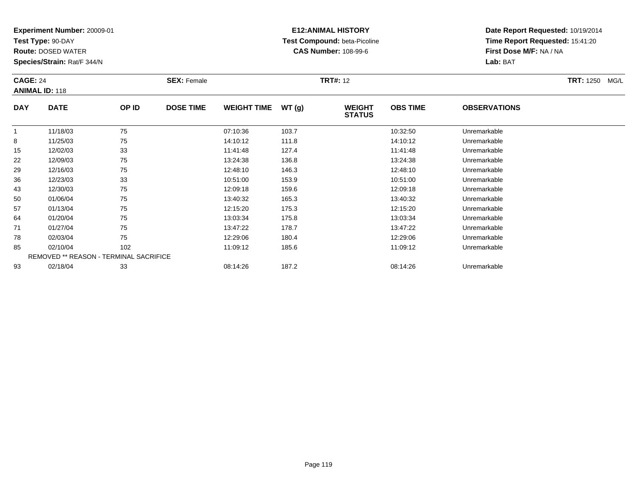**Test Type:** 90-DAY

**Route:** DOSED WATER

**Species/Strain:** Rat/F 344/N

# **E12:ANIMAL HISTORY Test Compound:** beta-Picoline**CAS Number:** 108-99-6

| <b>CAGE: 24</b> | <b>ANIMAL ID: 118</b>                  |       | <b>SEX: Female</b> |                    |       | <b>TRT#: 12</b>                |                 |                     | TRT: 1250 MG/L |
|-----------------|----------------------------------------|-------|--------------------|--------------------|-------|--------------------------------|-----------------|---------------------|----------------|
| <b>DAY</b>      | <b>DATE</b>                            | OP ID | <b>DOSE TIME</b>   | <b>WEIGHT TIME</b> | WT(g) | <b>WEIGHT</b><br><b>STATUS</b> | <b>OBS TIME</b> | <b>OBSERVATIONS</b> |                |
| -1              | 11/18/03                               | 75    |                    | 07:10:36           | 103.7 |                                | 10:32:50        | Unremarkable        |                |
| 8               | 11/25/03                               | 75    |                    | 14:10:12           | 111.8 |                                | 14:10:12        | Unremarkable        |                |
| 15              | 12/02/03                               | 33    |                    | 11:41:48           | 127.4 |                                | 11:41:48        | Unremarkable        |                |
| 22              | 12/09/03                               | 75    |                    | 13:24:38           | 136.8 |                                | 13:24:38        | Unremarkable        |                |
| 29              | 12/16/03                               | 75    |                    | 12:48:10           | 146.3 |                                | 12:48:10        | Unremarkable        |                |
| 36              | 12/23/03                               | 33    |                    | 10:51:00           | 153.9 |                                | 10:51:00        | Unremarkable        |                |
| 43              | 12/30/03                               | 75    |                    | 12:09:18           | 159.6 |                                | 12:09:18        | Unremarkable        |                |
| 50              | 01/06/04                               | 75    |                    | 13:40:32           | 165.3 |                                | 13:40:32        | Unremarkable        |                |
| 57              | 01/13/04                               | 75    |                    | 12:15:20           | 175.3 |                                | 12:15:20        | Unremarkable        |                |
| 64              | 01/20/04                               | 75    |                    | 13:03:34           | 175.8 |                                | 13:03:34        | Unremarkable        |                |
| 71              | 01/27/04                               | 75    |                    | 13:47:22           | 178.7 |                                | 13:47:22        | Unremarkable        |                |
| 78              | 02/03/04                               | 75    |                    | 12:29:06           | 180.4 |                                | 12:29:06        | Unremarkable        |                |
| 85              | 02/10/04                               | 102   |                    | 11:09:12           | 185.6 |                                | 11:09:12        | Unremarkable        |                |
|                 | REMOVED ** REASON - TERMINAL SACRIFICE |       |                    |                    |       |                                |                 |                     |                |
| 93              | 02/18/04                               | 33    |                    | 08:14:26           | 187.2 |                                | 08:14:26        | Unremarkable        |                |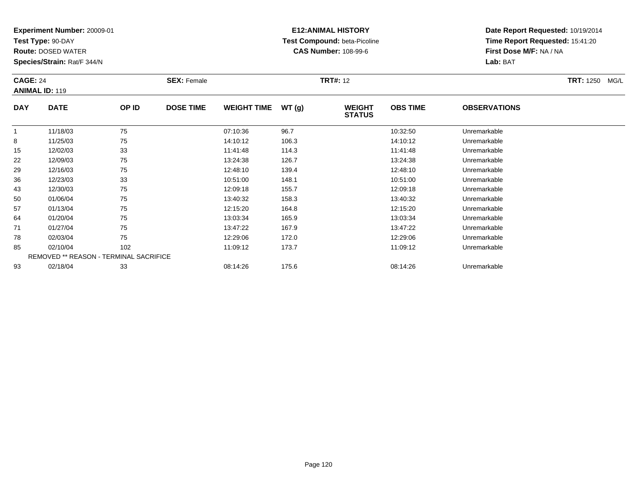**Test Type:** 90-DAY

**Route:** DOSED WATER

**Species/Strain:** Rat/F 344/N

# **E12:ANIMAL HISTORY Test Compound:** beta-Picoline**CAS Number:** 108-99-6

| <b>CAGE: 24</b> | <b>ANIMAL ID: 119</b>                  |       | <b>SEX: Female</b> |                    |       | <b>TRT#: 12</b>                |                 |                     | <b>TRT:</b> 1250 MG/L |
|-----------------|----------------------------------------|-------|--------------------|--------------------|-------|--------------------------------|-----------------|---------------------|-----------------------|
| <b>DAY</b>      | <b>DATE</b>                            | OP ID | <b>DOSE TIME</b>   | <b>WEIGHT TIME</b> | WT(g) | <b>WEIGHT</b><br><b>STATUS</b> | <b>OBS TIME</b> | <b>OBSERVATIONS</b> |                       |
|                 | 11/18/03                               | 75    |                    | 07:10:36           | 96.7  |                                | 10:32:50        | Unremarkable        |                       |
| 8               | 11/25/03                               | 75    |                    | 14:10:12           | 106.3 |                                | 14:10:12        | Unremarkable        |                       |
| 15              | 12/02/03                               | 33    |                    | 11:41:48           | 114.3 |                                | 11:41:48        | Unremarkable        |                       |
| 22              | 12/09/03                               | 75    |                    | 13:24:38           | 126.7 |                                | 13:24:38        | Unremarkable        |                       |
| 29              | 12/16/03                               | 75    |                    | 12:48:10           | 139.4 |                                | 12:48:10        | Unremarkable        |                       |
| 36              | 12/23/03                               | 33    |                    | 10:51:00           | 148.1 |                                | 10:51:00        | Unremarkable        |                       |
| 43              | 12/30/03                               | 75    |                    | 12:09:18           | 155.7 |                                | 12:09:18        | Unremarkable        |                       |
| 50              | 01/06/04                               | 75    |                    | 13:40:32           | 158.3 |                                | 13:40:32        | Unremarkable        |                       |
| 57              | 01/13/04                               | 75    |                    | 12:15:20           | 164.8 |                                | 12:15:20        | Unremarkable        |                       |
| 64              | 01/20/04                               | 75    |                    | 13:03:34           | 165.9 |                                | 13:03:34        | Unremarkable        |                       |
| 71              | 01/27/04                               | 75    |                    | 13:47:22           | 167.9 |                                | 13:47:22        | Unremarkable        |                       |
| 78              | 02/03/04                               | 75    |                    | 12:29:06           | 172.0 |                                | 12:29:06        | Unremarkable        |                       |
| 85              | 02/10/04                               | 102   |                    | 11:09:12           | 173.7 |                                | 11:09:12        | Unremarkable        |                       |
|                 | REMOVED ** REASON - TERMINAL SACRIFICE |       |                    |                    |       |                                |                 |                     |                       |
| 93              | 02/18/04                               | 33    |                    | 08:14:26           | 175.6 |                                | 08:14:26        | Unremarkable        |                       |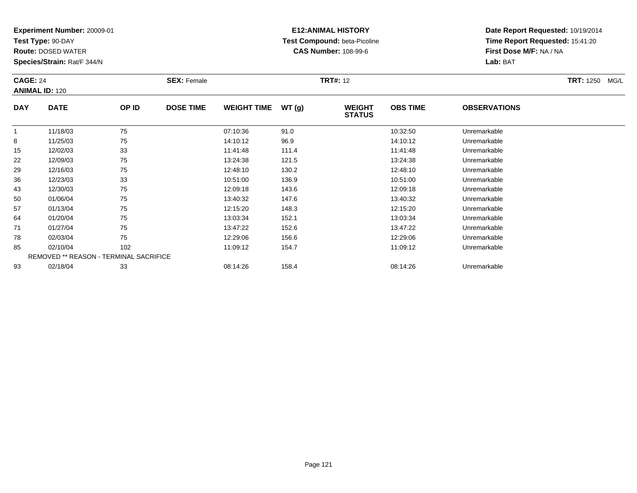**Test Type:** 90-DAY

**Route:** DOSED WATER

**Species/Strain:** Rat/F 344/N

# **E12:ANIMAL HISTORY Test Compound:** beta-Picoline**CAS Number:** 108-99-6

| <b>CAGE: 24</b><br><b>ANIMAL ID: 120</b> |                                        |       | <b>SEX: Female</b> |                    | <b>TRT#: 12</b> |                                |                 |                     | <b>TRT: 1250</b><br>MG/L |
|------------------------------------------|----------------------------------------|-------|--------------------|--------------------|-----------------|--------------------------------|-----------------|---------------------|--------------------------|
| <b>DAY</b>                               | <b>DATE</b>                            | OP ID | <b>DOSE TIME</b>   | <b>WEIGHT TIME</b> | WT(g)           | <b>WEIGHT</b><br><b>STATUS</b> | <b>OBS TIME</b> | <b>OBSERVATIONS</b> |                          |
|                                          | 11/18/03                               | 75    |                    | 07:10:36           | 91.0            |                                | 10:32:50        | Unremarkable        |                          |
| 8                                        | 11/25/03                               | 75    |                    | 14:10:12           | 96.9            |                                | 14:10:12        | Unremarkable        |                          |
| 15                                       | 12/02/03                               | 33    |                    | 11:41:48           | 111.4           |                                | 11:41:48        | Unremarkable        |                          |
| 22                                       | 12/09/03                               | 75    |                    | 13:24:38           | 121.5           |                                | 13:24:38        | Unremarkable        |                          |
| 29                                       | 12/16/03                               | 75    |                    | 12:48:10           | 130.2           |                                | 12:48:10        | Unremarkable        |                          |
| 36                                       | 12/23/03                               | 33    |                    | 10:51:00           | 136.9           |                                | 10:51:00        | Unremarkable        |                          |
| 43                                       | 12/30/03                               | 75    |                    | 12:09:18           | 143.6           |                                | 12:09:18        | Unremarkable        |                          |
| 50                                       | 01/06/04                               | 75    |                    | 13:40:32           | 147.6           |                                | 13:40:32        | Unremarkable        |                          |
| 57                                       | 01/13/04                               | 75    |                    | 12:15:20           | 148.3           |                                | 12:15:20        | Unremarkable        |                          |
| 64                                       | 01/20/04                               | 75    |                    | 13:03:34           | 152.1           |                                | 13:03:34        | Unremarkable        |                          |
| 71                                       | 01/27/04                               | 75    |                    | 13:47:22           | 152.6           |                                | 13:47:22        | Unremarkable        |                          |
| 78                                       | 02/03/04                               | 75    |                    | 12:29:06           | 156.6           |                                | 12:29:06        | Unremarkable        |                          |
| 85                                       | 02/10/04                               | 102   |                    | 11:09:12           | 154.7           |                                | 11:09:12        | Unremarkable        |                          |
|                                          | REMOVED ** REASON - TERMINAL SACRIFICE |       |                    |                    |                 |                                |                 |                     |                          |
| 93                                       | 02/18/04                               | 33    |                    | 08:14:26           | 158.4           |                                | 08:14:26        | Unremarkable        |                          |